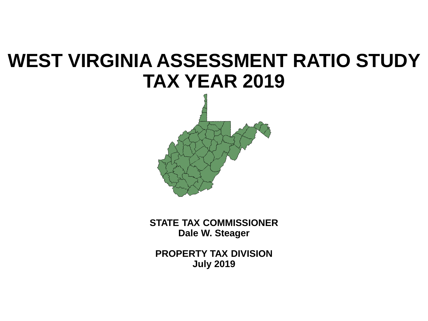# **WEST VIRGINIA ASSESSMENT RATIO STUDY TAX YEAR 2019**



**STATE TAX COMMISSIONER Dale W. Steager**

**PROPERTY TAX DIVISION July 2019**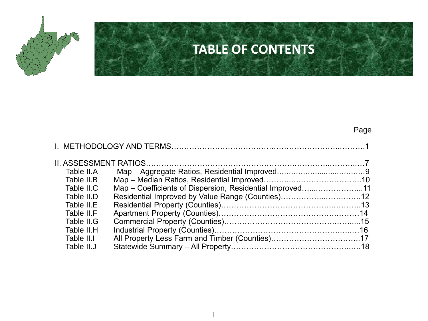

### **TABLE OF CONTENTS**

|--|

| Table II.A |                                                          |  |
|------------|----------------------------------------------------------|--|
| Table II.B |                                                          |  |
| Table II.C | Map – Coefficients of Dispersion, Residential Improved11 |  |
| Table II.D |                                                          |  |
| Table II.E |                                                          |  |
| Table II.F |                                                          |  |
| Table II.G |                                                          |  |
| Table II.H |                                                          |  |
| Table II.I |                                                          |  |
| Table II.J |                                                          |  |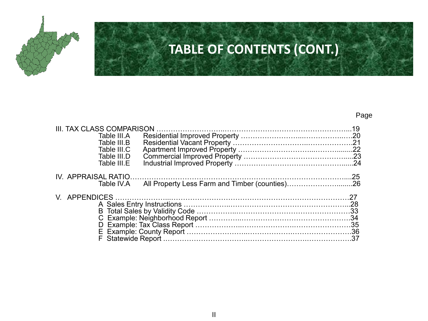

## **TABLE OF CONTENTS (CONT.)**

#### Page

| <b>III. TAX CLASS COMPARISON</b>                             |  |
|--------------------------------------------------------------|--|
| Table III.A                                                  |  |
| Table III.B                                                  |  |
| Table III.C                                                  |  |
| Table III.D                                                  |  |
| Table III.E                                                  |  |
| IV. APPRAISAL RATIO                                          |  |
| All Property Less Farm and Timber (counties)26<br>Table IV.A |  |
| V. APPENDICES                                                |  |
|                                                              |  |
|                                                              |  |
|                                                              |  |
|                                                              |  |
|                                                              |  |
|                                                              |  |
|                                                              |  |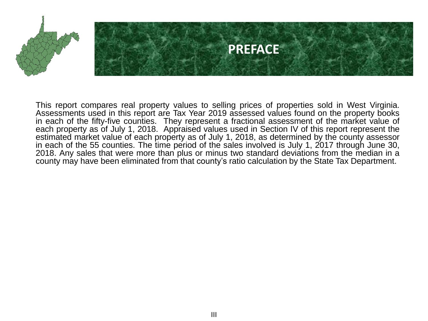

This report compares real property values to selling prices of properties sold in West Virginia. Assessments used in this report are Tax Year 2019 assessed values found on the property books in each of the fifty-five counties. They represent a fractional assessment of the market value of each property as of July 1, 2018. Appraised values used in Section IV of this report represent the estimated market value of each property as of July 1, 2018, as determined by the county assessor in each of the 55 counties. The time period of the sales involved is July 1, 2017 through June 30, 2018. Any sales that were more than plus or minus two standard deviations from the median in a county may have been eliminated from that county's ratio calculation by the State Tax Department.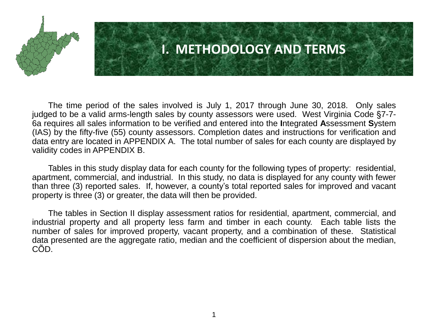

### **I. METHODOLOGY AND TERMS**

The time period of the sales involved is July 1, 2017 through June 30, 2018. Only sales judged to be a valid arms-length sales by county assessors were used. West Virginia Code §7-7- 6a requires all sales information to be verified and entered into the **I**ntegrated **A**ssessment **S**ystem (IAS) by the fifty-five (55) county assessors. Completion dates and instructions for verification and data entry are located in APPENDIX A. The total number of sales for each county are displayed by validity codes in APPENDIX B.

Tables in this study display data for each county for the following types of property: residential, apartment, commercial, and industrial. In this study, no data is displayed for any county with fewer than three (3) reported sales. If, however, a county's total reported sales for improved and vacant property is three (3) or greater, the data will then be provided.

The tables in Section II display assessment ratios for residential, apartment, commercial, and industrial property and all property less farm and timber in each county. Each table lists the number of sales for improved property, vacant property, and a combination of these. Statistical data presented are the aggregate ratio, median and the coefficient of dispersion about the median, CÕD.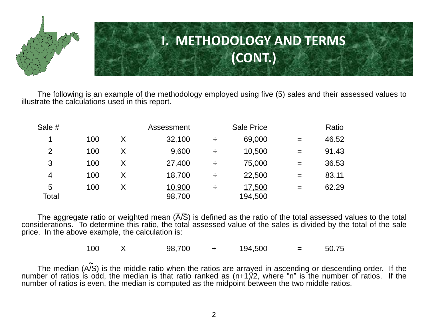

The following is an example of the methodology employed using five (5) sales and their assessed values to illustrate the calculations used in this report.

| Sale #         |     |   | Assessment       |   | Sale Price        |     | Ratio |
|----------------|-----|---|------------------|---|-------------------|-----|-------|
| 1              | 100 | Χ | 32,100           | ÷ | 69,000            | $=$ | 46.52 |
| $\overline{2}$ | 100 | Χ | 9,600            | ÷ | 10,500            | $=$ | 91.43 |
| 3              | 100 | Χ | 27,400           | ÷ | 75,000            | $=$ | 36.53 |
| 4              | 100 | Χ | 18,700           | ÷ | 22,500            | $=$ | 83.11 |
| 5<br>Total     | 100 |   | 10,900<br>98,700 | ÷ | 17,500<br>194,500 | $=$ | 62.29 |

The aggregate ratio or weighted mean  $\overline{(A/S)}$  is defined as the ratio of the total assessed values to the total considerations. To determine this ratio, the total assessed value of the sales is divided by the total of the sale price. In the above example, the calculation is: \_  $\overline{a}$ 

100  $\ X$  98,700  $\div$  194,500  $\ =$  50.75

The median (A/S) is the middle ratio when the ratios are arrayed in ascending or descending order. If the number of ratios is odd, the median is that ratio ranked as (n+1)/2, where "n" is the number of ratios. If the number of ratios is even, the median is computed as the midpoint between the two middle ratios. ∼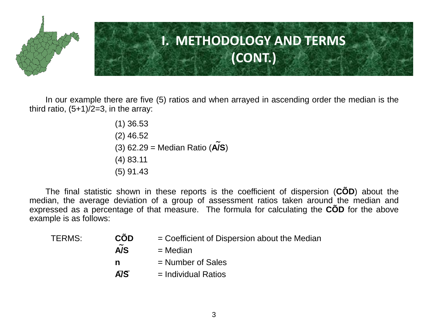

In our example there are five (5) ratios and when arrayed in ascending order the median is the third ratio,  $(5+1)/2=3$ , in the array:

> (1) 36.53 (2) 46.52 (3) 62.29 = Median Ratio (**A/S**) (4) 83.11 (5) 91.43 ∼

The final statistic shown in these reports is the coefficient of dispersion (**CÕD**) about the median, the average deviation of a group of assessment ratios taken around the median and expressed as a percentage of that measure. The formula for calculating the **CÕD** for the above example is as follows:

| TERMS: | <b>CÕD</b>                   | $=$ Coefficient of Dispersion about the Median |
|--------|------------------------------|------------------------------------------------|
|        | $\tilde{\phantom{a}}$<br>A/S | $=$ Median                                     |
|        | n                            | $=$ Number of Sales                            |
|        | $\overline{A/S}$             | $=$ Individual Ratios                          |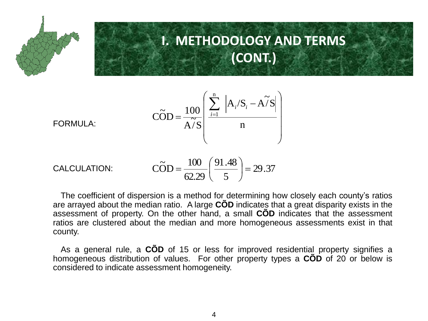

### **I. METHODOLOGY AND TERMS (CONT.)**

$$
\widehat{\text{COD}} = \frac{100}{\widehat{\text{A/S}}} \left( \frac{\sum_{i=1}^{n} |A_i / S_i - \widehat{\text{A/S}}|}{n} \right)
$$

FORMULA:

CALCULATION: 
$$
\widehat{COD} = \frac{100}{62.29} \left( \frac{91.48}{5} \right) = 29.37
$$

The coefficient of dispersion is a method for determining how closely each county's ratios are arrayed about the median ratio. A large **CÕD** indicates that a great disparity exists in the assessment of property. On the other hand, a small **CÕD** indicates that the assessment ratios are clustered about the median and more homogeneous assessments exist in that county.

As a general rule, a **CÕD** of 15 or less for improved residential property signifies a homogeneous distribution of values. For other property types a **CÕD** of 20 or below is considered to indicate assessment homogeneity.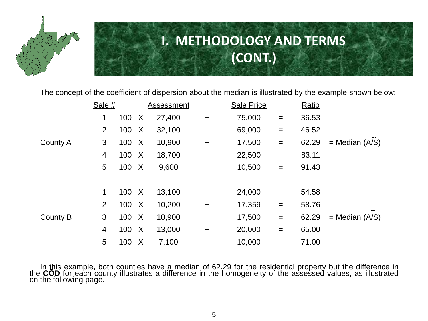

## **I. METHODOLOGY AND TERMS (CONT.)**

The concept of the coefficient of dispersion about the median is illustrated by the example shown below:

|                 | Sale #          |       |              | Assessment |   | <b>Sale Price</b> |                   | Ratio |                       |
|-----------------|-----------------|-------|--------------|------------|---|-------------------|-------------------|-------|-----------------------|
|                 | 1               | 100   | $\mathsf{X}$ | 27,400     | ÷ | 75,000            | $=$               | 36.53 |                       |
|                 | $\overline{2}$  | 100   | $\mathsf{X}$ | 32,100     | ÷ | 69,000            | $\qquad \qquad =$ | 46.52 |                       |
| <b>County A</b> | 3               | 100 X |              | 10,900     | ÷ | 17,500            | $=$               | 62.29 | $=$ Median (A/S)      |
|                 | 4               | 100 X |              | 18,700     | ÷ | 22,500            | $=$               | 83.11 |                       |
|                 | $5\phantom{.0}$ | 100 X |              | 9,600      | ÷ | 10,500            | $=$               | 91.43 |                       |
|                 |                 |       |              |            |   |                   |                   |       |                       |
|                 | 1               | 100   | $\mathsf{X}$ | 13,100     | ÷ | 24,000            | $=$               | 54.58 |                       |
|                 | $\overline{2}$  | 100 X |              | 10,200     | ÷ | 17,359            | $=$               | 58.76 | $\tilde{\phantom{a}}$ |
| County B        | 3               | 100 X |              | 10,900     | ÷ | 17,500            | $=$               | 62.29 | $=$ Median $(A/S)$    |
|                 | 4               | 100 X |              | 13,000     | ÷ | 20,000            | $=$               | 65.00 |                       |
|                 | $5\phantom{.0}$ | 100   | $\mathsf{X}$ | 7,100      | ÷ | 10,000            | $=$               | 71.00 |                       |

In this example, both counties have a median of 62.29 for the residential property but the difference in the **CÕD** for each county illustrates a difference in the homogeneity of the assessed values, as illustrated on the following page.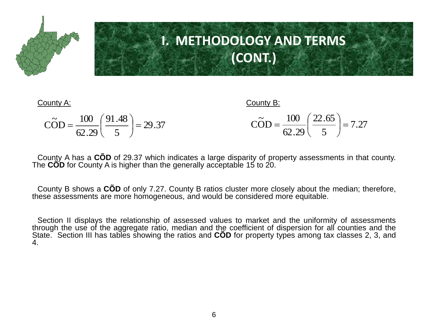

## **I. METHODOLOGY AND TERMS (CONT.)**

#### County A: County B:

| $\widetilde{\text{COD}} = \frac{100}{62.29} \left( \frac{91.48}{5} \right) = 29.37$ | $\widetilde{\text{COD}} = \frac{100}{62.29} \left( \frac{22.65}{5} \right) = 7.27$ |  |
|-------------------------------------------------------------------------------------|------------------------------------------------------------------------------------|--|
|                                                                                     |                                                                                    |  |

County A has a **CÕD** of 29.37 which indicates a large disparity of property assessments in that county. The **CÕD** for County A is higher than the generally acceptable 15 to 20.

County B shows a **CÕD** of only 7.27. County B ratios cluster more closely about the median; therefore, these assessments are more homogeneous, and would be considered more equitable.

Section II displays the relationship of assessed values to market and the uniformity of assessments through the use of the aggregate ratio, median and the coefficient of dispersion for all counties and the State. Section III has tables showing the ratios and **COD** for property types among tax classes 2, 3, and 4.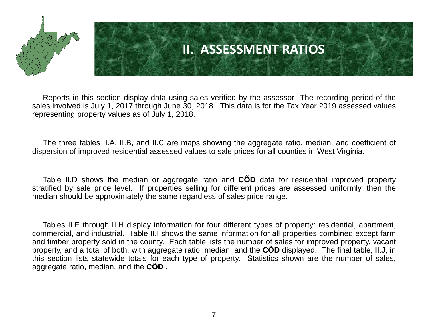

### **II. ASSESSMENT RATIOS**

Reports in this section display data using sales verified by the assessor The recording period of the sales involved is July 1, 2017 through June 30, 2018. This data is for the Tax Year 2019 assessed values representing property values as of July 1, 2018.

The three tables II.A, II.B, and II.C are maps showing the aggregate ratio, median, and coefficient of dispersion of improved residential assessed values to sale prices for all counties in West Virginia.

Table II.D shows the median or aggregate ratio and **CÕD** data for residential improved property stratified by sale price level. If properties selling for different prices are assessed uniformly, then the median should be approximately the same regardless of sales price range.

Tables II.E through II.H display information for four different types of property: residential, apartment, commercial, and industrial. Table II.I shows the same information for all properties combined except farm and timber property sold in the county. Each table lists the number of sales for improved property, vacant property, and a total of both, with aggregate ratio, median, and the **CÕD** displayed. The final table, II.J, in this section lists statewide totals for each type of property. Statistics shown are the number of sales, aggregate ratio, median, and the **CÕD** .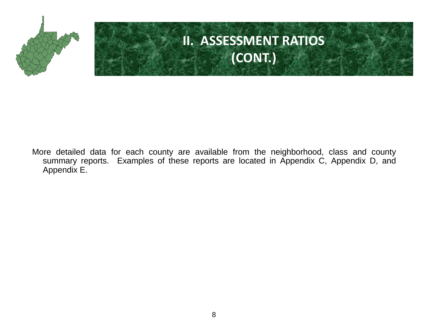

# **II. ASSESSMENT RATIOS (CONT.)**

More detailed data for each county are available from the neighborhood, class and county summary reports. Examples of these reports are located in Appendix C, Appendix D, and Appendix E.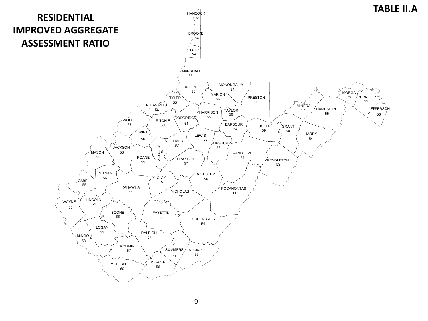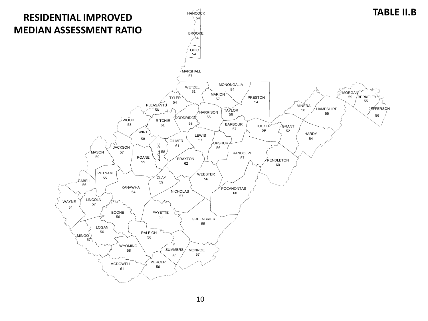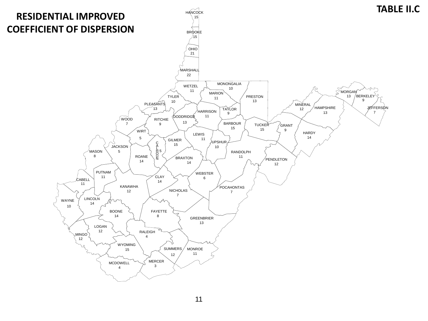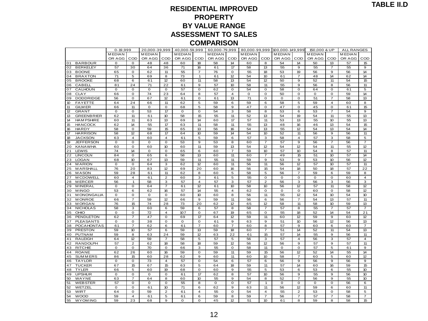### **RESIDENTIAL IMPROVED PROPERTY BY VALUE RANGE ASSESSMENT TO SALES<br>
COMPARISON<br>
A0,000-59,999 | 60,000-79,999 | 80,000-9<br>
MEDIAN | MEDIAN | MEDIAN<br>
MEDIAN | OR AGG | COD | MEDIAN | MEDIAN COMPARISON**

| AJJLJJINLINI IU JALLJ                         |                                                                                                                                          |                            |               |                      |               |                |          |                         |               |                      |               |                     |                     |                  |               |                         |
|-----------------------------------------------|------------------------------------------------------------------------------------------------------------------------------------------|----------------------------|---------------|----------------------|---------------|----------------|----------|-------------------------|---------------|----------------------|---------------|---------------------|---------------------|------------------|---------------|-------------------------|
| <b>COMPARISON</b>                             |                                                                                                                                          |                            |               |                      |               |                |          |                         |               |                      |               |                     |                     |                  |               |                         |
|                                               | $0 - 19,999$<br>20,000-39,999<br>40,000-59,999<br>60,000-79,999<br>80,000-99,999<br>100,000-149,999<br>150,000 & UP<br><b>ALL RANGES</b> |                            |               |                      |               |                |          |                         |               |                      |               |                     |                     |                  |               |                         |
|                                               | <b>MEDIAN</b>                                                                                                                            |                            | <b>MEDIAN</b> |                      | <b>MEDIAN</b> |                | M EDIAN  |                         | <b>MEDIAN</b> |                      | <b>MEDIAN</b> |                     | <b>MEDIAN</b>       |                  | <b>MEDIAN</b> |                         |
|                                               | OR AGG                                                                                                                                   | COD                        | OR AGG        | COD                  | OR AGG        | COD            | OR AGG   | COD                     | OR AGG        | COD                  | OR AGG        | COD                 | OR AGG              | COD              | OR AGG        | COD                     |
| <b>BARBOUR</b><br>01                          | 0                                                                                                                                        | $\mathsf{o}\,$             | 48            | 48                   | 60            | 18             | 58       | 14                      | 60            | 8                    | 54            | 14                  | 50                  | 13               | 57            | 15                      |
| 02<br><b>BERKELEY</b>                         | 57                                                                                                                                       | 30                         | 64            | 36                   | 71            | 16             | 61       | 17                      | 58            | 13                   | 55            | 9                   | 55                  | 7                | 55            | 9                       |
| 03<br><b>BOONE</b>                            | 65                                                                                                                                       | $\mathbf 0$                | 62            | 11                   | 55            | $\overline{7}$ | 76       | $\mathbf 0$             | 55            | 18                   | 53            | 19                  | 56                  | 9                | 56            | 14                      |
| <b>BRAXTON</b><br>04                          | 71                                                                                                                                       | $\overline{5}$             | 69            | 8                    | 73            | 1              | 61       | 12                      | 54            | 10                   | 61            | 7                   | 48                  | 14               | 62            | 14                      |
| 05<br><b>BROOKE</b>                           | 68                                                                                                                                       | 6                          | 61            | 12                   | 60            | 11             | 58       | 13                      | 54            | 12                   | 50            | 9                   | 52                  | 11               | 54            | 15                      |
| 06<br><b>CABELL</b>                           | 81                                                                                                                                       | 24                         | 71            | 22                   | 61            | 9              | 57       | 10                      | 58            | 11                   | 55            | 9                   | 56                  | 8                | 56            | 11                      |
| CALHOUN<br>07                                 | $\mathbf 0$                                                                                                                              | $\circ$                    | $\mathbf 0$   | $\mathbf 0$          | 57            | 0              | 62       | $\mathbf 0$             | 54            | O                    | 58            | O                   | 64                  | $\mathbf 0$      | 61            | 5                       |
| 08<br><b>CLAY</b>                             | 66                                                                                                                                       | 0                          | 74            | 23                   | 64            | 8              | 57       | 4                       | $\mathbf 0$   | 0                    | 50            | o                   | $\mathbf 0$         | 0                | 59            | 14                      |
| 09<br><b>DODDRIDGE</b>                        | 56                                                                                                                                       | $\mathbf 0$                | 67            | 12                   | 61            | 0              | 61       | 13                      | 71            | O                    | $\mathbf 0$   | O                   | 51                  | 7                | 58            | 13                      |
| 10 <sup>10</sup><br><b>FAYETTE</b>            | 64                                                                                                                                       | 24                         | 66            | 11                   | 62            | 5              | 59       | 6                       | 59            | 6                    | 58            | 5                   | 59                  | $\overline{4}$   | 60            | 8                       |
| 11<br><b>GILM ER</b>                          | 66                                                                                                                                       | 11                         | 0             | 0                    | 68            | 5              | 58       | 9                       | 47            | $\mathbf{o}$         | 47            | O                   | 45                  | 0                | 61            | 15                      |
| 12<br><b>GRANT</b>                            | 0                                                                                                                                        | 0                          | 53            | 17                   | o             | o              | 54       | З                       | 58            | 8                    | 53            | 6                   | 53                  | 7                | 54            | 9                       |
| 13<br><b>GREENBRIER</b>                       | 62                                                                                                                                       | 11                         | 61            | 10                   | 58            | 15             | 55       | 11                      | 52            | 13                   | 54            | 19                  | 54                  | 11               | 55            | 13                      |
| 14<br><b>HAM PSHIRE</b>                       | 60                                                                                                                                       | 11                         | 63            | 13                   | 69            | 14             | 60       | 17                      | 57            | 11                   | 53            | 13                  | 55                  | 10               | 55            | 13                      |
| 15<br><b>HANCOCK</b>                          | 62                                                                                                                                       | 14                         | 55            | 17                   | 63            | 11             | 58       | 11                      | 55            | 13                   | 48            | 16                  | 46                  | 13               | 54            | 15                      |
| 16<br><b>HARDY</b>                            | 58                                                                                                                                       | $\mathbf 0$                | 59            | 15                   | 65            | 13             | 56       | 16                      | 54            | 13                   | 55            | 12                  | 54                  | 13               | 54            | 14                      |
| $17\,$<br><b>HARRISON</b>                     | 58                                                                                                                                       | 12                         | 68            | 17                   | 64            | 10             | 59       | 14                      | 54            | 10 <sup>10</sup>     | 52            | 11                  | 56                  | 9                | 56            | 11                      |
| 18<br><b>JACKSON</b>                          | 63                                                                                                                                       | $\overline{4}$             | 60            | 4                    | 61            | 5              | 59       | 6                       | 57            | 3                    | 58            | 4                   | 57                  | 3                | 58            | 5                       |
| 19<br><b>JEFFERSON</b>                        | 0                                                                                                                                        | $\mathbf 0$                | 0             | O                    | 53            | 9              | 53       | 8                       | 60            | $\overline{7}$       | 57            | 9                   | 56                  | 7                | 56            | $\overline{7}$          |
| 20<br><b>KANAWHA</b>                          | 60                                                                                                                                       | $\circ$                    | 60            | 10                   | 60            | 11             | 59       | 13                      | 54            | 12                   | 54            | 12                  | 54                  | 11               | 55            | 12                      |
| 21<br>LEWIS<br>22<br><b>LINCOLN</b>           | 74<br>84                                                                                                                                 | 14<br>$\circ$              | 0<br>65       | 0<br>6               | 65<br>58      | 6<br>13        | 60       | 7<br>11                 | 59<br>60      | 10<br>$\overline{7}$ | 57<br>49      | 10<br>15            | 54<br>51            | 8<br>10          | 57<br>57      | 11<br>14                |
| 23<br><b>LOGAN</b>                            | 68                                                                                                                                       | 10                         | 67            | 13                   | 59            | 11             | 60<br>55 | 11                      | 59            | 9                    | 53            | 9                   | 53                  | 10               | 56            | 12                      |
| 24<br><b>MARION</b>                           | $\mathbf 0$                                                                                                                              | 0                          | 64            | 3                    | 62            | 12             | 60       | 11                      | 56            | 11                   | 56            | 12                  | 57                  | 10               | 57            | 11                      |
| 25<br>MARSHALL                                | 76                                                                                                                                       | 20                         | 83            | 12                   | 69            | 20             | 60       | 16                      | 56            | 15                   | 54            | 18                  | 50                  | 18               | 57            | 22                      |
| 26<br><b>MASON</b>                            | 59                                                                                                                                       | 28                         | 61            | 11                   | 62            | 8              | 60       | 5                       | 58            | 5                    | 56            | $\overline{7}$      | 59                  | 6                | 59            | 8                       |
| 27<br><b>MCDOWELL</b>                         | 60                                                                                                                                       | $\overline{\mathbf{4}}$    | 61            | $\overline{c}$       | 60            | 3              | 61       | 5                       | 55            | 0                    | 0             | $\mathsf{O}\xspace$ | $\mathsf{O}\xspace$ | 0                | 60            | $\overline{\mathbf{4}}$ |
| 28<br><b>MERCER</b>                           | 56                                                                                                                                       | 1                          | 58            | 3                    | 57            | 4              | 57       | 3                       | 57            | 2                    | 56            | 3                   | 56                  | 3                | 56            | 3                       |
| 29<br><b>MINERAL</b>                          | $\mathbf 0$                                                                                                                              | $\mathbf 0$                | 64            | $\overline{7}$       | 61            | 12             | 61       | 10                      | 58            | 10 <sup>10</sup>     | 56            | 12                  | 57                  | 11               | 58            | 12                      |
| <b>MINGO</b><br>30                            | 53                                                                                                                                       | 6                          | 62            | 16                   | 57            | 14             | 55       | $\overline{\mathbf{4}}$ | 62            | $\Omega$             | $\Omega$      | $\Omega$            | 60                  | 0                | 58            | 12                      |
| 31<br><b>MONONGALIA</b>                       | 0                                                                                                                                        | 0                          | 0             | 0                    | 60            | 10             | 60       | 8                       | 56            | 11                   | 55            | 12                  | 54                  | 10               | 54            | 10                      |
| 32<br><b>MONROE</b>                           | 66                                                                                                                                       | 7                          | 59            | 12                   | 66            | $\overline{9}$ | 59       | 11                      | 56            | 6                    | 56            | 7                   | 54                  | 13               | 57            | 11                      |
| 33<br><b>MORGAN</b>                           | 76                                                                                                                                       | 15                         | 74            | 28                   | 73            | 20             | 62       | 12                      | 65            | 12                   | 58            | 11                  | 58                  | 10 <sup>10</sup> | 59            | 13                      |
| <b>NICHOLAS</b><br>34                         | 58                                                                                                                                       | З                          | 60            | 6                    | 59            | 6              | 57       | 8                       | 58            | $\overline{7}$       | 57            | 8                   | 55                  | 7                | 57            | $\overline{7}$          |
| 35<br>OHIO                                    | $\mathbf 0$                                                                                                                              | $\mathbf 0$                | 72            | 4                    | 107           | 0              | 67       | 19                      | 65            | $\Omega$             | 55            | 18                  | 52                  | 14               | 54            | 21                      |
| 36<br>PENDLETON                               | 62                                                                                                                                       | $\overline{7}$             | 47            | O                    | 69            | 17             | 64       | 12                      | 59            | 11                   | 60            | 12                  | 59                  | 9                | 60            | 12                      |
| 37<br><b>PLEASANTS</b>                        | $\mathbf 0$                                                                                                                              | $\circ$                    | 38            | O                    | $\mathbf{o}$  | $\circ$        | 61       | 9                       | 63            | 9                    | 51            | 10                  | 56                  | 12               | 56            | 13                      |
| 38<br>POCAHONTAS                              | 61                                                                                                                                       | 7                          | 62            | 6                    | 61            | 7              | 60       | $\overline{7}$          | 60            | 8                    | 57            | 9                   | 60                  | 6                | 60            | 7                       |
| 39<br><b>PRESTON</b>                          | 59                                                                                                                                       | 10                         | 57            | 6                    | 59            | 13             | 59       | 18                      | 60            | $\overline{7}$       | 51            | 14                  | 52                  | 11               | 54            | 13                      |
| 40<br><b>PUTNAM</b>                           | 59                                                                                                                                       | 8                          | 63            | 24                   | 59            | 12             | 63       | 22                      | 61            | 15                   | 57            | 14                  | 55                  | 9                | 56            | 11                      |
| 41<br><b>RALEIGH</b><br>42<br><b>RANDOLPH</b> | 64                                                                                                                                       | 12                         | 59<br>62      | $\overline{7}$<br>18 | 58<br>58      | 5<br>18        | 57<br>59 | 5<br>12                 | 56<br>56      | 3<br>12              | 57<br>56      | 4<br>9              | 56<br>57            | 3<br>9           | 57<br>57      | $\overline{4}$<br>11    |
| 43<br><b>RITCHIE</b>                          | 57<br>$\mathbf 0$                                                                                                                        | $\overline{2}$<br>$\Omega$ | 70            | $\Omega$             | 66            | 3              | 55       | $\Omega$                | 58            | 11                   | $\Omega$      | $\Omega$            | 57                  | 5                | 61            | 9                       |
| 44<br><b>ROANE</b>                            | 62                                                                                                                                       | 26                         | 60            | 16                   | 59            | o              | 59       | 11                      | 59            | 15                   | 56            | 12                  | 52                  | 14               | 55            | 14                      |
| 45<br><b>SUMMERS</b>                          | 86                                                                                                                                       | 15                         | 60            | 28                   | 62            | 9              | 60       | 11                      | 60            | 10                   | 58            | 7                   | 60                  | 5                | 60            | 12                      |
| <b>TAYLOR</b><br>46                           | $\mathbf 0$                                                                                                                              | $\circ$                    | 73            | 4                    | 57            | $\mathbf 0$    | 54       | 6                       | 57            | 6                    | 56            | $\overline{9}$      | 56                  | 9                | 56            | 9                       |
| 47<br><b>TUCKER</b>                           | 67                                                                                                                                       | 15                         | 67            | 15                   | 63            | 5              | 64       | 18                      | 59            | 11                   | 57            | 14                  | 60                  | 16               | 59            | 15                      |
| <b>TYLER</b><br>48                            | 66                                                                                                                                       | 5                          | 60            | 19                   | 68            | 0              | 60       | 9                       | 55            | 5                    | 53            | 6                   | 53                  | 6                | 55            | 10                      |
| <b>UPSHUR</b><br>49                           | $\Omega$                                                                                                                                 | $\mathbf 0$                | $\Omega$      | $\Omega$             | 61            | 17             | 62       | 8                       | 57            | 10 <sup>10</sup>     | 56            | 9                   | 55                  | 9                | 56            | 10 <sup>10</sup>        |
| 50<br>WAYNE                                   | 63                                                                                                                                       | $\overline{7}$             | 64            | 8                    | 60            | 10             | 55       | 9                       | 54            | 8                    | 52            | $\overline{7}$      | 56                  | 9                | 55            | 10                      |
| 51<br><b>WEBSTER</b>                          | 57                                                                                                                                       | $\mathbf 0$                | 0             | O                    | 55            | 8              | O        | 0                       | 57            | $\mathbf{1}$         | 0             | O                   | O                   | $\mathbf 0$      | 56            | 6                       |
| 52<br>WETZEL                                  | $\mathbf 0$                                                                                                                              | $\mathbf 0$                | 61            | 10                   | 71            | 6              | 62       | $\overline{9}$          | 63            | 11                   | 56            | 12                  | 59                  | 6                | 60            | 11                      |
| 53<br>WIRT                                    | 64                                                                                                                                       | $\mathsf{o}\xspace$        | 59            | $\overline{2}$       | 61            | 4              | 55       | $\mathbf 0$             | 54            | 4                    | 55            | $\overline{2}$      | 53                  | 0                | 58            | 5                       |
| 54<br><b>WOOD</b>                             | 59                                                                                                                                       | $\overline{4}$             | 61            | 5                    | 61            | 6              | 59       | 8                       | 59            | $\overline{7}$       | 56            | 7                   | 57                  | 7                | 58            | 7                       |
| 55<br><b>WYOM ING</b>                         | 59                                                                                                                                       | 23                         | 68            | 9                    | O             | $\mathbf 0$    | 45       | 12                      | 51            | 10 <sup>10</sup>     | 61            | 8                   | 59                  | 8                | 58            | 15                      |
|                                               |                                                                                                                                          |                            |               |                      |               |                |          |                         |               |                      |               |                     |                     |                  |               |                         |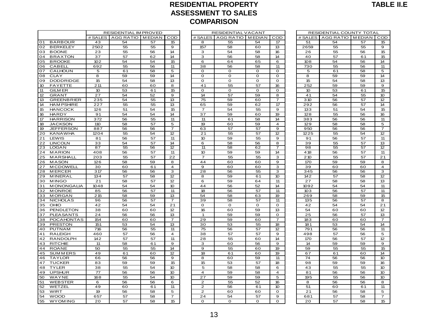#### **RESIDENTIAL PROPERTY ASSESSMENT TO SALES COMPARISON** ASSESSMENT TO SALES<br>COMPARISON<br>RESIDENTIAL IM PROVED<br>RESIDENTIAL IM PROVED RESIDENTIAL VACANT RESIDENTIAL COUNTY TOTAL<br>RESIDENTIAL IM EDIAN COD RESIDENTIAL VACANT COD

|                                |                  |                              |          |                         |                | <b>COMPARISON</b>         |                   |                    |           |                          |          |                         |
|--------------------------------|------------------|------------------------------|----------|-------------------------|----------------|---------------------------|-------------------|--------------------|-----------|--------------------------|----------|-------------------------|
|                                |                  | <b>RESIDENTIAL IM PROVED</b> |          |                         |                | <b>RESIDENTIAL VACANT</b> |                   |                    |           | RESIDENTIAL COUNTY TOTAL |          |                         |
|                                | # SALES          | AGG RATIO   MEDIAN           |          | COD                     | # SALES        | AGG RATIO   MEDIAN        |                   | COD                | # SALES   | AGG RATIO   MEDIAN       |          | COD                     |
| <b>BARBOUR</b><br>01           | 43               | 54                           | 57       | 15                      | 8              | 55                        | 54                | 17                 | 51        | 54                       | 57       | 15                      |
| 02<br><b>BERKELEY</b>          | 2502             | 55                           | 55       | 9                       | 157            | 58                        | 60                | 13                 | 2659      | 55                       | 55       | $\mathbf 9$             |
| 03<br><b>BOONE</b>             | 23               | 55                           | 56       | 14                      | 3              | 54                        | 58                | 16                 | 26        | 55                       | 56       | 15                      |
| 04<br><b>BRAXTON</b>           | 37               | 57                           | 62       | 14                      | 3              | 56                        | 58                | 14                 | 40        | 57                       | 61       | 15                      |
| 05<br><b>BROOKE</b>            | 102              | 54                           | 54       | 15                      | 6              | 64                        | 65                | 6                  | 108       | 54                       | 56       | 14                      |
| <b>CABELL</b><br>06            | 692              | 55                           | 56       | 11                      | 38             | 56                        | 58                | 11                 | 730       | 55                       | 56       | 11                      |
| 07<br>CALHOUN                  | 5                | 61                           | 58       | 5                       | $\mathbf O$    | O                         | O                 | $\mathbf 0$        | 5         | 61                       | 58       | 5                       |
| 80<br><b>CLAY</b>              | 8                | 59                           | 59       | 14                      | O              | o                         | 0                 | $\mathbf 0$        | 8         | 59                       | 59       | 14                      |
| 09<br><b>DODDRIDGE</b>         | 15               | 54                           | 58       | 13                      | $\mathbf 0$    | $\mathbf 0$               | $\mathbf 0$       | $\mathbf 0$        | 15        | 54                       | 58       | 13                      |
| 10<br><b>FAYETTE</b>           | 211              | 60                           | 60       | 8                       | 41             | 55                        | 57                | 16                 | 252       | 59                       | 59       | 9                       |
| 11<br><b>GILM ER</b>           | 10 <sup>10</sup> | 53                           | 61       | 15                      | $\mathbf{o}$   | $\mathbf{o}$              | $\Omega$          | $\mathbf{o}$       | 10        | 53                       | 61       | 15                      |
| 12<br><b>GRANT</b>             | 27               | 54                           | 52       | 9                       | 14             | 57                        | 59                | 8                  | 41        | 54                       | 55       | 10                      |
| 13<br><b>GREENBRIER</b>        | 235              | 54                           | 55       | 13                      | 75             | 59                        | 60                | $\overline{7}$     | 310       | 56                       | 57       | 12                      |
| 14<br><b>HAM PSHIRE</b>        | 227              | 55                           | 55       | 13                      | 65             | 59                        | 62                | 17                 | 292       | 56                       | 57       | 14                      |
| 15<br><b>HANCOCK</b>           | 126              | 51                           | 54       | 15                      | $\overline{7}$ | 54                        | 55                | 9                  | 133       | 51                       | 54       | 15                      |
| 16<br><b>HARDY</b>             | 91               | 54                           | 54       | 14                      | 37             | 59                        | 60                | 19                 | 128       | 55                       | 56       | 16                      |
| 17<br><b>HARRISON</b>          | 372              | 56                           | 55       | 11                      | 11             | 61                        | 58                | 14                 | 383       | 56                       | 56       | 11                      |
| 18<br><b>JACKSON</b>           | 110              | 58                           | 57       | 5                       | 19             | 60                        | 59                | $\overline{4}$     | 129       | 58                       | 58       | 5                       |
| 19<br><b>JEFFERSON</b>         | 887              | 56                           | 56       | 7                       | 63             | 57                        | 57                | 9                  | 950       | 56                       | 56       | $\overline{7}$          |
| 20<br><b>KANAWHA</b>           | 1204             | 55                           | 54       | 12                      | 21             | 55                        | 57                | 12                 | 1225      | 55                       | 54       | 12                      |
| 21<br>LEWIS                    | 81               | 56                           | 57       | 11                      | 10             | 59                        | 55                | $\mathbf 9$        | 91        | 56                       | 57       | 11                      |
| <b>LINCOLN</b><br>22           | 33               | 54                           | 57       | 14                      | 6              | 58                        | 56                | 8                  | 39        | 55                       | 57       | 13                      |
| 23<br><b>LOGAN</b>             | 87               | 55                           | 56       | 12                      | 11             | 58                        | 62                | 7                  | 98        | 55                       | 57       | $\overline{12}$         |
| 24<br><b>MARION</b>            | 408              | 56                           | 57       | 11                      | 10             | 59                        | 59                | 14                 | 4 18      | 56                       | 57       | 11                      |
| 25<br><b>MARSHALL</b>          | 203              | 55                           | 57       | 22                      | 7              | 55                        | 55                | 3                  | 210       | 55                       | 57       | 21                      |
| 26<br><b>MASON</b>             | 126              | 58                           | 59       | 8                       | 44             | 60                        | 60                | 9                  | 170       | 59                       | 59       | 8                       |
| 27<br><b>MCDOWELL</b>          | 30               | 60                           | 61       | $\overline{4}$          | 9              | 60                        | 60                | 3                  | 39        | 60                       | 60       | $\overline{\mathbf{4}}$ |
| 28<br><b>MERCER</b>            | 317              | 56                           | 56       | 3                       | 28             | 56                        | 55                | 3                  | 345       | 56                       | 56       | 3                       |
| 29<br><b>MINERAL</b>           | 134              | 57                           | 58       | 12                      | 8              | 59                        | 61                | 10 <sup>10</sup>   | 142       | 57                       | 58       | 12                      |
| 30 MINGO                       | 21               | 58                           | 57       | 12                      | 6              | 59                        | 64                | 11                 | 27        | 58                       | 58       | 13                      |
| 31<br><b>MONONGALIA</b>        | 1048             | 54                           | 54       | 10 <sup>°</sup>         | 44             | 56                        | 52                | 14                 | 1092      | 54                       | 54       | 11                      |
| 32<br><b>MONROE</b>            | 85               | 56                           | 57       | 11                      | 18<br>54       | 56<br>58                  | 57                | 11                 | 103       | 56                       | 57<br>59 | 11<br>15                |
| 33<br><b>MORGAN</b>            | 215              | 58                           | 59       | 13<br>$\overline{7}$    |                |                           | 63                | 19                 | 269       | 58                       |          |                         |
| 34<br><b>NICHOLAS</b><br>35    | 96<br>42         | 56<br>54                     | 57<br>54 | 21                      | 39             | 58<br>$\mathbf O$         | 57<br>$\mathsf O$ | 11<br>$\mathbf{o}$ | 135<br>42 | 56<br>54                 | 57<br>54 | 8<br>21                 |
| OHIO<br>36<br><b>PENDLETON</b> | 38               | 60                           | 60       | 12                      | 0<br>16        |                           | 59                | 13                 | 54        | 60                       |          | 12                      |
| 37<br><b>PLEASANTS</b>         | 24               | 56                           | 56       | 13                      | 1              | 60<br>59                  | 59                | $\mathbf 0$        | 25        | 56                       | 60<br>57 | 13                      |
| 38<br><b>POCAHONTAS</b>        | 154              | 60                           | 60       | $\overline{7}$          | 29             | 59                        | 60                | $\overline{7}$     | 183       | 60                       | 60       | $\overline{7}$          |
| 39<br><b>PRESTON</b>           | 151              | 53                           | 54       | 13                      | 30             | 53                        | 55                | 18                 | 181       | 53                       | 54       | 14                      |
| 40<br><b>PUTNAM</b>            | 716              | 56                           | 55       | 11                      | 75             | 56                        | 57                | 12                 | 791       | 56                       | 56       | 11                      |
| 41<br><b>RALEIGH</b>           | 460              | 57                           | 56       | $\overline{\mathbf{4}}$ | 38             | 57                        | 57                | 9                  | 498       | 57                       | 56       | 5                       |
| 42<br><b>RANDOLPH</b>          | 142              | 57                           | 57       | 11                      | 28             | 55                        | 60                | 14                 | 170       | 56                       | 57       | 12                      |
| 43<br><b>RITCHIE</b>           | 11               | 58                           | 61       | 9                       | з              | 60                        | 56                | 9                  | 14        | 59                       | 59       | 9                       |
| 44<br>ROANE                    | 50               | 55                           | 55       | 14                      | 9              | 55                        | 60                | 19                 | 59        | 55                       | 55       | 15                      |
| 45<br><b>SUMMERS</b>           | 49               | 61                           | 60       | 12                      | 18             | 61                        | 60                | 19                 | 67        | 61                       | 60       | 14                      |
| <b>TAYLOR</b><br>46            | 66               | 56                           | 56       | 9                       | 8              | 60                        | 59                | 11                 | 74        | 56                       | 56       | 10                      |
| 47<br><b>TUCKER</b>            | 83               | 59                           | 59       | 15                      | 15             | 53                        | 57                | 18                 | 98        | 59                       | 59       | 16                      |
| 48<br><b>TYLER</b>             | 38               | 55                           | 54       | 10                      | 5              | 58                        | 58                | 6                  | 43        | 55                       | 55       | 10                      |
| <b>UPSHUR</b><br>49            | 77               | 56                           | 56       | 10                      | $\overline{4}$ | 59                        | 58                | $\overline{4}$     | 81        | 56                       | 56       | 10                      |
| 50<br>WAYNE                    | 168              | 55                           | 54       | 10                      | 27             | 59                        | 59                | 5                  | 195       | 55                       | 56       | 10                      |
| 51<br><b>WEBSTER</b>           | 6                | 56                           | 56       | 6                       | $\overline{2}$ | 55                        | 52                | 16                 | 8         | 56                       | 56       | 8                       |
| 52<br>WETZEL                   | 49               | 60                           | 61       | 11                      | $\mathbf{2}$   | 56                        | 61                | 10 <sup>10</sup>   | 51        | 60                       | 61       | 11                      |
| 53<br>WIRT                     | 19               | 56                           | 58       | 5                       | $\overline{2}$ | 60                        | 60                | $\mathbf{o}$       | 21        | 56                       | 58       | 5                       |
| 54<br><b>WOOD</b>              | 657              | 57                           | 58       | $\overline{7}$          | 24             | 54                        | 57                | 9                  | 681       | 57                       | 58       | $\overline{7}$          |
| 55<br><b>WYOM ING</b>          | 20               | 57                           | 58       | 15                      | $\mathbf 0$    | $\mathbf 0$               | $\mathbf 0$       | $\mathbf 0$        | 20        | 57                       | 58       | 15                      |
|                                |                  |                              |          |                         |                |                           |                   |                    |           |                          |          |                         |

|                 | RESIDENTIAL VACANT |                 |                 |  |  |  |  |  |
|-----------------|--------------------|-----------------|-----------------|--|--|--|--|--|
| # SALES         | AGG RATIO          | <b>MEDIAN</b>   | COD             |  |  |  |  |  |
| 8               | 55                 | 54              | 17              |  |  |  |  |  |
| 157             | 58                 | 60              | $\overline{13}$ |  |  |  |  |  |
| з               | 54                 | 58              | 16              |  |  |  |  |  |
| з               | 56                 | 58              | 14              |  |  |  |  |  |
| 6               | 64                 | 65              | 6               |  |  |  |  |  |
| 38              | 56                 | 58              | 11              |  |  |  |  |  |
| 0               | O                  | o               | 0               |  |  |  |  |  |
| 0               | O                  | O               | o               |  |  |  |  |  |
| o               | 0                  | 0               | O               |  |  |  |  |  |
| $\overline{41}$ | 55                 | 57              | 16              |  |  |  |  |  |
| O               | $\mathbf{o}$       | $\mathbf 0$     | O               |  |  |  |  |  |
| 14              | 57                 | 59              | 8               |  |  |  |  |  |
| $\overline{75}$ | 59                 | 60              | 7               |  |  |  |  |  |
| 65              | 59                 | 62              | 17              |  |  |  |  |  |
| 7               | 54                 | 55              | 9               |  |  |  |  |  |
| 37              | 59                 | 60              | 19              |  |  |  |  |  |
| 11              | 61                 | 58              | 14              |  |  |  |  |  |
| 19              | 60                 | 59              | 4               |  |  |  |  |  |
| 63              | 57                 | 57              | 9               |  |  |  |  |  |
| 21              | 55                 | 57              | 12              |  |  |  |  |  |
| 10              | 59                 | 55              | 9               |  |  |  |  |  |
| 6               | 58                 | 56              | 8               |  |  |  |  |  |
| 11              | 58                 | 62              | 7               |  |  |  |  |  |
| 10              | 59                 | 59              | 14              |  |  |  |  |  |
| 7               | 55                 | 55              | 3               |  |  |  |  |  |
| 44              | 60                 | 60              | 9               |  |  |  |  |  |
| 9               | 60                 | 60              | з               |  |  |  |  |  |
| 28              | 56                 | 55              | 3               |  |  |  |  |  |
| 8               | 59                 | 61              | 10              |  |  |  |  |  |
| 6               | 59                 | 64              | 11              |  |  |  |  |  |
| $\overline{44}$ | 56                 | $\overline{52}$ | 14              |  |  |  |  |  |
|                 |                    |                 | 11              |  |  |  |  |  |
| 18<br>54        | 56                 | 57              |                 |  |  |  |  |  |
|                 | 58                 | 63              | 19              |  |  |  |  |  |
| 39              | 58                 | 57              | 11              |  |  |  |  |  |
| 0               | 0                  | 0               | 0               |  |  |  |  |  |
| 16              | 60                 | 59              | 13              |  |  |  |  |  |
| $\mathbf{1}$    | 59                 | 59              | $\mathbf 0$     |  |  |  |  |  |
| 29              | 59                 | 60              | 7               |  |  |  |  |  |
| 30              | 53                 | 55              | 18              |  |  |  |  |  |
| 75              | 56                 | 57              | 12              |  |  |  |  |  |
| 38              | 57                 | 57              | 9               |  |  |  |  |  |
| 28              | 55                 | 60              | 14              |  |  |  |  |  |
| з               | 60                 | 56              | 9               |  |  |  |  |  |
| 9               | 55                 | 60              | 19              |  |  |  |  |  |
| 18              | 61                 | 60              | 19              |  |  |  |  |  |
| 8               | 60                 | 59              | 11              |  |  |  |  |  |
| 15              | 53                 | 57              | 18              |  |  |  |  |  |
| 5               | 58                 | 58              | 6               |  |  |  |  |  |
| 4               | 59                 | 58              | 4               |  |  |  |  |  |
| 27              | 59                 | 59              | 5               |  |  |  |  |  |
| 2               | 55                 | 52              | 16              |  |  |  |  |  |
| 2               | 56                 | 61              | 10              |  |  |  |  |  |
| $\overline{2}$  | 60                 | 60              | O               |  |  |  |  |  |
| 24              | 54                 | 57              | 9               |  |  |  |  |  |
| O               | $\overline{0}$     | $\overline{O}$  | $\overline{0}$  |  |  |  |  |  |

| RESIDENTIAL COUNTY TOTAL |           |               |                 |  |  |  |  |  |
|--------------------------|-----------|---------------|-----------------|--|--|--|--|--|
| # SALES                  | AGG RATIO | <b>MEDIAN</b> | COD             |  |  |  |  |  |
| 51                       | 54        | 57            | 15              |  |  |  |  |  |
| 2659                     | 55        | 55            | 9               |  |  |  |  |  |
| 26                       | 55        | 56            | 15              |  |  |  |  |  |
| 40                       | 57        | 61            | 15              |  |  |  |  |  |
| 108                      | 54        | 56            | 14              |  |  |  |  |  |
| 730                      | 55        | 56            | 11              |  |  |  |  |  |
| 5                        | 61        | 58            | 5               |  |  |  |  |  |
| 8                        | 59        | 59            | 14              |  |  |  |  |  |
| 15                       | 54        | 58            | 13              |  |  |  |  |  |
| 252                      | 59        | 59            | 9               |  |  |  |  |  |
| 10                       | 53        | 61            | 15              |  |  |  |  |  |
| 41                       | 54        | 55            | 10              |  |  |  |  |  |
| 310                      | 56        | 57            | 12              |  |  |  |  |  |
| 292                      | 56        | 57            | 14              |  |  |  |  |  |
| 133                      | 51        | 54            | 15              |  |  |  |  |  |
| 128                      | 55        | 56            | 16              |  |  |  |  |  |
| 383                      | 56        | 56            | 11              |  |  |  |  |  |
| 129                      | 58        | 58            | 5               |  |  |  |  |  |
| 950                      | 56        | 56            | 7               |  |  |  |  |  |
| 1225                     | 55        | 54            | $\overline{12}$ |  |  |  |  |  |
| 91                       | 56        | 57            | 11              |  |  |  |  |  |
| 39                       | 55        | 57            | 13              |  |  |  |  |  |
| 98                       | 55        | 57            | 12              |  |  |  |  |  |
| $\overline{4}$ 18        | 56        | 57            | 11              |  |  |  |  |  |
| 210                      | 55        | 57            | 21              |  |  |  |  |  |
| 170                      | 59        | 59            | 8               |  |  |  |  |  |
| 39                       | 60        | 60            | 4               |  |  |  |  |  |
| 345                      | 56        | 56            | 3               |  |  |  |  |  |
| 142                      | 57        | 58            | 12              |  |  |  |  |  |
| 27                       | 58        | 58            | 13              |  |  |  |  |  |
| 1092                     | 54        | 54            | 11              |  |  |  |  |  |
| 103                      | 56        | 57            | 11              |  |  |  |  |  |
| 269                      | 58        | 59            | 15              |  |  |  |  |  |
| 135                      | 56        | 57            | 8               |  |  |  |  |  |
| 42                       | 54        | 54            | 21              |  |  |  |  |  |
| 54                       | 60        | 60            | 12              |  |  |  |  |  |
| 25                       | 56        | 57            | 13              |  |  |  |  |  |
| 183                      | 60        | 60            | 7               |  |  |  |  |  |
| 181                      | 53        | 54            | 14              |  |  |  |  |  |
| 791                      | 56        | 56            | 11              |  |  |  |  |  |
| 498                      | 57        | 56            | 5               |  |  |  |  |  |
| 170                      | 56        | 57            | 12              |  |  |  |  |  |
| 14                       | 59        | 59            | 9               |  |  |  |  |  |
| 59                       | 55        | 55            | 15              |  |  |  |  |  |
| 67                       | 61        | 60            | 14              |  |  |  |  |  |
| 74                       | 56        | 56            | 10              |  |  |  |  |  |
| 98                       | 59        | 59            | 16              |  |  |  |  |  |
| 43                       | 55        | 55            | 10              |  |  |  |  |  |
| 81                       | 56        | 56            | 10              |  |  |  |  |  |
| 195                      | 55        | 56            | 10              |  |  |  |  |  |
| 8                        | 56        | 56            | 8               |  |  |  |  |  |
| 51                       | 60        | 61            | 11              |  |  |  |  |  |
| 21                       | 56        | 58            | 5               |  |  |  |  |  |
| 681                      | 57        | 58            | 7               |  |  |  |  |  |
| 20                       | 57        | 58            | 15              |  |  |  |  |  |
|                          |           |               |                 |  |  |  |  |  |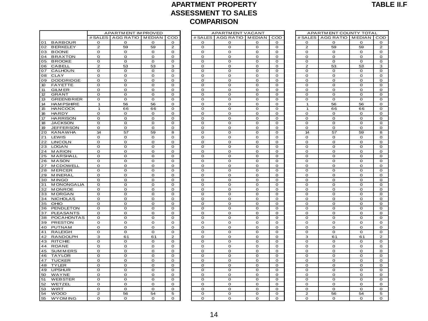#### **APARTMENT PROPERTY ASSESSMENT TO SALES COMPARISON** ASSESSMENT TO SALES<br>COMPARISON<br>APARTMENT IMPROVED<br>S | AGG RATIO | MEDIAN | COD | # SALES | AGG RATIO | MEDIAN | COD | # SALES | AGG RATIO | MEDIAN | C

|                 |                                       |                             |                      |              |                | <b>COMPARISON</b>           |                         |              |                  |                |                             |              |                            |
|-----------------|---------------------------------------|-----------------------------|----------------------|--------------|----------------|-----------------------------|-------------------------|--------------|------------------|----------------|-----------------------------|--------------|----------------------------|
|                 |                                       |                             | APARTM ENT IM PROVED |              |                |                             | <b>APARTMENT VACANT</b> |              |                  |                | APARTMENT COUNTY TOTAL      |              |                            |
|                 |                                       | # SALES                     | AGG RATIO MEDIAN     |              | COD            | # SALES                     | AGG RATIO   MEDIAN      |              | COD              | # SALES        | AGG RATIO MEDIAN            |              | COD                        |
| O <sub>1</sub>  | <b>BARBOUR</b>                        | 0                           | O                    | 0            | $\mathbf 0$    | 0                           | 0                       | O            | $\mathbf 0$      | $\mathbf 0$    | 0                           | 0            | $\mathbf{o}$               |
| 02              | <b>BERKELEY</b>                       | $\mathbf{Z}$                | 59                   | 59           | $\overline{2}$ | O                           | 0                       | o            | $\mathbf 0$      | $\overline{2}$ | 59                          | 59           | $\overline{2}$             |
| 03              | <b>BOONE</b>                          | O                           | O                    | O            | O              | O                           | o                       | o            | O                | O              | $\mathbf 0$                 | 0            | $\mathbf 0$                |
|                 | 04 BRAXTON                            | $\mathbf O$                 | O                    | O            | 0              | 0                           | $\mathbf O$             | o            | O                | $\mathbf 0$    | $\mathbf 0$                 | $\mathbf 0$  | $\mathsf{o}\xspace$        |
| 05              | <b>BROOKE</b>                         | $\mathbf O$                 | $\mathbf O$          | O            | $\mathbf O$    | O                           | $\mathbf O$             | o            | O                | O              | $\mathbf 0$                 | O            | $\mathbf O$                |
| 06              | CABELL                                | $\overline{c}$              | 53                   | 53           | з              | 0                           | o                       | 0            | 0                | $\mathbf{Z}$   | 53                          | 53           | 3                          |
| 07              | <b>CALHOUN</b>                        | $\mathbf O$                 | $\mathbf O$          | $\mathbf O$  | $\mathbf O$    | $\mathbf O$                 | o                       | $\mathbf{o}$ | $\mathbf O$      | $\mathbf{o}$   | $\mathbf 0$                 | $\mathbf O$  | $\mathbf O$                |
| 80              | <b>CLAY</b>                           | $\mathbf{o}$                | $\mathbf 0$          | o            | $\mathbf 0$    | $\mathbf{o}$                | 0                       | $\mathbf 0$  | $\mathbf 0$      | $\mathbf{o}$   | O                           | O            | $\mathbf 0$                |
| 09              | <b>DODDRIDGE</b>                      | $\mathbf{o}$                | $\mathbf 0$          | $\mathbf 0$  | $\mathbf 0$    | $\mathbf{o}$                | $\mathbf{o}$            | $\mathbf{o}$ | $\mathbf 0$      | $\mathbf{o}$   | $\mathbf 0$                 | $\mathbf 0$  | $\mathbf O$                |
| 10 <sup>°</sup> | <b>FAYETTE</b>                        | $\mathbf{o}$                | $\mathbf{o}$         | $\mathbf 0$  | $\mathbf{o}$   | $\mathbf{o}$                | $\Omega$                | $\mathbf 0$  | $\Omega$         | $\mathbf{o}$   | $\mathbf 0$                 | $\mathbf 0$  | $\mathbf 0$                |
| 11              | <b>GILM ER</b>                        | O                           | $\mathbf 0$          | O            | $\mathbf 0$    | O                           | O                       | o            | $\mathbf 0$      | $\mathbf 0$    | $\mathbf 0$                 | $\mathbf 0$  | $\mathbf 0$                |
| 12 <sup>2</sup> | <b>GRANT</b>                          | $\mathbf 0$                 | $\mathbf 0$          | $\mathbf 0$  | $\mathbf 0$    | $\mathbf 0$                 | $\mathbf 0$             | $\mathbf 0$  | $\mathbf 0$      | $\mathbf 0$    | $\mathbf 0$                 | $\mathbf 0$  | $\mathbf 0$                |
| 13              | <b>GREENBRIER</b>                     | O                           | O                    | O            | 0              | 0                           | 0                       | o            | $\mathbf 0$      | $\mathbf 0$    | $\mathbf 0$                 | O            | $\mathbf 0$                |
| 14              | <b>HAM PSHIRE</b>                     | $\overline{1}$              | 56                   | 56           | $\mathbf O$    | O                           | o                       | o            | $\mathbf 0$      | 1              | 56                          | 56           | $\mathbf 0$                |
| 15              | <b>HANCOCK</b>                        | $\mathbf{1}$                | 66                   | 66           | 0              | $\mathbf 0$                 | $\mathbf 0$             | O            | $\mathbf 0$      | $\mathbf{1}$   | 66                          | 66           | $\mathbf O$                |
| 16              | <b>HARDY</b>                          | $\mathbf{o}$                | O                    | O            | O              | $\mathbf{o}$                | $\mathbf O$             | o            | O                | O              | $\mathbf 0$                 | O            | $\mathbf 0$                |
| 17              | <b>HARRISON</b>                       | $\mathbf{o}$                | $\mathbf{o}$         | $\mathbf O$  | $\mathbf{o}$   | O                           | $\mathbf{o}$            | $\mathbf O$  | $\mathbf{o}$     | $\mathbf{o}$   | $\mathbf{o}$                | $\mathbf{o}$ | $\mathbf O$                |
| 18              | <b>JACKSON</b>                        | $\mathbf O$                 | $\mathbf O$          | $\mathbf 0$  | $\mathbf 0$    | $\mathbf O$                 | $\mathbf O$             | $\mathbf{o}$ | $\mathbf O$      | $\mathbf O$    | $\mathbf 0$                 | O            | $\mathbf 0$                |
| 19              | <b>JEFFERSON</b>                      | O                           | O                    | O            | $\mathbf 0$    | O                           | O                       | $\mathbf 0$  | $\mathbf 0$      | $\mathbf{o}$   | O                           | $\mathbf 0$  | $\mathbf 0$                |
| 20              | KANAWHA                               | 14                          | 57                   | 59           | 8              | $\mathbf{o}$                | $\mathbf{o}$            | $\mathbf 0$  | $\mathbf 0$      | 14             | 57                          | 59           | 8                          |
| 21              | LEWIS                                 | $\mathbf 0$                 | $\mathbf 0$          | $\mathbf 0$  | $\mathbf 0$    | O                           | $\mathbf 0$             | $\mathbf 0$  | $\mathbf 0$      | $\mathbf 0$    | $\mathbf 0$                 | $\mathbf 0$  | $\mathbf 0$                |
| 22              | <b>LINCOLN</b>                        | $\mathbf 0$                 | $\mathbf 0$          | $\mathbf 0$  | $\mathbf{O}$   | O                           | $\mathbf 0$             | $\mathbf 0$  | $\mathbf 0$      | $\mathbf 0$    | $\mathbf 0$                 | $\mathbf 0$  | $\mathbf 0$                |
| 23              | <b>LOGAN</b>                          | $\mathbf 0$                 | $\mathbf 0$          | $\mathbf 0$  | $\mathbf 0$    | $\mathbf 0$                 | $\mathbf 0$             | $\mathbf 0$  | $\mathbf 0$      | $\mathbf 0$    | $\mathbf 0$                 | $\mathbf 0$  | $\mathbf 0$                |
| 24 MARION       |                                       | $\mathbf O$                 | O                    | O            | 0              | O                           | 0                       | 0            | $\mathbf 0$      | $\mathbf 0$    | $\mathbf 0$                 | 0            | $\mathbf 0$                |
| 25              | MARSHALL                              | $\overline{0}$              | O                    | O            | O              | O                           | $\overline{0}$          | o            | O                | 0              | $\overline{0}$              | O            | $\mathbf O$                |
| 26              | <b>MASON</b>                          | O                           | O                    | o            | 0              | 0                           | $\mathbf O$             | 0            | 0                | O              | $\mathbf 0$                 | O            | $\mathbf 0$                |
| 27              | <b>MCDOWELL</b>                       | $\mathbf O$                 | $\mathbf O$          | $\mathbf{o}$ | $\mathbf O$    | $\mathbf O$                 | $\mathbf O$             | o            | O                | O              | $\mathbf 0$                 | O            | $\mathbf O$                |
| 28              | <b>MERCER</b>                         | $\mathbf O$                 | $\mathbf O$          | $\mathbf O$  | $\mathbf O$    | $\mathbf{o}$                | o                       | $\mathbf{o}$ | $\mathbf O$      | $\mathbf 0$    | $\mathbf{o}$                | 0            | $\mathbf O$                |
| 29              | <b>MINERAL</b>                        | $\mathbf{o}$                | $\mathbf{o}$         | $\mathbf{o}$ | $\mathbf{o}$   | $\mathbf O$                 | $\mathbf{o}$            | $\mathbf{o}$ | $\mathbf O$      | $\mathbf{o}$   | $\mathbf 0$                 | $\mathbf{o}$ | $\mathbf O$                |
| 30              | <b>MINGO</b>                          | $\mathbf{o}$                | $\mathbf 0$          | o            | $\mathbf 0$    | $\mathbf{o}$                | 0                       | $\mathbf 0$  | $\mathbf 0$      | $\mathbf{o}$   | O                           | $\mathbf 0$  | $\mathbf 0$                |
|                 | 31 MONONGALIA                         | $\mathbf{o}$                | $\mathbf 0$          | $\mathbf 0$  | $\mathbf 0$    | $\mathbf{o}$                | $\mathbf{o}$            | $\mathbf 0$  | $\mathbf 0$      | $\mathbf{o}$   | $\mathbf 0$                 | $\mathbf 0$  | $\mathbf O$                |
| 32              | <b>MONROE</b>                         | $\mathbf 0$                 | $\mathbf 0$          | O            | $\mathbf 0$    | $\mathbf 0$                 | $\mathbf 0$             | $\mathbf 0$  | $\mathbf 0$      | $\mathbf 0$    | $\mathbf 0$                 | $\mathbf 0$  | $\mathbf 0$                |
|                 | 33 MORGAN                             | $\mathbf 0$                 | $\mathbf 0$          | $\mathbf 0$  | $\mathbf 0$    | $\mathbf 0$                 | $\mathbf 0$             | $\mathbf 0$  | $\mathbf 0$      | $\mathbf 0$    | $\mathbf 0$                 | $\mathbf 0$  | $\mathbf 0$                |
| 34              | <b>NICHOLAS</b>                       | $\mathbf{o}$                | $\mathbf{o}$         | $\mathbf{o}$ | $\mathbf 0$    | O                           | $\mathbf{o}$            | $\mathbf 0$  | $\mathbf 0$      | $\mathbf{o}$   | $\mathbf{o}$                | $\mathbf 0$  | $\mathbf 0$                |
| 35              | OHIO                                  | O                           | O                    | O            | 0              | 0                           | 0                       | o            | $\mathbf 0$      | $\mathbf 0$    | $\mathbf 0$                 | O            | $\mathbf 0$                |
| 36              | PENDLETON                             | $\mathbf{o}$                | $\mathbf O$          | $\mathbf{o}$ | $\mathbf O$    | $\mathbf{o}$                | $\mathbf O$             | $\mathbf{o}$ | $\mathbf O$      | $\mathbf 0$    | $\mathbf 0$                 | $\mathbf O$  | $\mathbf O$                |
| 37<br>38        | <b>PLEASANTS</b><br><b>POCAHONTAS</b> | $\mathbf O$<br>$\mathbf{o}$ | $\mathbf 0$<br>O     | o<br>o       | 0<br>o         | $\mathbf 0$<br>$\mathbf{o}$ | $\mathbf 0$<br>o        | O<br>o       | $\mathbf 0$<br>O | O<br>O         | $\mathbf 0$<br>$\mathbf{o}$ | O<br>O       | $\mathbf O$<br>$\mathbf 0$ |
| 39              | PRESTON                               | $\mathbf{o}$                | $\mathbf O$          | $\mathbf O$  | $\mathbf O$    | O                           | $\mathbf{o}$            | $\mathbf O$  | $\mathbf{o}$     | $\mathbf{o}$   | $\mathbf{o}$                | $\mathbf O$  | $\mathbf O$                |
| 40              | PUTNAM                                | $\mathbf{o}$                | $\mathbf 0$          | $\mathbf 0$  | $\mathbf{o}$   | $\mathbf 0$                 | $\mathbf{o}$            | $\mathbf 0$  | $\mathbf 0$      | $\mathbf 0$    | $\Omega$                    | $\mathbf 0$  | $\mathbf 0$                |
| 41              | <b>RALEIGH</b>                        | $\mathbf{o}$                | $\mathbf{o}$         | $\mathbf O$  | $\mathbf 0$    | $\mathbf 0$                 | $\mathbf{o}$            | $\mathbf 0$  | $\mathbf 0$      | $\mathbf 0$    | $\mathbf 0$                 | $\mathbf 0$  | $\mathsf{o}\xspace$        |
|                 | 42 RANDOLPH                           | 3                           | 61                   | 61           | $\overline{2}$ | $\mathbf{o}$                | $\Omega$                | $\mathbf{o}$ | $\mathbf 0$      | 3              | 61                          | 61           | $\overline{2}$             |
| 43 RITCHIE      |                                       | $\mathbf 0$                 | $\mathbf 0$          | $\mathbf 0$  | $\mathbf 0$    | O                           | 0                       | $\mathbf 0$  | $\mathbf 0$      | $\mathbf{o}$   | $\mathbf 0$                 | $\mathbf 0$  | $\mathbf 0$                |
| 44              | ROANE                                 | O                           | O                    | O            | 0              | 0                           | 0                       | $\mathbf 0$  | $\mathbf 0$      | $\mathbf 0$    | $\mathbf 0$                 | $\mathbf 0$  | $\mathbf 0$                |
| 45              | <b>SUMMERS</b>                        | $\mathbf 0$                 | $\mathbf 0$          | $\mathbf 0$  | $\mathbf 0$    | $\mathbf 0$                 | $\mathbf 0$             | $\mathbf 0$  | $\mathbf 0$      | $\mathbf 0$    | $\mathbf 0$                 | $\mathbf 0$  | $\mathbf 0$                |
| 46              | TAYLOR                                | $\mathbf O$                 | O                    | O            | 0              | O                           | 0                       | 0            | $\mathbf 0$      | $\mathbf 0$    | $\mathbf 0$                 | 0            | $\mathbf 0$                |
| 47              | <b>TUCKER</b>                         | $\overline{0}$              | O                    | O            | o              | $\overline{0}$              | $\overline{0}$          | o            | O                | O              | $\overline{0}$              | O            | $\mathbf O$                |
| 48              | <b>TYLER</b>                          | O                           | $\mathbf 0$          | o            | 0              | o                           | $\mathbf 0$             | 0            | $\mathbf 0$      | O              | O                           | O            | $\mathbf 0$                |
| 49              | <b>UPSHUR</b>                         | $\mathbf O$                 | O                    | o            | 0              | o                           | 0                       | o            | O                | O              | $\mathbf 0$                 | O            | $\mathbf 0$                |
| 50              | WAYNE                                 | $\mathbf O$                 | $\mathbf O$          | $\mathbf O$  | $\mathbf O$    | $\mathbf{o}$                | o                       | $\mathbf{o}$ | $\Omega$         | $\mathbf{o}$   | $\mathbf{o}$                | $\mathbf O$  | $\mathbf O$                |
| 51              | <b>WEBSTER</b>                        | $\mathbf{o}$                | $\mathbf{o}$         | $\mathbf{o}$ | $\mathbf{o}$   | $\mathbf{o}$                | $\mathbf{o}$            | $\mathbf 0$  | $\mathbf 0$      | $\mathbf{o}$   | $\Omega$                    | $\mathbf 0$  | $\mathbf{o}$               |
| 52              | WETZEL                                | $\mathbf{o}$                | $\mathbf{o}$         | $\mathbf 0$  | $\mathbf 0$    | $\mathbf{o}$                | $\mathbf{o}$            | $\mathbf 0$  | $\mathbf 0$      | $\mathbf{o}$   | $\mathbf{o}$                | $\mathbf 0$  | $\mathbf 0$                |
| 53              | <b>WIRT</b>                           | $\mathbf{o}$                | $\mathbf 0$          | $\mathbf 0$  | o              | $\mathbf 0$                 | $\mathbf{o}$            | $\mathbf 0$  | $\mathbf 0$      | $\mathbf 0$    | $\Omega$                    | $\mathbf 0$  | $\mathbf 0$                |
| 54              | <b>WOOD</b>                           | 2                           | 56                   | 54           | 5              | $\mathbf 0$                 | $\mathbf 0$             | $\mathbf 0$  | $\mathbf 0$      | $\mathbf{Z}$   | 56                          | 54           | 5                          |
| 55              | <b>WYOM ING</b>                       | O                           | 0                    | 0            | 0              | 0                           | 0                       | 0            | 0                | 0              | 0                           | 0            | 0                          |
|                 |                                       |                             |                      |              |                |                             |                         |              |                  |                |                             |              |                            |

|                         | APARTMENT VACANT |                         |     |  |
|-------------------------|------------------|-------------------------|-----|--|
| # SALES                 | <b>AGG RATIO</b> | <b>MEDIAN</b>           | COD |  |
| O                       | 0                | 0                       | O   |  |
| 0                       | 0                | o                       | 0   |  |
| o                       | o                | o                       | o   |  |
| 0                       | 0                | 0                       | O   |  |
| O                       | $\overline{O}$   | $\overline{\mathbf{o}}$ | O   |  |
| o                       | o                | 0                       | O   |  |
| O                       | 0                | 0                       | 0   |  |
| O                       | O                | 0                       | O   |  |
| O                       | O                | 0                       | 0   |  |
|                         |                  |                         |     |  |
| 0                       | 0                | o                       | 0   |  |
| o                       | o                | o                       | o   |  |
| O                       | O                | 0                       | O   |  |
| O                       | O                | 0                       | O   |  |
| 0                       | 0                | o                       | 0   |  |
| O                       | O                | o                       | O   |  |
| o                       | o                | o                       | 0   |  |
| O                       | O                | 0                       | O   |  |
| O                       | O                | o                       | 0   |  |
| 0                       | 0                | o                       | o   |  |
| 0                       | 0                | 0                       | 0   |  |
| 0                       | 0                | O                       | 0   |  |
| O                       | O                | o                       | O   |  |
| 0                       | 0                | 0                       | 0   |  |
| 0                       | 0                | 0                       | 0   |  |
| O                       | O                | 0                       | 0   |  |
| O                       | O                | 0                       | O   |  |
| o                       | o                | 0                       | o   |  |
| O                       | O                | o                       | O   |  |
|                         |                  |                         |     |  |
| 0                       | 0                | o                       | 0   |  |
| O                       | 0                | o                       | 0   |  |
| O                       | 0                | o                       | 0   |  |
| O                       | O                | o                       | O   |  |
| O                       | 0                | 0                       | o   |  |
| O                       | O                | O                       | O   |  |
| 0                       | 0                | o                       | 0   |  |
| O                       | O                | 0                       | 0   |  |
| O                       | O                | o                       | 0   |  |
| O                       | O                | 0                       | o   |  |
| 0                       | 0                | o                       | o   |  |
| o                       | o                | o                       | o   |  |
| O                       | O                | 0                       | 0   |  |
| o                       | o                | 0                       | o   |  |
| 0                       | 0                | o                       | 0   |  |
| 0                       | 0                | o                       | 0   |  |
| 0                       | 0                | 0                       | 0   |  |
| O                       | O                | 0                       | O   |  |
|                         |                  |                         |     |  |
| O                       | O                | o                       | O   |  |
| 0                       | o                | 0                       | 0   |  |
| O                       | O                | o                       | O   |  |
| O                       | O                | O                       | o   |  |
| O                       | O                | 0                       | O   |  |
| O                       | O                | o                       | 0   |  |
| o                       | o                | o                       | o   |  |
| O                       | O                | O                       | O   |  |
| $\overline{\mathbf{o}}$ | O                | $\overline{o}$          | O   |  |

|                | APARTMENT COUNTY TOTAL |                |                 |
|----------------|------------------------|----------------|-----------------|
| # SALES        | AGG RATIO              | <b>MEDIAN</b>  | CO <sub>D</sub> |
| O              | 0                      | $\mathbf 0$    | O               |
| 2              | 59                     | 59             | $\overline{2}$  |
| o              | O                      | O              | o               |
| o              | O                      | 0              | 0               |
| O              | O                      | 0              | O               |
| 2              | 53                     | 53             | 3               |
| o              | 0                      | 0              | o               |
| $\overline{o}$ | ō                      | $\overline{0}$ | $\overline{o}$  |
| o              | o                      | 0              | o               |
| o              | 0                      | O              | o               |
| o              | O                      | 0              | o               |
| o              | o                      | 0              | o               |
| o              | O                      | O              | o               |
| 1              | 56                     | 56             | O               |
| 1              | 66                     | 66             | o               |
| o              | O                      | 0              | o               |
| o              | O                      | 0              | o               |
| o              | 0                      | O              | o               |
| O              | 0                      | O              | o               |
| 14             | 57                     | 59             | 8               |
| o              | 0                      | 0              | o               |
| o              | o                      | 0              | o               |
| o              | O                      | O              | o               |
| o              | 0                      | 0              | o               |
| o              | O                      | 0              | o               |
| o              | O                      | O              | o               |
| o              | 0                      | 0              | o               |
| $\overline{o}$ | $\overline{o}$         | O              | o               |
| o              | o                      | 0              | o               |
| o              | O                      | 0              | 0               |
| o              | o                      | O              | o               |
| o              | o                      | O              | o               |
| o              | 0                      | O              | o               |
| o              |                        | 0              | o               |
| o              | o<br>O                 | O              | o               |
|                |                        |                |                 |
| o              | o                      | O              | o               |
| O              | O                      | O              | O               |
| 0<br>O         | 0<br>O                 | o              | 0<br>O          |
|                |                        | 0              |                 |
| o              | O                      | O              | o               |
| o              | O                      | O              | o               |
| 3              | 61                     | 61             | 2               |
| 0              | o                      | o              | 0               |
| o              | O                      | O              | o               |
| o              | o                      | o              | o               |
| o              | o                      | O              | o               |
| o              | o                      | O              | o               |
| o              | 0                      | 0              | o               |
| O              | O                      | 0              | o               |
| o              | o                      | 0              | o               |
| o              | o                      | O              | o               |
| 0              | o                      | o              | 0               |
| o              | 0                      | 0              | o               |
| $\overline{2}$ | 56                     | 54             | 5               |
| o              | o                      | 0              | o               |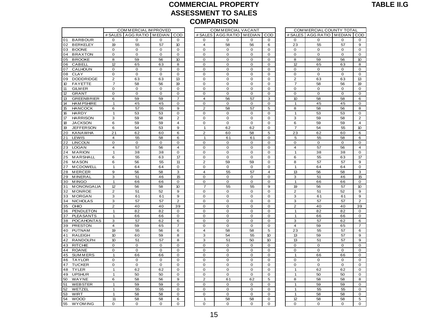#### **COMMERCIAL PROPERTY ASSESSMENT TO SALES COMPARISON** ASSESSMENT TO SALES<br>COMPARISON<br>ESTAGG RATIO TMEDIAN LOOD # SALES TAGG RATIO TMEDIAN COD

|                         |                         |                          |                     |                         |                | <b>COMPARISON</b>  |                     |             |                |                          |             |                |
|-------------------------|-------------------------|--------------------------|---------------------|-------------------------|----------------|--------------------|---------------------|-------------|----------------|--------------------------|-------------|----------------|
|                         |                         | COM MERCIAL IM PROVED    |                     |                         |                | COM MERCIAL VACANT |                     |             |                | COM MERCIAL COUNTY TOTAL |             |                |
|                         |                         | # SALES AGG RATIO MEDIAN |                     | COD                     | # SALES        | AGG RATIO MEDIAN   |                     | COD         |                | # SALES AGG RATIO MEDIAN |             | COD            |
| <b>BARBOUR</b><br>01    | 0                       | 0                        | 0                   | 0                       | $\Omega$       | $\Omega$           | 0                   | 0           | 0              | 0                        | 0           | 0              |
| 02<br><b>BERKELEY</b>   | 19                      | 55                       | 57                  | 10                      | 4              | 58                 | 56                  | 6           | 23             | 55                       | 57          | 9              |
| <b>BOONE</b><br>03      | 0                       | 0                        | 0                   | 0                       | 0              | 0                  | 0                   | 0           | 0              | 0                        | 0           | $\mathbf 0$    |
| <b>BRAXTON</b><br>04    | 0                       | 0                        | 0                   | $\mathbf 0$             | $\mathbf 0$    | 0                  | 0                   | 0           | 0              | 0                        | 0           | $\mathbf 0$    |
| 05<br><b>BROOKE</b>     | 8                       | 59                       | 56                  | 10                      | 0              | 0                  | 0                   | 0           | 8              | 59                       | 56          | 10             |
| <b>CABELL</b><br>06     | 12                      | 65                       | 63                  | 8                       | 0              | 0                  | 0                   | 0           | 12             | 65                       | 63          | 8              |
| CALHOUN<br>07           | 0                       | 0                        | 0                   | 0                       | 0              | 0                  | 0                   | 0           | 0              | 0                        | 0           | $\mathbf 0$    |
| 08<br><b>CLAY</b>       | 0                       | 0                        | 0                   | $\mathbf 0$             | $\mathbf 0$    | $\mathbf 0$        | $\mathbf 0$         | $\mathbf 0$ | $\mathbf 0$    | $\mathbf 0$              | $\mathbf 0$ | $\mathbf 0$    |
| 09<br><b>DODDRIDGE</b>  | $\overline{\mathbf{c}}$ | 63                       | 63                  | 13                      | $\mathbf 0$    | $\mathbf 0$        | $\mathbf 0$         | $\Omega$    | $\overline{c}$ | 63                       | 63          | 13             |
| 10<br><b>FAYETTE</b>    | $\overline{7}$          | 58                       | 56                  | 19                      | $\mathbf 0$    | $\mathbf 0$        | $\mathbf 0$         | $\mathbf 0$ | $\overline{7}$ | 58                       | 56          | 19             |
| 11<br><b>GILM ER</b>    | 0                       | 0                        | 0                   | $\mathbf 0$             | $\mathbf 0$    | $\mathbf 0$        | 0                   | 0           | $\mathbf 0$    | $\mathbf 0$              | 0           | $\mathbf 0$    |
| 12<br><b>GRANT</b>      | $\mathbf 0$             | $\mathbf 0$              | 0                   | $\mathbf 0$             | $\mathbf 0$    | $\mathbf 0$        | $\mathbf 0$         | $\mathbf 0$ | $\mathbf 0$    | $\mathbf 0$              | $\mathbf 0$ | $\mathbf 0$    |
| 13<br><b>GREENBRIER</b> | 6                       | 59                       | 59                  | 7                       | $\overline{4}$ | 56                 | 57                  | 3           | 10             | 58                       | 58          | 6              |
| 14<br><b>HAM PSHIRE</b> | $\mathbf{1}$            | 45                       | 45                  | $\mathbf 0$             | $\mathbf 0$    | $\mathbf 0$        | $\mathbf 0$         | $\mathbf 0$ | $\mathbf{1}$   | 45                       | 45          | $\mathbf 0$    |
| 15<br><b>HANCOCK</b>    | 6                       | 57                       | 55                  | 9                       | $\overline{2}$ | 58                 | 57                  | 5           | 8              | 58                       | 56          | 8              |
| 16<br><b>HARDY</b>      | $\mathbf{1}$            | 53                       | 53                  | $\mathbf 0$             | $\mathbf 0$    | $\mathbf 0$        | $\mathbf 0$         | 0           | $\mathbf{1}$   | 53                       | 53          | $\mathbf 0$    |
| 17<br><b>HARRISON</b>   | 3                       | 59                       | 58                  | $\overline{2}$          | $\mathbf 0$    | 0                  | $\mathbf 0$         | 0           | 3              | 59                       | 58          | $\overline{2}$ |
| 18<br><b>JACKSON</b>    | 6                       | 59                       | 59                  | $\overline{\mathbf{4}}$ | $\mathbf 0$    | $\mathbf 0$        | $\mathbf 0$         | 0           | 6              | 59                       | 59          | $\overline{4}$ |
| 19<br><b>JEFFERSON</b>  | 6                       | 54                       | 53                  | 9                       | $\mathbf{1}$   | 62                 | 62                  | 0           | $\overline{7}$ | 54                       | 55          | 10             |
| 20<br><b>KANAWHA</b>    | 21                      | 62                       | 60                  | 6                       | $\overline{2}$ | 60                 | 58                  | 5           | 23             | 62                       | 60          | 6              |
| LEWIS<br>21             | 4                       | 55                       | 58                  | 6                       | 1              | 61                 | 61                  | $\Omega$    | 5              | 55                       | 58          | 6              |
| <b>LINCOLN</b><br>22    | $\mathbf 0$             | $\mathsf{O}\xspace$      | $\mathsf{O}\xspace$ | $\mathbf 0$             | $\mathbf 0$    | $\mathbf 0$        | $\mathbf 0$         | 0           | 0              | $\mathbf 0$              | $\mathbf 0$ | $\mathbf 0$    |
| <b>LOGAN</b><br>23      | 4                       | 57                       | 56                  | $\overline{4}$          | $\mathbf 0$    | 0                  | $\mathbf 0$         | 0           | $\overline{4}$ | 57                       | 56          | $\overline{4}$ |
| <b>MARION</b><br>24     | $\mathbf{1}$            | 38                       | 38                  | $\mathbf 0$             | $\mathbf 0$    | $\mathbf 0$        | $\mathbf 0$         | 0           | $\mathbf{1}$   | 38                       | 38          | $\mathbf 0$    |
| MARSHALL<br>25          | 6                       | 55                       | 63                  | 17                      | $\mathbf 0$    | $\mathbf 0$        | $\mathbf 0$         | 0           | 6              | 55                       | 63          | 17             |
| <b>MASON</b><br>26      | 6                       | 56                       | 55                  | 11                      | $\overline{2}$ | 59                 | 59                  | 0           | 8              | 57                       | 57          | 9              |
| <b>MCDOWELL</b><br>27   | $\mathbf{1}$            | 64                       | 64                  | $\mathbf 0$             | $\mathbf 0$    | 0                  | 0                   | 0           | $\overline{1}$ | 64                       | 64          | $\mathbf 0$    |
| <b>MERCER</b><br>28     | 9                       | 56                       | 58                  | 3                       | $\overline{4}$ | 55                 | 57                  | 4           | 13             | 56                       | 58          | 3              |
| <b>MINERAL</b><br>29    | 3                       | 51                       | 46                  | 15                      | $\mathbf 0$    | 0                  | 0                   | 0           | з              | 51                       | 46          | 15             |
| <b>MINGO</b><br>30      | $\mathbf{1}$            | 66                       | 66                  | $\mathbf 0$             | $\mathbf 0$    | 0                  | $\mathbf 0$         | 0           | $\mathbf{1}$   | 66                       | 66          | $\mathbf 0$    |
| <b>MONONGALIA</b><br>31 | 12                      | 56                       | 58                  | 10                      | $\overline{7}$ | 55                 | 55                  | 9           | 19             | 56                       | 57          | 10             |
| <b>MONROE</b><br>32     | $\overline{2}$          | 51                       | 52                  | 9                       | $\mathbf 0$    | 0                  | 0                   | 0           | $\overline{2}$ | 51                       | 52          | 9              |
| <b>MORGAN</b><br>33     | 3                       | 61                       | 61                  | 9                       | $\mathbf 0$    | $\mathbf 0$        | 0                   | $\mathbf 0$ | з              | 61                       | 61          | 9              |
| <b>NICHOLAS</b><br>34   | 3                       | 57                       | 57                  | $\overline{2}$          | $\mathbf 0$    | $\mathbf 0$        | $\mathbf 0$         | $\mathbf 0$ | 3              | 57                       | 57          | $\overline{2}$ |
| OHIO<br>35              | $\overline{2}$          | 40                       | 40                  | 39                      | $\mathbf 0$    | $\mathbf 0$        | 0                   | 0           | $\overline{2}$ | 40                       | 40          | 39             |
| <b>PENDLETON</b><br>36  | $\mathbf{1}$            | 82                       | 82                  | 0                       | 0              | 0                  | 0                   | 0           | $\mathbf{1}$   | 82                       | 82          | 0              |
| <b>PLEASANTS</b><br>37  | $\mathbf{1}$            | 66                       | 66                  | $\mathbf 0$             | $\mathbf 0$    | $\mathbf 0$        | $\mathbf 0$         | $\mathbf 0$ | 1              | 66                       | 66          | $\mathbf 0$    |
| <b>POCAHONTAS</b><br>38 | 3                       | 57                       | 62                  | 6                       | $\mathbf 0$    | 0                  | $\mathsf{O}\xspace$ | 0           | 3              | 57                       | 62          | 6              |
| <b>PRESTON</b><br>39    | $\overline{\mathbf{4}}$ | 59                       | 65                  | $\overline{7}$          | $\mathbf 0$    | 0                  | $\mathsf{O}\xspace$ | 0           | $\overline{4}$ | 59                       | 65          | $\overline{7}$ |
| 40<br>PUTNAM            | 19                      | 55                       | 56                  | 6                       | $\overline{4}$ | 58                 | 58                  | 5           | 23             | 55                       | 57          | 6              |
| <b>RALEIGH</b><br>41    | 10                      | 60                       | 59                  | 8                       | 3              | 54                 | 55                  | 10          | 13             | 59                       | 57          | $\mathbf 9$    |
| <b>RANDOLPH</b><br>42   | 10                      | 51                       | 57                  | 8                       | 3              | 51                 | 50                  | 10          | 13             | 51                       | 57          | $\mathbf 9$    |
| <b>RITCHIE</b><br>43    | 0                       | 0                        | 0                   | 0                       | $\overline{0}$ | $\mathbf 0$        | $\mathbf 0$         | 0           | $\mathbf 0$    | 0                        | 0           | $\mathbf 0$    |
| 44<br><b>ROANE</b>      | 0                       | 0                        | 0                   | $\mathbf 0$             | $\mathbf 0$    | 0                  | $\mathsf{O}\xspace$ | 0           | 0              | 0                        | 0           | $\mathsf 0$    |
| <b>SUMMERS</b><br>45    | $\mathbf{1}$            | 66                       | 66                  | $\mathbf 0$             | $\mathbf 0$    | $\mathbf 0$        | $\mathbf 0$         | $\mathbf 0$ | $\mathbf{1}$   | 66                       | 66          | $\mathbf 0$    |
| <b>TAYLOR</b><br>46     | 0                       | 0                        | 0                   | $\mathbf 0$             | $\mathbf 0$    | 0                  | $\mathbf 0$         | 0           | 0              | 0                        | 0           | $\mathbf 0$    |
| <b>TUCKER</b><br>47     | $\mathbf 0$             | $\mathbf 0$              | $\mathbf 0$         | 0                       | 0              | $\mathbf 0$        | 0                   | 0           | $\mathbf 0$    | $\mathbf 0$              | 0           | $\mathbf 0$    |
| <b>TYLER</b><br>48      | $\mathbf{1}$            | 62                       | 62                  | $\mathbf 0$             | $\mathbf 0$    | 0                  | $\mathsf{O}\xspace$ | 0           | $\mathbf{1}$   | 62                       | 62          | $\mathbf 0$    |
| <b>UPSHUR</b><br>49     | $\mathbf{1}$            | 50                       | 50                  | $\mathbf 0$             | $\mathbf 0$    | $\mathbf 0$        | $\mathbf 0$         | $\mathbf 0$ | $\overline{1}$ | 50                       | 50          | $\mathbf 0$    |
| 50<br>WAYNE             | 6                       | 58                       | 56                  | 9                       | 2              | 61                 | 62                  | 5           | 8              | 58                       | 58          | 8              |
| <b>WEBSTER</b><br>51    | $\mathbf{1}$            | 59                       | 59                  | $\mathbf 0$             | 0              | 0                  | $\mathbf 0$         | 0           | $\overline{1}$ | 59                       | 59          | $\mathbf 0$    |
| WETZEL<br>52            | $\mathbf{1}$            | 55                       | 55                  | $\mathbf 0$             | 0              | 0                  | 0                   | 0           | 1              | 55                       | 55          | $\mathbf 0$    |
| WIRT<br>53              | $\mathbf{1}$            | 58                       | 58                  | $\mathbf 0$             | $\mathbf 0$    | 0                  | $\mathbf 0$         | 0           | $\overline{1}$ | 58                       | 58          | $\mathbf 0$    |
| <b>WOOD</b><br>54       | 11                      | 58                       | 58                  | 6                       | 1              | 58                 | 58                  | 0           | 12             | 58                       | 58          | 5              |
| <b>WYOM ING</b><br>55   | 0                       | 0                        | 0                   | $\mathbf 0$             | 0              | $\mathbf 0$        | 0                   | 0           | 0              | 0                        | 0           | $\mathbf 0$    |
|                         |                         |                          |                     |                         |                |                    |                     |             |                |                          |             |                |

|                | COM MERCIAL VACANT |               |     |
|----------------|--------------------|---------------|-----|
| # SALES        | <b>AGG RATIO</b>   | <b>MEDIAN</b> | COD |
| 0              | O                  | 0             | 0   |
| 4              | 58                 | 56            | 6   |
| 0              | O                  | O             | O   |
| 0              | 0                  | 0             | 0   |
| 0              | 0                  | 0             | 0   |
| 0              | 0                  | 0             | 0   |
| 0              | 0                  | 0             | 0   |
| O              | O                  | 0             | O   |
| 0              | 0                  | 0             | 0   |
| 0              | 0                  | 0             | 0   |
|                |                    |               | O   |
| 0              | 0                  | 0             |     |
| 0              | 0                  | 0             | 0   |
| 4              | 56                 | 57            | 3   |
| 0              | 0                  | 0             | 0   |
| $\overline{c}$ | 58                 | 57            | 5   |
| 0              | 0                  | 0             | 0   |
| 0              | 0                  | 0             | 0   |
| 0              | 0                  | 0             | 0   |
| 1              | 62                 | 62            | 0   |
| $\overline{c}$ | 60                 | 58            | 5   |
| 1              | 61                 | 61            | 0   |
| 0              | 0                  | 0             | 0   |
| O              | o                  | 0             | 0   |
| 0              | 0                  | 0             | 0   |
| 0              | 0                  | 0             | 0   |
| $\overline{c}$ | 59                 | 59            | 0   |
| 0              | 0                  | 0             | 0   |
| 4              | 55                 | 57            | 4   |
| O              | 0                  | 0             | O   |
| 0              | 0                  | 0             | 0   |
| 7              | 55                 | 55            | 9   |
|                |                    |               |     |
| O              | 0                  | 0             | 0   |
| 0              | 0                  | 0             | 0   |
| 0              | 0                  | 0             | 0   |
| 0              | 0                  | 0             | 0   |
| 0              | O                  | 0             | 0   |
| 0              | 0                  | 0             | 0   |
| 0              | 0                  | 0             | 0   |
| 0              | 0                  | $\mathbf{0}$  | 0   |
| 4              | 58                 | 58            | 5   |
| 3              | 54                 | 55            | 10  |
| 3              | 51                 | 50            | 10  |
| 0              | 0                  | 0             | 0   |
| 0              | 0                  | 0             | 0   |
| 0              | 0                  | 0             | 0   |
| 0              | O                  | 0             | 0   |
| 0              | 0                  | 0             | 0   |
| 0              | 0                  | 0             | 0   |
| 0              | 0                  | 0             | 0   |
| $\overline{c}$ | 61                 | 62            | 5   |
| 0              | 0                  | 0             | 0   |
|                |                    |               |     |
| 0              | 0                  | 0             | 0   |
| 0              | 0                  | O             | 0   |
| 1              | 58                 | 58            | O   |
| $\overline{0}$ | O                  | O             | 0   |

|                | COMMERCIAL COUNTY TOTAL |               |                     |
|----------------|-------------------------|---------------|---------------------|
|                | # SALES AGG RATIO       | <b>MEDIAN</b> | COD                 |
| $\mathbf 0$    | 0                       | 0             | 0                   |
| 23             | 55                      | 57            | 9                   |
| 0              | 0                       | 0             | 0                   |
| 0              | 0                       | 0             | 0                   |
| 8              | 59                      | 56            | 10                  |
| 12             | 65                      | 63            | 8                   |
| 0              | 0                       | $\mathbf{O}$  | $\overline{0}$      |
| O              | 0                       | 0             | $\Omega$            |
| 2              | 63                      | 63            | 13                  |
| 7              | 58                      | 56            | 19                  |
| 0              | 0                       | 0             | 0                   |
| 0              | 0                       | 0             | O                   |
| 10             | 58                      | 58            | 6                   |
| 1              | 45                      | 45            | 0                   |
| 8              | 58                      | 56            | 8                   |
|                |                         |               |                     |
| 1              | 53                      | 53            | 0<br>$\overline{c}$ |
| 3              | 59                      | 58            |                     |
| 6              | 59                      | 59            | 4                   |
| 7              | 54                      | 55            | 10                  |
| 23             | 62                      | 60            | 6                   |
| 5              | 55                      | 58            | 6                   |
| 0              | 0                       | 0             | 0                   |
| 4              | 57                      | 56            | 4                   |
| 1              | 38                      | 38            | $\overline{0}$      |
| 6              | 55                      | 63            | 17                  |
| 8              | 57                      | 57            | 9                   |
| $\overline{1}$ | 64                      | 64            | 0                   |
| 13             | 56                      | 58            | 3                   |
| 3              | 51                      | 46            | 15                  |
| 1              | 66                      | 66            | 0                   |
| 19             | 56                      | 57            | 10                  |
| $\overline{c}$ | 51                      | 52            | 9                   |
| 3              | 61                      | 61            | 9                   |
| 3              | 57                      | 57            | 2                   |
| 2              | 40                      | 40            | 39                  |
| 1              | 82                      | 82            | 0                   |
| 1              | 66                      | 66            | O                   |
| 3              | 57                      | 62            | 6                   |
| 4              | 59                      | 65            | 7                   |
| 23             | 55                      | 57            | 6                   |
|                |                         |               |                     |
| 13             | 59                      | 57            | 9                   |
| 13             | 51                      | 57            | 9                   |
| 0              | 0                       | 0             | 0                   |
| 0              | 0                       | 0             | O                   |
| 1              | 66                      | 66            | 0                   |
| 0              | 0                       | 0             | 0                   |
| 0              | 0                       | 0             | 0                   |
| 1              | 62                      | 62            | 0                   |
| 1              | 50                      | 50            | 0                   |
| 8              | 58                      | 58            | 8                   |
| 1              | 59                      | 59            | 0                   |
| 1              | 55                      | 55            | 0                   |
| 1              | 58                      | 58            | 0                   |
| 12             | 58                      | 58            | 5                   |
| $\Omega$       | $\Omega$                | $\Omega$      | $\Omega$            |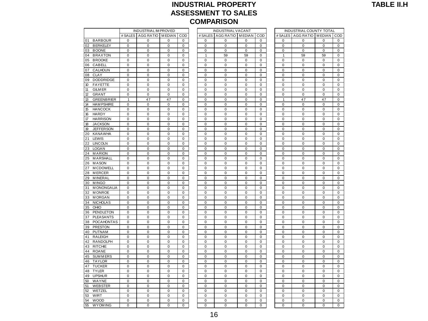### **INDUSTRIAL PROPERTY ASSESSMENT TO SALES COMPARISON**<br>
INDUSTRIAL IM PROVED<br>
INDUSTRIAL IM PROVED INDUSTRIAL VACANT<br>
INDUSTRIAL COUNTY TOTAL<br>
INDUSTRIAL COUNTY TOTAL<br>
INDUSTRIAL COUNTY TOTAL<br>
INDUSTRIAL COUNTY TOTAL<br>
INDUSTRIAL COUNTY TOTAL

|                                       |                | <b>INDUSTRIAL IM PROVED</b> |                  |             |                  | <b>INDUSTRIAL VACANT</b> |                |                |              | INDUSTRIAL COUNTY TOTAL     |                  |                         |
|---------------------------------------|----------------|-----------------------------|------------------|-------------|------------------|--------------------------|----------------|----------------|--------------|-----------------------------|------------------|-------------------------|
|                                       |                | # SALES AGG RATIO MEDIAN    |                  | COD         | # SALES          | AGG RATIO MEDIAN         |                | COD            |              | # SALES AGG RATIO MEDIAN CO |                  |                         |
| 01<br><b>BARBOUR</b>                  | $\mathbf 0$    | $\mathbf 0$                 | 0                | $\mathbf 0$ | $\mathbf 0$      | 0                        | 0              | $\mathbf 0$    | 0            | $\mathbf 0$                 | $\mathbf 0$      | 0                       |
| <b>BERKELEY</b><br>02                 | $\mathbf 0$    | $\Omega$                    | $\Omega$         | $\mathbf 0$ | $\Omega$         | $\Omega$                 | $\Omega$       | $\Omega$       | $\Omega$     | $\mathbf 0$                 | $\mathbf 0$      | $\mathbf 0$             |
| 03<br><b>BOONE</b>                    | $\pmb{0}$      | $\mathbf 0$                 | $\pmb{0}$        | 0           | $\mathbf 0$      | $\mathbf 0$              | $\mathbf 0$    | 0              | 0            | $\pmb{0}$                   | $\mathbf 0$      | $\mathbf 0$             |
| <b>BRAXTON</b><br>04                  | $\mathbf 0$    | $\mathbf 0$                 | 0                | 0           | $\mathbf{1}$     | 59                       | 59             | 0              | $\mathbf{1}$ | 59                          | 59               | 0                       |
| <b>BROOKE</b><br>05                   | $\pmb{0}$      | $\pmb{0}$                   | 0                | 0           | 0                | 0                        | 0              | $\pmb{0}$      | 0            | 0                           | 0                | 0                       |
| 06<br>CABELL                          | $\mathbf 0$    | $\mathbf 0$                 | $\mathbf 0$      | 0           | $\mathbf 0$      | $\mathbf 0$              | $\mathbf 0$    | 0              | 0            | $\mathbf 0$                 | $\mathbf 0$      | $\mathbf 0$             |
| 07<br>CALHOUN                         | $\Omega$       | $\Omega$                    | 0                | 0           | 0                | 0                        | 0              | $\Omega$       | 0            | 0                           | 0                | 0                       |
| 08<br>CLAY                            | $\mathbf 0$    | $\mathbf 0$                 | $\mathbf 0$      | $\mathbf 0$ | $\mathbf 0$      | 0                        | $\mathbf 0$    | 0              | 0            | $\mathbf 0$                 | $\mathbf 0$      | $\mathbf 0$             |
| 09<br><b>DODDRIDGE</b>                | $\Omega$       | $\Omega$                    | $\Omega$         | $\Omega$    | $\Omega$         | $\Omega$                 | $\Omega$       | $\Omega$       | $\Omega$     | $\Omega$                    | $\mathbf 0$      | $\Omega$                |
| 10<br><b>FAYETTE</b>                  | $\mathbf 0$    | $\mathbf 0$                 | $\mathbf 0$      | $\mathbf 0$ | $\mathbf 0$      | $\mathbf 0$              | $\mathbf 0$    | $\mathbf 0$    | $\mathbf 0$  | $\mathbf 0$                 | $\pmb{0}$        | $\mathbf 0$             |
| 11<br><b>GILM ER</b>                  | $\mathbf 0$    | $\mathbf 0$                 | $\pmb{0}$        | $\mathbf 0$ | $\mathbf 0$      | $\mathbf 0$              | $\mathbf 0$    | $\mathbf 0$    | 0            | $\mathbf 0$                 | $\mathbf 0$      | $\mathbf 0$             |
| 12<br><b>GRANT</b>                    | $\pmb{0}$      | $\pmb{0}$                   | 0                | 0           | $\pmb{0}$        | 0                        | 0              | $\pmb{0}$      | 0            | $\pmb{0}$                   | $\pmb{0}$        | 0                       |
| 13<br><b>GREENBRIER</b>               | $\mathbf{1}$   | 47                          | 47               | 0           | $\mathbf 0$      | 0                        | 0              | 0              | $\mathbf{1}$ | 47                          | 47               | $\mathbf 0$             |
| 14<br><b>HAM PSHIRE</b>               | $\mathbf 0$    | $\mathbf 0$                 | $\mathbf 0$      | 0           | $\mathbf 0$      | 0                        | 0              | 0              | 0            | $\mathbf 0$                 | $\mathbf 0$      | $\mathbf{0}$            |
| 15<br><b>HANCOCK</b>                  | $\mathbf 0$    | $\mathbf 0$                 | $\mathbf 0$      | $\mathbf 0$ | $\mathbf 0$      | 0                        | $\mathbf 0$    | $\mathbf 0$    | 0            | $\mathbf 0$                 | $\mathbf 0$      | $\mathbf 0$             |
| 16<br><b>HARDY</b>                    | $\mathbf 0$    | $\mathbf 0$                 | 0                | $\mathbf 0$ | $\mathbf 0$      | 0                        | 0              | $\mathbf 0$    | 0            | $\mathbf 0$                 | $\mathbf 0$      | 0                       |
| 17<br><b>HARRISON</b>                 | $\mathbf 0$    | $\mathbf 0$                 | $\mathbf 0$      | $\mathbf 0$ | $\mathbf 0$      | $\mathbf 0$              | $\mathbf 0$    | $\mathbf 0$    | $\mathbf 0$  | $\mathbf 0$                 | $\mathbf 0$      | $\mathbf 0$             |
| 18<br><b>JACKSON</b>                  | $\Omega$       | 0                           | 0                | $\Omega$    | $\mathbf 0$      | 0                        | 0              | 0              | 0            | 0                           | 0                | 0                       |
| 19<br><b>JEFFERSON</b>                | $\pmb{0}$      | $\pmb{0}$                   | $\pmb{0}$        | $\pmb{0}$   | $\pmb{0}$        | 0                        | 0              | $\pmb{0}$      | 0            | $\pmb{0}$                   | $\pmb{0}$        | $\mathbf 0$             |
| 20<br><b>KANAWHA</b>                  | $\mathbf 0$    | 0                           | 0                | 0           | 0                | 0                        | 0              | 0              | 0            | $\mathbf 0$                 | $\mathbf 0$      | 0                       |
| 21<br>LEWIS                           | $\mathbf 0$    | $\mathbf 0$                 | $\mathbf 0$      | 0           | $\mathbf 0$      | 0                        | $\overline{0}$ | 0              | 0            | $\mathbf 0$                 | $\mathbf 0$      | $\overline{0}$          |
| 22<br><b>LINCOLN</b>                  | $\mathbf 0$    | $\mathbf 0$                 | $\mathbf 0$      | $\mathbf 0$ | $\mathbf 0$      | 0                        | $\mathbf 0$    | $\mathbf 0$    | 0            | $\mathbf 0$                 | $\mathbf 0$      | $\mathbf 0$             |
| 23<br><b>LOGAN</b>                    | $\mathbf 0$    | $\mathbf 0$                 | 0                | $\mathbf 0$ | $\mathbf 0$      | 0                        | 0              | 0              | 0            | $\mathbf 0$                 | $\mathbf 0$      | 0                       |
| 24<br><b>MARION</b>                   | $\Omega$       | $\Omega$                    | $\Omega$         | $\mathbf 0$ | $\Omega$         | $\Omega$                 | $\Omega$       | $\Omega$       | $\Omega$     | $\mathbf 0$                 | $\mathbf 0$      | $\mathbf 0$<br>0        |
| 25<br>MARSHALL                        | $\mathbf 0$    | $\mathbf 0$                 | 0                | $\mathbf 0$ | $\mathbf 0$      | 0                        | 0              | $\mathbf 0$    | 0            | $\mathbf 0$                 | 0                |                         |
| 26<br><b>MASON</b><br><b>MCDOWELL</b> | $\pmb{0}$<br>0 | $\pmb{0}$<br>0              | $\pmb{0}$        | $\pmb{0}$   | $\pmb{0}$        | 0<br>0                   | 0<br>0         | $\pmb{0}$<br>0 | 0            | $\mathbf 0$<br>0            | $\mathbf 0$      | $\mathbf 0$             |
| 27<br>28<br><b>MERCER</b>             | $\mathbf 0$    | $\mathbf 0$                 | 0<br>$\mathbf 0$ | 0<br>0      | 0<br>$\mathbf 0$ | 0                        | 0              | $\mathbf 0$    | 0<br>0       | $\mathbf 0$                 | 0<br>$\mathbf 0$ | 0<br>$\mathbf 0$        |
| 29<br><b>MINERAL</b>                  | $\pmb{0}$      | 0                           | 0                | 0           | $\mathbf 0$      | 0                        | 0              | 0              | 0            | $\mathbf 0$                 | $\pmb{0}$        | 0                       |
| 30<br><b>MINGO</b>                    | $\mathbf 0$    | $\mathbf 0$                 | 0                | 0           | $\mathbf 0$      | 0                        | 0              | 0              | 0            | $\mathbf 0$                 | $\mathbf 0$      |                         |
| 31<br><b>MONONGALIA</b>               | $\Omega$       | $\Omega$                    | $\mathbf 0$      | $\mathbf 0$ | $\Omega$         | $\Omega$                 | $\mathbf 0$    | $\Omega$       | 0            | $\mathbf 0$                 | $\mathbf 0$      | $\mathbf 0$<br>$\Omega$ |
| <b>MONROE</b><br>32                   | $\mathbf 0$    | $\mathbf 0$                 | $\mathbf 0$      | $\Omega$    | $\mathbf 0$      | $\mathbf 0$              | $\mathbf 0$    | $\mathbf 0$    | 0            | $\mathbf 0$                 | $\mathbf 0$      | $\mathbf 0$             |
| 33<br><b>MORGAN</b>                   | $\pmb{0}$      | $\pmb{0}$                   | $\pmb{0}$        | $\pmb{0}$   | $\mathbf 0$      | $\mathbf 0$              | $\mathbf 0$    | $\pmb{0}$      | 0            | $\pmb{0}$                   | $\pmb{0}$        | 0                       |
| <b>NICHOLAS</b><br>34                 | 0              | 0                           | 0                | 0           | 0                | 0                        | 0              | 0              | 0            | 0                           | 0                | 0                       |
| 35<br>OHIO                            | $\mathbf 0$    | $\mathbf 0$                 | $\mathbf 0$      | 0           | $\mathbf 0$      | 0                        | $\overline{0}$ | $\mathbf 0$    | 0            | $\mathbf 0$                 | $\mathbf 0$      | $\overline{0}$          |
| <b>PENDLETON</b><br>36                | $\pmb{0}$      | $\mathbf 0$                 | 0                | 0           | $\mathbf 0$      | 0                        | 0              | $\pmb{0}$      | 0            | $\mathbf 0$                 | $\mathbf 0$      | $\mathbf 0$             |
| 37<br><b>PLEASANTS</b>                | $\mathbf 0$    | $\mathbf 0$                 | 0                | 0           | $\mathbf 0$      | $\overline{0}$           | $\overline{0}$ | 0              | 0            | $\mathbf 0$                 | $\mathbf 0$      | $\mathbf 0$             |
| 38<br><b>POCAHONTAS</b>               | $\mathbf 0$    | $\mathbf 0$                 | $\mathbf 0$      | $\mathbf 0$ | $\mathbf 0$      | $\mathbf 0$              | $\mathbf 0$    | $\mathbf 0$    | 0            | $\mathbf 0$                 | $\mathbf 0$      | $\mathbf 0$             |
| 39<br><b>PRESTON</b>                  | $\mathbf 0$    | $\mathbf 0$                 | $\mathbf 0$      | $\Omega$    | $\mathbf 0$      | $\mathbf 0$              | $\mathbf 0$    | $\Omega$       | 0            | $\mathbf 0$                 | $\mathbf 0$      | $\mathbf 0$             |
| <b>PUTNAM</b><br>40                   | $\pmb{0}$      | 0                           | 0                | 0           | $\pmb{0}$        | $\mathbf 0$              | $\mathbf 0$    | 0              | 0            | $\pmb{0}$                   | $\pmb{0}$        | $\Omega$                |
| 41<br><b>RALEIGH</b>                  | $\pmb{0}$      | $\pmb{0}$                   | 0                | 0           | $\pmb{0}$        | 0                        | 0              | 0              | 0            | $\pmb{0}$                   | $\pmb{0}$        | 0                       |
| 42<br><b>RANDOLPH</b>                 | $\mathbf 0$    | $\mathbf 0$                 | $\mathbf 0$      | 0           | $\mathbf 0$      | 0                        | 0              | $\mathbf 0$    | 0            | $\mathbf 0$                 | $\mathbf 0$      | $\mathbf 0$             |
| 43<br><b>RITCHIE</b>                  | $\mathbf 0$    | $\mathbf 0$                 | $\mathbf 0$      | $\mathbf 0$ | $\mathbf 0$      | 0                        | $\mathbf 0$    | $\mathbf 0$    | 0            | $\mathbf 0$                 | $\mathbf 0$      | $\mathbf 0$             |
| 44<br><b>ROANE</b>                    | $\mathbf 0$    | $\mathbf 0$                 | 0                | 0           | $\mathbf 0$      | $\overline{0}$           | $\overline{0}$ | 0              | 0            | $\mathbf 0$                 | $\mathbf 0$      | $\Omega$                |
| 45<br><b>SUMMERS</b>                  | $\mathbf 0$    | $\mathbf 0$                 | $\mathbf 0$      | $\mathbf 0$ | $\mathbf 0$      | 0                        | 0              | 0              | 0            | $\mathbf 0$                 | 0                | $\mathbf 0$             |
| 46<br><b>TAYLOR</b>                   | $\Omega$       | $\Omega$                    | $\Omega$         | $\Omega$    | $\Omega$         | $\Omega$                 | $\Omega$       | $\Omega$       | $\Omega$     | $\mathbf 0$                 | $\mathbf 0$      | $\mathbf 0$             |
| 47<br><b>TUCKER</b>                   | $\pmb{0}$      | $\mathbf 0$                 | $\pmb{0}$        | $\pmb{0}$   | $\mathbf 0$      | $\mathbf 0$              | $\mathbf 0$    | $\mathbf 0$    | 0            | $\mathbf 0$                 | $\mathbf 0$      | $\mathbf 0$             |
| 48<br><b>TYLER</b>                    | $\pmb{0}$      | $\pmb{0}$                   | 0                | 0           | $\mathbf 0$      | 0                        | 0              | 0              | 0            | $\pmb{0}$                   | $\pmb{0}$        | 0                       |
| <b>UPSHUR</b><br>49                   | $\mathbf 0$    | 0                           | 0                | 0           | 0                | 0                        | 0              | $\pmb{0}$      | 0            | 0                           | 0                | 0                       |
| 50<br>WAYNE                           | $\mathbf 0$    | $\mathbf 0$                 | $\mathbf 0$      | $\mathbf 0$ | $\mathbf 0$      | $\mathbf 0$              | $\mathbf 0$    | $\mathbf 0$    | 0            | $\mathbf 0$                 | $\mathbf 0$      |                         |
| 51<br><b>WEBSTER</b>                  | $\Omega$       | $\Omega$                    | $\Omega$         | 0           | $\Omega$         | $\Omega$                 | $\overline{0}$ | $\Omega$       | $\Omega$     | $\pmb{0}$                   | $\mathbf 0$      |                         |
| 52<br>WETZEL                          | $\mathbf 0$    | $\mathbf 0$                 | $\mathbf 0$      | $\mathbf 0$ | $\mathbf 0$      | $\mathbf 0$              | $\mathbf 0$    | 0              | $\mathbf 0$  | 0                           | 0                |                         |
| 53<br>WIRT                            | $\Omega$       | $\Omega$                    | $\Omega$         | $\Omega$    | $\Omega$         | $\Omega$                 | $\Omega$       | $\Omega$       | $\Omega$     | $\Omega$                    | $\Omega$         | $\Omega$                |
| 54<br><b>WOOD</b>                     | $\mathbf 0$    | $\mathbf 0$                 | $\mathbf 0$      | $\mathbf 0$ | $\mathbf 0$      | $\mathbf 0$              | $\mathbf 0$    | $\mathbf 0$    | 0            | $\mathbf 0$                 | $\mathbf 0$      | $\mathbf 0$             |
| 55<br><b>WYOM ING</b>                 | $\Omega$       | $\Omega$                    | 0                | $\Omega$    | $\Omega$         | $\Omega$                 | $\Omega$       | 0              | 0            | $\mathbf 0$                 | $\mathbf 0$      | 0                       |

|              | <b>COMPARISON</b>           |                     |             |  |                  |                              |                          |                  |  |                            |                                |                               |                          |
|--------------|-----------------------------|---------------------|-------------|--|------------------|------------------------------|--------------------------|------------------|--|----------------------------|--------------------------------|-------------------------------|--------------------------|
|              | <b>INDUSTRIAL IM PROVED</b> |                     |             |  |                  | <b>INDUSTRIAL VACANT</b>     |                          |                  |  |                            | <b>INDUSTRIAL COUNTY TOTAL</b> |                               |                          |
| # SALES      | AGG RATIO MEDIAN            |                     | COD         |  |                  | # SALES   AGG RATIO   MEDIAN |                          | COD              |  | # SALES                    | AGG RATIO                      | <b>MEDIAN</b>                 | COD                      |
| $\mathbf 0$  | $\mathbf 0$                 | 0                   | $\mathbf 0$ |  | 0                | $\mathbf 0$                  | 0                        | 0                |  | $\mathbf 0$                | 0                              | $\mathbf 0$                   | $\mathbf 0$              |
| 0            | 0                           | 0                   | 0           |  | 0                | $\mathbf 0$                  | $\mathbf 0$              | $\mathbf 0$      |  | $\mathbf 0$                | $\mathbf 0$                    | $\mathbf 0$                   | $\pmb{0}$                |
| 0            | 0                           | 0                   | 0           |  | 0                | $\mathbf 0$                  | $\mathbf 0$              | $\mathbf 0$      |  | 0                          | $\mathbf 0$                    | $\mathbf 0$                   | 0                        |
| $\pmb{0}$    | $\mathbf 0$                 | $\mathbf 0$         | $\mathbf 0$ |  | 1                | 59                           | 59                       | $\mathbf 0$      |  | $\mathbf{1}$               | 59                             | 59                            | $\pmb{0}$                |
| $\pmb{0}$    | $\mathbf 0$                 | 0                   | 0           |  | $\mathbf 0$      | $\mathbf 0$                  | $\mathbf 0$              | $\mathbf 0$      |  | $\mathbf 0$                | $\mathbf 0$                    | $\mathbf 0$                   | $\mathbf 0$              |
| $\pmb{0}$    | $\pmb{0}$                   | $\pmb{0}$           | $\mathbf 0$ |  | $\mathbf 0$      | $\mathbf 0$                  | $\mathbf 0$              | $\mathbf 0$      |  | $\mathbf 0$                | $\mathbf 0$                    | $\mathbf 0$                   | $\mathbf 0$              |
| 0            | 0                           | 0                   | 0           |  | 0                | $\mathbf 0$                  | 0                        | 0                |  | 0                          | 0                              | 0                             | $\pmb{0}$                |
| 0            | $\pmb{0}$                   | 0                   | 0           |  | $\mathbf 0$      | $\mathbf 0$                  | $\mathbf 0$              | $\mathbf 0$      |  | $\mathbf 0$                | 0                              | $\mathbf 0$                   | $\mathbf 0$              |
| 0            | 0                           | 0                   | 0           |  | 0                | 0                            | 0                        | 0                |  | 0                          | 0                              | 0                             | $\pmb{0}$                |
| 0            | 0                           | 0                   | 0           |  | 0                | 0                            | 0                        | 0                |  | 0<br>$\mathbf 0$           | 0                              | 0                             | $\pmb{0}$<br>$\pmb{0}$   |
| 0<br>0       | $\pmb{0}$<br>$\pmb{0}$      | 0<br>$\overline{0}$ | 0<br>0      |  | 0<br>$\mathbf 0$ | 0<br>$\mathbf 0$             | $\pmb{0}$<br>$\mathbf 0$ | 0<br>$\mathbf 0$ |  | $\mathbf 0$                | 0<br>$\overline{0}$            | $\mathbf 0$<br>$\overline{0}$ | $\overline{0}$           |
| $\mathbf{1}$ | 47                          | 47                  | 0           |  | 0                | 0                            | $\mathbf 0$              | 0                |  | 1                          | 47                             | 47                            | $\mathbf 0$              |
| 0            | $\mathbf 0$                 | $\overline{0}$      | 0           |  | 0                | 0                            | 0                        | 0                |  | 0                          | $\mathbf 0$                    | $\mathbf 0$                   | $\mathbf 0$              |
| 0            | $\mathbf 0$                 | 0                   | 0           |  | $\mathbf 0$      | $\mathbf 0$                  | $\mathbf 0$              | $\mathbf 0$      |  | $\mathbf 0$                | $\mathbf 0$                    | $\mathbf 0$                   | $\mathbf 0$              |
| 0            | 0                           | 0                   | 0           |  | $\mathbf 0$      | 0                            | 0                        | 0                |  | $\mathbf 0$                | 0                              | 0                             | 0                        |
| 0            | 0                           | 0                   | 0           |  | 0                | $\mathbf 0$                  | 0                        | 0                |  | 0                          | 0                              | $\mathbf 0$                   | 0                        |
| $\mathbf 0$  | $\mathbf 0$                 | 0                   | $\mathbf 0$ |  | $\mathbf 0$      | $\mathbf 0$                  | $\mathbf 0$              | $\Omega$         |  | $\mathbf 0$                | $\mathbf 0$                    | $\mathbf 0$                   | $\mathbf 0$              |
| $\pmb{0}$    | $\mathbf 0$                 | $\overline{0}$      | $\mathbf 0$ |  | $\mathbf 0$      | $\mathbf 0$                  | $\mathbf 0$              | $\mathbf 0$      |  | $\mathbf 0$                | $\mathbf 0$                    | $\mathbf 0$                   | $\mathbf 0$              |
| 0            | $\pmb{0}$                   | 0                   | 0           |  | $\mathbf 0$      | $\mathbf 0$                  | $\mathbf 0$              | $\mathbf 0$      |  | $\mathbf 0$                | 0                              | $\mathbf 0$                   | $\pmb{0}$                |
| $\mathbf 0$  | $\mathbf 0$                 | 0                   | $\mathbf 0$ |  | $\pmb{0}$        | $\pmb{0}$                    | $\pmb{0}$                | $\pmb{0}$        |  | $\pmb{0}$                  | $\pmb{0}$                      | $\pmb{0}$                     | $\pmb{0}$                |
| 0            | $\pmb{0}$                   | 0                   | 0           |  | $\mathbf 0$      | 0                            | $\mathbf 0$              | $\mathbf 0$      |  | $\mathbf 0$                | 0                              | $\mathbf 0$                   | $\pmb{0}$                |
| 0            | $\mathbf 0$                 | 0                   | 0           |  | $\pmb{0}$        | 0                            | $\pmb{0}$                | 0                |  | $\mathbf 0$                | 0                              | $\pmb{0}$                     | $\pmb{0}$                |
| 0            | 0                           | 0                   | 0           |  | 0                | 0                            | 0                        | 0                |  | 0                          | 0                              | 0                             | 0                        |
| $\pmb{0}$    | $\pmb{0}$                   | 0                   | $\mathbf 0$ |  | $\mathbf 0$      | $\mathbf 0$                  | $\mathbf 0$              | $\mathbf 0$      |  | $\mathbf 0$                | 0                              | $\mathbf 0$                   | $\overline{0}$           |
| 0            | $\pmb{0}$                   | 0                   | 0           |  | $\mathbf 0$      | $\mathbf 0$                  | $\mathbf 0$              | $\mathbf 0$      |  | $\mathbf 0$                | 0                              | $\mathbf 0$                   | $\mathbf 0$              |
| 0            | $\pmb{0}$                   | 0                   | 0           |  | $\mathbf 0$      | $\mathbf 0$                  | 0                        | $\mathbf 0$      |  | $\mathbf 0$                | $\overline{0}$                 | $\mathbf 0$                   | $\mathbf 0$              |
| $\mathbf 0$  | $\pmb{0}$                   | 0                   | 0           |  | $\mathbf 0$      | $\mathbf 0$                  | $\mathbf 0$              | $\mathbf 0$      |  | $\mathbf 0$                | $\mathbf 0$                    | $\mathbf 0$                   | $\mathbf 0$              |
| 0            | $\mathbf 0$                 | 0                   | 0           |  | $\mathbf 0$      | $\mathbf 0$<br>$\mathbf 0$   | $\mathbf 0$              | 0<br>$\mathbf 0$ |  | $\mathbf 0$<br>$\mathbf 0$ | 0                              | $\mathbf 0$                   | $\mathbf 0$              |
| 0<br>0       | 0<br>0                      | 0<br>0              | 0<br>0      |  | 0<br>$\mathbf 0$ | 0                            | 0<br>0                   | $\mathbf 0$      |  | $\mathbf 0$                | 0<br>0                         | $\mathbf 0$<br>0              | 0<br>0                   |
| $\pmb{0}$    | $\pmb{0}$                   | $\mathbf 0$         | 0           |  | $\mathbf 0$      | $\mathbf 0$                  | $\mathbf 0$              | $\mathbf 0$      |  | $\mathbf 0$                | $\mathbf 0$                    | $\mathbf 0$                   | $\mathbf 0$              |
| $\mathbf 0$  | $\pmb{0}$                   | 0                   | 0           |  | $\mathbf 0$      | $\mathbf 0$                  | $\mathbf 0$              | $\mathbf 0$      |  | $\mathbf 0$                | $\mathbf 0$                    | $\mathbf 0$                   | $\mathbf 0$              |
| $\mathbf 0$  | $\pmb{0}$                   | 0                   | 0           |  | $\mathbf 0$      | $\mathbf 0$                  | $\mathbf 0$              | $\mathbf 0$      |  | $\mathbf 0$                | $\mathbf 0$                    | $\mathbf 0$                   | $\pmb{0}$                |
| 0            | $\mathbf 0$                 | 0                   | 0           |  | $\pmb{0}$        | $\pmb{0}$                    | $\pmb{0}$                | $\pmb{0}$        |  | $\pmb{0}$                  | 0                              | $\pmb{0}$                     | $\mathbf 0$              |
| $\mathbf 0$  | $\mathbf 0$                 | 0                   | 0           |  | $\mathbf 0$      | $\mathbf 0$                  | $\mathbf 0$              | $\mathbf 0$      |  | $\mathbf 0$                | 0                              | $\mathbf 0$                   | $\pmb{0}$                |
| 0            | 0                           | 0                   | 0           |  | 0                | 0                            | 0                        | 0                |  | 0                          | 0                              | 0                             | 0                        |
| 0            | 0                           | 0                   | 0           |  | 0                | 0                            | 0                        | 0                |  | 0                          | 0                              | $\mathbf 0$                   | $\pmb{0}$                |
| $\pmb{0}$    | $\pmb{0}$                   | 0                   | 0           |  | 0                | 0                            | $\mathbf 0$              | 0                |  | $\mathbf 0$                | 0                              | $\mathbf 0$                   | $\mathbf 0$              |
| 0            | $\pmb{0}$                   | 0                   | 0           |  | $\mathbf 0$      | $\mathbf 0$                  | $\mathbf 0$              | $\mathbf 0$      |  | $\mathbf 0$                | 0                              | $\mathbf 0$                   | $\mathbf 0$              |
| 0            | 0                           | 0                   | 0           |  | 0                | 0                            | $\mathbf 0$              | 0                |  | 0                          | 0                              | $\mathbf 0$                   | $\mathbf 0$              |
| 0            | $\mathbf 0$                 | $\mathbf 0$         | 0           |  | $\mathbf 0$      | $\mathbf 0$                  | $\mathbf 0$              | $\mathbf 0$      |  | $\mathbf 0$                | $\overline{0}$                 | $\mathbf 0$                   | $\mathbf 0$              |
| 0            | $\mathbf 0$                 | 0                   | 0           |  | $\mathbf 0$      | $\mathbf 0$                  | $\mathbf 0$              | $\mathbf 0$      |  | $\mathbf 0$                | 0                              | $\mathbf 0$                   | $\pmb{0}$                |
| 0            | 0                           | 0                   | 0           |  | $\mathbf 0$      | $\mathbf 0$                  | 0                        | $\mathbf 0$      |  | 0                          | 0                              | $\mathbf 0$                   | 0                        |
| $\pmb{0}$    | $\mathbf 0$                 | $\mathbf 0$         | $\mathbf 0$ |  | $\mathbf 0$      | $\mathbf 0$                  | $\mathbf 0$              | $\mathbf 0$      |  | $\mathbf 0$                | $\mathbf 0$                    | $\mathbf 0$                   | $\pmb{0}$                |
| $\mathbf 0$  | $\mathbf 0$                 | 0                   | 0           |  | $\mathbf 0$      | $\mathbf 0$                  | $\mathbf 0$              | $\mathbf 0$      |  | $\Omega$                   | $\mathbf 0$                    | $\mathbf 0$                   | $\mathbf 0$              |
| $\pmb{0}$    | $\pmb{0}$                   | $\pmb{0}$           | $\mathbf 0$ |  | $\mathbf 0$      | $\mathbf 0$                  | $\mathbf 0$              | $\mathbf 0$      |  | $\mathbf 0$                | $\mathbf 0$                    | $\mathbf 0$                   | $\mathbf 0$              |
| 0<br>0       | 0<br>$\pmb{0}$              | 0<br>0              | 0<br>0      |  | 0<br>$\mathbf 0$ | $\mathbf 0$<br>$\mathbf 0$   | 0<br>$\mathbf 0$         | 0<br>$\mathbf 0$ |  | 0<br>$\mathbf 0$           | 0<br>0                         | $\mathbf 0$<br>$\mathbf 0$    | $\pmb{0}$<br>$\mathbf 0$ |
| 0            | 0                           | 0                   | 0           |  | 0                | 0                            | 0                        | 0                |  | 0                          | 0                              | 0                             | $\pmb{0}$                |
| 0            | 0                           | 0                   | 0           |  | 0                | 0                            | 0                        | 0                |  | 0                          | 0                              | 0                             | $\pmb{0}$                |
| 0            | $\pmb{0}$                   | 0                   | 0           |  | $\pmb{0}$        | $\pmb{0}$                    | $\pmb{0}$                | $\pmb{0}$        |  | $\mathbf 0$                | 0                              | $\mathbf 0$                   | $\overline{0}$           |
| 0            | $\pmb{0}$                   | 0                   | 0           |  | $\mathbf 0$      | $\mathbf 0$                  | 0                        | 0                |  | $\mathbf 0$                | $\overline{0}$                 | $\mathbf 0$                   | $\mathbf 0$              |
| 0            | $\pmb{0}$                   | 0                   | 0           |  | 0                | 0                            | 0                        | 0                |  | 0                          | 0                              | $\mathbf 0$                   | $\mathbf 0$              |
| 0            | 0                           | 0                   | 0           |  | $\mathbf 0$      | 0                            | 0                        | 0                |  | 0                          | $\overline{0}$                 | $\mathbf 0$                   | $\mathbf 0$              |
|              |                             |                     |             |  |                  |                              |                          |                  |  |                            |                                |                               |                          |

|         | <b>INDUSTRIAL COUNTY TOTAL</b> |                |                |
|---------|--------------------------------|----------------|----------------|
| # SALES | AGG RATIO                      | <b>MEDIAN</b>  | COD            |
| 0       | 0                              | 0              | 0              |
| 0       | 0                              | 0              | 0              |
| O       | O                              | O              | 0              |
| 1       | 59                             | 59             | 0              |
| 0       | 0                              | 0              | 0              |
| 0       | $\overline{0}$                 | $\overline{0}$ | 0              |
| 0       | 0                              | 0              | 0              |
| 0       | 0                              | 0              | 0              |
| 0       | 0                              | 0              | 0              |
| 0       | 0                              | 0              | 0              |
| 0       | 0                              | 0              | 0              |
| 0       | 0                              | 0              |                |
| 1       | 47                             | 47             | 0              |
|         |                                |                | O              |
| 0       | 0                              | 0              | 0              |
| 0       | 0                              | 0              | 0              |
| 0       | 0                              | $\mathbf{0}$   | $\overline{0}$ |
| 0       | 0                              | 0              | 0              |
| 0       | 0                              | O              | 0              |
| 0       | 0                              | 0              | 0              |
| 0       | 0                              | 0              | 0              |
| 0       | 0                              | 0              | 0              |
| 0       | 0                              | 0              | 0              |
| O       | O                              | O              | O              |
| 0       | 0                              | 0              | 0              |
| 0       | 0                              | 0              | 0              |
| 0       | 0                              | 0              | $\overline{0}$ |
| 0       | 0                              | 0              | 0              |
| 0       | 0                              | O              | 0              |
| 0       | 0                              | 0              | 0              |
| 0       | 0                              | 0              | 0              |
| 0       | 0                              | 0              | 0              |
| 0       | 0                              | 0              | 0              |
| 0       | O                              | O              | 0              |
| 0       | 0                              | 0              | 0              |
| 0       | 0                              | 0              | 0              |
| 0       | 0                              | $\overline{0}$ | 0              |
|         |                                |                |                |
| 0       | 0                              | 0              | 0              |
| 0       | O                              | O              | 0              |
| 0       | 0                              | 0              | 0              |
| 0       | 0                              | 0              | 0              |
| 0       | 0                              | 0              | 0              |
| 0       | 0                              | 0              | 0              |
| O       | O                              | O              | 0              |
| 0       | 0                              | 0              | 0              |
| 0       | 0                              | 0              | 0              |
| 0       | 0                              | 0              | 0              |
| 0       | 0                              | 0              | 0              |
| 0       | 0                              | O              | 0              |
| 0       | 0                              | 0              | 0              |
| 0       | 0                              | 0              | 0              |
| O       | 0                              | 0              | 0              |
| 0       | 0                              | 0              | 0              |
| 0       | O                              | O              | O              |
| 0       | 0                              | O              | 0              |
| 0       | 0                              | 0              | 0              |
|         |                                |                |                |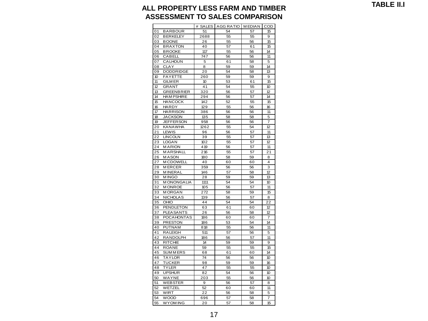**TABLE II.I**

#### **ALL PROPERTY LESS FARM AND TIMBER ASSESSMENT TO SALES COMPARISON**

|    |                   | # SALES         | <b>AGG RATIO</b> | <b>MEDIAN</b> | COD |
|----|-------------------|-----------------|------------------|---------------|-----|
| 01 | BARBOUR           | 51              | 54               | 57            | 15  |
| 02 | <b>BERKELEY</b>   | 2688            | 55               | 55            | 9   |
| 03 | <b>BOONE</b>      | 26              | 55               | 56            | 15  |
| 04 | <b>BRAXTON</b>    | 40              | 57               | 61            | 15  |
| 05 | <b>BROOKE</b>     | 117             | 55               | 56            | 14  |
| 06 | CABELL            | 747             | 56               | 56            | 11  |
| 07 | CALHOUN           | 5               | 61               | 58            | 5   |
| 08 | CLAY              | 8               | 59               | 59            | 14  |
| 09 | DODDRIDGE         | 20              | 54               | 58            | 13  |
| 10 | <b>FAYETTE</b>    | 260             | 59               | 59            | 9   |
| 11 | <b>GILM ER</b>    | 10              | 53               | 61            | 15  |
| 12 | <b>GRANT</b>      | 41              | 54               | 55            | 10  |
| 13 | <b>GREENBRIER</b> | 320             | 56               | 57            | 12  |
| 14 | <b>HAM PSHIRE</b> | 294             | 56               | 57            | 14  |
| 15 | <b>HANCOCK</b>    | 142             | 52               | 55            | 15  |
| 16 | <b>HARDY</b>      | 129             | 55               | 56            | 16  |
| 17 | <b>HARRISON</b>   | 386             | 56               | 56            | 11  |
| 18 | <b>JACKSON</b>    | 135             | 58               | 58            | 5   |
| 19 | <b>JEFFERSON</b>  | 958             | 56               | 56            | 7   |
| 20 | <b>KANAWHA</b>    | 1262            | 55               | 54            | 12  |
| 21 | LEWIS             | 96              | 56               | 57            | 11  |
| 22 | <b>LINCOLN</b>    | 39              | 55               | 57            | 13  |
| 23 | <b>LOGAN</b>      | 102             | 55               | 57            | 12  |
| 24 | <b>MARION</b>     | 419             | 56               | 57            | 11  |
| 25 | MARSHALL          | 216             | 55               | 57            | 21  |
| 26 | <b>MASON</b>      | 180             | 58               | 59            | 8   |
| 27 | <b>MCDOWELL</b>   | 40              | 60               | 60            | 4   |
| 28 | <b>MERCER</b>     | 359             | 56               | 56            | 3   |
| 29 | <b>MINERAL</b>    | 146             | 57               | 58            | 12  |
| 30 | <b>MINGO</b>      | 28              | 59               | 59            | 13  |
| 31 | <b>MONONGALIA</b> | 1111            | 54               | 54            | 10  |
| 32 | <b>MONROE</b>     | 10 <sub>5</sub> | 56               | 57            | 11  |
| 33 | <b>MORGAN</b>     | 272             | 58               | 59            | 15  |
| 34 | <b>NICHOLAS</b>   | 139             | 56               | 57            | 8   |
| 35 | OHIO              | 44              | 54               | 54            | 22  |
| 36 | <b>PENDLETON</b>  | 63              | 61               | 60            | 12  |
| 37 | PLEASANTS         | 26              | 56               | 58            | 12  |
| 38 | <b>POCAHONTAS</b> | 186             | 60               | 60            | 7   |
| 39 | <b>PRESTON</b>    | 186             | 53               | 54            | 14  |
| 40 | <b>PUTNAM</b>     | 818             | 55               | 56            | 11  |
| 41 | <b>RALEIGH</b>    | 511             | 57               | 56            | 5   |
| 42 | RANDOLPH          | 186             | 56               | 57            | 11  |
| 43 | <b>RITCHIE</b>    | 14              | 59               | 59            | 9   |
| 44 | <b>ROANE</b>      | 59              | 55               | 55            | 15  |
| 45 | <b>SUMMERS</b>    | 68              | 61               | 60            | 14  |
| 46 | <b>TAYLOR</b>     | 74              | 56               | 56            | 10  |
| 47 | TUCKER            | 98              | 59               | 59            | 16  |
| 48 | <b>TYLER</b>      | 47              | 55               | 55            | 10  |
| 49 | <b>UPSHUR</b>     | 82              | 54               | 56            | 10  |
| 50 | WAYNE             | 203             | 55               | 56            | 10  |
| 51 | <b>WEBSTER</b>    | 9               | 56               | 57            | 8   |
| 52 | WETZEL            | 52              | 60               | 60            | 11  |
| 53 | WIRT              | 22              | 56               | 58            | 5   |
| 54 | WOOD              | 696             | 57               | 58            | 7   |
| 55 | WYOM ING          | 20              | 57               | 58            | 15  |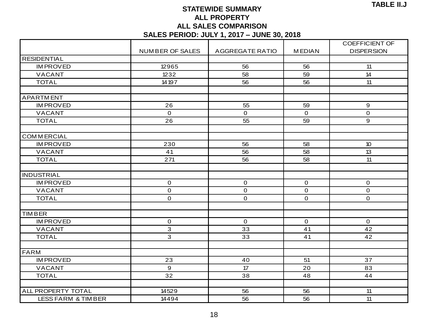### **STATEWIDE SUMMARY ALL PROPERTY ALL SALES COMPARISON**

|                               |                        | ALL UALLU UUINI ARIUUN<br>SALES PERIOD: JULY 1, 2017 - JUNE 30, 2018 |               |                       |
|-------------------------------|------------------------|----------------------------------------------------------------------|---------------|-----------------------|
|                               |                        |                                                                      |               | <b>COEFFICIENT OF</b> |
|                               | <b>NUMBER OF SALES</b> | <b>AGGREGATE RATIO</b>                                               | <b>MEDIAN</b> | <b>DISPERSION</b>     |
| <b>RESIDENTIAL</b>            |                        |                                                                      |               |                       |
| <b>IMPROVED</b>               | 12965                  | 56                                                                   | 56            | 11                    |
| <b>VACANT</b>                 | 1232                   | 58                                                                   | 59            | 14                    |
| <b>TOTAL</b>                  | 14 19 7                | 56                                                                   | 56            | 11                    |
| <b>APARTMENT</b>              |                        |                                                                      |               |                       |
| <b>IMPROVED</b>               | 26                     | 55                                                                   | 59            | 9                     |
| <b>VACANT</b>                 | $\mathbf 0$            | $\mathbf{O}$                                                         | $\mathbf{O}$  | $\overline{0}$        |
| <b>TOTAL</b>                  | 26                     | 55                                                                   | 59            | 9                     |
| <b>COMMERCIAL</b>             |                        |                                                                      |               |                       |
| <b>IMPROVED</b>               | 230                    | 56                                                                   | 58            | 10 <sup>°</sup>       |
| <b>VACANT</b>                 | 41                     | 56                                                                   | 58            | 13                    |
| <b>TOTAL</b>                  | 271                    | 56                                                                   | 58            | 11                    |
|                               |                        |                                                                      |               |                       |
| <b>INDUSTRIAL</b>             |                        |                                                                      |               |                       |
| <b>IMPROVED</b>               | $\mathbf 0$            | $\mathbf 0$                                                          | $\mathbf 0$   | $\mathbf{O}$          |
| VACANT                        | $\mathbf 0$            | $\mathbf 0$                                                          | $\mathbf 0$   | 0                     |
| <b>TOTAL</b>                  | $\mathbf 0$            | $\mathbf 0$                                                          | $\mathbf{O}$  | $\overline{O}$        |
| <b>TIMBER</b>                 |                        |                                                                      |               |                       |
| <b>IMPROVED</b>               | $\mathbf 0$            | $\mathbf 0$                                                          | $\mathbf 0$   | $\mathbf 0$           |
| <b>VACANT</b>                 | 3                      | 33                                                                   | 41            | 42                    |
| <b>TOTAL</b>                  | 3                      | 33                                                                   | 41            | 42                    |
|                               |                        |                                                                      |               |                       |
| <b>FARM</b>                   |                        |                                                                      |               |                       |
| <b>IMPROVED</b>               | 23                     | 40                                                                   | 51            | 37                    |
| VACANT                        | 9                      | 17                                                                   | 20            | 83                    |
| <b>TOTAL</b>                  | 32                     | 38                                                                   | 48            | 44                    |
|                               |                        |                                                                      |               |                       |
| ALL PROPERTY TOTAL            | 14529                  | 56                                                                   | 56            | 11                    |
| <b>LESS FARM &amp; TIMBER</b> | 14494                  | 56                                                                   | 56            | 11                    |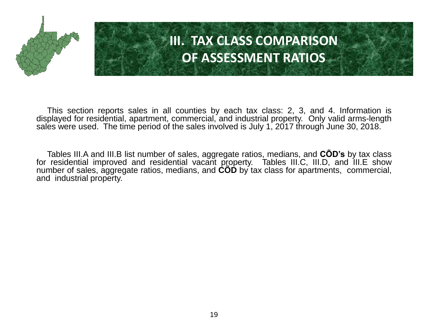

# **III. TAX CLASS COMPARISON OF ASSESSMENT RATIOS**

This section reports sales in all counties by each tax class: 2, 3, and 4. Information is displayed for residential, apartment, commercial, and industrial property. Only valid arms-length sales were used. The time period of the sales involved is July 1, 2017 through June 30, 2018.

Tables III.A and III.B list number of sales, aggregate ratios, medians, and **CÕD's** by tax class for residential improved and residential vacant property. Tables III.C, III.D, and III.E show number of sales, aggregate ratios, medians, and **CÕD** by tax class for apartments, commercial, and industrial property.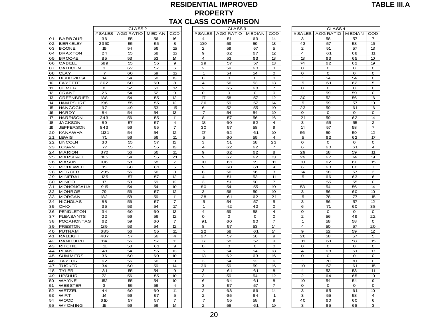#### **RESIDENTIAL IMPROVED PROPERTY TAX CLASS COMPARISON**

|                                           |                 |                    |               |                  |                            | <b>PRUPERIT</b><br><b>TAX CLASS COMPARISON</b> |                  |                            |                   |                    |                   |                   |
|-------------------------------------------|-----------------|--------------------|---------------|------------------|----------------------------|------------------------------------------------|------------------|----------------------------|-------------------|--------------------|-------------------|-------------------|
|                                           |                 | CLASS <sub>2</sub> |               |                  |                            | CLASS <sub>3</sub>                             |                  |                            |                   | CLASS <sub>4</sub> |                   |                   |
|                                           | # SALES         | AGG RATIO          | <b>MEDIAN</b> | COD              | # SALES                    |                                                | AGG RATIO MEDIAN | COD                        | # SALES           | AGG RATIO          | <b>MEDIAN</b>     | COD               |
| 01<br><b>BARBOUR</b>                      | 36              | 55                 | 56            | 16               | 4                          | 51                                             | 63               | 14                         | 3                 | 58                 | 57                | $\overline{7}$    |
| 02<br><b>BERKELEY</b>                     | 2350            | 55                 | 55            | 8                | 109                        | 59                                             | 59               | 13                         | 43                | 57                 | 58                | 16                |
| 03<br><b>BOONE</b>                        | 19              | 54                 | 56            | 15               | $\mathbf{2}$               | 59                                             | 57               | 5                          | $\mathbf{2}$      | 51                 | 57                | 13                |
| 04<br><b>BRAXTON</b>                      | 24              | 55                 | 58            | 15               | 9                          | 62                                             | 67               | 12                         | $\overline{4}$    | 61                 | 68                | 11                |
| <b>BROOKE</b><br>05                       | 85              | 53                 | 53            | 14               | $\overline{4}$             | 53                                             | 63               | 13                         | 13                | 63                 | 65                | 10                |
| 06<br><b>CABELL</b>                       | 589             | 55                 | 55            | 9                | 29                         | 57                                             | 57               | 13                         | 74                | 62                 | 62                | 19                |
| CALHOUN<br>07                             | 3               | 62                 | 57            | 6                | $\overline{2}$             | 59                                             | 60               | 3                          | $\mathbf 0$       | 0                  | 0                 | O                 |
| 08<br><b>CLAY</b>                         | $\overline{7}$  | 60                 | 59            | 15               | $\mathbf{1}$               | 54                                             | 54               | $\mathbf 0$                | $\mathbf 0$       | $\mathbf 0$        | $\mathbf 0$       | $\mathbf 0$       |
| <b>DODDRIDGE</b><br>09                    | 14              | 54                 | 58            | 13               | $\mathbf 0$                | 0                                              | $\mathbf{O}$     | $\mathbf 0$                | 1                 | 54                 | 54                | $\mathbf 0$       |
| 10 <sup>°</sup><br><b>FAYETTE</b>         | 202             | 60                 | 60            | 8                | 4                          | 56                                             | 53               | 13                         | 5                 | 61                 | 62                | 5                 |
| 11<br><b>GILM ER</b>                      | 8               | 52                 | 53            | 17               | $\overline{2}$             | 65                                             | 68               | $\overline{7}$             | 0                 | O                  | $\mathbf 0$       | 0                 |
| 12<br><b>GRANT</b>                        | 26              | 54                 | 52            | 9                | 0                          | o                                              | 0                | 0                          | -1                | 59                 | 59                | $\mathbf 0$       |
| 13<br><b>GREENBRIER</b>                   | 188             | 54                 | 55            | 12               | 17                         | 58                                             | 57               | 12                         | 30                | 52                 | 56                | 16                |
| 14<br><b>HAM PSHIRE</b>                   | 196             | 55<br>49           | 55            | 12               | 26                         | 59                                             | 57               | 14<br>10 <sup>10</sup>     | 5                 | 59                 | 57                | 10                |
| <b>HANCOCK</b><br>15<br><b>HARDY</b>      | 97<br>84        | 54                 | 53<br>54      | 15               | 6<br>7                     | 52                                             | 55               | 19                         | 23<br>$\mathbf 0$ | 59<br>$\mathbf 0$  | 61<br>$\mathbf 0$ | 16<br>$\mathbf 0$ |
| 16<br>17<br><b>HARRISON</b>               | 343             | 56                 | 55            | 13<br>11         | 8                          | 54<br>57                                       | 54<br>56         | 16                         | 21                | 59                 | 62                | 14                |
| 18<br><b>JACKSON</b>                      | 89              | 57                 | 57            | 4                | 18                         | 60                                             | 62               | $\overline{4}$             | 3                 | 55                 | 55                | $\overline{2}$    |
| <b>JEFFERSON</b><br>19                    | 843             | 56                 | 55            | $\overline{7}$   | 30                         | 57                                             | 58               | 9                          | 14                | 57                 | 58                | $\overline{7}$    |
| 20<br><b>KANAWHA</b>                      | 1131            | 54                 | 54            | 12               | 17                         | 62                                             | 61               | 10 <sup>10</sup>           | 56                | 59                 | 59                | 12                |
| LEWIS<br>21                               | 71              | 56                 | 56            | 11               | 5                          | 60                                             | 59               | $\overline{\mathbf{4}}$    | 5                 | 62                 | 62                | 17                |
| <b>LINCOLN</b><br>22                      | 30              | 55                 | 57            | 13               | 3                          | 51                                             | 58               | 23                         | $\mathbf 0$       | $\mathbf 0$        | $\mathbf 0$       | $\mathbf 0$       |
| 23<br><b>LOGAN</b>                        | 77              | 55                 | 55            | 13               | $\overline{4}$             | 62                                             | 62               | $\overline{7}$             | 6                 | 60                 | 61                | $\overline{4}$    |
| 24<br><b>MARION</b>                       | 370             | 56                 | 56            | 11               | 9                          | 62                                             | 62               | 8                          | 29                | 58                 | 59                | 11                |
| 25<br><b>MARSHALL</b>                     | 165             | 54                 | 55            | 21               | 9                          | 67                                             | 62               | 13                         | 29                | 67                 | 74                | 19                |
| 26<br><b>MASON</b>                        | 106             | 58                 | 58            | $\overline{7}$   | 10                         | 61                                             | 59               | 11                         | 10 <sup>10</sup>  | 62                 | 60                | 15                |
| 27<br><b>M CDOWELL</b>                    | 15              | 60                 | 61            | 5                | $\mathbf 9$                | 60                                             | 61               | $\overline{4}$             | 6                 | 60                 | 60                | $\mathbf{1}$      |
| 28<br><b>MERCER</b>                       | 295             | 56                 | 56            | 3                | 8                          | 56                                             | 56               | 3                          | 14                | 58                 | 57                | 3                 |
| <b>MINERAL</b><br>29                      | 125             | 57                 | 57            | 12               | 4                          | 51                                             | 53               | 11                         | 5                 | 66                 | 63                | 6                 |
| 30<br><b>MINGO</b>                        | 17              | 59                 | 59            | 12               | 3                          | 51                                             | 50               | $\overline{7}$             | $\mathbf 1$       | 55                 | 55                | O                 |
| <b>MONONGALIA</b><br>31                   | 915             | 54                 | 54            | 10               | 80                         | 54                                             | 55               | 10                         | 53                | 54                 | 56                | 14                |
| <b>MONROE</b><br>32                       | 79              | 56                 | 57            | 12               | з                          | 56                                             | 59               | 10 <sup>10</sup>           | з                 | 56                 | 60                | 10                |
| <b>MORGAN</b><br>33                       | 182             | 58                 | 59            | 11               | 28                         | 61                                             | 62               | 21                         | 5                 | 78                 | 77                | 15                |
| <b>NICHOLAS</b><br>34                     | 88              | 56                 | 57            | $\overline{7}$   | 5                          | 54                                             | 57               | 5                          | 3                 | 56                 | 57                | 12                |
| OHIO<br>35                                | 35              | 53                 | 54            | 17               | $\mathbf{1}$               | 42                                             | 42               | $\Omega$                   | 6                 | 71                 | 60                | 38                |
| 36<br>PENDLETON<br><b>PLEASANTS</b><br>37 | 34<br>22        | 60<br>56           | 60            | 13<br>12         | $\overline{4}$<br>$\Omega$ | 59<br>$\Omega$                                 | 58<br>$\Omega$   | $\overline{4}$<br>$\Omega$ | $\mathbf 0$       | $\mathbf 0$<br>56  | $\mathbf 0$<br>49 | $\mathbf 0$<br>22 |
| <b>POCAHONTAS</b><br>38                   | 62              | 59                 | 56<br>60      | $\overline{7}$   | 91                         | 60                                             | 60               | $\overline{7}$             | 2<br>$\mathbf{1}$ | 58                 | 58                | $\mathbf 0$       |
| 39<br><b>PRESTON</b>                      | 139             | 53                 | 54            | 12               | 8                          | 57                                             | 53               | 14                         | $\overline{4}$    | 50                 | 57                | 20                |
| <b>PUTNAM</b><br>40                       | 685             | 56                 | 55            | 11               | 22                         | 58                                             | 61               | 14                         | 9                 | 52                 | 59                | 12                |
| <b>RALEIGH</b><br>41                      | 407             | 57                 | 56            | $\overline{4}$   | 27                         | 57                                             | 56               | 9                          | 26                | 58                 | 57                | 5                 |
| 42<br><b>RANDOLPH</b>                     | 114             | 56                 | 57            | 11               | 17                         | 58                                             | 57               | 9                          | 11                | 61                 | 58                | 15                |
| 43<br><b>RITCHIE</b>                      | 11              | 58                 | 61            | 9                | $\mathbf 0$                | O                                              | O                | $\Omega$                   | $\Omega$          | O                  | $\mathbf 0$       | 0                 |
| 44<br><b>ROANE</b>                        | 41              | 54                 | 55            | 13               | 5                          | 54                                             | 54               | 18                         | $\overline{4}$    | 68                 | 61                | 17                |
| <b>SUMMERS</b><br>45                      | 36              | 60                 | 60            | 10 <sup>10</sup> | 13                         | 62                                             | 63               | 16                         | $\mathbf 0$       | $\mathbf 0$        | $\mathbf 0$       | $\mathbf 0$       |
| 46<br><b>TAYLOR</b>                       | 62              | 56                 | 56            | 9                | 3                          | 54                                             | 52               | 6                          | $\mathbf{1}$      | 70                 | 70                | $\mathbf 0$       |
| <b>TUCKER</b><br>47                       | 34              | 60                 | 59            | 14               | 39                         | 59                                             | 59               | 16                         | 10 <sup>10</sup>  | 57                 | 61                | 15                |
| <b>TYLER</b><br>48                        | 31              | 55                 | 54            | 9                | 3                          | 61                                             | 61               | 8                          | $\overline{4}$    | 53                 | 53                | 11                |
| <b>UPSHUR</b><br>49                       | $\overline{72}$ | 56                 | 55            | 10 <sup>10</sup> | 3                          | 59                                             | 54               | 12                         | $\overline{2}$    | 64                 | 65                | 10                |
| 50<br>WAYNE                               | 152             | 55                 | 54            | 10               | 6                          | 64                                             | 61               | 8                          | 10 <sup>10</sup>  | 54                 | 54                | 9                 |
| 51<br><b>WEBSTER</b>                      | 3               | 55                 | 56            | 4                | 3                          | 57                                             | 57               | $\overline{7}$             | $\mathbf 0$       | $\mathbf 0$        | $\mathbf 0$       | $\mathbf 0$       |
| 52<br>WETZEL                              | 44              | 60                 | 60            | 11               | $\overline{2}$             | 63                                             | 66               | 14                         | 3                 | 65                 | 61                | 10 <sup>°</sup>   |
| 53<br>WIRT                                | 14              | 56                 | 57            | 5                | 2                          | 65                                             | 64               | $\mathbf{1}$               | 3                 | 55                 | 58                | $\overline{4}$    |
| 54<br><b>WOOD</b>                         | 610             | 57                 | 57            | 7                | 7                          | 55                                             | 58               | 9                          | 40                | 60                 | 60                | 6                 |
| 55<br><b>WYOM ING</b>                     | 15              | 56                 | 56            | 14               | $\overline{2}$             | 58                                             | 61               | 19                         | 3                 | 65                 | 68                | 3                 |
|                                           |                 |                    |               |                  |                            |                                                |                  |                            |                   |                    |                   |                   |

| CLASS <sub>2</sub> |               |                  |                         | CLASS <sub>3</sub> |               |                |                         | CLASS <sub>4</sub> |  |
|--------------------|---------------|------------------|-------------------------|--------------------|---------------|----------------|-------------------------|--------------------|--|
| <b>RATIO</b>       | <b>MEDIAN</b> | COD              | #SALES                  | <b>AGG RATIO</b>   | <b>MEDIAN</b> | COD            | # SALES                 | <b>AGG RATIO</b>   |  |
| 55                 | 56            | 16               | 4                       | 51                 | 63            | 14             | з                       | 58                 |  |
| 55                 | 55            | 8                | 109                     | 59                 | 59            | 13             | 43                      | 57                 |  |
| 54                 | 56            | 15               | $\overline{\mathbf{c}}$ | 59                 | 57            | 5              | $\overline{\mathbf{c}}$ | 51                 |  |
| 55                 | 58            | 15               | 9                       | 62                 | 67            | 12             | 4                       | 61                 |  |
| 53                 | 53            | 14               | 4                       | 53                 | 63            | 13             | 13                      | 63                 |  |
| 55                 | 55            | 9                | 29                      | 57                 | 57            | 13             | 74                      | 62                 |  |
| 52                 | 57            | 6                | $\overline{2}$          | 59                 | 60            | 3              | 0                       | $\mathbf 0$        |  |
| 50                 | 59            | 15               | 1                       | 54                 | 54            | 0              | 0                       | O                  |  |
| 54                 | 58            | 13               | 0                       | O                  | 0             | o              | 1                       | 54                 |  |
| 50                 | 60            | 8                | 4                       | 56                 | 53            | 13             | 5                       | 61                 |  |
| 52                 | 53            | 17               | $\overline{2}$          | 65                 | 68            | 7              | O                       | O                  |  |
| 54                 | 52            | 9                | 0                       | $\mathbf 0$        | 0             | 0              | 1                       | 59                 |  |
| $\overline{54}$    | 55            | 12               | $\overline{17}$         | 58                 | 57            | 12             | $\overline{30}$         | 52                 |  |
| 55                 | 55            | 12               | 26                      | 59                 | 57            | 14             | 5                       | 59                 |  |
| 19                 | 53            | 15               | 6                       | 52                 | 55            | 10             | 23                      | 59                 |  |
| 54                 | 54            | 13               | $\overline{7}$          | 54                 | 54            | 19             | 0                       | o                  |  |
| 56                 | 55            | 11               | 8                       | 57                 | 56            | 16             | 21                      | 59                 |  |
| 57                 | 57            | $\overline{a}$   | 18                      | 60                 | 62            | 4              | 3                       | 55                 |  |
| 56                 | 55            | $\overline{7}$   | 30                      | 57                 | 58            | 9              | 14                      | 57                 |  |
| 54                 | 54            | 12               | 17                      | 62                 | 61            | 10             | 56                      | 59                 |  |
| 56                 | 56            | 11               | 5                       | 60                 | 59            | 4              | 5                       | 62                 |  |
| 55                 | 57            | 13               | З                       | 51                 | 58            | 23             | 0                       | O                  |  |
| 55                 | 55            | 13               | 4                       | 62                 | 62            | 7              | 6                       | 60                 |  |
| 56                 | 56            | 11               | 9                       | 62                 | 62            | 8              | 29                      | 58                 |  |
| 54                 | 55            | 21               | 9                       | 67                 | 62            | 13             | 29                      | 67                 |  |
| 58                 | 58            | $\overline{7}$   | 10                      | 61                 | 59            | 11             | 10                      | 62                 |  |
| 50                 | 61            | 5                | 9                       | 60                 | 61            | 4              | 6                       | 60                 |  |
| 56                 | 56            | 3                | 8                       | 56                 | 56            | 3              | 14                      | 58                 |  |
| 57                 | 57            | 12               | 4                       | 51                 | 53            | 11             | 5                       | 66                 |  |
| 59                 | 59            | 12               | 3                       | 51                 | 50            | $\overline{7}$ | $\mathbf{1}$            | 55                 |  |
| 54                 | 54            | 10 <sup>10</sup> | 80                      | 54                 | 55            | 10             | 53                      | 54                 |  |
| 56                 | 57            | 12               | 3                       | 56                 | 59            | 10             | 3                       | 56                 |  |
| 58                 | 59            | 11               | 28                      | 61                 | 62            | 21             | 5                       | 78                 |  |
| 56                 | 57            | $\overline{7}$   | 5                       | 54                 | 57            | 5              | 3                       | 56                 |  |
| 53                 | 54            | 17               | $\mathbf{1}$            | 42                 | 42            | 0              | 6                       | 71                 |  |
| 50                 | 60            | 13               | 4                       | 59                 | 58            | 4              | 0                       | $\mathbf 0$        |  |
| 56                 | 56            | 12               | $\mathbf 0$             | O                  | 0             | 0              | $\overline{2}$          | 56                 |  |
| 59                 | 60            | 7                | 91                      | 60                 | 60            | 7              | 1                       | 58                 |  |
| 53                 | 54            | 12               | 8                       | 57                 | 53            | 14             | 4                       | 50                 |  |
| 56                 | 55            | 11               | 22                      | 58                 | 61            | 14             | 9                       | 52                 |  |
| 57                 | 56            | 4                | 27                      | 57                 | 56            | 9              | 26                      | 58                 |  |
| 56                 | 57            | 11               | 17                      | 58                 | 57            | 9              | 11                      | 61                 |  |
| 58                 | 61            | 9                | $\mathbf 0$             | $\mathbf 0$        | $\Omega$      | $\mathbf 0$    | $\mathbf 0$             | $\mathbf 0$        |  |
| 54                 | 55            | 13               | 5                       | 54                 | 54            | 18             | 4                       | 68                 |  |
| 50                 | 60            | 10               | 13                      | 62                 | 63            | 16             | 0                       | o                  |  |
| 56                 | 56            | 9                | 3                       | 54                 | 52            | 6              | $\mathbf{1}$            | 70                 |  |
| 50                 | 59            | 14               | 39                      | 59                 | 59            | 16             | 10                      | 57                 |  |
| 55                 | 54            | 9                | 3                       | 61                 | 61            | 8              | 4                       | 53                 |  |
| 56                 | 55            | 10               | 3                       | 59                 | 54            | 12             | $\overline{2}$          | 64                 |  |
| 55                 | 54            | 10               | 6                       | 64                 | 61            | 8              | 10                      | 54                 |  |
| 55                 | 56            | $\overline{4}$   | 3                       | 57                 | 57            | 7              | 0                       | 0                  |  |
| 50                 | 60            | 11               | 2                       | 63                 | 66            | 14             | 3                       | 65                 |  |
| 56                 | 57            | 5                | $\overline{2}$          | 65                 | 64            | $\overline{1}$ | 3                       | 55                 |  |
| 57                 | 57            | $\overline{7}$   | 7                       | 55                 | 58            | 9              | 40                      | 60                 |  |
| 56                 | 56            | 14               | $\overline{2}$          | 58                 | 61            | 19             | 3                       | 65                 |  |

|                | CLASS <sub>4</sub> |                 |                 |
|----------------|--------------------|-----------------|-----------------|
| # SALES        | <b>AGG RATIO</b>   | <b>MEDIAN</b>   | COD             |
| 3              | 58                 | 57              | 7               |
| 43             | 57                 | 58              | 16              |
| 2              | 51                 | 57              | 13              |
| 4              | 61                 | 68              | 11              |
| 13             | 63                 | 65              | 10              |
| 74             | 62                 | 62              | 19              |
| 0              | 0                  | o               | 0               |
| 0              | 0                  | 0               | 0               |
| 1              | 54                 | 54              | 0               |
| 5              | 61                 | 62              | 5               |
| 0              | 0                  | 0               | 0               |
| 1              | 59                 | 59              | 0               |
| 30             | 52                 | 56              | 16              |
| 5              | 59                 | 57              | 10              |
| 23             | 59                 | 61              | 16              |
| 0              | 0                  | O               | 0               |
| 21             | 59                 | 62              | 14              |
| 3              | 55                 | 55              | 2               |
| 14             | 57                 | 58              | 7               |
| 56             | 59                 | 59              | $\overline{12}$ |
| 5              | 62                 | 62              | 17              |
| 0              | 0                  | 0               | 0               |
| 6              | 60                 | 61              | 4               |
| 29             | 58                 | 59              | 11              |
| 29             | 67                 | $\overline{74}$ | 19              |
| 10             | 62                 | 60              | 15              |
| 6              | 60                 | 60              | 1               |
| 14             | 58                 | 57              | 3               |
| 5              | 66                 | 63              | 6               |
| 1              | 55                 | 55              | 0               |
| 53             | 54                 | 56              | 14              |
| з              | 56                 | 60              | 10              |
| 5              | 78                 | 77              | 15              |
| 3              | 56                 | 57              | 12              |
| 6              | 71                 | 60              | 38              |
| 0              | 0                  | 0               | 0               |
| 2              | 56                 | 49              | 22              |
| 1              | 58                 | 58              | 0               |
| 4              | 50                 | 57              | 20              |
| 9              | 52                 | 59              | 12              |
| 26             | 58                 | 57              | 5               |
| 11             | 61                 | 58              | 15              |
| O              | 0                  | O               | O               |
| 4              | 68                 | 61              | 17              |
| O              | 0                  | 0               | 0               |
| 1              | 70                 | 70              | 0               |
| 10             | 57                 | 61              | 15              |
| 4              | 53                 | 53              | 11              |
| $\overline{2}$ | 64                 | 65              | 10              |
| 10             | 54                 | 54              | 9               |
| 0              | 0                  | O               | 0               |
| 3              | 65                 | 61              | 10              |
| 3              | 55                 | 58              | 4               |
| 40             | 60                 | 60              | 6               |
| з              | 65                 | 68              | 3               |
|                |                    |                 |                 |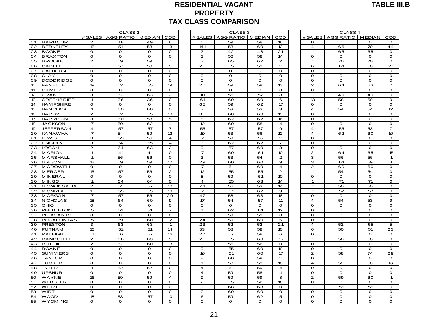#### **RESIDENTIAL VACANT PROPERTY TAX CLASS COMPARISON**

|                                             |                              |                              |                   |                         | <u>I INTENII</u><br><b>TAX CLASS COMPARISON</b> |                              |              |                            |                         |                              |                            |                                |  |  |
|---------------------------------------------|------------------------------|------------------------------|-------------------|-------------------------|-------------------------------------------------|------------------------------|--------------|----------------------------|-------------------------|------------------------------|----------------------------|--------------------------------|--|--|
|                                             |                              | CLASS <sub>2</sub>           |                   |                         |                                                 | CLASS <sub>3</sub>           |              |                            | CLASS <sub>4</sub>      |                              |                            |                                |  |  |
|                                             |                              | # SALES   AGG RATIO   MEDIAN |                   | COD                     |                                                 | # SALES   AGG RATIO   MEDIAN |              | COD                        |                         | # SALES   AGG RATIO   MEDIAN |                            | COD                            |  |  |
| 01<br><b>BARBOUR</b>                        | $\overline{2}$               | 48                           | 49                | 8                       | 6                                               | 59                           | 58           | 18                         | $\mathbf 0$             | $\mathbf 0$                  | $\mathbf 0$                | $\mathbf{o}$                   |  |  |
| <b>BERKELEY</b><br>02                       | 12                           | 51                           | 58                | 13                      | 141                                             | 58                           | 60           | 12                         | $\overline{4}$          | 66                           | 70                         | 44                             |  |  |
| 03 BOONE                                    | $\mathbf{o}$                 | O                            | $\mathbf{o}$      | O                       | $\overline{2}$                                  | 42                           | 48           | 21                         | $\overline{1}$          | 65                           | 65                         | $\mathbf 0$                    |  |  |
| <b>BRAXTON</b><br>04                        | $\mathbf O$                  | O                            | O                 | O                       | з                                               | 56                           | 58           | 14                         | O                       | $\mathbf 0$                  | $\mathbf 0$                | $\mathbf 0$                    |  |  |
| <b>BROOKE</b><br>05                         | $\mathbf{2}$                 | 59                           | 59                | 1                       | з                                               | 65                           | 67           | $\mathbf{2}$               | 1                       | 70                           | 70                         | O                              |  |  |
| 06<br>CABELL                                | $\overline{7}$               | 57                           | 58                | 5                       | 25                                              | 55                           | 59           | 11                         | 6                       | 61                           | 58                         | 21                             |  |  |
| 07<br>CALHOUN                               | $\mathbf{o}$                 | $\mathbf{o}$                 | 0                 | $\mathbf{o}$            | O                                               | $\mathbf{o}$                 | $\mathbf{O}$ | $\mathbf 0$                | $\mathbf{o}$            | $\mathbf 0$                  | $\mathbf 0$                | $\mathbf{o}$                   |  |  |
| 08<br><b>CLAY</b><br>09<br><b>DODDRIDGE</b> | $\mathbf 0$<br>$\mathbf 0$   | $\mathbf 0$<br>$\mathbf 0$   | $\mathbf{o}$<br>0 | $\mathbf 0$<br>0        | O<br>O                                          | $\mathbf{o}$<br>$\mathbf{o}$ | 0<br>0       | $\mathbf 0$<br>$\mathbf 0$ | $\Omega$<br>$\mathbf 0$ | $\mathbf 0$<br>$\mathbf 0$   | $\mathbf 0$<br>$\mathbf 0$ | O<br>$\mathbf{o}$              |  |  |
| 10 <sup>°</sup><br><b>FAYETTE</b>           | 19                           | 52                           | 55                | 19                      | 20                                              | 59                           | 59           | 13                         | $\overline{2}$          | 64                           | 63                         | $\overline{2}$                 |  |  |
| 11<br><b>GILM ER</b>                        | $\mathbf{o}$                 | O                            | O                 | O                       | 0                                               | O                            | 0            | $\mathbf 0$                | $\mathbf 0$             | 0                            | $\mathbf{o}$               | $\mathbf 0$                    |  |  |
| 12<br><b>GRANT</b>                          | 3                            | 62                           | 63                | $\overline{c}$          | 10                                              | 56                           | 57           | 8                          | $\overline{1}$          | 49                           | 49                         | $\mathbf{o}$                   |  |  |
| 13<br><b>GREENBRIER</b>                     | $\mathbf{1}$                 | 36                           | 36                | O                       | 61                                              | 60                           | 60           | 6                          | 13                      | 58                           | 59                         | 9                              |  |  |
| <b>HAM PSHIRE</b><br>14                     | $\mathbf O$                  | O                            | 0                 | O                       | 65                                              | 59                           | 62           | 17                         | O                       | 0                            | 0                          | O                              |  |  |
| <b>HANCOCK</b><br>15                        | $\mathbf{1}$                 | 60                           | 60                | 0                       | $\overline{2}$                                  | 53                           | 53           | 3                          | $\overline{4}$          | 54                           | 54                         | 12                             |  |  |
| 16<br><b>HARDY</b>                          | $\overline{2}$               | 52                           | 55                | 18                      | 35                                              | 60                           | 60           | 19                         | $\mathbf{o}$            | $\Omega$                     | $\mathbf 0$                | $\mathbf{o}$                   |  |  |
| 17<br><b>HARRISON</b>                       | 3                            | 60                           | 58                | 5                       | 8                                               | 62                           | 62           | 16                         | $\mathbf{o}$            | $\mathbf{o}$                 | $\mathbf 0$                | $\mathbf{o}$                   |  |  |
| 18<br><b>JACKSON</b>                        | $\overline{7}$               | 59                           | 62                | $\overline{4}$          | 12                                              | 60                           | 58           | $\overline{4}$             | $\mathbf 0$             | $\mathbf 0$                  | $\mathbf 0$                | $\mathbf{o}$                   |  |  |
| 19<br><b>JEFFERSON</b>                      | $\overline{4}$               | 57                           | 57                | $\overline{7}$          | 55                                              | 57                           | 57           | 9                          | $\overline{4}$          | 55                           | 53                         | $\overline{7}$                 |  |  |
| 20<br><b>KANAWHA</b>                        | $\overline{7}$               | 54                           | 59                | 12                      | 10                                              | 53                           | 56           | 12                         | $\overline{a}$          | 62                           | 60                         | 10                             |  |  |
| 21<br><b>LEWIS</b>                          | 3                            | 55                           | 56                | 4                       | $\overline{7}$                                  | 59                           | 55           | 11                         | $\mathbf{o}$            | $\mathbf 0$                  | $\mathbf 0$                | $\mathbf 0$                    |  |  |
| 22<br><b>LINCOLN</b>                        | 3                            | 54                           | 55                | $\overline{\mathbf{4}}$ | з                                               | 62                           | 62           | $\overline{7}$             | O                       | $\mathbf 0$                  | $\mathbf 0$                | $\mathbf 0$                    |  |  |
| <b>LOGAN</b><br>23                          | $\mathbf{2}$                 | 64                           | 63                | $\overline{c}$          | 9                                               | 57                           | 60           | 8                          | O                       | o                            | O                          | O                              |  |  |
| 24<br><b>MARION</b>                         | $\mathbf{1}$<br>$\mathbf{1}$ | 41                           | 41                | O<br>$\Omega$           | $\overline{7}$<br>3                             | 60                           | 61<br>54     | 10 <sup>10</sup>           | $\overline{c}$          | 64                           | 65                         | 15                             |  |  |
| 25<br>MARSHALL<br>26<br><b>MASON</b>        | 12                           | 56<br>59                     | 56<br>59          | 12                      | 29                                              | 53<br>60                     | 60           | $\overline{2}$<br>9        | з<br>З                  | 56<br>61                     | 56<br>59                   | $\mathbf{1}$<br>$\overline{4}$ |  |  |
| 27<br><b>MCDOWELL</b>                       | $\mathbf 0$                  | $\mathbf 0$                  | $\mathbf{o}$      | 0                       | $\overline{7}$                                  | 61                           | 60           | $\overline{4}$             | $\mathbf{2}$            | 60                           | 60                         | $\mathbf{o}$                   |  |  |
| 28<br><b>MERCER</b>                         | 15                           | 57                           | 56                | $\overline{2}$          | 12                                              | 55                           | 55           | $\overline{2}$             | $\overline{1}$          | 54                           | 54                         | $\mathbf 0$                    |  |  |
| 29<br><b>MINERAL</b>                        | $\mathbf{o}$                 | $\mathbf 0$                  | $\mathbf{o}$      | O                       | 8                                               | 59                           | 61           | 10 <sup>10</sup>           | $\mathbf 0$             | $\mathbf{o}$                 | $\mathbf 0$                | $\mathbf 0$                    |  |  |
| 30<br><b>MINGO</b>                          | $\mathbf{1}$                 | 64                           | 64                | 0                       | 4                                               | 55                           | 63           | 14                         | $\overline{1}$          | 71                           | 71                         | $\mathbf{o}$                   |  |  |
| <b>MONONGALIA</b><br>31                     | $\mathbf{Z}$                 | 54                           | 57                | 10                      | 41                                              | 56                           | 53           | 14                         | $\mathbf 1$             | 50                           | 50                         | $\mathbf 0$                    |  |  |
| 32<br><b>MONROE</b>                         | 10                           | 55                           | 55                | 10                      | $\overline{7}$                                  | 61                           | 62           | 9                          | 1                       | 57                           | 57                         | O                              |  |  |
| 33<br><b>MORGAN</b>                         | $\overline{7}$               | 57                           | 56                | 29                      | 47                                              | 58                           | 63           | 18                         | $\mathbf{o}$            | $\mathbf 0$                  | $\mathbf 0$                | $\mathbf 0$                    |  |  |
| <b>NICHOLAS</b><br>34                       | 18                           | 64                           | 60                | 9                       | 17                                              | 54                           | 57           | 11                         | $\overline{4}$          | 54                           | 53                         | 9                              |  |  |
| 35<br>OHIO                                  | $\circ$                      | $\mathbf{o}$                 | $\mathbf{o}$      | $\mathbf 0$             | $\mathbf{o}$                                    | $\mathbf{o}$                 | $\mathbf{O}$ | $\mathbf 0$                | $\circ$                 | $\circ$                      | $\mathbf 0$                | $\mathbf{o}$                   |  |  |
| 36 PENDLETON                                | 5                            | 51                           | 51                | $\overline{7}$          | 11                                              | 62                           | 61           | 12                         | $\mathbf 0$             | $\mathbf 0$                  | $\mathbf 0$                | $\mathbf 0$                    |  |  |
| 37<br><b>PLEASANTS</b>                      | $\mathbf 0$                  | $\mathbf 0$                  | $\mathbf{o}$      | $\mathbf 0$             | $\mathbf{1}$                                    | 59                           | 59           | $\mathbf 0$                | $\mathbf 0$             | $\mathbf 0$                  | $\mathbf 0$                | $\mathbf 0$                    |  |  |
| <b>POCAHONTAS</b><br>38                     | 5                            | 59                           | 60                | 12                      | 24                                              | 59                           | 60           | 6                          | $\mathbf 0$             | $\mathbf{o}$                 | $\mathbf 0$                | $\mathbf 0$                    |  |  |
| 39<br><b>PRESTON</b>                        | з                            | 63                           | 63                | $\mathbf{1}$            | 23                                              | 52                           | 52           | 21                         | $\overline{4}$          | 52                           | 55                         | 5                              |  |  |
| <b>PUTNAM</b><br>40                         | 16                           | 51                           | 51                | 14                      | 53                                              | 58                           | 58           | 10 <sup>2</sup>            | 6                       | 50                           | 51                         | 23                             |  |  |
| <b>RALEIGH</b><br>41<br>42 RANDOLPH         | 11<br>$\mathbf{2}$           | 56<br>66                     | 57<br>63          | 16<br>5                 | 27<br>25                                        | 57<br>55                     | 58<br>60     | 6<br>15                    | O<br>$\overline{1}$     | 0<br>58                      | O<br>58                    | O<br>$\mathbf 0$               |  |  |
| 43 RITCHIE                                  | $\overline{2}$               | 62                           | 60                | 13                      | $\mathbf{1}$                                    | 56                           | 56           | $\Omega$                   | $\Omega$                | $\mathbf 0$                  | $\mathbf 0$                | $\Omega$                       |  |  |
| 44 ROANE                                    | $\mathbf 0$                  | $\mathbf 0$                  | $\mathbf{o}$      | $\mathbf 0$             | 9                                               | 55                           | 60           | 19                         | $\circ$                 | $\circ$                      | $\mathbf 0$                | $\mathbf{o}$                   |  |  |
| 45<br><b>SUMMERS</b>                        | $\mathbf 0$                  | $\mathbf 0$                  | $\mathbf{o}$      | 0                       | 16                                              | 61                           | 60           | 17                         | $\mathbf{2}$            | 58                           | 74                         | 29                             |  |  |
| 46<br><b>TAYLOR</b>                         | $\mathbf O$                  | O                            | O                 | 0                       | 8                                               | 60                           | 59           | 11                         | O                       | $\circ$                      | $\mathbf 0$                | O                              |  |  |
| <b>TUCKER</b><br>47                         | $\mathbf{o}$                 | $\mathbf O$                  | $\mathbf{o}$      | O                       | 11                                              | 53                           | 59           | 18                         | $\overline{a}$          | 52                           | 50                         | 16                             |  |  |
| 48<br><b>TYLER</b>                          | $\overline{1}$               | 52                           | 52                | 0                       | 4                                               | 61                           | 59           | $\overline{4}$             | $\mathbf{o}$            | $\mathbf 0$                  | $\mathbf 0$                | $\mathbf{o}$                   |  |  |
| <b>UPSHUR</b><br>49                         | $\mathbf O$                  | O                            | O                 | O                       | 4                                               | 59                           | 58           | $\overline{4}$             | O                       | 0                            | $\mathbf 0$                | O                              |  |  |
| WAYNE<br>50                                 | 16                           | 59                           | 59                | $\overline{4}$          | 9                                               | 59                           | 59           | 8                          | $\overline{c}$          | 59                           | 60                         | $\mathbf{1}$                   |  |  |
| 51<br><b>WEBSTER</b>                        | $\mathbf{o}$                 | $\mathbf 0$                  | $\mathbf{o}$      | $\mathbf{o}$            | $\overline{2}$                                  | 55                           | 52           | 16                         | $\mathbf{o}$            | $\mathbf 0$                  | $\mathbf 0$                | $\mathbf{o}$                   |  |  |
| 52<br>WETZEL                                | $\mathbf{o}$                 | $\mathbf{o}$                 | $\mathbf{o}$      | 0                       | $\mathbf{1}$                                    | 68                           | 68           | $\mathbf{o}$               | 1                       | 55                           | 55                         | $\mathbf{o}$                   |  |  |
| 53<br>WIRT                                  | $\mathbf 0$                  | $\mathbf 0$                  | $\mathbf{o}$      | $\mathbf 0$             | $\overline{2}$                                  | 60                           | 60           | $\mathbf 0$                | $\mathbf 0$             | $\circ$                      | $\mathbf 0$                | $\mathbf{o}$                   |  |  |
| 54<br><b>WOOD</b>                           | 18                           | 53                           | 57                | 10 <sup>10</sup>        | 6                                               | 59                           | 62           | 5                          | $\mathbf 0$             | $\mathbf 0$                  | $\mathbf 0$                | $\mathbf{o}$                   |  |  |
| 55<br><b>WYOM ING</b>                       | $\mathbf 0$                  | $\mathbf{o}$                 | O                 | 0                       | O                                               | $\mathbf{o}$                 | $\mathbf{o}$ | $\mathbf 0$                | O                       | $\mathbf 0$                  | $\mathbf 0$                | $\mathbf{o}$                   |  |  |
|                                             |                              |                              |                   |                         |                                                 |                              |              |                            |                         |                              |                            |                                |  |  |

| CLASS <sub>2</sub> |               |                         |                          | CLASS <sub>3</sub> |               |                          |                         | CLASS <sub>4</sub> |  |
|--------------------|---------------|-------------------------|--------------------------|--------------------|---------------|--------------------------|-------------------------|--------------------|--|
| RATIO              | <b>MEDIAN</b> | COD                     | # SALES                  | AGG RATIO          | <b>MEDIAN</b> | COD                      | # SALES                 | AGG RATIO          |  |
| 18                 | 49            | 8                       | 6                        | 59                 | 58            | 18                       | o                       | O                  |  |
| 51                 | 58            | 13                      | 141                      | 58                 | 60            | 12                       | 4                       | 66                 |  |
| o                  | o             | o                       | 2                        | 42                 | 48            | 21                       | 1                       | 65                 |  |
| 0                  | o             | o                       | з                        | 56                 | 58            | 14                       | o                       | 0                  |  |
| 59                 | 59            | $\mathbf{1}$            | 3                        | 65                 | 67            | $\overline{\mathbf{c}}$  | 1                       | 70                 |  |
| 57                 | 58            | 5                       | 25                       | 55                 | 59            | 11                       | 6                       | 61                 |  |
| 0                  | O             | O                       | O                        | o                  | O             | O                        | o                       | O                  |  |
| 0                  | 0             | O                       | o                        | O                  | o             | o                        | O                       | o                  |  |
| 0                  | O             | $\mathbf 0$             | O                        | O                  | O             | O                        | 0                       | $\mathbf 0$        |  |
| 52                 | 55            | 19                      | 20                       | 59                 | 59            | 13                       | $\overline{\mathbf{c}}$ | 64                 |  |
| o                  | 0             | o                       | o                        | 0                  | 0             | o                        | o                       | o                  |  |
| $\overline{52}$    | 63            | $\overline{2}$          | 10                       | 56                 | 57            | 8                        | $\mathbf{1}$            | 49                 |  |
| 36                 | 36            | O                       | 61                       | 60                 | 60            | 6                        | 13                      | 58                 |  |
| o                  | O             | O                       | 65                       | 59                 | 62            | 17                       | O                       | 0                  |  |
| 50                 | 60            | $\mathbf{o}$            | $\overline{2}$           | 53                 | 53            | 3                        | 4                       | 54                 |  |
| 52                 | 55            | 18                      | 35                       | 60                 | 60            | 19                       | O                       | o                  |  |
| 50                 | 58            | 5                       | 8                        | 62                 | 62            | 16                       | O                       | O                  |  |
| 59                 | 62            | $\overline{\mathbf{4}}$ | 12                       | 60                 | 58            | 4                        | o                       | O                  |  |
| 57                 | 57            | $\overline{7}$          | 55                       | 57                 | 57            | 9                        | 4                       | 55                 |  |
| 54                 | 59            | 12                      | 10                       | 53                 | 56            | 12                       | 4                       | 62                 |  |
| 55                 | 56            | $\overline{\mathbf{4}}$ | $\overline{7}$           | 59                 | 55            | 11                       | O                       | o                  |  |
| 54                 | 55            | $\overline{\mathbf{4}}$ | з                        | 62                 | 62            | $\overline{\phantom{a}}$ | o                       | o                  |  |
| $\overline{3}4$    | 63            | $\overline{2}$          | 9                        | 57                 | 60            | 8                        | O                       | $\mathbf 0$        |  |
| 41                 | 41            | $\mathbf 0$             | $\overline{7}$           | 60                 | 61            | 10                       | 2                       | 64                 |  |
| 56                 | 56            | $\mathbf 0$             | 3                        | 53                 | 54            | $\overline{2}$           | 3                       | 56                 |  |
| 59                 | 59            | 12                      | 29                       | 60                 | 60            | 9                        | з                       | 61                 |  |
| O                  | $\mathbf 0$   | $\mathbf 0$             | $\overline{7}$           | 61                 | 60            | $\overline{4}$           | $\overline{2}$          | 60                 |  |
| 57                 | 56            | $\overline{c}$          | 12                       | 55                 | 55            | $\overline{2}$           | $\mathbf{1}$            | 54                 |  |
| o                  | 0             | o                       | 8                        | 59                 | 61            | 10                       | o                       | 0                  |  |
| 54                 | 64            | $\mathbf 0$             | 4                        | 55                 | 63            | 14                       | $\mathbf{1}$            | 71                 |  |
| 54                 | 57            | 10 <sup>10</sup>        | 41                       | 56                 | 53            | 14                       | $\mathbf{1}$            | 50                 |  |
| 55                 | 55            | 10                      | $\overline{\phantom{a}}$ | 61                 | 62            | 9                        | $\mathbf{1}$            | 57                 |  |
| 57                 | 56            | 29                      | 47                       | 58                 | 63            | 18                       | O                       | O                  |  |
| 34                 | 60            | 9                       | 17                       | 54                 | 57            | 11                       | 4                       | 54                 |  |
| 0                  | O             | O                       | O                        | O                  | O             | $\mathbf{o}$             | O                       | O                  |  |
| 51                 | 51            | 7                       | 11                       | 62                 | 61            | 12                       | o                       | o                  |  |
| o                  | $\Omega$      | $\Omega$                | 1                        | 59                 | 59            | $\Omega$                 | $\Omega$                | $\mathbf 0$        |  |
| 59                 | 60            | 12                      | 24                       | 59                 | 60            | 6                        | o                       | o                  |  |
| 53                 | 63            | 1                       | 23                       | 52                 | 52            | 21                       | 4                       | 52                 |  |
| 51                 | 51            | 14                      | 53                       | 58                 | 58            | 10                       | 6                       | 50                 |  |
| 56                 | 57            | 16                      | 27                       | 57                 | 58            | 6                        | o                       | O                  |  |
| 56                 | 63            | 5                       | 25                       | 55                 | 60            | 15                       | $\mathbf{1}$            | 58                 |  |
| 32                 | 60            | 13                      | 1                        | 56                 | 56            | O                        | O                       | O                  |  |
| o                  | O             | O                       | 9                        | 55                 | 60            | 19                       | O                       | O                  |  |
| 0                  | o             | o                       | 16                       | 61                 | 60            | 17                       | 2                       | 58                 |  |
| 0                  | o             | O                       | 8                        | 60                 | 59            | 11                       | o                       | o                  |  |
| o                  | O             | O                       | 11                       | 53                 | 59            | 18                       | 4                       | 52                 |  |
| 52                 | 52            | $\mathbf 0$             | 4                        | 61                 | 59            | $\overline{\mathbf{4}}$  | o                       | O                  |  |
| 0                  | O             | O                       | 4                        | 59                 | 58            | $\overline{\mathbf{4}}$  | O                       | O                  |  |
| 59                 | 59            | $\overline{\mathbf{4}}$ | 9                        | 59                 | 59            | 8                        | $\mathbf{z}$            | 59                 |  |
| o                  | O             | $\mathbf 0$             | 2                        | 55                 | 52            | 16                       | 0                       | $\mathbf{o}$       |  |
| 0                  | O             | O                       | $\mathbf{1}$             | 68                 | 68            | O                        | $\mathbf{1}$            | 55                 |  |
| o                  | o             | o                       | 2                        | 60                 | 60            | o                        | o                       | o                  |  |
| 53                 | 57            | 10                      | 6                        | 59                 | 62            | 5                        | o                       | O                  |  |
| <sup>n</sup>       | $\Omega$      | $\Omega$                | C                        | $\Omega$           | $\Omega$      | $\Omega$                 | $\Omega$                | C                  |  |

|                 | 4                       |                |                  |
|-----------------|-------------------------|----------------|------------------|
| # SALES         | <b>AGG RATIO</b>        | <b>MEDIAN</b>  | $\overline{COD}$ |
| o               | O                       | 0              | O                |
| 4               | 66                      | 70             | 44               |
| 1               | 65                      | 65             | o                |
| o               | 0                       | 0              | 0                |
| 1               | 70                      | 70             | O                |
| 6               | 61                      | 58             | $\overline{21}$  |
| o               | o                       | o              | O                |
| o               | 0                       | o              | 0                |
| o               | o                       | O              | O                |
| $\overline{2}$  | 64                      | 63             | $\overline{c}$   |
| o               | o                       | O              | O                |
| 1               | 49                      | 49             | O                |
| $\overline{13}$ | 58                      | 59             | 9                |
| o               | O                       | O              | o                |
| 4               | 54                      | 54             | $\overline{12}$  |
| $\overline{o}$  | O                       | 0              | O                |
| o               | o                       | o              | 0                |
| o               | $\overline{O}$          | 0              | o                |
| 4               | 55                      | 53             | 7                |
| 4               | 62                      | 60             | 10               |
| o               | o                       | o              | 0                |
| o               | o                       | 0              | 0                |
|                 |                         |                |                  |
| o               | $\mathbf{o}$<br>64      | $\overline{O}$ | $\mathbf{o}$     |
| 2               |                         | 65             | 15               |
| 3               | 56                      | 56             | 1                |
| 3               | 61                      | 59             | 4                |
| 2               | 60                      | 60             | O                |
| 1               | 54                      | 54             | O                |
| o               | 0                       | o              | 0                |
| 1               | 71                      | 71             | o                |
| 1               | 50                      | 50             | $\overline{0}$   |
| 1               | 57                      | 57             | O                |
| o               | 0                       | o              | 0                |
| 4               | 54                      | 53             | 9                |
| o               | O                       | 0              | o                |
| o               | O                       | O              | o                |
| o               | O                       | O              | O                |
| o               | $\overline{O}$          | O              | o                |
| 4               | 52                      | 55             | 5                |
| 6               | 50                      | 51             | 23               |
| o               | $\overline{\mathbf{o}}$ | o              | 0                |
| 1               | 58                      | 58             | o                |
| o               | O                       | o              | O                |
| o               | o                       | o              | o                |
| $\overline{2}$  | 58                      | 74             | 29               |
| o               | O                       | O              | O                |
| 4               | 52                      | 50             | 16               |
| o               | O                       | o              | O                |
| o               | o                       | O              | ō                |
| $\overline{2}$  | 59                      | 60             | 1                |
| $\overline{o}$  | $\overline{\mathbf{o}}$ | $\overline{0}$ | $\overline{0}$   |
| 1               | 55                      | 55             | O                |
| o               | 0                       | O              | O                |
| o               | 0                       | 0              | 0                |
| o               | o                       | o              | o                |
|                 |                         |                |                  |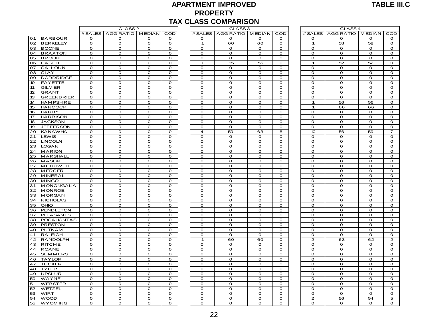#### **APARTMENT IMPROVED PROPERTY TAX CLASS COMPARISON**

|                                             |                            |                            |                  |                   |                  | <b>PROPERTY</b><br><b>TAX CLASS COMPARISON</b> |                  |                  |                             |                             |                  |                             |
|---------------------------------------------|----------------------------|----------------------------|------------------|-------------------|------------------|------------------------------------------------|------------------|------------------|-----------------------------|-----------------------------|------------------|-----------------------------|
|                                             |                            | CLASS <sub>2</sub>         |                  |                   |                  | CLASS <sub>3</sub>                             |                  |                  |                             | CLASS <sub>4</sub>          |                  |                             |
|                                             | # SALES                    | AGG RATIO MEDIAN           |                  | $\overline{COD}$  |                  | # SALES AGG RATIO MEDIAN                       |                  | $\overline{COD}$ | # SALES                     | AGG RATIO MEDIAN            |                  | COD                         |
| 01<br><b>BARBOUR</b>                        | 0                          | 0                          | O                | O                 | O                | 0                                              | o                | O                | $\mathbf 0$                 | 0                           | 0                | O                           |
| 02<br><b>BERKELEY</b>                       | $\mathbf 0$                | $\mathbf{o}$               | $\mathbf{o}$     | $\mathbf 0$       | $\overline{1}$   | 60                                             | 60               | $\mathbf 0$      | $\overline{1}$              | 58                          | 58               | $\mathbf 0$                 |
| <b>BOONE</b><br>03                          | $\mathbf 0$                | O                          | $\mathbf{o}$     | $\mathbf 0$       | $\mathbf 0$      | o                                              | $\mathbf{O}$     | $\mathbf{o}$     | $\mathbf 0$                 | $\mathbf 0$                 | $\mathbf 0$      | $\mathbf{o}$                |
| <b>BRAXTON</b><br>04                        | $\mathbf 0$                | $\mathbf 0$                | $\mathbf 0$      | $\mathbf 0$       | $\mathbf 0$      | $\mathbf 0$                                    | $\mathbf{o}$     | $\mathbf 0$      | $\mathbf O$                 | $\mathbf 0$                 | $\mathbf 0$      | $\mathbf 0$                 |
| <b>BROOKE</b><br>05                         | $\mathbf 0$                | $\mathbf 0$                | $\mathbf 0$      | $\mathbf 0$       | $\mathbf 0$      | $\Omega$                                       | $\mathbf 0$      | $\Omega$         | $\mathbf 0$                 | $\mathbf 0$                 | $\mathbf 0$      | $\mathbf 0$                 |
| 06<br>CABELL                                | $\mathbf{o}$               | $\mathsf O$                | $\mathbf 0$      | $\mathbf 0$       | $\mathbf{1}$     | 55                                             | 55               | $\mathbf 0$      | $\mathbf{1}$                | 52                          | 52               | $\mathbf 0$                 |
| 07<br><b>CALHOUN</b>                        | $\circ$                    | $\mathbf{o}$               | $\mathbf 0$      | $\mathbf 0$       | $\circ$          | O                                              | $\mathbf{O}$     | $\mathbf 0$      | $\mathbf{o}$                | $\mathbf 0$                 | $\mathbf 0$      | $\mathbf 0$                 |
| 08<br><b>CLAY</b><br><b>DODDRIDGE</b><br>09 | $\mathbf 0$<br>$\mathbf 0$ | $\mathbf O$<br>$\mathbf O$ | O<br>$\mathbf 0$ | 0<br>$\mathbf{o}$ | 0<br>$\mathbf 0$ | 0<br>$\mathbf{o}$                              | o<br>$\mathbf 0$ | O<br>$\mathbf 0$ | $\mathbf 0$<br>$\mathbf{o}$ | $\mathbf 0$<br>$\mathbf{o}$ | O<br>$\mathbf 0$ | $\mathbf 0$<br>$\mathbf{o}$ |
| 10 <sup>°</sup><br><b>FAYETTE</b>           | $\mathbf 0$                | $\mathbf 0$                | $\mathbf 0$      | $\mathbf 0$       | $\circ$          | $\mathbf{o}$                                   | $\mathbf 0$      | $\mathbf{o}$     | $\mathbf 0$                 | $\mathbf 0$                 | $\mathbf 0$      | $\mathbf 0$                 |
| 11<br><b>GILM ER</b>                        | $\mathbf 0$                | $\mathbf{o}$               | $\mathbf{o}$     | $\mathbf 0$       | $\mathbf 0$      | $\mathbf{o}$                                   | $\mathbf 0$      | $\mathbf 0$      | $\mathbf{o}$                | $\mathbf O$                 | $\mathbf 0$      | $\mathbf 0$                 |
| 12<br><b>GRANT</b>                          | $\mathbf 0$                | $\mathbf 0$                | $\mathbf O$      | $\mathbf 0$       | $\mathbf 0$      | $\mathbf{o}$                                   | $\mathbf{O}$     | $\mathbf 0$      | $\mathbf 0$                 | $\mathbf 0$                 | $\mathbf 0$      | $\mathbf{o}$                |
| 13<br><b>GREENBRIER</b>                     | $\mathbf 0$                | $\mathsf O$                | $\mathbf 0$      | $\mathbf 0$       | $\mathbf 0$      | $\mathbf{O}$                                   | $\mathbf 0$      | $\mathbf 0$      | $\mathbf 0$                 | $\mathbf 0$                 | $\mathbf 0$      | $\mathbf O$                 |
| 14<br><b>HAM PSHIRE</b>                     | $\mathbf 0$                | $\mathbf{o}$               | $\mathbf{o}$     | $\mathbf{o}$      | $\circ$          | $\mathbf{o}$                                   | $\mathbf{o}$     | $\Omega$         | $\mathbf{1}$                | 56                          | 56               | $\mathbf{o}$                |
| 15<br><b>HANCOCK</b>                        | $\Omega$                   | $\mathsf O$                | $\mathbf 0$      | $\mathbf 0$       | $\Omega$         | $\Omega$                                       | $\mathbf 0$      | $\Omega$         | $\mathbf{1}$                | 66                          | 66               | $\mathbf 0$                 |
| 16<br><b>HARDY</b>                          | $\mathbf 0$                | $\mathbf{o}$               | $\mathbf 0$      | $\mathbf 0$       | $\mathbf 0$      | $\mathbf{o}$                                   | $\mathbf{O}$     | $\mathbf 0$      | $\mathbf{o}$                | $\mathbf 0$                 | $\mathbf 0$      | $\mathbf 0$                 |
| 17<br><b>HARRISON</b>                       | $\circ$                    | $\circ$                    | $\mathbf 0$      | $\circ$           | $\circ$          | $\mathbf 0$                                    | $\mathbf{o}$     | $\mathbf{o}$     | $\mathbf{o}$                | $\circ$                     | $\mathbf 0$      | $\mathbf{o}$                |
| 18<br><b>JACKSON</b>                        | $\mathbf 0$                | $\mathbf O$                | $\mathbf 0$      | $\mathbf 0$       | $\mathbf 0$      | $\mathbf{o}$                                   | $\mathbf 0$      | $\mathbf 0$      | $\mathbf 0$                 | $\mathbf O$                 | $\mathbf 0$      | $\mathbf 0$                 |
| $\overline{19}$<br><b>JEFFERSON</b>         | $\mathbf 0$                | $\mathbf O$                | $\mathbf{o}$     | $\mathbf 0$       | $\circ$          | $\mathbf{o}$                                   | $\mathbf{o}$     | $\mathbf{o}$     | $\mathbf 0$                 | $\mathbf 0$                 | $\mathbf 0$      | $\mathbf 0$                 |
| 20<br><b>KANAWHA</b>                        | $\mathbf 0$                | $\mathbf{o}$               | $\mathbf{o}$     | $\mathbf 0$       | $\overline{4}$   | 59                                             | 63               | 8                | 10                          | 56                          | 59               | $\overline{7}$              |
| 21<br>LEWIS                                 | $\mathbf 0$                | $\mathbf{o}$               | $\mathbf{o}$     | 0                 | $\mathbf 0$      | O                                              | 0                | $\mathbf 0$      | $\mathbf 0$                 | $\mathbf O$                 | O                | $\mathbf 0$                 |
| 22<br><b>LINCOLN</b>                        | $\mathbf 0$                | $\mathbf O$                | $\mathbf 0$      | $\mathbf 0$       | $\mathbf 0$      | $\mathbf O$                                    | $\mathbf 0$      | $\mathbf 0$      | $\mathbf O$                 | $\mathbf O$                 | $\mathbf 0$      | $\mathbf O$                 |
| 23<br><b>LOGAN</b>                          | $\mathbf 0$                | $\mathbf{o}$               | $\mathbf{o}$     | $\mathbf 0$       | $\mathbf 0$      | $\mathbf{o}$                                   | $\mathbf{o}$     | $\Omega$         | $\mathbf{o}$                | $\mathbf{o}$                | $\mathbf 0$      | $\mathbf{o}$                |
| 24<br><b>MARION</b>                         | $\mathbf{o}$               | $\Omega$                   | $\mathbf 0$      | $\mathbf 0$       | $\mathbf 0$      | $\Omega$                                       | $\mathbf 0$      | $\Omega$         | $\Omega$                    | $\mathbf 0$                 | $\mathbf 0$      | $\mathbf 0$                 |
| 25<br>MARSHALL                              | $\mathbf 0$                | $\mathbf{o}$               | $\mathbf 0$      | $\mathbf 0$       | $\mathbf 0$      | $\mathbf{o}$                                   | $\mathbf{o}$     | $\mathbf 0$      | $\mathbf{o}$                | $\mathbf{o}$                | $\mathbf 0$      | $\mathbf 0$                 |
| 26<br><b>MASON</b>                          | $\circ$                    | $\circ$                    | $\mathbf 0$      | $\circ$           | $\circ$          | $\mathbf 0$                                    | $\mathbf{o}$     | $\mathbf{o}$     | $\mathbf{o}$                | $\circ$                     | $\mathbf 0$      | O                           |
| 27<br><b>MCDOWELL</b>                       | $\mathbf 0$                | $\mathbf O$                | $\mathbf 0$      | $\mathbf 0$       | $\circ$          | $\mathbf{o}$                                   | O                | $\mathbf 0$      | $\mathbf O$                 | $\mathbf O$                 | O                | $\mathbf 0$                 |
| 28<br><b>MERCER</b>                         | $\mathbf 0$                | $\mathbf O$                | $\mathbf{o}$     | $\mathbf{o}$      | $\circ$          | $\mathbf{o}$                                   | $\mathbf 0$      | $\mathbf 0$      | $\mathbf 0$                 | $\mathbf{o}$                | $\mathbf 0$      | $\mathbf{o}$                |
| 29<br><b>MINERAL</b>                        | $\mathbf 0$                | $\mathbf{o}$               | $\mathbf{o}$     | $\mathbf 0$       | $\mathbf 0$      | $\mathbf{o}$                                   | $\mathbf 0$      | $\mathbf 0$      | $\mathbf{o}$                | $\mathbf{o}$                | $\mathbf O$      | $\mathbf 0$                 |
| 30<br><b>MINGO</b>                          | $\mathbf 0$                | $\mathbf{o}$               | $\mathbf O$      | $\mathbf 0$       | $\mathbf 0$      | $\mathbf{o}$                                   | o                | $\mathbf 0$      | $\mathbf O$                 | $\mathbf{o}$                | $\mathbf 0$      | $\mathbf 0$                 |
| 31<br><b>MONONGALIA</b>                     | $\mathbf O$                | $\mathbf O$                | $\mathbf 0$      | $\mathbf O$       | $\mathbf O$      | $\mathbf 0$                                    | $\mathbf 0$      | $\mathbf 0$      | $\mathbf O$                 | $\mathbf 0$                 | $\mathbf 0$      | $\mathbf O$                 |
| 32<br><b>MONROE</b>                         | $\mathbf 0$                | $\mathbf O$                | $\mathbf 0$      | $\mathbf 0$       | $\mathbf 0$      | $\mathbf{o}$                                   | $\mathbf{o}$     | $\mathbf 0$      | $\mathbf{o}$                | $\mathbf 0$                 | $\mathbf 0$      | $\mathbf 0$                 |
| <b>MORGAN</b><br>33                         | $\mathbf{o}$               | $\mathbf 0$                | $\mathbf 0$      | $\mathbf 0$       | $\mathbf 0$      | $\mathbf 0$                                    | $\mathbf 0$      | $\mathbf 0$      | $\Omega$                    | $\mathbf 0$                 | $\mathbf 0$      | $\mathbf 0$                 |
| 34<br><b>NICHOLAS</b>                       | $\mathbf 0$                | $\mathbf O$                | $\mathbf 0$      | $\mathbf 0$       | $\mathbf 0$      | O                                              | $\mathbf 0$      | $\mathbf 0$      | $\mathbf 0$                 | $\mathbf 0$                 | $\mathbf 0$      | $\mathbf 0$                 |
| 35<br>OHIO                                  | $\circ$                    | $\circ$                    | $\mathbf 0$      | $\circ$           | $\circ$          | $\mathbf 0$                                    | $\mathbf{o}$     | $\mathbf 0$      | $\mathbf{o}$                | $\circ$                     | $\mathbf 0$      | O                           |
| 36<br>PENDLETON                             | 0                          | $\mathbf O$                | $\mathbf 0$      | $\mathbf 0$       | 0                | $\mathbf O$                                    | O                | $\Omega$         | $\mathbf 0$                 | $\mathbf O$                 | O                | $\mathbf 0$                 |
| 37<br><b>PLEASANTS</b>                      | $\mathbf 0$                | $\mathbf O$                | $\mathbf 0$      | $\mathbf 0$       | $\mathbf 0$      | $\mathbf{o}$                                   | $\mathbf 0$      | $\mathbf{o}$     | $\mathbf 0$                 | $\mathbf O$                 | $\mathbf 0$      | $\mathbf{o}$                |
| 38<br><b>POCAHONTAS</b>                     | $\mathbf 0$                | $\mathbf{o}$               | $\mathbf{o}$     | $\mathbf 0$       | $\mathbf 0$      | O                                              | $\mathbf{o}$     | $\mathbf 0$      | $\Omega$                    | $\mathbf{o}$                | $\mathbf 0$      | $\mathbf 0$                 |
| 39<br><b>PRESTON</b>                        | $\mathbf 0$                | O                          | O                | 0                 | $\mathbf 0$      | o                                              | $\mathbf 0$      | O                | $\mathbf 0$                 | $\mathbf O$                 | $\mathbf 0$      | $\mathbf 0$                 |
| 40<br><b>PUTNAM</b>                         | $\mathbf 0$                | $\mathbf 0$                | $\mathbf 0$      | $\mathbf 0$       | $\mathbf 0$      | $\mathbf 0$                                    | $\mathbf{o}$     | $\mathbf 0$      | $\mathbf 0$                 | $\mathbf 0$                 | $\mathbf 0$      | $\mathbf 0$                 |
| 41<br><b>RALEIGH</b>                        | $\mathbf 0$                | $\mathbf O$                | $\mathbf 0$      | $\mathbf 0$       | $\mathbf{o}$     | $\mathbf 0$                                    | $\mathbf 0$      | $\mathbf{o}$     | $\mathbf 0$                 | $\mathbf 0$                 | $\mathbf 0$      | $\mathbf 0$                 |
| 42<br><b>RANDOLPH</b>                       | $\mathbf 0$                | $\mathbf{o}$               | $\mathbf{o}$     | $\mathbf{o}$      | $\mathbf{1}$     | 60                                             | 60               | $\mathbf{o}$     | $\overline{2}$              | 63                          | 62               | $\overline{2}$              |
| 43<br><b>RITCHIE</b>                        | $\Omega$                   | O                          | $\mathbf O$      | $\Omega$          | $\Omega$         | O                                              | o                | $\Omega$         | $\Omega$                    | $\mathbf O$                 | $\mathbf 0$      | $\mathbf 0$                 |
| 44<br><b>ROANE</b>                          | $\mathbf 0$                | $\Omega$                   | $\mathbf 0$      | $\mathbf 0$       | $\mathbf 0$      | $\mathbf 0$                                    | $\mathbf{o}$     | $\mathbf 0$      | $\mathbf 0$                 | $\mathbf 0$                 | $\mathbf 0$      | $\mathbf 0$                 |
| 45<br><b>SUMMERS</b>                        | $\circ$                    | $\mathbf 0$                | $\mathbf 0$      | $\mathbf 0$       | $\circ$          | $\mathbf 0$                                    | $\mathbf 0$      | $\mathbf 0$      | $\mathbf 0$                 | $\mathbf 0$                 | $\mathbf 0$      | $\mathbf 0$                 |
| 46<br><b>TAYLOR</b>                         | $\mathbf 0$                | $\mathbf O$                | $\mathbf 0$      | $\mathbf 0$       | $\mathbf 0$      | O                                              | $\mathbf 0$      | $\mathbf 0$      | $\mathbf 0$                 | $\mathbf O$                 | $\mathbf 0$      | $\mathbf{o}$                |
| <b>TUCKER</b><br>47                         | $\mathbf 0$                | $\mathbf{o}$               | $\mathbf{o}$     | $\mathbf 0$       | $\mathbf 0$      | $\mathbf{o}$                                   | $\mathbf{o}$     | $\mathbf 0$      | $\mathbf{o}$                | $\mathbf{o}$                | $\mathbf 0$      | $\mathbf 0$                 |
| 48<br><b>TYLER</b>                          | $\mathbf 0$                | O                          | $\mathbf 0$      | 0                 | $\mathbf 0$      | O                                              | $\mathbf 0$      | $\mathbf 0$      | $\mathbf O$                 | $\mathbf O$                 | $\mathbf 0$      | $\mathbf 0$                 |
| 49<br><b>UPSHUR</b>                         | $\mathbf 0$                | $\mathbf O$                | $\mathbf 0$      | $\mathbf 0$       | $\mathbf 0$      | $\mathbf O$                                    | $\mathbf 0$      | $\mathbf 0$      | $\mathbf O$                 | $\mathbf O$                 | $\mathbf 0$      | $\mathbf 0$                 |
| 50<br>WAYNE                                 | $\mathbf 0$                | O                          | $\mathbf O$      | $\mathbf 0$       | $\mathbf 0$      | O                                              | $\mathbf o$      | $\Omega$         | $\mathbf O$                 | O                           | $\mathbf 0$      | $\mathbf 0$                 |
| 51<br><b>WEBSTER</b>                        | $\mathbf 0$                | $\mathbf{o}$               | $\mathbf{o}$     | $\mathbf{o}$      | $\mathbf 0$      | $\mathbf{o}$                                   | $\mathbf 0$      | $\mathbf 0$      | $\mathbf{o}$                | $\mathbf{o}$                | $\mathbf{o}$     | $\mathbf{o}$                |
| 52<br>WETZEL                                | $\Omega$                   | $\mathbf{o}$               | $\mathbf{o}$     | $\mathbf 0$       | $\mathbf 0$      | $\mathbf{o}$                                   | $\mathbf{o}$     | $\Omega$         | $\Omega$                    | $\mathbf{o}$                | $\mathbf 0$      | $\mathbf 0$                 |
| 53<br>WIRT                                  | $\mathbf 0$                | $\Omega$                   | $\mathbf 0$      | $\mathbf 0$       | $\mathbf 0$      | $\mathbf 0$                                    | $\mathbf{o}$     | $\mathbf 0$      | $\Omega$                    | $\mathbf 0$                 | $\mathbf 0$      | $\mathbf 0$                 |
| 54<br><b>WOOD</b>                           | $\circ$                    | O                          | $\mathbf 0$      | $\mathbf 0$       | $\circ$          | O                                              | $\mathbf 0$      | $\mathbf 0$      | $\overline{2}$              | 56                          | 54               | 5                           |
| 55<br><b>WYOMING</b>                        | $\mathbf 0$                | $\mathbf{o}$               | $\mathbf{o}$     | $\mathbf 0$       | $\mathbf 0$      | $\mathbf{o}$                                   | o                | $\mathbf 0$      | $\mathbf 0$                 | $\mathbf{o}$                | $\mathbf 0$      | $\mathbf 0$                 |
|                                             |                            |                            |                  |                   |                  |                                                |                  |                  |                             |                             |                  |                             |

| CLASS <sub>2</sub>               |                  |                            |                               | CLASS <sub>3</sub> |              |             |                | CLASS <sub>4</sub> |  |
|----------------------------------|------------------|----------------------------|-------------------------------|--------------------|--------------|-------------|----------------|--------------------|--|
| RATIO                            | <b>MEDIAN</b>    | COD                        | # SALES                       | AGG RATIO MEDIAN   |              | COD         | # SALES        | AGG RATIO          |  |
| 0                                | o                | $\mathbf 0$                | $\circ$                       | O                  | $\mathbf 0$  | o           | o              | o                  |  |
| $\circ$                          | O                | $\mathbf 0$                | $\mathbf 1$                   | 60                 | 60           | O           | $\mathbf{1}$   | 58                 |  |
| $\overline{0}$                   | $\mathbf O$      | $\mathbf O$                | $\mathbf O$                   | o                  | $\mathbf 0$  | $\mathbf 0$ | $\mathbf 0$    | $\mathbf O$        |  |
| $\overline{0}$                   | O                | O                          | o                             | O                  | o            | o           | O              | 0                  |  |
| $\overline{0}$                   | O                | $\mathbf O$                | O                             | $\mathbf O$        | $\mathbf 0$  | O           | $\mathbf o$    | $\mathbf{o}$       |  |
| o                                | $\mathbf 0$      | O                          | $\mathbf{1}$                  | 55                 | 55           | O           | $\mathbf 1$    | 52                 |  |
| o                                | o                | o                          | O                             | o                  | O            | O           | o              | o                  |  |
| o                                | O                | O                          | o                             | O                  | o            | O           | O              | O                  |  |
| $\overline{\mathbf{o}}$          | $\mathbf O$      | $\mathbf O$                | $\mathbf{o}$                  | $\mathbf O$        | $\mathbf O$  | O           | O              | $\mathbf O$        |  |
| O                                | $\mathbf O$      | $\mathbf O$                | $\mathbf O$                   | O                  | $\mathbf O$  | O           | $\mathbf O$    | $\mathbf O$        |  |
| $\overline{0}$                   | $\mathbf O$      | $\mathbf O$                | $\mathbf 0$                   | O                  | $\mathbf 0$  | $\mathbf 0$ | $\mathbf 0$    | $\mathbf O$        |  |
| $\frac{0}{0}$                    | O                | O                          | O                             | O                  | O            | O           | O              | O                  |  |
|                                  | $\mathbf O$      | $\mathbf O$                | O                             | O                  | $\mathbf O$  | O           | O              | $\mathbf O$        |  |
| o                                | $\mathbf 0$      | $\mathbf 0$                | $\mathbf 0$                   | $\mathbf O$        | $\mathbf 0$  | $\mathbf 0$ | $\mathbf{1}$   | 56                 |  |
| O                                | o                | $\mathbf 0$                | $\mathbf 0$                   | O                  | o            | O           | $\mathbf{1}$   | 66                 |  |
| o                                | $\mathbf O$      | $\mathbf O$                | O                             | $\mathbf O$        | $\mathbf O$  | O           | O              | $\mathbf O$        |  |
| $\overline{\rm o}$               | O                | O                          | O                             | $\mathbf O$        | O            | o           | $\mathbf 0$    | O                  |  |
| $\overline{0}$                   | o                | $\mathbf O$                | o                             | O                  | o            | O           | $\mathbf O$    | $\mathbf O$        |  |
| $\overline{0}$                   | $\mathbf 0$      | $\mathbf 0$<br>$\mathbf 0$ | $\mathbf 0$<br>$\overline{4}$ | O<br>59            | $\mathbf 0$  | O<br>8      | 0<br>10        | $\mathbf O$        |  |
| $\overline{0}$<br>$\overline{0}$ | o<br>$\mathbf 0$ | $\mathbf 0$                | O                             | O                  | 63<br>O      | O           | $\mathbf 0$    | 56<br>O            |  |
|                                  | $\mathbf O$      | $\mathbf O$                | $\mathbf{o}$                  | O                  | $\mathbf O$  | $\mathbf 0$ | $\mathbf 0$    | $\mathbf O$        |  |
| $\overline{0}$                   | O                | O                          | o                             | O                  | o            | o           | O              | 0                  |  |
| $\frac{0}{0}$                    | O                | $\mathbf O$                | O                             | $\mathbf O$        | O            | O           | $\mathbf O$    | O                  |  |
| o                                | $\mathbf 0$      | O                          | $\mathbf 0$                   | O                  | $\Omega$     | o           | O              | $\mathbf 0$        |  |
| o                                | o                | o                          | O                             | O                  | O            | o           | o              | o                  |  |
| $\overline{0}$                   | o                | O                          | o                             | O                  | o            | O           | O              | O                  |  |
| $\overline{0}$                   | $\mathbf O$      | $\mathbf O$                | $\mathbf{o}$                  | $\mathbf O$        | $\mathbf O$  | O           | 0              | $\mathbf O$        |  |
| O                                | $\mathbf O$      | $\mathbf O$                | $\mathbf O$                   | O                  | $\mathbf O$  | O           | $\mathbf o$    | $\mathbf O$        |  |
| $\overline{0}$                   | $\mathbf 0$      | $\mathbf O$                | $\mathbf 0$                   | O                  | $\mathbf 0$  | $\mathbf 0$ | $\mathbf 0$    | $\mathbf O$        |  |
| o                                | O                | O                          | $\mathbf{o}$                  | O                  | O            | O           | O              | O                  |  |
| $\overline{0}$                   | $\mathbf O$      | $\mathbf O$                | O                             | $\mathbf O$        | $\mathbf O$  | O           | O              | $\mathbf O$        |  |
| o                                | $\mathbf 0$      | $\mathbf 0$                | $\mathbf 0$                   | $\mathbf O$        | $\mathbf O$  | $\mathbf 0$ | $\mathbf O$    | $\mathbf O$        |  |
| $\overline{O}$                   | o                | $\mathbf 0$                | $\mathbf 0$                   | O                  | o            | O           | 0              | o                  |  |
| o                                | $\mathbf O$      | $\mathbf O$                | O                             | $\mathbf O$        | O            | O           | O              | $\mathbf O$        |  |
| $\overline{\rm o}$               | O                | O                          | O                             | O                  | O            | o           | $\mathbf 0$    | O                  |  |
| $\overline{0}$                   | o                | $\mathbf O$                | o                             | O                  | o            | O           | $\mathbf O$    | $\mathbf O$        |  |
| $\overline{0}$                   | $\mathbf 0$      | $\mathbf 0$                | $\mathbf 0$                   | O                  | $\mathbf 0$  | O           | 0              | $\mathbf O$        |  |
| $\overline{0}$                   | o                | $\mathbf{o}$               | $\mathbf 0$                   | O                  | $\mathbf 0$  | o           | $\mathbf 0$    | o                  |  |
| o                                | $\mathbf 0$      | $\mathbf 0$                | $\mathbf 0$                   | O                  | $\mathbf 0$  | O           | $\mathbf 0$    | $\mathbf 0$        |  |
| O                                | $\mathbf O$      | $\mathbf 0$                | O                             | $\mathbf O$        | $\mathbf 0$  | O           | $\mathbf 0$    | O                  |  |
| $\circ$                          | O                | O                          | $\mathbf 1$                   | 60                 | 60           | O           | $\overline{2}$ | 63                 |  |
| $\overline{0}$                   | O                | $\mathbf O$                | O                             | O                  | O            | O           | O              | O                  |  |
| o                                | $\mathbf 0$      | O                          | $\Omega$                      | O                  | $\mathbf{o}$ | O           | O              | O                  |  |
| o                                | o                | o                          | O                             | o                  | O            | o           | o              | o                  |  |
| $\overline{0}$                   | O                | O                          | o                             | O                  | o            | o           | O              | O                  |  |
| $\overline{0}$                   | O                | $\mathbf O$                | $\mathbf 0$                   | $\mathbf O$        | $\mathbf 0$  | O           | $\mathbf 0$    | $\mathbf O$        |  |
| O                                | $\mathbf O$      | $\mathbf O$                | $\mathbf O$                   | O                  | $\mathbf O$  | O           | $\mathbf o$    | $\mathbf O$        |  |
| $\circ$                          | $\mathbf 0$      | $\mathbf O$                | $\mathbf 0$                   | O                  | $\mathbf 0$  | $\mathbf 0$ | $\mathbf 0$    | $\mathbf O$        |  |
| o                                | O                | O                          | $\mathbf{o}$                  | O                  | O            | O           | O              | O                  |  |
| $\overline{\rm o}$               | $\mathbf O$      | $\mathbf O$                | O                             | $\mathbf O$        | $\mathbf O$  | O           | O              | $\mathbf O$        |  |
| o                                | $\mathbf 0$      | $\mathbf 0$                | $\mathbf 0$                   | O                  | $\mathbf 0$  | $\mathbf 0$ | $\mathbf 0$    | $\mathbf O$        |  |
| $\overline{0}$                   | o                | o                          | $\mathbf 0$                   | O                  | $\mathbf 0$  | O           | 0              | o                  |  |
| $\overline{\rm o}$               | O                | O                          | O                             | O                  | 0            | O           | 2              | 56                 |  |
| O                                | $\Omega$         | $\Omega$                   | $\Omega$                      | $\Omega$           | $\Omega$     | $\Omega$    | $\Omega$       | $\Omega$           |  |

|         | CLASS <sub>4</sub> |               |                |
|---------|--------------------|---------------|----------------|
| # SALES | AGG RATIO          | <b>MEDIAN</b> | COD            |
| O       | $\mathbf 0$        | 0             | o              |
| 1       | 58                 | 58            | o              |
| o       | O                  | 0             | O              |
| 0       | o                  | o             | 0              |
| o       | 0                  | 0             | o              |
| 1       | 52                 | 52            | O              |
| o       | O                  | o             | O              |
| 0       | $\overline{O}$     | o             | 0              |
| o       | O                  | O             | o              |
| o       |                    | 0             | o              |
| o       | 0<br>O             | O             | o              |
| o       | O                  | O             | O              |
|         |                    |               |                |
| o       | 0                  | o             | o              |
| 1       | 56                 | 56            | 0              |
| 1       | 66                 | 66            | o              |
| O       | O                  | O             | o              |
| o       | O                  | O             | o              |
| o       | O                  | o             | o              |
| o       | O                  | o             | o              |
| 10      | 56                 | 59            | $\overline{z}$ |
| 0       | 0                  | o             | o              |
| o       | O                  | O             | o              |
| o       | O                  | o             | o              |
| 0       | O                  | o             | o              |
| o       | O                  | o             | o              |
| o       | 0                  | 0             | o              |
| o       | O                  | o             | o              |
| o       | $\mathbf{o}$       | O             | o              |
| o       | o                  | o             | o              |
| o       | O                  | o             | o              |
| 0       | O                  | o             | o              |
| o       | O                  | O             | o              |
| o       | O                  | O             | o              |
| o       | O                  | o             | o              |
| o       | $\overline{O}$     | o             | O              |
| o       | O                  | o             | O              |
| o       |                    |               |                |
|         | 0                  | o             | 0              |
| O       | O                  | O             | O              |
| o       | O                  | o             | O              |
| o       | O                  | o             | $\overline{O}$ |
| o       | o                  | 0             | 0              |
| 2       | 63                 | 62            | 2              |
| O       | O                  | O             | O              |
| o       | O                  | o             | O              |
| 0       | O                  | o             | 0              |
| o       | O                  | O             | O              |
| o       | O                  | o             | O              |
| 0       | O                  | O             | O              |
| o       | 0                  | 0             | o              |
| o       | O                  | o             | o              |
| 0       | 0                  | o             | 0              |
| o       | O                  | o             | O              |
| 0       | 0                  | o             | o              |
| 2       | 56                 | 54            | $\overline{5}$ |
| o       | o                  | o             | O              |
|         |                    |               |                |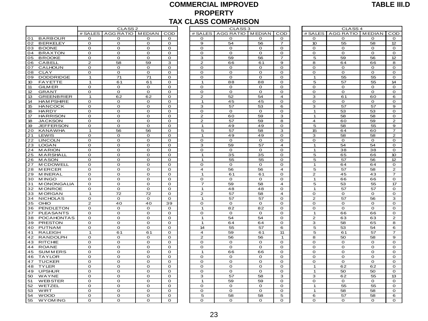#### **COMMERCIAL IMPROVED PROPERTY TAX CLASS COMPARISON**

| CLASS <sub>2</sub><br>CLASS <sub>3</sub><br>CLASS <sub>4</sub><br># SALES AGG RATIO MEDIAN<br>COD<br># SALES AGG RATIO MEDIAN COD<br># SALES   AGG RATIO   MEDIAN  <br>COD<br><b>BARBOUR</b><br>$\mathbf{o}$<br>$\mathbf 0$<br>$\mathbf 0$<br>$\mathbf 0$<br>$\mathbf{o}$<br>$\mathbf{o}$<br>O<br>O<br>$\mathbf{o}$<br>$\mathbf 0$<br>$\mathbf 0$<br>$\mathbf{o}$<br>54<br><b>BERKELEY</b><br>$\mathbf 0$<br>$\mathbf{o}$<br>$\mathbf{o}$<br>$\mathbf{o}$<br>$\mathbf 9$<br>56<br>$\overline{7}$<br>10<br>55<br>58<br>12<br><b>BOONE</b><br>$\mathbf{o}$<br>$\Omega$<br>$\circ$<br>$\mathbf{o}$<br>$\mathbf{o}$<br>$\mathbf 0$<br>$\mathbf{o}$<br>$\mathbf{o}$<br>$\mathbf{o}$<br>$\circ$<br>$\mathbf{o}$<br>O<br>04<br><b>BRAXTON</b><br>$\mathbf{o}$<br>$\mathbf 0$<br>$\mathbf 0$<br>O<br>$\Omega$<br>O<br>$\mathbf{o}$<br>$\mathbf{o}$<br>$\mathbf{o}$<br>$\mathbf 0$<br>$\circ$<br>$\mathbf{o}$<br>05<br>59<br><b>BROOKE</b><br>$\mathbf 0$<br>$\mathbf{o}$<br>$\mathbf 0$<br>$\mathbf 0$<br>59<br>56<br>5<br>12<br>3<br>7<br>56<br>06<br>$\overline{2}$<br>58<br>59<br>$\overline{2}$<br>64<br><b>CABELL</b><br>3<br>66<br>61<br>$\mathbf 9$<br>8<br>66<br>8<br>07<br>$\mathbf{o}$<br>O<br>$\mathbf 0$<br>CALHOUN<br>O<br>O<br>$\mathbf{o}$<br>O<br>o<br>$\circ$<br>0<br>O<br>o<br>08<br>CLAY<br>$\mathbf 0$<br>$\mathbf{o}$<br>$\Omega$<br>$\mathbf{o}$<br>$\mathbf 0$<br>$\mathbf{o}$<br>$\mathbf{o}$<br>$\Omega$<br>$\mathbf 0$<br>$\Omega$<br>$\Omega$<br>$\mathbf O$<br>09<br><b>DODDRIDGE</b><br>71<br>71<br>$\Omega$<br>$\Omega$<br>$\Omega$<br>$\Omega$<br>55<br>55<br>$\mathbf O$<br>$\mathbf{1}$<br>$\Omega$<br>$\mathbf{1}$<br>10 <sup>10</sup><br><b>FAYETTE</b><br>$\mathbf{1}$<br>61<br>61<br>$\mathbf{o}$<br>$\mathbf{1}$<br>88<br>88<br>$\mathbf{o}$<br>5<br>57<br>55<br>14<br>11<br><b>GILM ER</b><br>$\mathbf{o}$<br>0<br>$\circ$<br>$\mathbf{o}$<br>$\mathbf{o}$<br>0<br>0<br>$\circ$<br>$\mathbf{o}$<br>$\mathbf{o}$<br>$\mathbf{o}$<br>$\mathbf{o}$<br>12<br><b>GRANT</b><br>$\mathbf{o}$<br>$\mathbf{o}$<br>$\circ$<br>$\mathbf{o}$<br>$\mathbf{o}$<br>$\mathbf 0$<br>$\mathbf{o}$<br>$\circ$<br>$\mathbf{o}$<br>$\mathbf{o}$<br>$\mathbf{o}$<br>$\mathbf{o}$<br>13<br><b>GREENBRIER</b><br>62<br>62<br>$\mathbf 0$<br>$\overline{2}$<br>52<br>54<br>$\overline{4}$<br>3<br>61<br>60<br>6<br>1<br><b>HAM PSHIRE</b><br>$\mathbf 0$<br>$\mathbf 0$<br>45<br>45<br>$\mathbf 0$<br>$\mathbf 0$<br>$\mathbf 0$<br>$\mathbf 0$<br>$\mathbf{o}$<br>O<br>O<br>1<br><b>HANCOCK</b><br>$\mathbf O$<br>O<br>$\mathbf{o}$<br>$\mathbf 0$<br>3<br>57<br>53<br>3<br>57<br>57<br>$\mathbf 9$<br>6<br><b>HARDY</b><br>$\mathbf 0$<br>$\mathbf{o}$<br>$\mathbf{o}$<br>$\mathbf{o}$<br>$\mathbf 0$<br>O<br>53<br>53<br>$\mathbf{o}$<br>0<br>$\circ$<br>$\mathbf{1}$<br><b>HARRISON</b><br>$\Omega$<br>$\Omega$<br>$\Omega$<br>$\Omega$<br>$\overline{2}$<br>59<br>58<br>$\mathbf 0$<br>60<br>3<br>$\mathbf{1}$<br>58<br>18<br><b>JACKSON</b><br>$\mathbf 0$<br>$\mathbf{o}$<br>$\mathbf 0$<br>$\mathbf{o}$<br>$\overline{2}$<br>57<br>59<br>8<br>$\overline{4}$<br>60<br>59<br>$\mathbf{Z}$<br>19<br><b>JEFFERSON</b><br>$\mathbf 0$<br>$\Omega$<br>$\Omega$<br>$\mathbf{o}$<br>$\mathbf{1}$<br>49<br>49<br>$\circ$<br>5<br>58<br>55<br>9<br>20<br>$\overline{7}$<br>56<br>56<br>5<br>57<br>58<br>15<br><b>KANAWHA</b><br>$\mathbf{1}$<br>$\mathbf{o}$<br>3<br>64<br>60<br>21<br>$\mathbf 0$<br>O<br>$\mathbf 0$<br>49<br>3<br>$\overline{2}$<br>LEWIS<br>$\mathbf{o}$<br>$\mathbf{1}$<br>49<br>O<br>58<br>58<br>$\frac{22}{23}$<br><b>LINCOLN</b><br>$\mathbf O$<br>$\mathbf{o}$<br>$\mathbf 0$<br>$\mathbf 0$<br>$\mathbf 0$<br>O<br>$\mathbf O$<br>$\mathbf{o}$<br>$\mathbf 0$<br>$\mathbf 0$<br>$\mathbf 0$<br>$\mathbf 0$<br>$\overline{O}$<br>59<br>$\overline{O}$<br><b>LOGAN</b><br>o<br>O<br>0<br>57<br>$\overline{4}$<br>54<br>54<br>з<br>$\mathbf{1}$<br>24<br><b>MARION</b><br>$\mathbf O$<br>O<br>$\mathbf{o}$<br>$\mathbf 0$<br>$\mathbf 0$<br>O<br>$\mathbf 0$<br>$\mathbf{o}$<br>38<br>38<br>$\mathbf O$<br>$\overline{1}$<br>25<br>MARSHALL<br>$\mathbf O$<br>$\mathbf{o}$<br>$\mathbf{o}$<br>$\Omega$<br>35<br>35<br>$\Omega$<br>5<br>65<br>66<br>10<br>$\mathbf{1}$<br>26<br><b>MASON</b><br>$\mathbf{o}$<br>$\mathbf 0$<br>$\mathbf{o}$<br>$\mathbf{o}$<br>55<br>55<br>$\mathbf{o}$<br>5<br>57<br>56<br>12<br>$\mathbf{1}$<br>27<br><b>MCDOWELL</b><br>$\mathbf 0$<br>O<br>$\circ$<br>$\circ$<br>$\mathbf{o}$<br>O<br>$\circ$<br>$\mathbf 0$<br>64<br>64<br>$\mathbf{o}$<br>$\mathbf{1}$<br>28<br>$\mathbf{o}$<br>56<br>$\overline{2}$<br><b>MERCER</b><br>$\mathbf 0$<br>$\circ$<br>$\circ$<br>$\overline{4}$<br>56<br>$\overline{4}$<br>5<br>57<br>58<br>29<br>O<br>$\overline{7}$<br><b>MINERAL</b><br>$\mathbf O$<br>$\mathbf{o}$<br>$\mathbf 0$<br>1<br>61<br>61<br>$\mathbf 0$<br>$\overline{2}$<br>45<br>43<br>$\mathbf 0$<br>$\mathbf 0$<br>O<br>$\mathbf{o}$<br>$\mathbf 0$<br>$\mathbf 0$<br>O<br>$\mathbf{o}$<br>66<br>66<br><b>MINGO</b><br>O<br>$\overline{1}$<br>$\overline{\mathbf{z}}$<br>$\overline{5}$<br>17<br><b>MONONGALIA</b><br>O<br>o<br>O<br>O<br>59<br>58<br>$\overline{4}$<br>53<br>55<br>$\mathbf 0$<br>O<br>$\mathbf{o}$<br>$\mathbf{o}$<br>48<br>57<br>57<br>$\mathbf 0$<br><b>MONROE</b><br>48<br>$\mathbf{o}$<br>$\mathbf{1}$<br>-1<br>72<br>72<br><b>MORGAN</b><br>$\mathbf{1}$<br>$\mathbf 0$<br>$\mathbf{2}$<br>57<br>58<br>$\overline{4}$<br>$\mathbf O$<br>$\mathbf 0$<br>$\mathbf 0$<br>$\mathbf O$<br>34<br>57<br><b>NICHOLAS</b><br>$\mathbf 0$<br>$\mathbf 0$<br>$\mathbf{o}$<br>$\mathbf{o}$<br>$\mathbf{1}$<br>57<br>57<br>$\mathbf{o}$<br>$\overline{2}$<br>56<br>3<br>35<br>OHIO<br>$\overline{2}$<br>40<br>40<br>39<br>$\mathbf{o}$<br>$\mathbf 0$<br>$\mathbf{o}$<br>$\mathbf{o}$<br>$\mathbf{o}$<br>$\circ$<br>$\mathbf{o}$<br>o<br>36<br>PENDLETON<br>$\mathbf 0$<br>$\mathbf 0$<br>0<br>$\Omega$<br>$\mathbf{o}$<br>$\mathbf{1}$<br>82<br>82<br>$\mathbf 0$<br>$\mathbf{o}$<br>$\mathbf{o}$<br>$\mathbf 0$<br>37<br><b>PLEASANTS</b><br>$\mathbf{o}$<br>$\mathbf{o}$<br>$\mathbf{o}$<br>66<br>$\mathbf{o}$<br>$\circ$<br>$\mathbf{o}$<br>$\mathbf{o}$<br>$\mathbf{o}$<br>$\mathbf{o}$<br>$\mathbf{1}$<br>66<br>38<br><b>POCAHONTAS</b><br>O<br>$\mathbf{o}$<br>54<br>54<br>$\mathbf{z}$<br>$\mathbf{z}$<br>$\mathbf O$<br>$\mathbf 0$<br>1<br>$\mathbf{o}$<br>63<br>63<br>39<br>$\overline{0}$<br>$\overline{0}$<br>58<br><b>PRESTON</b><br>$\mathbf{o}$<br>$\mathbf{o}$<br>64<br>64<br>$\mathbf 0$<br>3<br>65<br>8<br>1<br>40<br><b>PUTNAM</b><br>$\mathbf O$<br>$\mathbf{o}$<br>$\mathbf{o}$<br>$\mathbf 0$<br>55<br>57<br>5<br>53<br>54<br>14<br>6<br>6<br>41<br><b>RALEIGH</b><br>61<br>61<br>$\mathbf{o}$<br>$\overline{4}$<br>59<br>61<br>11<br>5<br>61<br>57<br>$\overline{\phantom{a}}$<br>1<br>42<br>$\mathbf{2}$<br>$\mathbf 9$<br><b>RANDOLPH</b><br>$\mathbf 0$<br>$\mathbf{o}$<br>$\mathbf{o}$<br>$\mathbf{o}$<br>56<br>56<br>$\mathbf{1}$<br>8<br>50<br>58<br>43<br>$\mathbf{o}$<br>$\mathbf{o}$<br>$\mathbf{o}$<br>o<br>$\mathbf{o}$<br>$\mathbf{o}$<br>$\mathbf{o}$<br><b>RITCHIE</b><br>$\Omega$<br>$\mathbf{o}$<br>0<br>$\Omega$<br>O<br>44<br><b>ROANE</b><br>$\mathbf 0$<br>$\Omega$<br>$\circ$<br>$\mathbf{o}$<br>$\mathbf{o}$<br>$\mathbf 0$<br>$\mathbf{o}$<br>$\mathbf{o}$<br>$\mathbf{o}$<br>$\circ$<br>$\mathbf{o}$<br>$\mathbf{o}$<br>45<br><b>SUMMERS</b><br>$\mathbf{o}$<br>$\mathbf 0$<br>$\mathbf 0$<br>$\Omega$<br>$\mathbf{o}$<br>$\mathbf{1}$<br>66<br>66<br>$\mathbf 0$<br>$\mathbf 0$<br>$\mathbf{o}$<br>$\mathbf 0$<br><b>TAYLOR</b><br>$\mathbf O$<br>$\mathbf{o}$<br>$\mathbf 0$<br>$\mathbf 0$<br>$\mathbf{o}$<br>$\mathbf 0$<br>$\mathbf 0$<br>$\mathbf O$<br>O<br>o<br>O<br>O<br>$\overline{0}$<br><b>TUCKER</b><br>$\mathbf{o}$<br>O<br>$\mathbf{o}$<br>$\mathbf 0$<br>$\mathbf{o}$<br>$\mathbf{o}$<br>$\mathbf{o}$<br>$\mathbf{o}$<br>$\mathbf{o}$<br>$\mathbf{o}$<br>$\mathbf 0$<br>$\mathbf 0$<br>$\mathbf{o}$<br>O<br>$\mathbf 0$<br>o<br>62<br>62<br>$\mathbf 0$<br><b>TYLER</b><br>o<br>o<br>$\circ$<br>$\mathbf{1}$<br><b>UPSHUR</b><br>$\mathbf O$<br>o<br>$\mathbf O$<br>$\mathbf O$<br>$\mathbf O$<br>O<br>$\mathbf 0$<br>$\mathbf{o}$<br>50<br>50<br>$\mathbf O$<br>$\overline{1}$<br>WAYNE<br>$\mathbf O$<br>$\mathbf{o}$<br>$\mathbf{o}$<br>$\mathbf{o}$<br>3<br>57<br>58<br>3<br>3<br>62<br>55<br>13<br><b>WEBSTER</b><br>$\mathbf{o}$<br>$\mathbf{o}$<br>$\mathbf{o}$<br>59<br>$\mathbf{o}$<br>$\mathbf 0$<br>$\mathbf{o}$<br>$\mathbf{o}$<br>$\mathbf{1}$<br>59<br>$\Omega$<br>$\mathbf{o}$<br>52<br>WETZEL<br>$\Omega$<br>$\mathbf{o}$<br>$\mathbf{o}$<br>$\mathbf 0$<br>O<br>$\mathbf{o}$<br>55<br>55<br>$\mathbf{o}$<br>$\mathbf{O}$<br>$\Omega$<br>$\overline{1}$<br>53<br><b>WIRT</b><br>$\mathbf 0$<br>$\mathbf 0$<br>$\circ$<br>$\mathbf{o}$<br>$\mathbf{o}$<br>$\mathbf 0$<br>$\mathbf{o}$<br>$\circ$<br>58<br>58<br>$\mathbf{o}$<br>$\mathbf{1}$<br>54<br><b>WOOD</b><br>O<br>$\mathbf O$<br>58<br>58<br>5<br>57<br>58<br>O<br>O<br>5<br>6<br>6<br>55<br><b>WYOMING</b><br>$\mathbf{o}$<br>$\mathbf 0$<br>$\mathbf{o}$<br>$\mathbf{o}$<br>$\mathbf 0$<br>O<br>$\mathbf{o}$<br>$\mathbf{o}$<br>$\mathbf 0$<br>$\mathbf{o}$<br>$\mathbf 0$<br>$\mathbf 0$ |    |  |  |  | <b>PROPERTY</b><br><b>TAX CLASS COMPARISON</b> |  |  |  |  |
|--------------------------------------------------------------------------------------------------------------------------------------------------------------------------------------------------------------------------------------------------------------------------------------------------------------------------------------------------------------------------------------------------------------------------------------------------------------------------------------------------------------------------------------------------------------------------------------------------------------------------------------------------------------------------------------------------------------------------------------------------------------------------------------------------------------------------------------------------------------------------------------------------------------------------------------------------------------------------------------------------------------------------------------------------------------------------------------------------------------------------------------------------------------------------------------------------------------------------------------------------------------------------------------------------------------------------------------------------------------------------------------------------------------------------------------------------------------------------------------------------------------------------------------------------------------------------------------------------------------------------------------------------------------------------------------------------------------------------------------------------------------------------------------------------------------------------------------------------------------------------------------------------------------------------------------------------------------------------------------------------------------------------------------------------------------------------------------------------------------------------------------------------------------------------------------------------------------------------------------------------------------------------------------------------------------------------------------------------------------------------------------------------------------------------------------------------------------------------------------------------------------------------------------------------------------------------------------------------------------------------------------------------------------------------------------------------------------------------------------------------------------------------------------------------------------------------------------------------------------------------------------------------------------------------------------------------------------------------------------------------------------------------------------------------------------------------------------------------------------------------------------------------------------------------------------------------------------------------------------------------------------------------------------------------------------------------------------------------------------------------------------------------------------------------------------------------------------------------------------------------------------------------------------------------------------------------------------------------------------------------------------------------------------------------------------------------------------------------------------------------------------------------------------------------------------------------------------------------------------------------------------------------------------------------------------------------------------------------------------------------------------------------------------------------------------------------------------------------------------------------------------------------------------------------------------------------------------------------------------------------------------------------------------------------------------------------------------------------------------------------------------------------------------------------------------------------------------------------------------------------------------------------------------------------------------------------------------------------------------------------------------------------------------------------------------------------------------------------------------------------------------------------------------------------------------------------------------------------------------------------------------------------------------------------------------------------------------------------------------------------------------------------------------------------------------------------------------------------------------------------------------------------------------------------------------------------------------------------------------------------------------------------------------------------------------------------------------------------------------------------------------------------------------------------------------------------------------------------------------------------------------------------------------------------------------------------------------------------------------------------------------------------------------------------------------------------------------------------------------------------------------------------------------------------------------------------------------------------------------------------------------------------------------------------------------------------------------------------------------------------------------------------------------------------------------------------------------------------------------------------------------------------------------------------------------------------------------------------------------------------------------------------------------------------------------------------------------------------------------------------------------------------------------------------------------------------------------------------------------------------------------------------------------------------------------------------------------------------------------------------------------------------------------------------------------------------------------------------------------------------------------------------------------------------------------------------------------------------------------------------------------------------------------------------------------------------------------------------------------------------------------------------------------------------------------------------------------------------------------------------------------------------------------------------------------------------------------------------------------------------------------------------------------------------------------------------------------------------------------------------------------------------------------------------------------------------------------------------------------------------------------------------------------------------------------------------------------------------------------------------------------------------------------------------------------------------------------------------------------------------------------------------------------------------------------------------------------------------------------------------------------------------------------------------------------------------------------------------------------------------------------------------------------------------------------------------------------------------------------------------------------------------------------------------------------------------------------------------------------------------------------------------------------------------------------------------------------------------------------------------------------------------------------------------------------------------------------------------------------------------------------------------------------------------------------------------------------------------------------------------------------------------------------------------------------------------------------------------------------------------------------------------------------------------------------------------------------------------------------------------------------------------------------------------------------------------------------------------------------------------------------------------------------------------------------------------------------------------------------------------------------------------------------------------------------------------------------|----|--|--|--|------------------------------------------------|--|--|--|--|
|                                                                                                                                                                                                                                                                                                                                                                                                                                                                                                                                                                                                                                                                                                                                                                                                                                                                                                                                                                                                                                                                                                                                                                                                                                                                                                                                                                                                                                                                                                                                                                                                                                                                                                                                                                                                                                                                                                                                                                                                                                                                                                                                                                                                                                                                                                                                                                                                                                                                                                                                                                                                                                                                                                                                                                                                                                                                                                                                                                                                                                                                                                                                                                                                                                                                                                                                                                                                                                                                                                                                                                                                                                                                                                                                                                                                                                                                                                                                                                                                                                                                                                                                                                                                                                                                                                                                                                                                                                                                                                                                                                                                                                                                                                                                                                                                                                                                                                                                                                                                                                                                                                                                                                                                                                                                                                                                                                                                                                                                                                                                                                                                                                                                                                                                                                                                                                                                                                                                                                                                                                                                                                                                                                                                                                                                                                                                                                                                                                                                                                                                                                                                                                                                                                                                                                                                                                                                                                                                                                                                                                                                                                                                                                                                                                                                                                                                                                                                                                                                                                                                                                                                                                                                                                                                                                                                                                                                                                                                                                                                                                                                                                                                                                                                                                                                                                                                                                                                                                                                                                                                                                                                                                                                                                                                                                                                                                                                                                                                                                                                                                                                                                                                                                                                              |    |  |  |  |                                                |  |  |  |  |
|                                                                                                                                                                                                                                                                                                                                                                                                                                                                                                                                                                                                                                                                                                                                                                                                                                                                                                                                                                                                                                                                                                                                                                                                                                                                                                                                                                                                                                                                                                                                                                                                                                                                                                                                                                                                                                                                                                                                                                                                                                                                                                                                                                                                                                                                                                                                                                                                                                                                                                                                                                                                                                                                                                                                                                                                                                                                                                                                                                                                                                                                                                                                                                                                                                                                                                                                                                                                                                                                                                                                                                                                                                                                                                                                                                                                                                                                                                                                                                                                                                                                                                                                                                                                                                                                                                                                                                                                                                                                                                                                                                                                                                                                                                                                                                                                                                                                                                                                                                                                                                                                                                                                                                                                                                                                                                                                                                                                                                                                                                                                                                                                                                                                                                                                                                                                                                                                                                                                                                                                                                                                                                                                                                                                                                                                                                                                                                                                                                                                                                                                                                                                                                                                                                                                                                                                                                                                                                                                                                                                                                                                                                                                                                                                                                                                                                                                                                                                                                                                                                                                                                                                                                                                                                                                                                                                                                                                                                                                                                                                                                                                                                                                                                                                                                                                                                                                                                                                                                                                                                                                                                                                                                                                                                                                                                                                                                                                                                                                                                                                                                                                                                                                                                                                              |    |  |  |  |                                                |  |  |  |  |
|                                                                                                                                                                                                                                                                                                                                                                                                                                                                                                                                                                                                                                                                                                                                                                                                                                                                                                                                                                                                                                                                                                                                                                                                                                                                                                                                                                                                                                                                                                                                                                                                                                                                                                                                                                                                                                                                                                                                                                                                                                                                                                                                                                                                                                                                                                                                                                                                                                                                                                                                                                                                                                                                                                                                                                                                                                                                                                                                                                                                                                                                                                                                                                                                                                                                                                                                                                                                                                                                                                                                                                                                                                                                                                                                                                                                                                                                                                                                                                                                                                                                                                                                                                                                                                                                                                                                                                                                                                                                                                                                                                                                                                                                                                                                                                                                                                                                                                                                                                                                                                                                                                                                                                                                                                                                                                                                                                                                                                                                                                                                                                                                                                                                                                                                                                                                                                                                                                                                                                                                                                                                                                                                                                                                                                                                                                                                                                                                                                                                                                                                                                                                                                                                                                                                                                                                                                                                                                                                                                                                                                                                                                                                                                                                                                                                                                                                                                                                                                                                                                                                                                                                                                                                                                                                                                                                                                                                                                                                                                                                                                                                                                                                                                                                                                                                                                                                                                                                                                                                                                                                                                                                                                                                                                                                                                                                                                                                                                                                                                                                                                                                                                                                                                                                              | 01 |  |  |  |                                                |  |  |  |  |
|                                                                                                                                                                                                                                                                                                                                                                                                                                                                                                                                                                                                                                                                                                                                                                                                                                                                                                                                                                                                                                                                                                                                                                                                                                                                                                                                                                                                                                                                                                                                                                                                                                                                                                                                                                                                                                                                                                                                                                                                                                                                                                                                                                                                                                                                                                                                                                                                                                                                                                                                                                                                                                                                                                                                                                                                                                                                                                                                                                                                                                                                                                                                                                                                                                                                                                                                                                                                                                                                                                                                                                                                                                                                                                                                                                                                                                                                                                                                                                                                                                                                                                                                                                                                                                                                                                                                                                                                                                                                                                                                                                                                                                                                                                                                                                                                                                                                                                                                                                                                                                                                                                                                                                                                                                                                                                                                                                                                                                                                                                                                                                                                                                                                                                                                                                                                                                                                                                                                                                                                                                                                                                                                                                                                                                                                                                                                                                                                                                                                                                                                                                                                                                                                                                                                                                                                                                                                                                                                                                                                                                                                                                                                                                                                                                                                                                                                                                                                                                                                                                                                                                                                                                                                                                                                                                                                                                                                                                                                                                                                                                                                                                                                                                                                                                                                                                                                                                                                                                                                                                                                                                                                                                                                                                                                                                                                                                                                                                                                                                                                                                                                                                                                                                                                              | 02 |  |  |  |                                                |  |  |  |  |
|                                                                                                                                                                                                                                                                                                                                                                                                                                                                                                                                                                                                                                                                                                                                                                                                                                                                                                                                                                                                                                                                                                                                                                                                                                                                                                                                                                                                                                                                                                                                                                                                                                                                                                                                                                                                                                                                                                                                                                                                                                                                                                                                                                                                                                                                                                                                                                                                                                                                                                                                                                                                                                                                                                                                                                                                                                                                                                                                                                                                                                                                                                                                                                                                                                                                                                                                                                                                                                                                                                                                                                                                                                                                                                                                                                                                                                                                                                                                                                                                                                                                                                                                                                                                                                                                                                                                                                                                                                                                                                                                                                                                                                                                                                                                                                                                                                                                                                                                                                                                                                                                                                                                                                                                                                                                                                                                                                                                                                                                                                                                                                                                                                                                                                                                                                                                                                                                                                                                                                                                                                                                                                                                                                                                                                                                                                                                                                                                                                                                                                                                                                                                                                                                                                                                                                                                                                                                                                                                                                                                                                                                                                                                                                                                                                                                                                                                                                                                                                                                                                                                                                                                                                                                                                                                                                                                                                                                                                                                                                                                                                                                                                                                                                                                                                                                                                                                                                                                                                                                                                                                                                                                                                                                                                                                                                                                                                                                                                                                                                                                                                                                                                                                                                                                              | 03 |  |  |  |                                                |  |  |  |  |
|                                                                                                                                                                                                                                                                                                                                                                                                                                                                                                                                                                                                                                                                                                                                                                                                                                                                                                                                                                                                                                                                                                                                                                                                                                                                                                                                                                                                                                                                                                                                                                                                                                                                                                                                                                                                                                                                                                                                                                                                                                                                                                                                                                                                                                                                                                                                                                                                                                                                                                                                                                                                                                                                                                                                                                                                                                                                                                                                                                                                                                                                                                                                                                                                                                                                                                                                                                                                                                                                                                                                                                                                                                                                                                                                                                                                                                                                                                                                                                                                                                                                                                                                                                                                                                                                                                                                                                                                                                                                                                                                                                                                                                                                                                                                                                                                                                                                                                                                                                                                                                                                                                                                                                                                                                                                                                                                                                                                                                                                                                                                                                                                                                                                                                                                                                                                                                                                                                                                                                                                                                                                                                                                                                                                                                                                                                                                                                                                                                                                                                                                                                                                                                                                                                                                                                                                                                                                                                                                                                                                                                                                                                                                                                                                                                                                                                                                                                                                                                                                                                                                                                                                                                                                                                                                                                                                                                                                                                                                                                                                                                                                                                                                                                                                                                                                                                                                                                                                                                                                                                                                                                                                                                                                                                                                                                                                                                                                                                                                                                                                                                                                                                                                                                                                              |    |  |  |  |                                                |  |  |  |  |
|                                                                                                                                                                                                                                                                                                                                                                                                                                                                                                                                                                                                                                                                                                                                                                                                                                                                                                                                                                                                                                                                                                                                                                                                                                                                                                                                                                                                                                                                                                                                                                                                                                                                                                                                                                                                                                                                                                                                                                                                                                                                                                                                                                                                                                                                                                                                                                                                                                                                                                                                                                                                                                                                                                                                                                                                                                                                                                                                                                                                                                                                                                                                                                                                                                                                                                                                                                                                                                                                                                                                                                                                                                                                                                                                                                                                                                                                                                                                                                                                                                                                                                                                                                                                                                                                                                                                                                                                                                                                                                                                                                                                                                                                                                                                                                                                                                                                                                                                                                                                                                                                                                                                                                                                                                                                                                                                                                                                                                                                                                                                                                                                                                                                                                                                                                                                                                                                                                                                                                                                                                                                                                                                                                                                                                                                                                                                                                                                                                                                                                                                                                                                                                                                                                                                                                                                                                                                                                                                                                                                                                                                                                                                                                                                                                                                                                                                                                                                                                                                                                                                                                                                                                                                                                                                                                                                                                                                                                                                                                                                                                                                                                                                                                                                                                                                                                                                                                                                                                                                                                                                                                                                                                                                                                                                                                                                                                                                                                                                                                                                                                                                                                                                                                                                              |    |  |  |  |                                                |  |  |  |  |
|                                                                                                                                                                                                                                                                                                                                                                                                                                                                                                                                                                                                                                                                                                                                                                                                                                                                                                                                                                                                                                                                                                                                                                                                                                                                                                                                                                                                                                                                                                                                                                                                                                                                                                                                                                                                                                                                                                                                                                                                                                                                                                                                                                                                                                                                                                                                                                                                                                                                                                                                                                                                                                                                                                                                                                                                                                                                                                                                                                                                                                                                                                                                                                                                                                                                                                                                                                                                                                                                                                                                                                                                                                                                                                                                                                                                                                                                                                                                                                                                                                                                                                                                                                                                                                                                                                                                                                                                                                                                                                                                                                                                                                                                                                                                                                                                                                                                                                                                                                                                                                                                                                                                                                                                                                                                                                                                                                                                                                                                                                                                                                                                                                                                                                                                                                                                                                                                                                                                                                                                                                                                                                                                                                                                                                                                                                                                                                                                                                                                                                                                                                                                                                                                                                                                                                                                                                                                                                                                                                                                                                                                                                                                                                                                                                                                                                                                                                                                                                                                                                                                                                                                                                                                                                                                                                                                                                                                                                                                                                                                                                                                                                                                                                                                                                                                                                                                                                                                                                                                                                                                                                                                                                                                                                                                                                                                                                                                                                                                                                                                                                                                                                                                                                                                              |    |  |  |  |                                                |  |  |  |  |
|                                                                                                                                                                                                                                                                                                                                                                                                                                                                                                                                                                                                                                                                                                                                                                                                                                                                                                                                                                                                                                                                                                                                                                                                                                                                                                                                                                                                                                                                                                                                                                                                                                                                                                                                                                                                                                                                                                                                                                                                                                                                                                                                                                                                                                                                                                                                                                                                                                                                                                                                                                                                                                                                                                                                                                                                                                                                                                                                                                                                                                                                                                                                                                                                                                                                                                                                                                                                                                                                                                                                                                                                                                                                                                                                                                                                                                                                                                                                                                                                                                                                                                                                                                                                                                                                                                                                                                                                                                                                                                                                                                                                                                                                                                                                                                                                                                                                                                                                                                                                                                                                                                                                                                                                                                                                                                                                                                                                                                                                                                                                                                                                                                                                                                                                                                                                                                                                                                                                                                                                                                                                                                                                                                                                                                                                                                                                                                                                                                                                                                                                                                                                                                                                                                                                                                                                                                                                                                                                                                                                                                                                                                                                                                                                                                                                                                                                                                                                                                                                                                                                                                                                                                                                                                                                                                                                                                                                                                                                                                                                                                                                                                                                                                                                                                                                                                                                                                                                                                                                                                                                                                                                                                                                                                                                                                                                                                                                                                                                                                                                                                                                                                                                                                                                              |    |  |  |  |                                                |  |  |  |  |
|                                                                                                                                                                                                                                                                                                                                                                                                                                                                                                                                                                                                                                                                                                                                                                                                                                                                                                                                                                                                                                                                                                                                                                                                                                                                                                                                                                                                                                                                                                                                                                                                                                                                                                                                                                                                                                                                                                                                                                                                                                                                                                                                                                                                                                                                                                                                                                                                                                                                                                                                                                                                                                                                                                                                                                                                                                                                                                                                                                                                                                                                                                                                                                                                                                                                                                                                                                                                                                                                                                                                                                                                                                                                                                                                                                                                                                                                                                                                                                                                                                                                                                                                                                                                                                                                                                                                                                                                                                                                                                                                                                                                                                                                                                                                                                                                                                                                                                                                                                                                                                                                                                                                                                                                                                                                                                                                                                                                                                                                                                                                                                                                                                                                                                                                                                                                                                                                                                                                                                                                                                                                                                                                                                                                                                                                                                                                                                                                                                                                                                                                                                                                                                                                                                                                                                                                                                                                                                                                                                                                                                                                                                                                                                                                                                                                                                                                                                                                                                                                                                                                                                                                                                                                                                                                                                                                                                                                                                                                                                                                                                                                                                                                                                                                                                                                                                                                                                                                                                                                                                                                                                                                                                                                                                                                                                                                                                                                                                                                                                                                                                                                                                                                                                                                              |    |  |  |  |                                                |  |  |  |  |
|                                                                                                                                                                                                                                                                                                                                                                                                                                                                                                                                                                                                                                                                                                                                                                                                                                                                                                                                                                                                                                                                                                                                                                                                                                                                                                                                                                                                                                                                                                                                                                                                                                                                                                                                                                                                                                                                                                                                                                                                                                                                                                                                                                                                                                                                                                                                                                                                                                                                                                                                                                                                                                                                                                                                                                                                                                                                                                                                                                                                                                                                                                                                                                                                                                                                                                                                                                                                                                                                                                                                                                                                                                                                                                                                                                                                                                                                                                                                                                                                                                                                                                                                                                                                                                                                                                                                                                                                                                                                                                                                                                                                                                                                                                                                                                                                                                                                                                                                                                                                                                                                                                                                                                                                                                                                                                                                                                                                                                                                                                                                                                                                                                                                                                                                                                                                                                                                                                                                                                                                                                                                                                                                                                                                                                                                                                                                                                                                                                                                                                                                                                                                                                                                                                                                                                                                                                                                                                                                                                                                                                                                                                                                                                                                                                                                                                                                                                                                                                                                                                                                                                                                                                                                                                                                                                                                                                                                                                                                                                                                                                                                                                                                                                                                                                                                                                                                                                                                                                                                                                                                                                                                                                                                                                                                                                                                                                                                                                                                                                                                                                                                                                                                                                                                              |    |  |  |  |                                                |  |  |  |  |
|                                                                                                                                                                                                                                                                                                                                                                                                                                                                                                                                                                                                                                                                                                                                                                                                                                                                                                                                                                                                                                                                                                                                                                                                                                                                                                                                                                                                                                                                                                                                                                                                                                                                                                                                                                                                                                                                                                                                                                                                                                                                                                                                                                                                                                                                                                                                                                                                                                                                                                                                                                                                                                                                                                                                                                                                                                                                                                                                                                                                                                                                                                                                                                                                                                                                                                                                                                                                                                                                                                                                                                                                                                                                                                                                                                                                                                                                                                                                                                                                                                                                                                                                                                                                                                                                                                                                                                                                                                                                                                                                                                                                                                                                                                                                                                                                                                                                                                                                                                                                                                                                                                                                                                                                                                                                                                                                                                                                                                                                                                                                                                                                                                                                                                                                                                                                                                                                                                                                                                                                                                                                                                                                                                                                                                                                                                                                                                                                                                                                                                                                                                                                                                                                                                                                                                                                                                                                                                                                                                                                                                                                                                                                                                                                                                                                                                                                                                                                                                                                                                                                                                                                                                                                                                                                                                                                                                                                                                                                                                                                                                                                                                                                                                                                                                                                                                                                                                                                                                                                                                                                                                                                                                                                                                                                                                                                                                                                                                                                                                                                                                                                                                                                                                                                              |    |  |  |  |                                                |  |  |  |  |
|                                                                                                                                                                                                                                                                                                                                                                                                                                                                                                                                                                                                                                                                                                                                                                                                                                                                                                                                                                                                                                                                                                                                                                                                                                                                                                                                                                                                                                                                                                                                                                                                                                                                                                                                                                                                                                                                                                                                                                                                                                                                                                                                                                                                                                                                                                                                                                                                                                                                                                                                                                                                                                                                                                                                                                                                                                                                                                                                                                                                                                                                                                                                                                                                                                                                                                                                                                                                                                                                                                                                                                                                                                                                                                                                                                                                                                                                                                                                                                                                                                                                                                                                                                                                                                                                                                                                                                                                                                                                                                                                                                                                                                                                                                                                                                                                                                                                                                                                                                                                                                                                                                                                                                                                                                                                                                                                                                                                                                                                                                                                                                                                                                                                                                                                                                                                                                                                                                                                                                                                                                                                                                                                                                                                                                                                                                                                                                                                                                                                                                                                                                                                                                                                                                                                                                                                                                                                                                                                                                                                                                                                                                                                                                                                                                                                                                                                                                                                                                                                                                                                                                                                                                                                                                                                                                                                                                                                                                                                                                                                                                                                                                                                                                                                                                                                                                                                                                                                                                                                                                                                                                                                                                                                                                                                                                                                                                                                                                                                                                                                                                                                                                                                                                                                              |    |  |  |  |                                                |  |  |  |  |
|                                                                                                                                                                                                                                                                                                                                                                                                                                                                                                                                                                                                                                                                                                                                                                                                                                                                                                                                                                                                                                                                                                                                                                                                                                                                                                                                                                                                                                                                                                                                                                                                                                                                                                                                                                                                                                                                                                                                                                                                                                                                                                                                                                                                                                                                                                                                                                                                                                                                                                                                                                                                                                                                                                                                                                                                                                                                                                                                                                                                                                                                                                                                                                                                                                                                                                                                                                                                                                                                                                                                                                                                                                                                                                                                                                                                                                                                                                                                                                                                                                                                                                                                                                                                                                                                                                                                                                                                                                                                                                                                                                                                                                                                                                                                                                                                                                                                                                                                                                                                                                                                                                                                                                                                                                                                                                                                                                                                                                                                                                                                                                                                                                                                                                                                                                                                                                                                                                                                                                                                                                                                                                                                                                                                                                                                                                                                                                                                                                                                                                                                                                                                                                                                                                                                                                                                                                                                                                                                                                                                                                                                                                                                                                                                                                                                                                                                                                                                                                                                                                                                                                                                                                                                                                                                                                                                                                                                                                                                                                                                                                                                                                                                                                                                                                                                                                                                                                                                                                                                                                                                                                                                                                                                                                                                                                                                                                                                                                                                                                                                                                                                                                                                                                                                              |    |  |  |  |                                                |  |  |  |  |
|                                                                                                                                                                                                                                                                                                                                                                                                                                                                                                                                                                                                                                                                                                                                                                                                                                                                                                                                                                                                                                                                                                                                                                                                                                                                                                                                                                                                                                                                                                                                                                                                                                                                                                                                                                                                                                                                                                                                                                                                                                                                                                                                                                                                                                                                                                                                                                                                                                                                                                                                                                                                                                                                                                                                                                                                                                                                                                                                                                                                                                                                                                                                                                                                                                                                                                                                                                                                                                                                                                                                                                                                                                                                                                                                                                                                                                                                                                                                                                                                                                                                                                                                                                                                                                                                                                                                                                                                                                                                                                                                                                                                                                                                                                                                                                                                                                                                                                                                                                                                                                                                                                                                                                                                                                                                                                                                                                                                                                                                                                                                                                                                                                                                                                                                                                                                                                                                                                                                                                                                                                                                                                                                                                                                                                                                                                                                                                                                                                                                                                                                                                                                                                                                                                                                                                                                                                                                                                                                                                                                                                                                                                                                                                                                                                                                                                                                                                                                                                                                                                                                                                                                                                                                                                                                                                                                                                                                                                                                                                                                                                                                                                                                                                                                                                                                                                                                                                                                                                                                                                                                                                                                                                                                                                                                                                                                                                                                                                                                                                                                                                                                                                                                                                                                              | 14 |  |  |  |                                                |  |  |  |  |
|                                                                                                                                                                                                                                                                                                                                                                                                                                                                                                                                                                                                                                                                                                                                                                                                                                                                                                                                                                                                                                                                                                                                                                                                                                                                                                                                                                                                                                                                                                                                                                                                                                                                                                                                                                                                                                                                                                                                                                                                                                                                                                                                                                                                                                                                                                                                                                                                                                                                                                                                                                                                                                                                                                                                                                                                                                                                                                                                                                                                                                                                                                                                                                                                                                                                                                                                                                                                                                                                                                                                                                                                                                                                                                                                                                                                                                                                                                                                                                                                                                                                                                                                                                                                                                                                                                                                                                                                                                                                                                                                                                                                                                                                                                                                                                                                                                                                                                                                                                                                                                                                                                                                                                                                                                                                                                                                                                                                                                                                                                                                                                                                                                                                                                                                                                                                                                                                                                                                                                                                                                                                                                                                                                                                                                                                                                                                                                                                                                                                                                                                                                                                                                                                                                                                                                                                                                                                                                                                                                                                                                                                                                                                                                                                                                                                                                                                                                                                                                                                                                                                                                                                                                                                                                                                                                                                                                                                                                                                                                                                                                                                                                                                                                                                                                                                                                                                                                                                                                                                                                                                                                                                                                                                                                                                                                                                                                                                                                                                                                                                                                                                                                                                                                                                              | 15 |  |  |  |                                                |  |  |  |  |
|                                                                                                                                                                                                                                                                                                                                                                                                                                                                                                                                                                                                                                                                                                                                                                                                                                                                                                                                                                                                                                                                                                                                                                                                                                                                                                                                                                                                                                                                                                                                                                                                                                                                                                                                                                                                                                                                                                                                                                                                                                                                                                                                                                                                                                                                                                                                                                                                                                                                                                                                                                                                                                                                                                                                                                                                                                                                                                                                                                                                                                                                                                                                                                                                                                                                                                                                                                                                                                                                                                                                                                                                                                                                                                                                                                                                                                                                                                                                                                                                                                                                                                                                                                                                                                                                                                                                                                                                                                                                                                                                                                                                                                                                                                                                                                                                                                                                                                                                                                                                                                                                                                                                                                                                                                                                                                                                                                                                                                                                                                                                                                                                                                                                                                                                                                                                                                                                                                                                                                                                                                                                                                                                                                                                                                                                                                                                                                                                                                                                                                                                                                                                                                                                                                                                                                                                                                                                                                                                                                                                                                                                                                                                                                                                                                                                                                                                                                                                                                                                                                                                                                                                                                                                                                                                                                                                                                                                                                                                                                                                                                                                                                                                                                                                                                                                                                                                                                                                                                                                                                                                                                                                                                                                                                                                                                                                                                                                                                                                                                                                                                                                                                                                                                                                              | 16 |  |  |  |                                                |  |  |  |  |
|                                                                                                                                                                                                                                                                                                                                                                                                                                                                                                                                                                                                                                                                                                                                                                                                                                                                                                                                                                                                                                                                                                                                                                                                                                                                                                                                                                                                                                                                                                                                                                                                                                                                                                                                                                                                                                                                                                                                                                                                                                                                                                                                                                                                                                                                                                                                                                                                                                                                                                                                                                                                                                                                                                                                                                                                                                                                                                                                                                                                                                                                                                                                                                                                                                                                                                                                                                                                                                                                                                                                                                                                                                                                                                                                                                                                                                                                                                                                                                                                                                                                                                                                                                                                                                                                                                                                                                                                                                                                                                                                                                                                                                                                                                                                                                                                                                                                                                                                                                                                                                                                                                                                                                                                                                                                                                                                                                                                                                                                                                                                                                                                                                                                                                                                                                                                                                                                                                                                                                                                                                                                                                                                                                                                                                                                                                                                                                                                                                                                                                                                                                                                                                                                                                                                                                                                                                                                                                                                                                                                                                                                                                                                                                                                                                                                                                                                                                                                                                                                                                                                                                                                                                                                                                                                                                                                                                                                                                                                                                                                                                                                                                                                                                                                                                                                                                                                                                                                                                                                                                                                                                                                                                                                                                                                                                                                                                                                                                                                                                                                                                                                                                                                                                                                              | 17 |  |  |  |                                                |  |  |  |  |
|                                                                                                                                                                                                                                                                                                                                                                                                                                                                                                                                                                                                                                                                                                                                                                                                                                                                                                                                                                                                                                                                                                                                                                                                                                                                                                                                                                                                                                                                                                                                                                                                                                                                                                                                                                                                                                                                                                                                                                                                                                                                                                                                                                                                                                                                                                                                                                                                                                                                                                                                                                                                                                                                                                                                                                                                                                                                                                                                                                                                                                                                                                                                                                                                                                                                                                                                                                                                                                                                                                                                                                                                                                                                                                                                                                                                                                                                                                                                                                                                                                                                                                                                                                                                                                                                                                                                                                                                                                                                                                                                                                                                                                                                                                                                                                                                                                                                                                                                                                                                                                                                                                                                                                                                                                                                                                                                                                                                                                                                                                                                                                                                                                                                                                                                                                                                                                                                                                                                                                                                                                                                                                                                                                                                                                                                                                                                                                                                                                                                                                                                                                                                                                                                                                                                                                                                                                                                                                                                                                                                                                                                                                                                                                                                                                                                                                                                                                                                                                                                                                                                                                                                                                                                                                                                                                                                                                                                                                                                                                                                                                                                                                                                                                                                                                                                                                                                                                                                                                                                                                                                                                                                                                                                                                                                                                                                                                                                                                                                                                                                                                                                                                                                                                                                              |    |  |  |  |                                                |  |  |  |  |
|                                                                                                                                                                                                                                                                                                                                                                                                                                                                                                                                                                                                                                                                                                                                                                                                                                                                                                                                                                                                                                                                                                                                                                                                                                                                                                                                                                                                                                                                                                                                                                                                                                                                                                                                                                                                                                                                                                                                                                                                                                                                                                                                                                                                                                                                                                                                                                                                                                                                                                                                                                                                                                                                                                                                                                                                                                                                                                                                                                                                                                                                                                                                                                                                                                                                                                                                                                                                                                                                                                                                                                                                                                                                                                                                                                                                                                                                                                                                                                                                                                                                                                                                                                                                                                                                                                                                                                                                                                                                                                                                                                                                                                                                                                                                                                                                                                                                                                                                                                                                                                                                                                                                                                                                                                                                                                                                                                                                                                                                                                                                                                                                                                                                                                                                                                                                                                                                                                                                                                                                                                                                                                                                                                                                                                                                                                                                                                                                                                                                                                                                                                                                                                                                                                                                                                                                                                                                                                                                                                                                                                                                                                                                                                                                                                                                                                                                                                                                                                                                                                                                                                                                                                                                                                                                                                                                                                                                                                                                                                                                                                                                                                                                                                                                                                                                                                                                                                                                                                                                                                                                                                                                                                                                                                                                                                                                                                                                                                                                                                                                                                                                                                                                                                                                              |    |  |  |  |                                                |  |  |  |  |
|                                                                                                                                                                                                                                                                                                                                                                                                                                                                                                                                                                                                                                                                                                                                                                                                                                                                                                                                                                                                                                                                                                                                                                                                                                                                                                                                                                                                                                                                                                                                                                                                                                                                                                                                                                                                                                                                                                                                                                                                                                                                                                                                                                                                                                                                                                                                                                                                                                                                                                                                                                                                                                                                                                                                                                                                                                                                                                                                                                                                                                                                                                                                                                                                                                                                                                                                                                                                                                                                                                                                                                                                                                                                                                                                                                                                                                                                                                                                                                                                                                                                                                                                                                                                                                                                                                                                                                                                                                                                                                                                                                                                                                                                                                                                                                                                                                                                                                                                                                                                                                                                                                                                                                                                                                                                                                                                                                                                                                                                                                                                                                                                                                                                                                                                                                                                                                                                                                                                                                                                                                                                                                                                                                                                                                                                                                                                                                                                                                                                                                                                                                                                                                                                                                                                                                                                                                                                                                                                                                                                                                                                                                                                                                                                                                                                                                                                                                                                                                                                                                                                                                                                                                                                                                                                                                                                                                                                                                                                                                                                                                                                                                                                                                                                                                                                                                                                                                                                                                                                                                                                                                                                                                                                                                                                                                                                                                                                                                                                                                                                                                                                                                                                                                                                              |    |  |  |  |                                                |  |  |  |  |
|                                                                                                                                                                                                                                                                                                                                                                                                                                                                                                                                                                                                                                                                                                                                                                                                                                                                                                                                                                                                                                                                                                                                                                                                                                                                                                                                                                                                                                                                                                                                                                                                                                                                                                                                                                                                                                                                                                                                                                                                                                                                                                                                                                                                                                                                                                                                                                                                                                                                                                                                                                                                                                                                                                                                                                                                                                                                                                                                                                                                                                                                                                                                                                                                                                                                                                                                                                                                                                                                                                                                                                                                                                                                                                                                                                                                                                                                                                                                                                                                                                                                                                                                                                                                                                                                                                                                                                                                                                                                                                                                                                                                                                                                                                                                                                                                                                                                                                                                                                                                                                                                                                                                                                                                                                                                                                                                                                                                                                                                                                                                                                                                                                                                                                                                                                                                                                                                                                                                                                                                                                                                                                                                                                                                                                                                                                                                                                                                                                                                                                                                                                                                                                                                                                                                                                                                                                                                                                                                                                                                                                                                                                                                                                                                                                                                                                                                                                                                                                                                                                                                                                                                                                                                                                                                                                                                                                                                                                                                                                                                                                                                                                                                                                                                                                                                                                                                                                                                                                                                                                                                                                                                                                                                                                                                                                                                                                                                                                                                                                                                                                                                                                                                                                                                              |    |  |  |  |                                                |  |  |  |  |
|                                                                                                                                                                                                                                                                                                                                                                                                                                                                                                                                                                                                                                                                                                                                                                                                                                                                                                                                                                                                                                                                                                                                                                                                                                                                                                                                                                                                                                                                                                                                                                                                                                                                                                                                                                                                                                                                                                                                                                                                                                                                                                                                                                                                                                                                                                                                                                                                                                                                                                                                                                                                                                                                                                                                                                                                                                                                                                                                                                                                                                                                                                                                                                                                                                                                                                                                                                                                                                                                                                                                                                                                                                                                                                                                                                                                                                                                                                                                                                                                                                                                                                                                                                                                                                                                                                                                                                                                                                                                                                                                                                                                                                                                                                                                                                                                                                                                                                                                                                                                                                                                                                                                                                                                                                                                                                                                                                                                                                                                                                                                                                                                                                                                                                                                                                                                                                                                                                                                                                                                                                                                                                                                                                                                                                                                                                                                                                                                                                                                                                                                                                                                                                                                                                                                                                                                                                                                                                                                                                                                                                                                                                                                                                                                                                                                                                                                                                                                                                                                                                                                                                                                                                                                                                                                                                                                                                                                                                                                                                                                                                                                                                                                                                                                                                                                                                                                                                                                                                                                                                                                                                                                                                                                                                                                                                                                                                                                                                                                                                                                                                                                                                                                                                                                              |    |  |  |  |                                                |  |  |  |  |
|                                                                                                                                                                                                                                                                                                                                                                                                                                                                                                                                                                                                                                                                                                                                                                                                                                                                                                                                                                                                                                                                                                                                                                                                                                                                                                                                                                                                                                                                                                                                                                                                                                                                                                                                                                                                                                                                                                                                                                                                                                                                                                                                                                                                                                                                                                                                                                                                                                                                                                                                                                                                                                                                                                                                                                                                                                                                                                                                                                                                                                                                                                                                                                                                                                                                                                                                                                                                                                                                                                                                                                                                                                                                                                                                                                                                                                                                                                                                                                                                                                                                                                                                                                                                                                                                                                                                                                                                                                                                                                                                                                                                                                                                                                                                                                                                                                                                                                                                                                                                                                                                                                                                                                                                                                                                                                                                                                                                                                                                                                                                                                                                                                                                                                                                                                                                                                                                                                                                                                                                                                                                                                                                                                                                                                                                                                                                                                                                                                                                                                                                                                                                                                                                                                                                                                                                                                                                                                                                                                                                                                                                                                                                                                                                                                                                                                                                                                                                                                                                                                                                                                                                                                                                                                                                                                                                                                                                                                                                                                                                                                                                                                                                                                                                                                                                                                                                                                                                                                                                                                                                                                                                                                                                                                                                                                                                                                                                                                                                                                                                                                                                                                                                                                                                              |    |  |  |  |                                                |  |  |  |  |
|                                                                                                                                                                                                                                                                                                                                                                                                                                                                                                                                                                                                                                                                                                                                                                                                                                                                                                                                                                                                                                                                                                                                                                                                                                                                                                                                                                                                                                                                                                                                                                                                                                                                                                                                                                                                                                                                                                                                                                                                                                                                                                                                                                                                                                                                                                                                                                                                                                                                                                                                                                                                                                                                                                                                                                                                                                                                                                                                                                                                                                                                                                                                                                                                                                                                                                                                                                                                                                                                                                                                                                                                                                                                                                                                                                                                                                                                                                                                                                                                                                                                                                                                                                                                                                                                                                                                                                                                                                                                                                                                                                                                                                                                                                                                                                                                                                                                                                                                                                                                                                                                                                                                                                                                                                                                                                                                                                                                                                                                                                                                                                                                                                                                                                                                                                                                                                                                                                                                                                                                                                                                                                                                                                                                                                                                                                                                                                                                                                                                                                                                                                                                                                                                                                                                                                                                                                                                                                                                                                                                                                                                                                                                                                                                                                                                                                                                                                                                                                                                                                                                                                                                                                                                                                                                                                                                                                                                                                                                                                                                                                                                                                                                                                                                                                                                                                                                                                                                                                                                                                                                                                                                                                                                                                                                                                                                                                                                                                                                                                                                                                                                                                                                                                                                              |    |  |  |  |                                                |  |  |  |  |
|                                                                                                                                                                                                                                                                                                                                                                                                                                                                                                                                                                                                                                                                                                                                                                                                                                                                                                                                                                                                                                                                                                                                                                                                                                                                                                                                                                                                                                                                                                                                                                                                                                                                                                                                                                                                                                                                                                                                                                                                                                                                                                                                                                                                                                                                                                                                                                                                                                                                                                                                                                                                                                                                                                                                                                                                                                                                                                                                                                                                                                                                                                                                                                                                                                                                                                                                                                                                                                                                                                                                                                                                                                                                                                                                                                                                                                                                                                                                                                                                                                                                                                                                                                                                                                                                                                                                                                                                                                                                                                                                                                                                                                                                                                                                                                                                                                                                                                                                                                                                                                                                                                                                                                                                                                                                                                                                                                                                                                                                                                                                                                                                                                                                                                                                                                                                                                                                                                                                                                                                                                                                                                                                                                                                                                                                                                                                                                                                                                                                                                                                                                                                                                                                                                                                                                                                                                                                                                                                                                                                                                                                                                                                                                                                                                                                                                                                                                                                                                                                                                                                                                                                                                                                                                                                                                                                                                                                                                                                                                                                                                                                                                                                                                                                                                                                                                                                                                                                                                                                                                                                                                                                                                                                                                                                                                                                                                                                                                                                                                                                                                                                                                                                                                                                              |    |  |  |  |                                                |  |  |  |  |
|                                                                                                                                                                                                                                                                                                                                                                                                                                                                                                                                                                                                                                                                                                                                                                                                                                                                                                                                                                                                                                                                                                                                                                                                                                                                                                                                                                                                                                                                                                                                                                                                                                                                                                                                                                                                                                                                                                                                                                                                                                                                                                                                                                                                                                                                                                                                                                                                                                                                                                                                                                                                                                                                                                                                                                                                                                                                                                                                                                                                                                                                                                                                                                                                                                                                                                                                                                                                                                                                                                                                                                                                                                                                                                                                                                                                                                                                                                                                                                                                                                                                                                                                                                                                                                                                                                                                                                                                                                                                                                                                                                                                                                                                                                                                                                                                                                                                                                                                                                                                                                                                                                                                                                                                                                                                                                                                                                                                                                                                                                                                                                                                                                                                                                                                                                                                                                                                                                                                                                                                                                                                                                                                                                                                                                                                                                                                                                                                                                                                                                                                                                                                                                                                                                                                                                                                                                                                                                                                                                                                                                                                                                                                                                                                                                                                                                                                                                                                                                                                                                                                                                                                                                                                                                                                                                                                                                                                                                                                                                                                                                                                                                                                                                                                                                                                                                                                                                                                                                                                                                                                                                                                                                                                                                                                                                                                                                                                                                                                                                                                                                                                                                                                                                                                              |    |  |  |  |                                                |  |  |  |  |
|                                                                                                                                                                                                                                                                                                                                                                                                                                                                                                                                                                                                                                                                                                                                                                                                                                                                                                                                                                                                                                                                                                                                                                                                                                                                                                                                                                                                                                                                                                                                                                                                                                                                                                                                                                                                                                                                                                                                                                                                                                                                                                                                                                                                                                                                                                                                                                                                                                                                                                                                                                                                                                                                                                                                                                                                                                                                                                                                                                                                                                                                                                                                                                                                                                                                                                                                                                                                                                                                                                                                                                                                                                                                                                                                                                                                                                                                                                                                                                                                                                                                                                                                                                                                                                                                                                                                                                                                                                                                                                                                                                                                                                                                                                                                                                                                                                                                                                                                                                                                                                                                                                                                                                                                                                                                                                                                                                                                                                                                                                                                                                                                                                                                                                                                                                                                                                                                                                                                                                                                                                                                                                                                                                                                                                                                                                                                                                                                                                                                                                                                                                                                                                                                                                                                                                                                                                                                                                                                                                                                                                                                                                                                                                                                                                                                                                                                                                                                                                                                                                                                                                                                                                                                                                                                                                                                                                                                                                                                                                                                                                                                                                                                                                                                                                                                                                                                                                                                                                                                                                                                                                                                                                                                                                                                                                                                                                                                                                                                                                                                                                                                                                                                                                                                              |    |  |  |  |                                                |  |  |  |  |
|                                                                                                                                                                                                                                                                                                                                                                                                                                                                                                                                                                                                                                                                                                                                                                                                                                                                                                                                                                                                                                                                                                                                                                                                                                                                                                                                                                                                                                                                                                                                                                                                                                                                                                                                                                                                                                                                                                                                                                                                                                                                                                                                                                                                                                                                                                                                                                                                                                                                                                                                                                                                                                                                                                                                                                                                                                                                                                                                                                                                                                                                                                                                                                                                                                                                                                                                                                                                                                                                                                                                                                                                                                                                                                                                                                                                                                                                                                                                                                                                                                                                                                                                                                                                                                                                                                                                                                                                                                                                                                                                                                                                                                                                                                                                                                                                                                                                                                                                                                                                                                                                                                                                                                                                                                                                                                                                                                                                                                                                                                                                                                                                                                                                                                                                                                                                                                                                                                                                                                                                                                                                                                                                                                                                                                                                                                                                                                                                                                                                                                                                                                                                                                                                                                                                                                                                                                                                                                                                                                                                                                                                                                                                                                                                                                                                                                                                                                                                                                                                                                                                                                                                                                                                                                                                                                                                                                                                                                                                                                                                                                                                                                                                                                                                                                                                                                                                                                                                                                                                                                                                                                                                                                                                                                                                                                                                                                                                                                                                                                                                                                                                                                                                                                                                              |    |  |  |  |                                                |  |  |  |  |
|                                                                                                                                                                                                                                                                                                                                                                                                                                                                                                                                                                                                                                                                                                                                                                                                                                                                                                                                                                                                                                                                                                                                                                                                                                                                                                                                                                                                                                                                                                                                                                                                                                                                                                                                                                                                                                                                                                                                                                                                                                                                                                                                                                                                                                                                                                                                                                                                                                                                                                                                                                                                                                                                                                                                                                                                                                                                                                                                                                                                                                                                                                                                                                                                                                                                                                                                                                                                                                                                                                                                                                                                                                                                                                                                                                                                                                                                                                                                                                                                                                                                                                                                                                                                                                                                                                                                                                                                                                                                                                                                                                                                                                                                                                                                                                                                                                                                                                                                                                                                                                                                                                                                                                                                                                                                                                                                                                                                                                                                                                                                                                                                                                                                                                                                                                                                                                                                                                                                                                                                                                                                                                                                                                                                                                                                                                                                                                                                                                                                                                                                                                                                                                                                                                                                                                                                                                                                                                                                                                                                                                                                                                                                                                                                                                                                                                                                                                                                                                                                                                                                                                                                                                                                                                                                                                                                                                                                                                                                                                                                                                                                                                                                                                                                                                                                                                                                                                                                                                                                                                                                                                                                                                                                                                                                                                                                                                                                                                                                                                                                                                                                                                                                                                                                              | 30 |  |  |  |                                                |  |  |  |  |
|                                                                                                                                                                                                                                                                                                                                                                                                                                                                                                                                                                                                                                                                                                                                                                                                                                                                                                                                                                                                                                                                                                                                                                                                                                                                                                                                                                                                                                                                                                                                                                                                                                                                                                                                                                                                                                                                                                                                                                                                                                                                                                                                                                                                                                                                                                                                                                                                                                                                                                                                                                                                                                                                                                                                                                                                                                                                                                                                                                                                                                                                                                                                                                                                                                                                                                                                                                                                                                                                                                                                                                                                                                                                                                                                                                                                                                                                                                                                                                                                                                                                                                                                                                                                                                                                                                                                                                                                                                                                                                                                                                                                                                                                                                                                                                                                                                                                                                                                                                                                                                                                                                                                                                                                                                                                                                                                                                                                                                                                                                                                                                                                                                                                                                                                                                                                                                                                                                                                                                                                                                                                                                                                                                                                                                                                                                                                                                                                                                                                                                                                                                                                                                                                                                                                                                                                                                                                                                                                                                                                                                                                                                                                                                                                                                                                                                                                                                                                                                                                                                                                                                                                                                                                                                                                                                                                                                                                                                                                                                                                                                                                                                                                                                                                                                                                                                                                                                                                                                                                                                                                                                                                                                                                                                                                                                                                                                                                                                                                                                                                                                                                                                                                                                                                              | 31 |  |  |  |                                                |  |  |  |  |
|                                                                                                                                                                                                                                                                                                                                                                                                                                                                                                                                                                                                                                                                                                                                                                                                                                                                                                                                                                                                                                                                                                                                                                                                                                                                                                                                                                                                                                                                                                                                                                                                                                                                                                                                                                                                                                                                                                                                                                                                                                                                                                                                                                                                                                                                                                                                                                                                                                                                                                                                                                                                                                                                                                                                                                                                                                                                                                                                                                                                                                                                                                                                                                                                                                                                                                                                                                                                                                                                                                                                                                                                                                                                                                                                                                                                                                                                                                                                                                                                                                                                                                                                                                                                                                                                                                                                                                                                                                                                                                                                                                                                                                                                                                                                                                                                                                                                                                                                                                                                                                                                                                                                                                                                                                                                                                                                                                                                                                                                                                                                                                                                                                                                                                                                                                                                                                                                                                                                                                                                                                                                                                                                                                                                                                                                                                                                                                                                                                                                                                                                                                                                                                                                                                                                                                                                                                                                                                                                                                                                                                                                                                                                                                                                                                                                                                                                                                                                                                                                                                                                                                                                                                                                                                                                                                                                                                                                                                                                                                                                                                                                                                                                                                                                                                                                                                                                                                                                                                                                                                                                                                                                                                                                                                                                                                                                                                                                                                                                                                                                                                                                                                                                                                                                              | 32 |  |  |  |                                                |  |  |  |  |
|                                                                                                                                                                                                                                                                                                                                                                                                                                                                                                                                                                                                                                                                                                                                                                                                                                                                                                                                                                                                                                                                                                                                                                                                                                                                                                                                                                                                                                                                                                                                                                                                                                                                                                                                                                                                                                                                                                                                                                                                                                                                                                                                                                                                                                                                                                                                                                                                                                                                                                                                                                                                                                                                                                                                                                                                                                                                                                                                                                                                                                                                                                                                                                                                                                                                                                                                                                                                                                                                                                                                                                                                                                                                                                                                                                                                                                                                                                                                                                                                                                                                                                                                                                                                                                                                                                                                                                                                                                                                                                                                                                                                                                                                                                                                                                                                                                                                                                                                                                                                                                                                                                                                                                                                                                                                                                                                                                                                                                                                                                                                                                                                                                                                                                                                                                                                                                                                                                                                                                                                                                                                                                                                                                                                                                                                                                                                                                                                                                                                                                                                                                                                                                                                                                                                                                                                                                                                                                                                                                                                                                                                                                                                                                                                                                                                                                                                                                                                                                                                                                                                                                                                                                                                                                                                                                                                                                                                                                                                                                                                                                                                                                                                                                                                                                                                                                                                                                                                                                                                                                                                                                                                                                                                                                                                                                                                                                                                                                                                                                                                                                                                                                                                                                                                              | 33 |  |  |  |                                                |  |  |  |  |
|                                                                                                                                                                                                                                                                                                                                                                                                                                                                                                                                                                                                                                                                                                                                                                                                                                                                                                                                                                                                                                                                                                                                                                                                                                                                                                                                                                                                                                                                                                                                                                                                                                                                                                                                                                                                                                                                                                                                                                                                                                                                                                                                                                                                                                                                                                                                                                                                                                                                                                                                                                                                                                                                                                                                                                                                                                                                                                                                                                                                                                                                                                                                                                                                                                                                                                                                                                                                                                                                                                                                                                                                                                                                                                                                                                                                                                                                                                                                                                                                                                                                                                                                                                                                                                                                                                                                                                                                                                                                                                                                                                                                                                                                                                                                                                                                                                                                                                                                                                                                                                                                                                                                                                                                                                                                                                                                                                                                                                                                                                                                                                                                                                                                                                                                                                                                                                                                                                                                                                                                                                                                                                                                                                                                                                                                                                                                                                                                                                                                                                                                                                                                                                                                                                                                                                                                                                                                                                                                                                                                                                                                                                                                                                                                                                                                                                                                                                                                                                                                                                                                                                                                                                                                                                                                                                                                                                                                                                                                                                                                                                                                                                                                                                                                                                                                                                                                                                                                                                                                                                                                                                                                                                                                                                                                                                                                                                                                                                                                                                                                                                                                                                                                                                                                              |    |  |  |  |                                                |  |  |  |  |
|                                                                                                                                                                                                                                                                                                                                                                                                                                                                                                                                                                                                                                                                                                                                                                                                                                                                                                                                                                                                                                                                                                                                                                                                                                                                                                                                                                                                                                                                                                                                                                                                                                                                                                                                                                                                                                                                                                                                                                                                                                                                                                                                                                                                                                                                                                                                                                                                                                                                                                                                                                                                                                                                                                                                                                                                                                                                                                                                                                                                                                                                                                                                                                                                                                                                                                                                                                                                                                                                                                                                                                                                                                                                                                                                                                                                                                                                                                                                                                                                                                                                                                                                                                                                                                                                                                                                                                                                                                                                                                                                                                                                                                                                                                                                                                                                                                                                                                                                                                                                                                                                                                                                                                                                                                                                                                                                                                                                                                                                                                                                                                                                                                                                                                                                                                                                                                                                                                                                                                                                                                                                                                                                                                                                                                                                                                                                                                                                                                                                                                                                                                                                                                                                                                                                                                                                                                                                                                                                                                                                                                                                                                                                                                                                                                                                                                                                                                                                                                                                                                                                                                                                                                                                                                                                                                                                                                                                                                                                                                                                                                                                                                                                                                                                                                                                                                                                                                                                                                                                                                                                                                                                                                                                                                                                                                                                                                                                                                                                                                                                                                                                                                                                                                                                              |    |  |  |  |                                                |  |  |  |  |
|                                                                                                                                                                                                                                                                                                                                                                                                                                                                                                                                                                                                                                                                                                                                                                                                                                                                                                                                                                                                                                                                                                                                                                                                                                                                                                                                                                                                                                                                                                                                                                                                                                                                                                                                                                                                                                                                                                                                                                                                                                                                                                                                                                                                                                                                                                                                                                                                                                                                                                                                                                                                                                                                                                                                                                                                                                                                                                                                                                                                                                                                                                                                                                                                                                                                                                                                                                                                                                                                                                                                                                                                                                                                                                                                                                                                                                                                                                                                                                                                                                                                                                                                                                                                                                                                                                                                                                                                                                                                                                                                                                                                                                                                                                                                                                                                                                                                                                                                                                                                                                                                                                                                                                                                                                                                                                                                                                                                                                                                                                                                                                                                                                                                                                                                                                                                                                                                                                                                                                                                                                                                                                                                                                                                                                                                                                                                                                                                                                                                                                                                                                                                                                                                                                                                                                                                                                                                                                                                                                                                                                                                                                                                                                                                                                                                                                                                                                                                                                                                                                                                                                                                                                                                                                                                                                                                                                                                                                                                                                                                                                                                                                                                                                                                                                                                                                                                                                                                                                                                                                                                                                                                                                                                                                                                                                                                                                                                                                                                                                                                                                                                                                                                                                                                              |    |  |  |  |                                                |  |  |  |  |
|                                                                                                                                                                                                                                                                                                                                                                                                                                                                                                                                                                                                                                                                                                                                                                                                                                                                                                                                                                                                                                                                                                                                                                                                                                                                                                                                                                                                                                                                                                                                                                                                                                                                                                                                                                                                                                                                                                                                                                                                                                                                                                                                                                                                                                                                                                                                                                                                                                                                                                                                                                                                                                                                                                                                                                                                                                                                                                                                                                                                                                                                                                                                                                                                                                                                                                                                                                                                                                                                                                                                                                                                                                                                                                                                                                                                                                                                                                                                                                                                                                                                                                                                                                                                                                                                                                                                                                                                                                                                                                                                                                                                                                                                                                                                                                                                                                                                                                                                                                                                                                                                                                                                                                                                                                                                                                                                                                                                                                                                                                                                                                                                                                                                                                                                                                                                                                                                                                                                                                                                                                                                                                                                                                                                                                                                                                                                                                                                                                                                                                                                                                                                                                                                                                                                                                                                                                                                                                                                                                                                                                                                                                                                                                                                                                                                                                                                                                                                                                                                                                                                                                                                                                                                                                                                                                                                                                                                                                                                                                                                                                                                                                                                                                                                                                                                                                                                                                                                                                                                                                                                                                                                                                                                                                                                                                                                                                                                                                                                                                                                                                                                                                                                                                                                              |    |  |  |  |                                                |  |  |  |  |
|                                                                                                                                                                                                                                                                                                                                                                                                                                                                                                                                                                                                                                                                                                                                                                                                                                                                                                                                                                                                                                                                                                                                                                                                                                                                                                                                                                                                                                                                                                                                                                                                                                                                                                                                                                                                                                                                                                                                                                                                                                                                                                                                                                                                                                                                                                                                                                                                                                                                                                                                                                                                                                                                                                                                                                                                                                                                                                                                                                                                                                                                                                                                                                                                                                                                                                                                                                                                                                                                                                                                                                                                                                                                                                                                                                                                                                                                                                                                                                                                                                                                                                                                                                                                                                                                                                                                                                                                                                                                                                                                                                                                                                                                                                                                                                                                                                                                                                                                                                                                                                                                                                                                                                                                                                                                                                                                                                                                                                                                                                                                                                                                                                                                                                                                                                                                                                                                                                                                                                                                                                                                                                                                                                                                                                                                                                                                                                                                                                                                                                                                                                                                                                                                                                                                                                                                                                                                                                                                                                                                                                                                                                                                                                                                                                                                                                                                                                                                                                                                                                                                                                                                                                                                                                                                                                                                                                                                                                                                                                                                                                                                                                                                                                                                                                                                                                                                                                                                                                                                                                                                                                                                                                                                                                                                                                                                                                                                                                                                                                                                                                                                                                                                                                                                              |    |  |  |  |                                                |  |  |  |  |
|                                                                                                                                                                                                                                                                                                                                                                                                                                                                                                                                                                                                                                                                                                                                                                                                                                                                                                                                                                                                                                                                                                                                                                                                                                                                                                                                                                                                                                                                                                                                                                                                                                                                                                                                                                                                                                                                                                                                                                                                                                                                                                                                                                                                                                                                                                                                                                                                                                                                                                                                                                                                                                                                                                                                                                                                                                                                                                                                                                                                                                                                                                                                                                                                                                                                                                                                                                                                                                                                                                                                                                                                                                                                                                                                                                                                                                                                                                                                                                                                                                                                                                                                                                                                                                                                                                                                                                                                                                                                                                                                                                                                                                                                                                                                                                                                                                                                                                                                                                                                                                                                                                                                                                                                                                                                                                                                                                                                                                                                                                                                                                                                                                                                                                                                                                                                                                                                                                                                                                                                                                                                                                                                                                                                                                                                                                                                                                                                                                                                                                                                                                                                                                                                                                                                                                                                                                                                                                                                                                                                                                                                                                                                                                                                                                                                                                                                                                                                                                                                                                                                                                                                                                                                                                                                                                                                                                                                                                                                                                                                                                                                                                                                                                                                                                                                                                                                                                                                                                                                                                                                                                                                                                                                                                                                                                                                                                                                                                                                                                                                                                                                                                                                                                                                              |    |  |  |  |                                                |  |  |  |  |
|                                                                                                                                                                                                                                                                                                                                                                                                                                                                                                                                                                                                                                                                                                                                                                                                                                                                                                                                                                                                                                                                                                                                                                                                                                                                                                                                                                                                                                                                                                                                                                                                                                                                                                                                                                                                                                                                                                                                                                                                                                                                                                                                                                                                                                                                                                                                                                                                                                                                                                                                                                                                                                                                                                                                                                                                                                                                                                                                                                                                                                                                                                                                                                                                                                                                                                                                                                                                                                                                                                                                                                                                                                                                                                                                                                                                                                                                                                                                                                                                                                                                                                                                                                                                                                                                                                                                                                                                                                                                                                                                                                                                                                                                                                                                                                                                                                                                                                                                                                                                                                                                                                                                                                                                                                                                                                                                                                                                                                                                                                                                                                                                                                                                                                                                                                                                                                                                                                                                                                                                                                                                                                                                                                                                                                                                                                                                                                                                                                                                                                                                                                                                                                                                                                                                                                                                                                                                                                                                                                                                                                                                                                                                                                                                                                                                                                                                                                                                                                                                                                                                                                                                                                                                                                                                                                                                                                                                                                                                                                                                                                                                                                                                                                                                                                                                                                                                                                                                                                                                                                                                                                                                                                                                                                                                                                                                                                                                                                                                                                                                                                                                                                                                                                                                              |    |  |  |  |                                                |  |  |  |  |
|                                                                                                                                                                                                                                                                                                                                                                                                                                                                                                                                                                                                                                                                                                                                                                                                                                                                                                                                                                                                                                                                                                                                                                                                                                                                                                                                                                                                                                                                                                                                                                                                                                                                                                                                                                                                                                                                                                                                                                                                                                                                                                                                                                                                                                                                                                                                                                                                                                                                                                                                                                                                                                                                                                                                                                                                                                                                                                                                                                                                                                                                                                                                                                                                                                                                                                                                                                                                                                                                                                                                                                                                                                                                                                                                                                                                                                                                                                                                                                                                                                                                                                                                                                                                                                                                                                                                                                                                                                                                                                                                                                                                                                                                                                                                                                                                                                                                                                                                                                                                                                                                                                                                                                                                                                                                                                                                                                                                                                                                                                                                                                                                                                                                                                                                                                                                                                                                                                                                                                                                                                                                                                                                                                                                                                                                                                                                                                                                                                                                                                                                                                                                                                                                                                                                                                                                                                                                                                                                                                                                                                                                                                                                                                                                                                                                                                                                                                                                                                                                                                                                                                                                                                                                                                                                                                                                                                                                                                                                                                                                                                                                                                                                                                                                                                                                                                                                                                                                                                                                                                                                                                                                                                                                                                                                                                                                                                                                                                                                                                                                                                                                                                                                                                                                              |    |  |  |  |                                                |  |  |  |  |
|                                                                                                                                                                                                                                                                                                                                                                                                                                                                                                                                                                                                                                                                                                                                                                                                                                                                                                                                                                                                                                                                                                                                                                                                                                                                                                                                                                                                                                                                                                                                                                                                                                                                                                                                                                                                                                                                                                                                                                                                                                                                                                                                                                                                                                                                                                                                                                                                                                                                                                                                                                                                                                                                                                                                                                                                                                                                                                                                                                                                                                                                                                                                                                                                                                                                                                                                                                                                                                                                                                                                                                                                                                                                                                                                                                                                                                                                                                                                                                                                                                                                                                                                                                                                                                                                                                                                                                                                                                                                                                                                                                                                                                                                                                                                                                                                                                                                                                                                                                                                                                                                                                                                                                                                                                                                                                                                                                                                                                                                                                                                                                                                                                                                                                                                                                                                                                                                                                                                                                                                                                                                                                                                                                                                                                                                                                                                                                                                                                                                                                                                                                                                                                                                                                                                                                                                                                                                                                                                                                                                                                                                                                                                                                                                                                                                                                                                                                                                                                                                                                                                                                                                                                                                                                                                                                                                                                                                                                                                                                                                                                                                                                                                                                                                                                                                                                                                                                                                                                                                                                                                                                                                                                                                                                                                                                                                                                                                                                                                                                                                                                                                                                                                                                                                              |    |  |  |  |                                                |  |  |  |  |
|                                                                                                                                                                                                                                                                                                                                                                                                                                                                                                                                                                                                                                                                                                                                                                                                                                                                                                                                                                                                                                                                                                                                                                                                                                                                                                                                                                                                                                                                                                                                                                                                                                                                                                                                                                                                                                                                                                                                                                                                                                                                                                                                                                                                                                                                                                                                                                                                                                                                                                                                                                                                                                                                                                                                                                                                                                                                                                                                                                                                                                                                                                                                                                                                                                                                                                                                                                                                                                                                                                                                                                                                                                                                                                                                                                                                                                                                                                                                                                                                                                                                                                                                                                                                                                                                                                                                                                                                                                                                                                                                                                                                                                                                                                                                                                                                                                                                                                                                                                                                                                                                                                                                                                                                                                                                                                                                                                                                                                                                                                                                                                                                                                                                                                                                                                                                                                                                                                                                                                                                                                                                                                                                                                                                                                                                                                                                                                                                                                                                                                                                                                                                                                                                                                                                                                                                                                                                                                                                                                                                                                                                                                                                                                                                                                                                                                                                                                                                                                                                                                                                                                                                                                                                                                                                                                                                                                                                                                                                                                                                                                                                                                                                                                                                                                                                                                                                                                                                                                                                                                                                                                                                                                                                                                                                                                                                                                                                                                                                                                                                                                                                                                                                                                                                              |    |  |  |  |                                                |  |  |  |  |
|                                                                                                                                                                                                                                                                                                                                                                                                                                                                                                                                                                                                                                                                                                                                                                                                                                                                                                                                                                                                                                                                                                                                                                                                                                                                                                                                                                                                                                                                                                                                                                                                                                                                                                                                                                                                                                                                                                                                                                                                                                                                                                                                                                                                                                                                                                                                                                                                                                                                                                                                                                                                                                                                                                                                                                                                                                                                                                                                                                                                                                                                                                                                                                                                                                                                                                                                                                                                                                                                                                                                                                                                                                                                                                                                                                                                                                                                                                                                                                                                                                                                                                                                                                                                                                                                                                                                                                                                                                                                                                                                                                                                                                                                                                                                                                                                                                                                                                                                                                                                                                                                                                                                                                                                                                                                                                                                                                                                                                                                                                                                                                                                                                                                                                                                                                                                                                                                                                                                                                                                                                                                                                                                                                                                                                                                                                                                                                                                                                                                                                                                                                                                                                                                                                                                                                                                                                                                                                                                                                                                                                                                                                                                                                                                                                                                                                                                                                                                                                                                                                                                                                                                                                                                                                                                                                                                                                                                                                                                                                                                                                                                                                                                                                                                                                                                                                                                                                                                                                                                                                                                                                                                                                                                                                                                                                                                                                                                                                                                                                                                                                                                                                                                                                                                              |    |  |  |  |                                                |  |  |  |  |
|                                                                                                                                                                                                                                                                                                                                                                                                                                                                                                                                                                                                                                                                                                                                                                                                                                                                                                                                                                                                                                                                                                                                                                                                                                                                                                                                                                                                                                                                                                                                                                                                                                                                                                                                                                                                                                                                                                                                                                                                                                                                                                                                                                                                                                                                                                                                                                                                                                                                                                                                                                                                                                                                                                                                                                                                                                                                                                                                                                                                                                                                                                                                                                                                                                                                                                                                                                                                                                                                                                                                                                                                                                                                                                                                                                                                                                                                                                                                                                                                                                                                                                                                                                                                                                                                                                                                                                                                                                                                                                                                                                                                                                                                                                                                                                                                                                                                                                                                                                                                                                                                                                                                                                                                                                                                                                                                                                                                                                                                                                                                                                                                                                                                                                                                                                                                                                                                                                                                                                                                                                                                                                                                                                                                                                                                                                                                                                                                                                                                                                                                                                                                                                                                                                                                                                                                                                                                                                                                                                                                                                                                                                                                                                                                                                                                                                                                                                                                                                                                                                                                                                                                                                                                                                                                                                                                                                                                                                                                                                                                                                                                                                                                                                                                                                                                                                                                                                                                                                                                                                                                                                                                                                                                                                                                                                                                                                                                                                                                                                                                                                                                                                                                                                                                              | 46 |  |  |  |                                                |  |  |  |  |
|                                                                                                                                                                                                                                                                                                                                                                                                                                                                                                                                                                                                                                                                                                                                                                                                                                                                                                                                                                                                                                                                                                                                                                                                                                                                                                                                                                                                                                                                                                                                                                                                                                                                                                                                                                                                                                                                                                                                                                                                                                                                                                                                                                                                                                                                                                                                                                                                                                                                                                                                                                                                                                                                                                                                                                                                                                                                                                                                                                                                                                                                                                                                                                                                                                                                                                                                                                                                                                                                                                                                                                                                                                                                                                                                                                                                                                                                                                                                                                                                                                                                                                                                                                                                                                                                                                                                                                                                                                                                                                                                                                                                                                                                                                                                                                                                                                                                                                                                                                                                                                                                                                                                                                                                                                                                                                                                                                                                                                                                                                                                                                                                                                                                                                                                                                                                                                                                                                                                                                                                                                                                                                                                                                                                                                                                                                                                                                                                                                                                                                                                                                                                                                                                                                                                                                                                                                                                                                                                                                                                                                                                                                                                                                                                                                                                                                                                                                                                                                                                                                                                                                                                                                                                                                                                                                                                                                                                                                                                                                                                                                                                                                                                                                                                                                                                                                                                                                                                                                                                                                                                                                                                                                                                                                                                                                                                                                                                                                                                                                                                                                                                                                                                                                                                              | 47 |  |  |  |                                                |  |  |  |  |
|                                                                                                                                                                                                                                                                                                                                                                                                                                                                                                                                                                                                                                                                                                                                                                                                                                                                                                                                                                                                                                                                                                                                                                                                                                                                                                                                                                                                                                                                                                                                                                                                                                                                                                                                                                                                                                                                                                                                                                                                                                                                                                                                                                                                                                                                                                                                                                                                                                                                                                                                                                                                                                                                                                                                                                                                                                                                                                                                                                                                                                                                                                                                                                                                                                                                                                                                                                                                                                                                                                                                                                                                                                                                                                                                                                                                                                                                                                                                                                                                                                                                                                                                                                                                                                                                                                                                                                                                                                                                                                                                                                                                                                                                                                                                                                                                                                                                                                                                                                                                                                                                                                                                                                                                                                                                                                                                                                                                                                                                                                                                                                                                                                                                                                                                                                                                                                                                                                                                                                                                                                                                                                                                                                                                                                                                                                                                                                                                                                                                                                                                                                                                                                                                                                                                                                                                                                                                                                                                                                                                                                                                                                                                                                                                                                                                                                                                                                                                                                                                                                                                                                                                                                                                                                                                                                                                                                                                                                                                                                                                                                                                                                                                                                                                                                                                                                                                                                                                                                                                                                                                                                                                                                                                                                                                                                                                                                                                                                                                                                                                                                                                                                                                                                                                              | 48 |  |  |  |                                                |  |  |  |  |
|                                                                                                                                                                                                                                                                                                                                                                                                                                                                                                                                                                                                                                                                                                                                                                                                                                                                                                                                                                                                                                                                                                                                                                                                                                                                                                                                                                                                                                                                                                                                                                                                                                                                                                                                                                                                                                                                                                                                                                                                                                                                                                                                                                                                                                                                                                                                                                                                                                                                                                                                                                                                                                                                                                                                                                                                                                                                                                                                                                                                                                                                                                                                                                                                                                                                                                                                                                                                                                                                                                                                                                                                                                                                                                                                                                                                                                                                                                                                                                                                                                                                                                                                                                                                                                                                                                                                                                                                                                                                                                                                                                                                                                                                                                                                                                                                                                                                                                                                                                                                                                                                                                                                                                                                                                                                                                                                                                                                                                                                                                                                                                                                                                                                                                                                                                                                                                                                                                                                                                                                                                                                                                                                                                                                                                                                                                                                                                                                                                                                                                                                                                                                                                                                                                                                                                                                                                                                                                                                                                                                                                                                                                                                                                                                                                                                                                                                                                                                                                                                                                                                                                                                                                                                                                                                                                                                                                                                                                                                                                                                                                                                                                                                                                                                                                                                                                                                                                                                                                                                                                                                                                                                                                                                                                                                                                                                                                                                                                                                                                                                                                                                                                                                                                                                              | 49 |  |  |  |                                                |  |  |  |  |
|                                                                                                                                                                                                                                                                                                                                                                                                                                                                                                                                                                                                                                                                                                                                                                                                                                                                                                                                                                                                                                                                                                                                                                                                                                                                                                                                                                                                                                                                                                                                                                                                                                                                                                                                                                                                                                                                                                                                                                                                                                                                                                                                                                                                                                                                                                                                                                                                                                                                                                                                                                                                                                                                                                                                                                                                                                                                                                                                                                                                                                                                                                                                                                                                                                                                                                                                                                                                                                                                                                                                                                                                                                                                                                                                                                                                                                                                                                                                                                                                                                                                                                                                                                                                                                                                                                                                                                                                                                                                                                                                                                                                                                                                                                                                                                                                                                                                                                                                                                                                                                                                                                                                                                                                                                                                                                                                                                                                                                                                                                                                                                                                                                                                                                                                                                                                                                                                                                                                                                                                                                                                                                                                                                                                                                                                                                                                                                                                                                                                                                                                                                                                                                                                                                                                                                                                                                                                                                                                                                                                                                                                                                                                                                                                                                                                                                                                                                                                                                                                                                                                                                                                                                                                                                                                                                                                                                                                                                                                                                                                                                                                                                                                                                                                                                                                                                                                                                                                                                                                                                                                                                                                                                                                                                                                                                                                                                                                                                                                                                                                                                                                                                                                                                                                              | 50 |  |  |  |                                                |  |  |  |  |
|                                                                                                                                                                                                                                                                                                                                                                                                                                                                                                                                                                                                                                                                                                                                                                                                                                                                                                                                                                                                                                                                                                                                                                                                                                                                                                                                                                                                                                                                                                                                                                                                                                                                                                                                                                                                                                                                                                                                                                                                                                                                                                                                                                                                                                                                                                                                                                                                                                                                                                                                                                                                                                                                                                                                                                                                                                                                                                                                                                                                                                                                                                                                                                                                                                                                                                                                                                                                                                                                                                                                                                                                                                                                                                                                                                                                                                                                                                                                                                                                                                                                                                                                                                                                                                                                                                                                                                                                                                                                                                                                                                                                                                                                                                                                                                                                                                                                                                                                                                                                                                                                                                                                                                                                                                                                                                                                                                                                                                                                                                                                                                                                                                                                                                                                                                                                                                                                                                                                                                                                                                                                                                                                                                                                                                                                                                                                                                                                                                                                                                                                                                                                                                                                                                                                                                                                                                                                                                                                                                                                                                                                                                                                                                                                                                                                                                                                                                                                                                                                                                                                                                                                                                                                                                                                                                                                                                                                                                                                                                                                                                                                                                                                                                                                                                                                                                                                                                                                                                                                                                                                                                                                                                                                                                                                                                                                                                                                                                                                                                                                                                                                                                                                                                                                              | 51 |  |  |  |                                                |  |  |  |  |
|                                                                                                                                                                                                                                                                                                                                                                                                                                                                                                                                                                                                                                                                                                                                                                                                                                                                                                                                                                                                                                                                                                                                                                                                                                                                                                                                                                                                                                                                                                                                                                                                                                                                                                                                                                                                                                                                                                                                                                                                                                                                                                                                                                                                                                                                                                                                                                                                                                                                                                                                                                                                                                                                                                                                                                                                                                                                                                                                                                                                                                                                                                                                                                                                                                                                                                                                                                                                                                                                                                                                                                                                                                                                                                                                                                                                                                                                                                                                                                                                                                                                                                                                                                                                                                                                                                                                                                                                                                                                                                                                                                                                                                                                                                                                                                                                                                                                                                                                                                                                                                                                                                                                                                                                                                                                                                                                                                                                                                                                                                                                                                                                                                                                                                                                                                                                                                                                                                                                                                                                                                                                                                                                                                                                                                                                                                                                                                                                                                                                                                                                                                                                                                                                                                                                                                                                                                                                                                                                                                                                                                                                                                                                                                                                                                                                                                                                                                                                                                                                                                                                                                                                                                                                                                                                                                                                                                                                                                                                                                                                                                                                                                                                                                                                                                                                                                                                                                                                                                                                                                                                                                                                                                                                                                                                                                                                                                                                                                                                                                                                                                                                                                                                                                                                              |    |  |  |  |                                                |  |  |  |  |
|                                                                                                                                                                                                                                                                                                                                                                                                                                                                                                                                                                                                                                                                                                                                                                                                                                                                                                                                                                                                                                                                                                                                                                                                                                                                                                                                                                                                                                                                                                                                                                                                                                                                                                                                                                                                                                                                                                                                                                                                                                                                                                                                                                                                                                                                                                                                                                                                                                                                                                                                                                                                                                                                                                                                                                                                                                                                                                                                                                                                                                                                                                                                                                                                                                                                                                                                                                                                                                                                                                                                                                                                                                                                                                                                                                                                                                                                                                                                                                                                                                                                                                                                                                                                                                                                                                                                                                                                                                                                                                                                                                                                                                                                                                                                                                                                                                                                                                                                                                                                                                                                                                                                                                                                                                                                                                                                                                                                                                                                                                                                                                                                                                                                                                                                                                                                                                                                                                                                                                                                                                                                                                                                                                                                                                                                                                                                                                                                                                                                                                                                                                                                                                                                                                                                                                                                                                                                                                                                                                                                                                                                                                                                                                                                                                                                                                                                                                                                                                                                                                                                                                                                                                                                                                                                                                                                                                                                                                                                                                                                                                                                                                                                                                                                                                                                                                                                                                                                                                                                                                                                                                                                                                                                                                                                                                                                                                                                                                                                                                                                                                                                                                                                                                                                              |    |  |  |  |                                                |  |  |  |  |
|                                                                                                                                                                                                                                                                                                                                                                                                                                                                                                                                                                                                                                                                                                                                                                                                                                                                                                                                                                                                                                                                                                                                                                                                                                                                                                                                                                                                                                                                                                                                                                                                                                                                                                                                                                                                                                                                                                                                                                                                                                                                                                                                                                                                                                                                                                                                                                                                                                                                                                                                                                                                                                                                                                                                                                                                                                                                                                                                                                                                                                                                                                                                                                                                                                                                                                                                                                                                                                                                                                                                                                                                                                                                                                                                                                                                                                                                                                                                                                                                                                                                                                                                                                                                                                                                                                                                                                                                                                                                                                                                                                                                                                                                                                                                                                                                                                                                                                                                                                                                                                                                                                                                                                                                                                                                                                                                                                                                                                                                                                                                                                                                                                                                                                                                                                                                                                                                                                                                                                                                                                                                                                                                                                                                                                                                                                                                                                                                                                                                                                                                                                                                                                                                                                                                                                                                                                                                                                                                                                                                                                                                                                                                                                                                                                                                                                                                                                                                                                                                                                                                                                                                                                                                                                                                                                                                                                                                                                                                                                                                                                                                                                                                                                                                                                                                                                                                                                                                                                                                                                                                                                                                                                                                                                                                                                                                                                                                                                                                                                                                                                                                                                                                                                                                              |    |  |  |  |                                                |  |  |  |  |
|                                                                                                                                                                                                                                                                                                                                                                                                                                                                                                                                                                                                                                                                                                                                                                                                                                                                                                                                                                                                                                                                                                                                                                                                                                                                                                                                                                                                                                                                                                                                                                                                                                                                                                                                                                                                                                                                                                                                                                                                                                                                                                                                                                                                                                                                                                                                                                                                                                                                                                                                                                                                                                                                                                                                                                                                                                                                                                                                                                                                                                                                                                                                                                                                                                                                                                                                                                                                                                                                                                                                                                                                                                                                                                                                                                                                                                                                                                                                                                                                                                                                                                                                                                                                                                                                                                                                                                                                                                                                                                                                                                                                                                                                                                                                                                                                                                                                                                                                                                                                                                                                                                                                                                                                                                                                                                                                                                                                                                                                                                                                                                                                                                                                                                                                                                                                                                                                                                                                                                                                                                                                                                                                                                                                                                                                                                                                                                                                                                                                                                                                                                                                                                                                                                                                                                                                                                                                                                                                                                                                                                                                                                                                                                                                                                                                                                                                                                                                                                                                                                                                                                                                                                                                                                                                                                                                                                                                                                                                                                                                                                                                                                                                                                                                                                                                                                                                                                                                                                                                                                                                                                                                                                                                                                                                                                                                                                                                                                                                                                                                                                                                                                                                                                                                              |    |  |  |  |                                                |  |  |  |  |

| CLASS 2            |                |              |                         | CLASS <sub>3</sub> |               |                         |                         | CLASS <sub>4</sub> |  |
|--------------------|----------------|--------------|-------------------------|--------------------|---------------|-------------------------|-------------------------|--------------------|--|
|                    | RATIO   MEDIAN | COD          | # SALES                 | AGG RATIO          | <b>MEDIAN</b> | COD                     | # SALES                 | AGG RATIO          |  |
| 0                  | o              | o            | o                       | O                  | O             | o                       | o                       | O                  |  |
| 0                  | 0              | o            | 9                       | 54                 | 56            | 7                       | 10                      | 55                 |  |
| 0                  | O              | O            | O                       | O                  | O             | O                       | o                       | O                  |  |
| o                  | O              | O            | O                       | O                  | O             | O                       | o                       | O                  |  |
| o                  | O              | O            | з                       | 59                 | 56            | $\overline{7}$          | 5                       | 59                 |  |
| 58                 | 59             | 3            | $\overline{\mathbf{c}}$ | 66                 | 61            | 9                       | 8                       | 64                 |  |
| o                  | O              | $\mathbf O$  | $\mathbf O$             | o                  | O             | $\mathbf O$             | O                       | O                  |  |
| o                  | 0              | o            | O                       | O                  | o             | o                       | o                       | 0                  |  |
| $\overline{71}$    | 71             | O            | O                       | $\mathbf{o}$       | $\mathbf 0$   | $\mathbf O$             | $\mathbf{1}$            | 55                 |  |
| 61                 | 61             | O            | $\mathbf{1}$            | 88                 | 88            | O                       | 5                       | 57                 |  |
| $\mathbf{O}$       | o              | $\mathbf O$  | O                       | o                  | o             | o                       | O                       | o                  |  |
| o                  | $\mathbf 0$    | $\mathbf{o}$ | $\mathbf O$             | $\mathbf{o}$       | $\mathbf 0$   | $\mathbf O$             | O                       | $\mathbf 0$        |  |
| 32                 | 62             | o            | $\overline{2}$          | 52                 | 54            | 4                       | з                       | 61                 |  |
| 0                  | o              | $\mathbf O$  | 1                       | 45                 | 45            | O                       | o                       | o                  |  |
| o                  | O              | O            | з                       | 57                 | 53            | 6                       | 3                       | 57                 |  |
| o                  | $\mathbf 0$    | O            | O                       | O                  | $\mathbf 0$   | O                       | $\mathbf{1}$            | 53                 |  |
| 0                  | $\mathbf 0$    | $\mathbf 0$  | $\overline{\mathbf{c}}$ | 60                 | 59            | з                       | $\mathbf{1}$            | 58                 |  |
| o                  | O              | O            | $\overline{2}$          | 57                 | 59            | 8                       | 4                       | 60                 |  |
| o                  | O              | O            | 1                       | 49                 | 49            | O                       | 5                       | 58                 |  |
| 56                 | 56             | $\mathbf 0$  | 5                       | 57                 | 58            | з                       | 15                      | 64                 |  |
| 0                  | O              | $\mathbf O$  | $\mathbf{1}$            | 49                 | 49            | $\mathbf{o}$            | З                       | 58                 |  |
| o                  | o              | o            | o                       | o                  | o             | o                       | o                       | o                  |  |
| o                  | O              | $\mathbf{o}$ | з                       | 59                 | 57            | $\overline{\mathbf{4}}$ | $\overline{\mathbf{1}}$ | 54                 |  |
| o                  | O              | O            | O                       | O                  | $\mathbf 0$   | o                       | 1                       | 38                 |  |
| o                  | O              | O            | 1                       | 35                 | 35            | O                       | 5                       | 65                 |  |
| o                  | O              | O            | 1                       | 55                 | 55            | O                       | 5                       | 57                 |  |
| o                  | O              | O            | $\mathbf 0$             | O                  | O             | O                       | $\mathbf 1$             | 64                 |  |
| o                  | O              | O            | 4                       | 56                 | 56            | 4                       | 5                       | 57                 |  |
| o                  | O              | O            | 1                       | 61                 | 61            | O                       | 2                       | 45                 |  |
| o                  | O              | O            | O                       | O                  | $\mathbf 0$   | O                       | $\mathbf{1}$            | 66                 |  |
| 0                  | $\mathbf 0$    | $\mathbf 0$  | $\overline{7}$          | 59                 | 58            | 4                       | 5                       | 53                 |  |
| o                  | O              | O            | 1                       | 48                 | 48            | o                       | $\mathbf{1}$            | 57                 |  |
| 72                 | 72             | O            | $\mathbf{z}$            | 57                 | 58            | 4                       | o                       | O                  |  |
| 0                  | $\mathbf 0$    | $\mathbf 0$  | 1                       | 57                 | 57            | $\mathbf 0$             | $\overline{2}$          | 57                 |  |
| 10                 | 40             | 39           | O                       | $\mathbf O$        | $\mathbf O$   | $\mathbf O$             | $\mathbf 0$             | $\mathbf O$        |  |
| o                  | o              | o            | 1                       | 82                 | 82            | o                       | O                       | o                  |  |
| 0                  | O              | $\mathbf O$  | $\mathbf O$             | $\mathbf O$        | $\mathbf 0$   | O                       | $\mathbf{1}$            | 66                 |  |
| o                  | $\mathbf O$    | $\mathbf O$  | 1                       | 54                 | 54            | $\mathbf O$             | 2                       | 63                 |  |
| o                  | o              | o            | 1                       | 64                 | 64            | o                       | 3                       | 58                 |  |
| o                  | O              | o            | 14                      | 55                 | 57            | 6                       | 5                       | 53                 |  |
| $\overline{31}$    | 61             | O            | $\overline{\mathbf{4}}$ | 59                 | 61            | 11                      | 5                       | 61                 |  |
| 0                  | O              | O            | $\overline{2}$          | 56                 | 56            | $\mathbf{1}$            | 8                       | 50                 |  |
| o                  | o              | o            | o                       | o                  | o             | o                       | o                       | 0                  |  |
| 0                  | O              | O            | O                       | O                  | o             | o                       | O                       | 0                  |  |
| 0                  | $\mathbf 0$    | $\mathbf 0$  | $\mathbf{1}$            | 66                 | 66            | O                       | O                       | 0                  |  |
| o                  | $\mathbf O$    | $\mathbf O$  | $\mathbf O$             | $\mathbf O$        | $\mathbf O$   | $\mathbf O$             | $\mathbf 0$             | $\mathbf O$        |  |
| 0                  | O              | O            | O                       | O                  | o             | O                       | O                       | O                  |  |
| o                  | $\mathbf 0$    | $\mathbf 0$  | $\mathbf 0$             | O                  | $\mathbf 0$   | o                       | 1                       | 62                 |  |
| o                  | O              | $\mathbf O$  | O                       | $\mathbf O$        | O             | $\mathbf O$             | $\mathbf{1}$            | 50                 |  |
| o                  | o              | O            | з                       | 57                 | 58            | 3                       | 3                       | 62                 |  |
| o                  | O              | $\mathbf{o}$ | 1                       | 59                 | 59            | O                       | $\mathbf{o}$            | O                  |  |
| o                  | O              | O            | O                       | o                  | O             | $\mathbf O$             | $\mathbf{1}$            | 55                 |  |
| o                  | o              | O            | o                       | O                  | O             | O                       | 1                       | 58                 |  |
| $\overline{\rm o}$ | O              | o            | 5                       | 58                 | 58            | 5                       | 6                       | 57                 |  |
| $\overline{a}$     | $\Omega$       | $\Omega$     | $\Omega$                | $\Omega$           | $\Omega$      | $\Omega$                | $\Omega$                | $\Omega$           |  |

|                         | CLASS <sub>4</sub> |                 |                |
|-------------------------|--------------------|-----------------|----------------|
| # SALES                 | AGG RATIO          | <b>MEDIAN</b>   | COD            |
| o                       | o                  | o               | O              |
| 10                      | 55                 | 58              | 12             |
| O                       | o                  | O               | O              |
| o                       | o                  | O               | o              |
| 5                       | 59                 | 56              | 12             |
| 8                       | 64                 | 66              | 8              |
| o                       | 0                  | 0               | o              |
|                         | $\Omega$           | $\Omega$        |                |
| O                       |                    |                 | O              |
| 1                       | 55                 | 55              | 0              |
| 5                       | 57                 | 55              | 14             |
| 0                       | o                  | o               | O              |
| o                       | O                  | o               | o              |
| з                       | 61                 | 60              | 6              |
| o                       | O                  | o               | o              |
| З                       | 57                 | 57              | 9              |
| 1                       | 53                 | 53              | O              |
| $\overline{\mathbf{1}}$ | $\overline{58}$    | 58              | 0              |
| 4                       | 60                 | 59              | 2              |
| 5                       | 58                 | 55              | 9              |
| 15                      | 64                 | 60              | 7              |
| 3                       | 58                 | 58              | $\overline{2}$ |
| o                       | o                  | o               | O              |
| 1                       | 54                 | 54              | O              |
| 1                       | 38                 | 38              | o              |
| 5                       | 65                 | 66              | 10             |
| 5                       | 57                 | 56              | 12             |
| 1                       | $6\overline{4}$    | 64              | o              |
| 5                       | 57                 | 58              | $\overline{2}$ |
| 2                       | 45                 | 43              | 7              |
| $\overline{\mathbf{1}}$ | 66                 | 66              | o              |
| 5                       | 53                 | 55              | 17             |
| 1                       | 57                 | 57              | O              |
| o                       | O                  | O               | o              |
| 2                       | 57                 | 56              | 3              |
| 0                       | o                  | O               | 0              |
| 0                       | O                  | O               | o              |
| 1                       | 66                 | 66              | o              |
|                         | 63                 | 63              | $\overline{2}$ |
| 2<br>з                  | 58                 | 65              | 8              |
|                         | 53                 |                 |                |
| 5                       |                    | 54              | 6              |
| 5                       | 61                 | 57              | 7              |
| 8                       | 50                 | 58              | 9              |
| o                       | 0                  | 0               | o              |
| O                       | O                  | O               | O              |
| o                       | o                  | o               | O              |
| o                       | 0                  | 0               | O              |
| o                       | o                  | o               | o              |
| 1                       | 62                 | $\overline{62}$ | o              |
| 1                       | 50                 | 50              | O              |
| 3                       | 62                 | 55              | 13             |
| o                       | O                  | O               | o              |
| 1                       | 55                 | 55              | o              |
| $\overline{\mathbf{1}}$ | 58                 | 58              | o              |
| 6                       | 57                 | 58              | 6              |
| 0                       | o                  | o               | o              |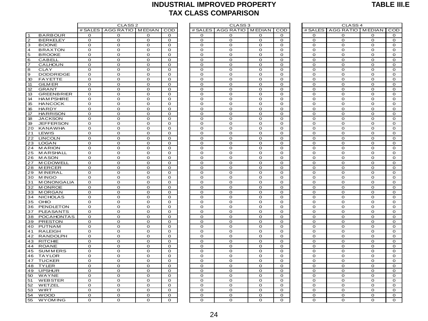#### **INDUSTRIAL IMPROVED PROPERTY TAX CLASS COMPARISON**

|                                    |                |                          |                |                |                | <b>TAX CLASS COMPARISON</b> |                |              |                |                              |                |                |
|------------------------------------|----------------|--------------------------|----------------|----------------|----------------|-----------------------------|----------------|--------------|----------------|------------------------------|----------------|----------------|
|                                    |                | CLASS <sub>2</sub>       |                |                |                | CLASS <sub>3</sub>          |                |              |                | CLASS <sub>4</sub>           |                |                |
|                                    |                | # SALES AGG RATIO MEDIAN |                | COD            |                | # SALES AGG RATIO   MEDIAN  |                | COD          |                | # SALES   AGG RATIO   MEDIAN |                | COD            |
| <b>BARBOUR</b><br>-1               | $\mathbf{o}$   | $\mathbf 0$              | O              | o              | $\mathbf 0$    | o                           | 0              | $\mathbf{o}$ | $\Omega$       | O                            | 0              | O              |
| $\overline{c}$<br><b>BERKELEY</b>  | $\mathbf{O}$   | $\mathbf 0$              | $\mathbf O$    | $\mathbf{O}$   | $\mathbf{o}$   | $\mathbf O$                 | O              | $\mathbf{o}$ | $\mathbf 0$    | $\overline{0}$               | $\mathbf 0$    | $\mathbf 0$    |
| 3<br><b>BOONE</b>                  | 0              | $\mathbf 0$              | $\mathbf{o}$   | 0              | O              | $\mathbf{o}$                | O              | 0            | $\mathbf 0$    | O                            | $\mathbf 0$    | $\mathbf 0$    |
| $\overline{4}$<br><b>BRAXTON</b>   | 0              | $\mathbf 0$              | $\mathbf O$    | 0              | O              | $\mathbf 0$                 | O              | $\mathbf 0$  | $\mathbf 0$    | O                            | 0              | $\mathbf 0$    |
| 5<br><b>BROOKE</b>                 | $\mathbf{O}$   | $\mathbf 0$              | $\mathbf O$    | $\mathbf{o}$   | O              | $\mathbf 0$                 | O              | O            | $\mathbf 0$    | O                            | $\mathbf 0$    | $\mathbf 0$    |
| 6<br><b>CABELL</b>                 | $\overline{O}$ | $\mathbf{o}$             | $\overline{O}$ | $\overline{O}$ | $\circ$        | $\mathbf{o}$                | $\overline{O}$ | $\Omega$     | $\mathbf{o}$   | $\overline{O}$               | $\overline{O}$ | $\mathbf{o}$   |
| $\overline{7}$<br>CALHOUN          | $\Omega$       | $\Omega$                 | $\mathbf O$    | $\Omega$       | $\Omega$       | $\Omega$                    | O              | $\Omega$     | $\Omega$       | $\Omega$                     | $\Omega$       | $\Omega$       |
| $\bf8$<br><b>CLAY</b>              | $\mathbf{o}$   | $\mathbf 0$              | $\mathbf{O}$   | $\mathbf{o}$   | $\mathbf{o}$   | $\mathbf 0$                 | $\mathbf 0$    | $\mathbf{o}$ | $\mathbf 0$    | $\mathbf 0$                  | $\mathbf 0$    | $\mathbf 0$    |
| $\mathbf{9}$<br><b>DODDRIDGE</b>   | $\mathbf{o}$   | $\mathbf{o}$             | $\mathbf 0$    | $\mathbf{O}$   | $\mathbf 0$    | $\mathbf 0$                 | O              | $\mathbf 0$  | $\Omega$       | $\mathbf 0$                  | $\circ$        | $\Omega$       |
| 10 <sup>10</sup><br><b>FAYETTE</b> | $\mathbf{o}$   | $\mathbf 0$              | $\mathbf{o}$   | $\mathbf{o}$   | $\mathbf{o}$   | $\mathbf 0$                 | $\mathbf{o}$   | $\mathbf{o}$ | $\mathbf 0$    | $\mathbf{o}$                 | $\mathbf 0$    | $\mathbf{o}$   |
| 11<br><b>GILM ER</b>               | $\mathbf{o}$   | $\mathbf O$              | $\mathbf{o}$   | $\mathbf{O}$   | $\mathbf{o}$   | $\mathbf 0$                 | $\mathbf{o}$   | $\mathbf{o}$ | $\mathbf 0$    | $\mathbf{o}$                 | $\mathbf 0$    | $\mathbf O$    |
| 12<br><b>GRANT</b>                 | 0              | $\mathbf 0$              | $\mathbf{o}$   | o              | $\mathbf O$    | $\mathbf{o}$                | O              | O            | $\mathbf 0$    | O                            | $\mathbf 0$    | $\mathbf 0$    |
| 13<br><b>GREENBRIER</b>            | 0              | $\mathbf 0$              | $\mathbf O$    | $\mathbf{o}$   | $\mathbf O$    | $\mathbf 0$                 | O              | $\mathbf 0$  | $\mathbf 0$    | $\mathbf O$                  | $\mathbf 0$    | $\mathbf 0$    |
| 14<br><b>HAM PSHIRE</b>            | $\mathbf{o}$   | $\mathbf 0$              | $\mathbf{o}$   | $\mathbf{O}$   | $\mathbf{o}$   | $\mathbf{O}$                | $\mathbf{o}$   | $\mathbf{o}$ | $\mathbf 0$    | O                            | $\mathbf 0$    | $\mathbf 0$    |
| 15<br><b>HANCOCK</b>               | $\mathbf{o}$   | $\mathbf{o}$             | $\mathbf O$    | $\mathbf{O}$   | $\mathbf 0$    | $\mathbf{O}$                | $\mathbf{o}$   | $\Omega$     | $\mathbf 0$    | $\mathbf{o}$                 | $\mathbf 0$    | $\mathbf 0$    |
| 16<br><b>HARDY</b>                 | $\mathbf{o}$   | $\mathbf 0$              | $\mathbf{o}$   | $\mathbf{O}$   | $\mathbf{o}$   | $\mathbf{O}$                | O              | $\mathbf{O}$ | $\mathbf 0$    | $\mathbf{o}$                 | $\mathbf 0$    | $\mathbf 0$    |
| 17<br><b>HARRISON</b>              | $\mathbf{o}$   | $\mathbf{o}$             | $\mathbf 0$    | $\mathbf{o}$   | $\circ$        | $\mathbf 0$                 | $\circ$        | $\mathbf{o}$ | $\Omega$       | $\mathbf 0$                  | $\circ$        | O              |
| 18<br><b>JACKSON</b>               | o              | $\mathbf 0$              | O              | 0              | O              | O                           | o              | O            | $\mathbf 0$    | O                            | 0              | $\mathbf 0$    |
| 19<br><b>JEFFERSON</b>             | $\mathbf{o}$   | $\mathbf 0$              | $\mathbf{o}$   | $\mathbf{o}$   | $\mathbf 0$    | $\mathbf{o}$                | O              | $\mathbf{o}$ | $\mathbf{o}$   | $\overline{O}$               | $\circ$        | $\mathbf{o}$   |
| 20<br><b>KANAWHA</b>               | $\mathbf{o}$   | $\mathbf O$              | $\mathbf{o}$   | $\mathbf 0$    | O              | $\mathbf O$                 | o              | $\mathbf O$  | $\mathbf 0$    | $\overline{O}$               | $\mathbf O$    | $\mathbf O$    |
| 21<br>LEWIS                        | o              | $\mathbf 0$              | $\mathbf{o}$   | 0              | O              | $\mathbf{o}$                | O              | o            | $\mathbf 0$    | O                            | $\mathbf O$    | $\mathbf 0$    |
| 22<br><b>LINCOLN</b>               | $\mathbf{o}$   | $\mathbf 0$              | $\mathbf O$    | $\mathbf{o}$   | $\mathbf{o}$   | $\mathbf O$                 | o              | $\mathbf 0$  | $\mathbf 0$    | $\mathbf{o}$                 | $\mathbf 0$    | $\mathbf O$    |
| 23<br><b>LOGAN</b>                 | $\mathbf{O}$   | $\mathbf{o}$             | $\overline{O}$ | $\mathbf{O}$   | $\mathbf{o}$   | $\overline{O}$              | $\mathbf{o}$   | $\Omega$     | $\mathbf 0$    | $\overline{O}$               | $\mathbf 0$    | $\mathbf{o}$   |
| <b>MARION</b><br>24                | $\mathbf{o}$   | $\mathbf{o}$             | $\mathbf O$    | $\mathbf{o}$   | $\mathbf 0$    | $\mathbf 0$                 | $\mathbf{o}$   | $\mathbf{o}$ | $\mathbf 0$    | $\mathbf 0$                  | $\mathbf 0$    | $\mathbf 0$    |
| 25<br><b>MARSHALL</b>              | $\mathbf{O}$   | $\mathbf{o}$             | $\mathbf{o}$   | $\mathbf{O}$   | $\mathbf{o}$   | $\mathbf{O}$                | $\mathbf{o}$   | $\mathbf{O}$ | $\mathbf 0$    | $\mathbf{o}$                 | $\mathbf 0$    | $\mathbf 0$    |
| 26<br><b>MASON</b>                 | $\mathbf{o}$   | $\mathbf{o}$             | $\mathbf 0$    | $\mathbf{o}$   | $\circ$        | $\mathbf{O}$                | $\circ$        | $\mathbf{o}$ | $\Omega$       | $\mathbf 0$                  | $\circ$        | O              |
| 27<br><b>MCDOWELL</b>              | 0              | $\mathbf 0$              | $\mathbf O$    | $\mathbf 0$    | O              | $\mathbf O$                 | O              | $\mathbf{o}$ | $\mathbf 0$    | O                            | 0              | $\mathbf 0$    |
| 28<br><b>MERCER</b>                | $\mathbf{o}$   | $\mathbf 0$              | $\mathbf 0$    | $\mathbf{o}$   | $\mathbf 0$    | $\mathbf{O}$                | O              | $\mathbf{O}$ | $\mathbf 0$    | $\mathbf{o}$                 | $\circ$        | $\mathbf 0$    |
| 29<br><b>MINERAL</b>               | $\mathbf{o}$   | $\mathbf{o}$             | $\mathbf{o}$   | 0              | $\overline{O}$ | $\mathbf{o}$                | o              | $\mathbf O$  | $\mathbf{o}$   | $\overline{O}$               | $\mathbf{o}$   | $\mathbf 0$    |
| 30<br><b>MINGO</b>                 | 0              | 0                        | $\mathbf{o}$   | 0              | o              | $\mathbf{o}$                | o              | 0            | $\mathbf 0$    | $\overline{O}$               | O              | O              |
| <b>MONONGALIA</b><br>31            | 0              | $\mathbf 0$              | $\mathbf O$    | 0              | $\mathbf O$    | $\mathbf O$                 | O              | $\Omega$     | $\mathbf 0$    | O                            | $\mathbf 0$    | $\mathbf O$    |
| 32<br><b>MONROE</b>                | $\mathbf{o}$   | $\overline{O}$           | $\overline{O}$ | $\mathbf{O}$   | $\mathbf{o}$   | $\overline{O}$              | $\mathbf{o}$   | $\Omega$     | $\mathbf 0$    | $\overline{O}$               | $\mathbf 0$    | $\overline{O}$ |
| <b>MORGAN</b><br>33                | $\mathbf{o}$   | $\mathbf{o}$             | $\mathbf{o}$   | $\mathbf{O}$   | $\mathbf 0$    | $\mathbf 0$                 | $\mathbf{o}$   | $\Omega$     | $\Omega$       | $\mathbf{o}$                 | $\mathbf 0$    | $\mathbf 0$    |
| 34<br><b>NICHOLAS</b>              | $\mathbf{o}$   | $\mathbf 0$              | $\mathbf{o}$   | $\mathbf{O}$   | $\mathbf{o}$   | $\mathbf{O}$                | $\mathbf{o}$   | $\mathbf{O}$ | $\mathbf 0$    | $\overline{O}$               | $\mathbf 0$    | $\mathbf{o}$   |
| 35<br>OHIO                         | $\mathbf{o}$   | $\mathbf{o}$             | $\mathbf 0$    | $\mathbf{o}$   | $\circ$        | $\mathbf{O}$                | 0              | $\mathbf{o}$ | $\Omega$       | $\mathbf 0$                  | $\circ$        | $\mathbf{o}$   |
| 36<br><b>PENDLETON</b>             | $\mathbf{o}$   | $\mathbf 0$              | $\mathbf O$    | $\mathbf{o}$   | $\mathbf{o}$   | $\mathbf O$                 | $\mathbf{o}$   | $\mathbf{o}$ | $\mathbf 0$    | O                            | $\mathbf 0$    | $\mathbf 0$    |
| <b>PLEASANTS</b><br>37             | $\mathbf{o}$   | $\mathbf 0$              | $\mathbf O$    | $\mathbf{o}$   | $\mathbf 0$    | $\mathbf{O}$                | O              | $\mathbf{O}$ | $\mathbf 0$    | $\mathbf{o}$                 | $\circ$        | $\mathbf 0$    |
| <b>POCAHONTAS</b><br>38            | $\mathbf{o}$   | $\mathbf 0$              | $\overline{O}$ | $\mathbf{o}$   | $\overline{O}$ | $\mathbf{o}$                | o              | $\mathbf O$  | $\mathbf{o}$   | $\overline{O}$               | $\mathbf{o}$   | $\mathbf 0$    |
| <b>PRESTON</b><br>39               | 0              | $\mathbf 0$              | $\mathbf O$    | 0              | o              | $\mathbf 0$                 | O              | 0            | $\Omega$       | O                            | O              | O              |
| 40<br><b>PUTNAM</b>                | $\mathbf{o}$   | $\mathbf 0$              | $\mathbf O$    | $\mathbf{o}$   | $\mathbf{o}$   | $\mathbf O$                 | O              | $\mathbf 0$  | $\mathbf 0$    | O                            | $\mathbf 0$    | $\mathbf 0$    |
| 41<br><b>RALEIGH</b>               | $\Omega$       | $\overline{0}$           | $\overline{O}$ | $\Omega$       | $\mathbf 0$    | $\overline{0}$              | $\overline{O}$ | $\Omega$     | $\overline{0}$ | $\overline{O}$               | $\circ$        | $\overline{0}$ |
| 42<br><b>RANDOLPH</b>              | 0              | $\mathbf 0$              | $\mathbf O$    | 0              | $\mathbf 0$    | $\mathbf O$                 | O              | $\mathbf{o}$ | $\mathbf 0$    | $\mathbf O$                  | $\mathbf 0$    | $\mathbf 0$    |
| 43<br><b>RITCHIE</b>               | $\mathbf{o}$   | $\mathbf{o}$             | $\mathbf 0$    | $\mathbf{O}$   | O              | $\mathbf{O}$                | $\overline{O}$ | $\mathbf{O}$ | $\Omega$       | $\overline{O}$               | $\circ$        | $\Omega$       |
| 44<br><b>ROANE</b>                 | o              | $\mathbf 0$              | $\mathbf O$    | o              | O              | $\mathbf 0$                 | o              | 0            | O              | O                            | 0              | O              |
| 45<br><b>SUMMERS</b>               | $\mathbf{o}$   | $\mathbf 0$              | $\mathbf{o}$   | $\overline{O}$ | $\mathbf{o}$   | $\mathbf 0$                 | $\mathbf{o}$   | $\mathbf 0$  | $\mathbf 0$    | $\overline{O}$               | $\mathbf 0$    | $\mathbf{o}$   |
| <b>TAYLOR</b><br>46                | $\mathbf{o}$   | $\mathbf{o}$             | $\mathbf{O}$   | $\mathbf{O}$   | $\mathbf 0$    | $\mathbf{O}$                | O              | $\mathbf 0$  | $\mathbf 0$    | $\mathbf{o}$                 | $\circ$        | $\mathbf O$    |
| 47<br><b>TUCKER</b>                | $\overline{O}$ | $\mathbf{o}$             | $\overline{O}$ | $\overline{O}$ | $\mathbf{o}$   | $\mathbf{o}$                | $\overline{O}$ | $\mathbf O$  | $\mathbf{o}$   | $\overline{O}$               | $\overline{O}$ | $\mathbf{o}$   |
| 48<br><b>TYLER</b>                 | $\mathbf{O}$   | $\mathbf 0$              | $\mathbf O$    | 0              | O              | $\mathbf{O}$                | O              | O            | $\mathbf 0$    | O                            | $\mathbf O$    | O              |
| <b>UPSHUR</b><br>49                | $\mathbf{o}$   | $\mathbf{o}$             | $\mathbf{o}$   | $\mathbf{o}$   | $\mathbf{o}$   | $\mathbf O$                 | O              | $\mathbf 0$  | $\mathbf 0$    | $\mathbf O$                  | $\mathbf 0$    | $\mathbf 0$    |
| WAYNE<br>50                        | $\Omega$       | $\mathbf{o}$             | $\mathbf{o}$   | $\Omega$       | $\Omega$       | $\Omega$                    | $\mathbf{o}$   | $\Omega$     | $\Omega$       | $\mathbf{o}$                 | $\mathbf 0$    | $\mathbf 0$    |
| 51<br><b>WEBSTER</b>               | $\mathbf{o}$   | $\mathbf 0$              | $\mathbf O$    | O              | $\mathbf 0$    | $\mathbf O$                 | O              | $\mathbf{o}$ | $\mathbf 0$    | $\mathbf 0$                  | $\mathbf 0$    | $\mathbf 0$    |
| 52<br>WETZEL                       | $\mathbf{o}$   | $\mathbf{o}$             | $\mathbf 0$    | $\mathbf{O}$   | O              | $\mathbf 0$                 | $\mathbf{o}$   | $\mathbf{O}$ | $\Omega$       | $\mathbf{o}$                 | $\circ$        | $\Omega$       |
| 53<br><b>WIRT</b>                  | o              | $\mathbf 0$              | $\mathbf O$    | o              | O              | $\mathbf 0$                 | O              | 0            | $\mathbf 0$    | $\mathbf O$                  | 0              | O              |
| 54<br><b>WOOD</b>                  | $\mathbf{O}$   | 0                        | $\mathbf 0$    | $\mathbf{O}$   | O              | $\mathbf 0$                 | O              | $\mathbf 0$  | $\Omega$       | O                            | $\circ$        | O              |
| 55<br><b>WYOMING</b>               | o              | $\mathbf 0$              | $\mathbf O$    | $\mathbf 0$    | O              | $\mathbf 0$                 | O              | o            | $\mathbf 0$    | O                            | $\mathbf O$    | $\mathbf 0$    |

| <b>MEDIAN</b><br>COD<br># SALES<br>AGG RATIO<br><b>MEDIAN</b><br>COD<br># SALES<br>RATIO  <br>0<br>o<br>o<br>o<br>0<br>o<br>o<br>o<br>0<br>$\mathbf{o}$<br>$\mathbf O$<br>O<br>O<br>O<br>O<br>o<br>о<br>$\mathbf O$<br>O<br>o<br>o<br>o<br>o<br>o<br>o<br>$\mathbf O$<br>$\mathbf O$<br>$\mathbf O$<br>$\mathbf O$<br>$\mathbf O$<br>O<br>O<br>o<br>$\mathbf O$<br>$\Omega$<br>$\mathbf 0$<br>$\Omega$<br>$\mathbf 0$<br>o<br>o<br>0<br>$\mathbf 0$<br>$\mathbf 0$<br>O<br>O<br>O<br>$\Omega$<br>$\mathbf O$<br>o<br>$\mathbf O$<br>$\mathbf O$<br>$\mathbf O$<br>O<br>o<br>o<br>O<br>o<br>O<br>o<br>O<br>o<br>o<br>o<br>o<br>o<br>$\mathbf O$<br>$\mathbf O$<br>$\mathbf O$<br>O<br>O<br>O<br>O<br>o<br>$\mathbf O$<br>$\mathbf O$<br>$\mathbf O$<br>$\mathbf O$<br>$\mathbf O$<br>$\mathbf O$<br>$\mathbf 0$<br>$\overline{0}$<br>$\mathbf O$<br>O<br>o<br>o<br>o<br>o<br>o<br>o<br>$\mathbf O$<br>$\mathbf O$<br>O<br>O<br>O<br>$\mathbf{o}$<br>O<br>o<br>$\mathbf O$<br>O<br>$\mathbf 0$<br>O<br>$\mathbf{o}$<br>O<br>O<br>o<br>$\mathbf O$<br>O<br>o<br>o<br>O<br>O<br>o<br>o<br>O<br>O<br>O<br>O<br>o<br>o<br>o<br>ō<br>$\mathbf O$<br>$\mathbf O$<br>$\mathbf O$<br>$\mathbf O$<br>O<br>O<br>$\mathbf{o}$<br>o<br>$\mathbf O$<br>$\mathbf O$<br>$\mathbf O$<br>$\mathbf O$<br>$\mathbf O$<br>$\mathbf O$<br>O<br>o<br>$\mathbf O$<br>$\mathbf O$<br>$\mathbf O$<br>$\mathbf O$<br>$\mathbf O$<br>O<br>o<br>o<br>O<br>O<br>O<br>O<br>o<br>o<br>o<br>o<br>$\mathbf 0$<br>$\mathbf 0$<br>$\mathbf 0$<br>$\mathbf 0$<br>$\mathbf 0$<br>$\mathbf 0$<br>O<br>o<br>$\mathbf O$<br>$\mathbf O$<br>$\mathbf O$<br>$\mathbf O$<br>$\mathbf O$<br>$\mathbf 0$<br>O<br>o<br>O<br>o<br>O<br>o<br>O<br>o<br>o<br>o<br>$\mathbf{o}$<br>$\mathbf O$<br>$\mathbf O$<br>$\mathbf O$<br>$\mathbf O$<br>$\mathbf O$<br>O<br>o<br>$\mathbf O$<br>$\mathbf O$<br>$\mathbf O$<br>$\mathbf O$<br>$\mathbf O$<br>$\mathbf O$<br>$\mathbf 0$<br>o<br>$\mathbf O$<br>O<br>O<br>o<br>o<br>o<br>o<br>ō<br>$\mathbf O$<br>$\mathbf O$<br>O<br>$\mathbf O$<br>$\mathbf O$<br>$\mathbf O$<br>O<br>o<br>$\mathbf O$<br>$\mathbf 0$<br>$\mathbf O$<br>O<br>$\mathbf 0$<br>O<br>O<br>o<br>O<br>O<br>O<br>O<br>o<br>O<br>O<br>o<br>O<br>O<br>O<br>O<br>O<br>O<br>O<br>$\overline{\rm o}$<br>$\mathbf O$<br>$\mathbf O$<br>$\mathbf O$<br>$\mathbf O$<br>$\mathbf O$<br>$\mathbf O$<br>$\mathbf 0$<br>o<br>$\mathbf O$<br>$\mathbf O$<br>$\mathbf O$<br>$\mathbf O$<br>O<br>O<br>O<br>o<br>$\mathbf O$<br>$\mathbf O$<br>O<br>$\mathbf O$<br>$\mathbf{o}$<br>O<br>O<br>o<br>O<br>O<br>O<br>o<br>O<br>o<br>o<br>о<br>$\Omega$<br>$\mathbf 0$<br>$\Omega$<br>$\mathbf 0$<br>$\mathbf 0$<br>$\mathbf O$<br>O<br>o<br>$\mathbf O$<br>$\mathbf O$<br>$\mathbf O$<br>$\mathbf O$<br>$\mathbf O$<br>$\mathbf O$<br>O<br>o<br>O<br>o<br>O<br>o<br>o<br>o<br>o<br>o<br>O<br>O<br>O<br>O<br>O<br>O<br>O<br>o<br>$\mathbf O$<br>$\mathbf O$<br>$\mathbf O$<br>$\mathbf O$<br>$\mathbf{o}$<br>$\mathbf O$<br>O<br>o<br>$\mathbf O$<br>$\mathbf O$<br>$\mathbf O$<br>$\mathbf O$<br>O<br>O<br>o<br>o<br>$\mathbf O$<br>O<br>O<br>O<br>O<br>O<br>O<br>o<br>O<br>o<br>O<br>o<br>o<br>o<br>o<br>o<br>$\mathbf O$<br>$\mathbf O$<br>$\mathbf O$<br>$\mathbf O$<br>$\mathbf O$<br>$\mathbf O$<br>o<br>o<br>O<br>O<br>O<br>O<br>O<br>o<br>o<br>$\overline{o}$<br>O<br>O<br>O<br>$\mathbf{o}$<br>O<br>o<br>O<br>o<br>$\mathbf O$<br>$\mathbf O$<br>$\mathbf O$<br>$\mathbf O$<br>$\mathbf O$<br>$\mathbf O$<br>O |  |  |  |  |                  |  |
|----------------------------------------------------------------------------------------------------------------------------------------------------------------------------------------------------------------------------------------------------------------------------------------------------------------------------------------------------------------------------------------------------------------------------------------------------------------------------------------------------------------------------------------------------------------------------------------------------------------------------------------------------------------------------------------------------------------------------------------------------------------------------------------------------------------------------------------------------------------------------------------------------------------------------------------------------------------------------------------------------------------------------------------------------------------------------------------------------------------------------------------------------------------------------------------------------------------------------------------------------------------------------------------------------------------------------------------------------------------------------------------------------------------------------------------------------------------------------------------------------------------------------------------------------------------------------------------------------------------------------------------------------------------------------------------------------------------------------------------------------------------------------------------------------------------------------------------------------------------------------------------------------------------------------------------------------------------------------------------------------------------------------------------------------------------------------------------------------------------------------------------------------------------------------------------------------------------------------------------------------------------------------------------------------------------------------------------------------------------------------------------------------------------------------------------------------------------------------------------------------------------------------------------------------------------------------------------------------------------------------------------------------------------------------------------------------------------------------------------------------------------------------------------------------------------------------------------------------------------------------------------------------------------------------------------------------------------------------------------------------------------------------------------------------------------------------------------------------------------------------------------------------------------------------------------------------------------------------------------------------------------------------------------------------------------------------------------------------------------------------------------------------------------------------------------------------------------|--|--|--|--|------------------|--|
|                                                                                                                                                                                                                                                                                                                                                                                                                                                                                                                                                                                                                                                                                                                                                                                                                                                                                                                                                                                                                                                                                                                                                                                                                                                                                                                                                                                                                                                                                                                                                                                                                                                                                                                                                                                                                                                                                                                                                                                                                                                                                                                                                                                                                                                                                                                                                                                                                                                                                                                                                                                                                                                                                                                                                                                                                                                                                                                                                                                                                                                                                                                                                                                                                                                                                                                                                                                                                                                                |  |  |  |  | AGG RATIO        |  |
|                                                                                                                                                                                                                                                                                                                                                                                                                                                                                                                                                                                                                                                                                                                                                                                                                                                                                                                                                                                                                                                                                                                                                                                                                                                                                                                                                                                                                                                                                                                                                                                                                                                                                                                                                                                                                                                                                                                                                                                                                                                                                                                                                                                                                                                                                                                                                                                                                                                                                                                                                                                                                                                                                                                                                                                                                                                                                                                                                                                                                                                                                                                                                                                                                                                                                                                                                                                                                                                                |  |  |  |  | $\mathbf O$      |  |
|                                                                                                                                                                                                                                                                                                                                                                                                                                                                                                                                                                                                                                                                                                                                                                                                                                                                                                                                                                                                                                                                                                                                                                                                                                                                                                                                                                                                                                                                                                                                                                                                                                                                                                                                                                                                                                                                                                                                                                                                                                                                                                                                                                                                                                                                                                                                                                                                                                                                                                                                                                                                                                                                                                                                                                                                                                                                                                                                                                                                                                                                                                                                                                                                                                                                                                                                                                                                                                                                |  |  |  |  | O                |  |
|                                                                                                                                                                                                                                                                                                                                                                                                                                                                                                                                                                                                                                                                                                                                                                                                                                                                                                                                                                                                                                                                                                                                                                                                                                                                                                                                                                                                                                                                                                                                                                                                                                                                                                                                                                                                                                                                                                                                                                                                                                                                                                                                                                                                                                                                                                                                                                                                                                                                                                                                                                                                                                                                                                                                                                                                                                                                                                                                                                                                                                                                                                                                                                                                                                                                                                                                                                                                                                                                |  |  |  |  | $\mathbf O$      |  |
|                                                                                                                                                                                                                                                                                                                                                                                                                                                                                                                                                                                                                                                                                                                                                                                                                                                                                                                                                                                                                                                                                                                                                                                                                                                                                                                                                                                                                                                                                                                                                                                                                                                                                                                                                                                                                                                                                                                                                                                                                                                                                                                                                                                                                                                                                                                                                                                                                                                                                                                                                                                                                                                                                                                                                                                                                                                                                                                                                                                                                                                                                                                                                                                                                                                                                                                                                                                                                                                                |  |  |  |  | $\mathbf O$      |  |
|                                                                                                                                                                                                                                                                                                                                                                                                                                                                                                                                                                                                                                                                                                                                                                                                                                                                                                                                                                                                                                                                                                                                                                                                                                                                                                                                                                                                                                                                                                                                                                                                                                                                                                                                                                                                                                                                                                                                                                                                                                                                                                                                                                                                                                                                                                                                                                                                                                                                                                                                                                                                                                                                                                                                                                                                                                                                                                                                                                                                                                                                                                                                                                                                                                                                                                                                                                                                                                                                |  |  |  |  | $\mathbf 0$      |  |
|                                                                                                                                                                                                                                                                                                                                                                                                                                                                                                                                                                                                                                                                                                                                                                                                                                                                                                                                                                                                                                                                                                                                                                                                                                                                                                                                                                                                                                                                                                                                                                                                                                                                                                                                                                                                                                                                                                                                                                                                                                                                                                                                                                                                                                                                                                                                                                                                                                                                                                                                                                                                                                                                                                                                                                                                                                                                                                                                                                                                                                                                                                                                                                                                                                                                                                                                                                                                                                                                |  |  |  |  | $\mathbf 0$      |  |
|                                                                                                                                                                                                                                                                                                                                                                                                                                                                                                                                                                                                                                                                                                                                                                                                                                                                                                                                                                                                                                                                                                                                                                                                                                                                                                                                                                                                                                                                                                                                                                                                                                                                                                                                                                                                                                                                                                                                                                                                                                                                                                                                                                                                                                                                                                                                                                                                                                                                                                                                                                                                                                                                                                                                                                                                                                                                                                                                                                                                                                                                                                                                                                                                                                                                                                                                                                                                                                                                |  |  |  |  | $\mathbf O$      |  |
|                                                                                                                                                                                                                                                                                                                                                                                                                                                                                                                                                                                                                                                                                                                                                                                                                                                                                                                                                                                                                                                                                                                                                                                                                                                                                                                                                                                                                                                                                                                                                                                                                                                                                                                                                                                                                                                                                                                                                                                                                                                                                                                                                                                                                                                                                                                                                                                                                                                                                                                                                                                                                                                                                                                                                                                                                                                                                                                                                                                                                                                                                                                                                                                                                                                                                                                                                                                                                                                                |  |  |  |  | 0                |  |
|                                                                                                                                                                                                                                                                                                                                                                                                                                                                                                                                                                                                                                                                                                                                                                                                                                                                                                                                                                                                                                                                                                                                                                                                                                                                                                                                                                                                                                                                                                                                                                                                                                                                                                                                                                                                                                                                                                                                                                                                                                                                                                                                                                                                                                                                                                                                                                                                                                                                                                                                                                                                                                                                                                                                                                                                                                                                                                                                                                                                                                                                                                                                                                                                                                                                                                                                                                                                                                                                |  |  |  |  | $\mathbf O$      |  |
|                                                                                                                                                                                                                                                                                                                                                                                                                                                                                                                                                                                                                                                                                                                                                                                                                                                                                                                                                                                                                                                                                                                                                                                                                                                                                                                                                                                                                                                                                                                                                                                                                                                                                                                                                                                                                                                                                                                                                                                                                                                                                                                                                                                                                                                                                                                                                                                                                                                                                                                                                                                                                                                                                                                                                                                                                                                                                                                                                                                                                                                                                                                                                                                                                                                                                                                                                                                                                                                                |  |  |  |  | $\mathbf O$      |  |
|                                                                                                                                                                                                                                                                                                                                                                                                                                                                                                                                                                                                                                                                                                                                                                                                                                                                                                                                                                                                                                                                                                                                                                                                                                                                                                                                                                                                                                                                                                                                                                                                                                                                                                                                                                                                                                                                                                                                                                                                                                                                                                                                                                                                                                                                                                                                                                                                                                                                                                                                                                                                                                                                                                                                                                                                                                                                                                                                                                                                                                                                                                                                                                                                                                                                                                                                                                                                                                                                |  |  |  |  | o                |  |
|                                                                                                                                                                                                                                                                                                                                                                                                                                                                                                                                                                                                                                                                                                                                                                                                                                                                                                                                                                                                                                                                                                                                                                                                                                                                                                                                                                                                                                                                                                                                                                                                                                                                                                                                                                                                                                                                                                                                                                                                                                                                                                                                                                                                                                                                                                                                                                                                                                                                                                                                                                                                                                                                                                                                                                                                                                                                                                                                                                                                                                                                                                                                                                                                                                                                                                                                                                                                                                                                |  |  |  |  | O                |  |
|                                                                                                                                                                                                                                                                                                                                                                                                                                                                                                                                                                                                                                                                                                                                                                                                                                                                                                                                                                                                                                                                                                                                                                                                                                                                                                                                                                                                                                                                                                                                                                                                                                                                                                                                                                                                                                                                                                                                                                                                                                                                                                                                                                                                                                                                                                                                                                                                                                                                                                                                                                                                                                                                                                                                                                                                                                                                                                                                                                                                                                                                                                                                                                                                                                                                                                                                                                                                                                                                |  |  |  |  | $\mathbf O$      |  |
|                                                                                                                                                                                                                                                                                                                                                                                                                                                                                                                                                                                                                                                                                                                                                                                                                                                                                                                                                                                                                                                                                                                                                                                                                                                                                                                                                                                                                                                                                                                                                                                                                                                                                                                                                                                                                                                                                                                                                                                                                                                                                                                                                                                                                                                                                                                                                                                                                                                                                                                                                                                                                                                                                                                                                                                                                                                                                                                                                                                                                                                                                                                                                                                                                                                                                                                                                                                                                                                                |  |  |  |  | O                |  |
|                                                                                                                                                                                                                                                                                                                                                                                                                                                                                                                                                                                                                                                                                                                                                                                                                                                                                                                                                                                                                                                                                                                                                                                                                                                                                                                                                                                                                                                                                                                                                                                                                                                                                                                                                                                                                                                                                                                                                                                                                                                                                                                                                                                                                                                                                                                                                                                                                                                                                                                                                                                                                                                                                                                                                                                                                                                                                                                                                                                                                                                                                                                                                                                                                                                                                                                                                                                                                                                                |  |  |  |  | O                |  |
|                                                                                                                                                                                                                                                                                                                                                                                                                                                                                                                                                                                                                                                                                                                                                                                                                                                                                                                                                                                                                                                                                                                                                                                                                                                                                                                                                                                                                                                                                                                                                                                                                                                                                                                                                                                                                                                                                                                                                                                                                                                                                                                                                                                                                                                                                                                                                                                                                                                                                                                                                                                                                                                                                                                                                                                                                                                                                                                                                                                                                                                                                                                                                                                                                                                                                                                                                                                                                                                                |  |  |  |  | O                |  |
|                                                                                                                                                                                                                                                                                                                                                                                                                                                                                                                                                                                                                                                                                                                                                                                                                                                                                                                                                                                                                                                                                                                                                                                                                                                                                                                                                                                                                                                                                                                                                                                                                                                                                                                                                                                                                                                                                                                                                                                                                                                                                                                                                                                                                                                                                                                                                                                                                                                                                                                                                                                                                                                                                                                                                                                                                                                                                                                                                                                                                                                                                                                                                                                                                                                                                                                                                                                                                                                                |  |  |  |  | $\mathbf O$      |  |
|                                                                                                                                                                                                                                                                                                                                                                                                                                                                                                                                                                                                                                                                                                                                                                                                                                                                                                                                                                                                                                                                                                                                                                                                                                                                                                                                                                                                                                                                                                                                                                                                                                                                                                                                                                                                                                                                                                                                                                                                                                                                                                                                                                                                                                                                                                                                                                                                                                                                                                                                                                                                                                                                                                                                                                                                                                                                                                                                                                                                                                                                                                                                                                                                                                                                                                                                                                                                                                                                |  |  |  |  | $\mathbf O$      |  |
|                                                                                                                                                                                                                                                                                                                                                                                                                                                                                                                                                                                                                                                                                                                                                                                                                                                                                                                                                                                                                                                                                                                                                                                                                                                                                                                                                                                                                                                                                                                                                                                                                                                                                                                                                                                                                                                                                                                                                                                                                                                                                                                                                                                                                                                                                                                                                                                                                                                                                                                                                                                                                                                                                                                                                                                                                                                                                                                                                                                                                                                                                                                                                                                                                                                                                                                                                                                                                                                                |  |  |  |  | O                |  |
|                                                                                                                                                                                                                                                                                                                                                                                                                                                                                                                                                                                                                                                                                                                                                                                                                                                                                                                                                                                                                                                                                                                                                                                                                                                                                                                                                                                                                                                                                                                                                                                                                                                                                                                                                                                                                                                                                                                                                                                                                                                                                                                                                                                                                                                                                                                                                                                                                                                                                                                                                                                                                                                                                                                                                                                                                                                                                                                                                                                                                                                                                                                                                                                                                                                                                                                                                                                                                                                                |  |  |  |  | $\mathbf 0$      |  |
|                                                                                                                                                                                                                                                                                                                                                                                                                                                                                                                                                                                                                                                                                                                                                                                                                                                                                                                                                                                                                                                                                                                                                                                                                                                                                                                                                                                                                                                                                                                                                                                                                                                                                                                                                                                                                                                                                                                                                                                                                                                                                                                                                                                                                                                                                                                                                                                                                                                                                                                                                                                                                                                                                                                                                                                                                                                                                                                                                                                                                                                                                                                                                                                                                                                                                                                                                                                                                                                                |  |  |  |  | $\mathbf O$      |  |
|                                                                                                                                                                                                                                                                                                                                                                                                                                                                                                                                                                                                                                                                                                                                                                                                                                                                                                                                                                                                                                                                                                                                                                                                                                                                                                                                                                                                                                                                                                                                                                                                                                                                                                                                                                                                                                                                                                                                                                                                                                                                                                                                                                                                                                                                                                                                                                                                                                                                                                                                                                                                                                                                                                                                                                                                                                                                                                                                                                                                                                                                                                                                                                                                                                                                                                                                                                                                                                                                |  |  |  |  | 0                |  |
|                                                                                                                                                                                                                                                                                                                                                                                                                                                                                                                                                                                                                                                                                                                                                                                                                                                                                                                                                                                                                                                                                                                                                                                                                                                                                                                                                                                                                                                                                                                                                                                                                                                                                                                                                                                                                                                                                                                                                                                                                                                                                                                                                                                                                                                                                                                                                                                                                                                                                                                                                                                                                                                                                                                                                                                                                                                                                                                                                                                                                                                                                                                                                                                                                                                                                                                                                                                                                                                                |  |  |  |  | $\mathbf{o}$     |  |
|                                                                                                                                                                                                                                                                                                                                                                                                                                                                                                                                                                                                                                                                                                                                                                                                                                                                                                                                                                                                                                                                                                                                                                                                                                                                                                                                                                                                                                                                                                                                                                                                                                                                                                                                                                                                                                                                                                                                                                                                                                                                                                                                                                                                                                                                                                                                                                                                                                                                                                                                                                                                                                                                                                                                                                                                                                                                                                                                                                                                                                                                                                                                                                                                                                                                                                                                                                                                                                                                |  |  |  |  | $\mathbf O$      |  |
|                                                                                                                                                                                                                                                                                                                                                                                                                                                                                                                                                                                                                                                                                                                                                                                                                                                                                                                                                                                                                                                                                                                                                                                                                                                                                                                                                                                                                                                                                                                                                                                                                                                                                                                                                                                                                                                                                                                                                                                                                                                                                                                                                                                                                                                                                                                                                                                                                                                                                                                                                                                                                                                                                                                                                                                                                                                                                                                                                                                                                                                                                                                                                                                                                                                                                                                                                                                                                                                                |  |  |  |  | o                |  |
|                                                                                                                                                                                                                                                                                                                                                                                                                                                                                                                                                                                                                                                                                                                                                                                                                                                                                                                                                                                                                                                                                                                                                                                                                                                                                                                                                                                                                                                                                                                                                                                                                                                                                                                                                                                                                                                                                                                                                                                                                                                                                                                                                                                                                                                                                                                                                                                                                                                                                                                                                                                                                                                                                                                                                                                                                                                                                                                                                                                                                                                                                                                                                                                                                                                                                                                                                                                                                                                                |  |  |  |  | $\mathbf O$      |  |
|                                                                                                                                                                                                                                                                                                                                                                                                                                                                                                                                                                                                                                                                                                                                                                                                                                                                                                                                                                                                                                                                                                                                                                                                                                                                                                                                                                                                                                                                                                                                                                                                                                                                                                                                                                                                                                                                                                                                                                                                                                                                                                                                                                                                                                                                                                                                                                                                                                                                                                                                                                                                                                                                                                                                                                                                                                                                                                                                                                                                                                                                                                                                                                                                                                                                                                                                                                                                                                                                |  |  |  |  | $\mathbf 0$      |  |
|                                                                                                                                                                                                                                                                                                                                                                                                                                                                                                                                                                                                                                                                                                                                                                                                                                                                                                                                                                                                                                                                                                                                                                                                                                                                                                                                                                                                                                                                                                                                                                                                                                                                                                                                                                                                                                                                                                                                                                                                                                                                                                                                                                                                                                                                                                                                                                                                                                                                                                                                                                                                                                                                                                                                                                                                                                                                                                                                                                                                                                                                                                                                                                                                                                                                                                                                                                                                                                                                |  |  |  |  | O                |  |
|                                                                                                                                                                                                                                                                                                                                                                                                                                                                                                                                                                                                                                                                                                                                                                                                                                                                                                                                                                                                                                                                                                                                                                                                                                                                                                                                                                                                                                                                                                                                                                                                                                                                                                                                                                                                                                                                                                                                                                                                                                                                                                                                                                                                                                                                                                                                                                                                                                                                                                                                                                                                                                                                                                                                                                                                                                                                                                                                                                                                                                                                                                                                                                                                                                                                                                                                                                                                                                                                |  |  |  |  | O                |  |
|                                                                                                                                                                                                                                                                                                                                                                                                                                                                                                                                                                                                                                                                                                                                                                                                                                                                                                                                                                                                                                                                                                                                                                                                                                                                                                                                                                                                                                                                                                                                                                                                                                                                                                                                                                                                                                                                                                                                                                                                                                                                                                                                                                                                                                                                                                                                                                                                                                                                                                                                                                                                                                                                                                                                                                                                                                                                                                                                                                                                                                                                                                                                                                                                                                                                                                                                                                                                                                                                |  |  |  |  | 0                |  |
|                                                                                                                                                                                                                                                                                                                                                                                                                                                                                                                                                                                                                                                                                                                                                                                                                                                                                                                                                                                                                                                                                                                                                                                                                                                                                                                                                                                                                                                                                                                                                                                                                                                                                                                                                                                                                                                                                                                                                                                                                                                                                                                                                                                                                                                                                                                                                                                                                                                                                                                                                                                                                                                                                                                                                                                                                                                                                                                                                                                                                                                                                                                                                                                                                                                                                                                                                                                                                                                                |  |  |  |  | $\mathbf O$      |  |
|                                                                                                                                                                                                                                                                                                                                                                                                                                                                                                                                                                                                                                                                                                                                                                                                                                                                                                                                                                                                                                                                                                                                                                                                                                                                                                                                                                                                                                                                                                                                                                                                                                                                                                                                                                                                                                                                                                                                                                                                                                                                                                                                                                                                                                                                                                                                                                                                                                                                                                                                                                                                                                                                                                                                                                                                                                                                                                                                                                                                                                                                                                                                                                                                                                                                                                                                                                                                                                                                |  |  |  |  | $\mathbf O$      |  |
|                                                                                                                                                                                                                                                                                                                                                                                                                                                                                                                                                                                                                                                                                                                                                                                                                                                                                                                                                                                                                                                                                                                                                                                                                                                                                                                                                                                                                                                                                                                                                                                                                                                                                                                                                                                                                                                                                                                                                                                                                                                                                                                                                                                                                                                                                                                                                                                                                                                                                                                                                                                                                                                                                                                                                                                                                                                                                                                                                                                                                                                                                                                                                                                                                                                                                                                                                                                                                                                                |  |  |  |  | o                |  |
|                                                                                                                                                                                                                                                                                                                                                                                                                                                                                                                                                                                                                                                                                                                                                                                                                                                                                                                                                                                                                                                                                                                                                                                                                                                                                                                                                                                                                                                                                                                                                                                                                                                                                                                                                                                                                                                                                                                                                                                                                                                                                                                                                                                                                                                                                                                                                                                                                                                                                                                                                                                                                                                                                                                                                                                                                                                                                                                                                                                                                                                                                                                                                                                                                                                                                                                                                                                                                                                                |  |  |  |  | $\mathbf 0$      |  |
|                                                                                                                                                                                                                                                                                                                                                                                                                                                                                                                                                                                                                                                                                                                                                                                                                                                                                                                                                                                                                                                                                                                                                                                                                                                                                                                                                                                                                                                                                                                                                                                                                                                                                                                                                                                                                                                                                                                                                                                                                                                                                                                                                                                                                                                                                                                                                                                                                                                                                                                                                                                                                                                                                                                                                                                                                                                                                                                                                                                                                                                                                                                                                                                                                                                                                                                                                                                                                                                                |  |  |  |  | $\mathbf O$      |  |
|                                                                                                                                                                                                                                                                                                                                                                                                                                                                                                                                                                                                                                                                                                                                                                                                                                                                                                                                                                                                                                                                                                                                                                                                                                                                                                                                                                                                                                                                                                                                                                                                                                                                                                                                                                                                                                                                                                                                                                                                                                                                                                                                                                                                                                                                                                                                                                                                                                                                                                                                                                                                                                                                                                                                                                                                                                                                                                                                                                                                                                                                                                                                                                                                                                                                                                                                                                                                                                                                |  |  |  |  | 0                |  |
|                                                                                                                                                                                                                                                                                                                                                                                                                                                                                                                                                                                                                                                                                                                                                                                                                                                                                                                                                                                                                                                                                                                                                                                                                                                                                                                                                                                                                                                                                                                                                                                                                                                                                                                                                                                                                                                                                                                                                                                                                                                                                                                                                                                                                                                                                                                                                                                                                                                                                                                                                                                                                                                                                                                                                                                                                                                                                                                                                                                                                                                                                                                                                                                                                                                                                                                                                                                                                                                                |  |  |  |  | O                |  |
|                                                                                                                                                                                                                                                                                                                                                                                                                                                                                                                                                                                                                                                                                                                                                                                                                                                                                                                                                                                                                                                                                                                                                                                                                                                                                                                                                                                                                                                                                                                                                                                                                                                                                                                                                                                                                                                                                                                                                                                                                                                                                                                                                                                                                                                                                                                                                                                                                                                                                                                                                                                                                                                                                                                                                                                                                                                                                                                                                                                                                                                                                                                                                                                                                                                                                                                                                                                                                                                                |  |  |  |  | $\mathbf O$      |  |
|                                                                                                                                                                                                                                                                                                                                                                                                                                                                                                                                                                                                                                                                                                                                                                                                                                                                                                                                                                                                                                                                                                                                                                                                                                                                                                                                                                                                                                                                                                                                                                                                                                                                                                                                                                                                                                                                                                                                                                                                                                                                                                                                                                                                                                                                                                                                                                                                                                                                                                                                                                                                                                                                                                                                                                                                                                                                                                                                                                                                                                                                                                                                                                                                                                                                                                                                                                                                                                                                |  |  |  |  | $\mathbf O$      |  |
|                                                                                                                                                                                                                                                                                                                                                                                                                                                                                                                                                                                                                                                                                                                                                                                                                                                                                                                                                                                                                                                                                                                                                                                                                                                                                                                                                                                                                                                                                                                                                                                                                                                                                                                                                                                                                                                                                                                                                                                                                                                                                                                                                                                                                                                                                                                                                                                                                                                                                                                                                                                                                                                                                                                                                                                                                                                                                                                                                                                                                                                                                                                                                                                                                                                                                                                                                                                                                                                                |  |  |  |  | O<br>O           |  |
|                                                                                                                                                                                                                                                                                                                                                                                                                                                                                                                                                                                                                                                                                                                                                                                                                                                                                                                                                                                                                                                                                                                                                                                                                                                                                                                                                                                                                                                                                                                                                                                                                                                                                                                                                                                                                                                                                                                                                                                                                                                                                                                                                                                                                                                                                                                                                                                                                                                                                                                                                                                                                                                                                                                                                                                                                                                                                                                                                                                                                                                                                                                                                                                                                                                                                                                                                                                                                                                                |  |  |  |  |                  |  |
|                                                                                                                                                                                                                                                                                                                                                                                                                                                                                                                                                                                                                                                                                                                                                                                                                                                                                                                                                                                                                                                                                                                                                                                                                                                                                                                                                                                                                                                                                                                                                                                                                                                                                                                                                                                                                                                                                                                                                                                                                                                                                                                                                                                                                                                                                                                                                                                                                                                                                                                                                                                                                                                                                                                                                                                                                                                                                                                                                                                                                                                                                                                                                                                                                                                                                                                                                                                                                                                                |  |  |  |  | O                |  |
|                                                                                                                                                                                                                                                                                                                                                                                                                                                                                                                                                                                                                                                                                                                                                                                                                                                                                                                                                                                                                                                                                                                                                                                                                                                                                                                                                                                                                                                                                                                                                                                                                                                                                                                                                                                                                                                                                                                                                                                                                                                                                                                                                                                                                                                                                                                                                                                                                                                                                                                                                                                                                                                                                                                                                                                                                                                                                                                                                                                                                                                                                                                                                                                                                                                                                                                                                                                                                                                                |  |  |  |  | O                |  |
|                                                                                                                                                                                                                                                                                                                                                                                                                                                                                                                                                                                                                                                                                                                                                                                                                                                                                                                                                                                                                                                                                                                                                                                                                                                                                                                                                                                                                                                                                                                                                                                                                                                                                                                                                                                                                                                                                                                                                                                                                                                                                                                                                                                                                                                                                                                                                                                                                                                                                                                                                                                                                                                                                                                                                                                                                                                                                                                                                                                                                                                                                                                                                                                                                                                                                                                                                                                                                                                                |  |  |  |  | 0<br>$\mathbf O$ |  |
| o<br>$\mathbf O$<br>$\mathbf O$<br>$\mathbf O$<br>$\mathbf O$<br>$\mathbf O$<br>$\mathbf O$<br>$\mathbf 0$                                                                                                                                                                                                                                                                                                                                                                                                                                                                                                                                                                                                                                                                                                                                                                                                                                                                                                                                                                                                                                                                                                                                                                                                                                                                                                                                                                                                                                                                                                                                                                                                                                                                                                                                                                                                                                                                                                                                                                                                                                                                                                                                                                                                                                                                                                                                                                                                                                                                                                                                                                                                                                                                                                                                                                                                                                                                                                                                                                                                                                                                                                                                                                                                                                                                                                                                                     |  |  |  |  | $\mathbf O$      |  |
|                                                                                                                                                                                                                                                                                                                                                                                                                                                                                                                                                                                                                                                                                                                                                                                                                                                                                                                                                                                                                                                                                                                                                                                                                                                                                                                                                                                                                                                                                                                                                                                                                                                                                                                                                                                                                                                                                                                                                                                                                                                                                                                                                                                                                                                                                                                                                                                                                                                                                                                                                                                                                                                                                                                                                                                                                                                                                                                                                                                                                                                                                                                                                                                                                                                                                                                                                                                                                                                                |  |  |  |  |                  |  |
| o<br>O<br>O<br>O<br>o<br>o<br>o<br>O<br>o<br>$\mathbf O$<br>O<br>O<br>O<br>O<br>o<br>o                                                                                                                                                                                                                                                                                                                                                                                                                                                                                                                                                                                                                                                                                                                                                                                                                                                                                                                                                                                                                                                                                                                                                                                                                                                                                                                                                                                                                                                                                                                                                                                                                                                                                                                                                                                                                                                                                                                                                                                                                                                                                                                                                                                                                                                                                                                                                                                                                                                                                                                                                                                                                                                                                                                                                                                                                                                                                                                                                                                                                                                                                                                                                                                                                                                                                                                                                                         |  |  |  |  | O<br>O           |  |
| o<br>$\mathbf O$<br>$\mathbf O$<br>$\mathbf O$<br>$\mathbf O$<br>$\mathbf O$<br>$\mathbf 0$<br>$\mathbf 0$                                                                                                                                                                                                                                                                                                                                                                                                                                                                                                                                                                                                                                                                                                                                                                                                                                                                                                                                                                                                                                                                                                                                                                                                                                                                                                                                                                                                                                                                                                                                                                                                                                                                                                                                                                                                                                                                                                                                                                                                                                                                                                                                                                                                                                                                                                                                                                                                                                                                                                                                                                                                                                                                                                                                                                                                                                                                                                                                                                                                                                                                                                                                                                                                                                                                                                                                                     |  |  |  |  | $\mathbf O$      |  |
| o                                                                                                                                                                                                                                                                                                                                                                                                                                                                                                                                                                                                                                                                                                                                                                                                                                                                                                                                                                                                                                                                                                                                                                                                                                                                                                                                                                                                                                                                                                                                                                                                                                                                                                                                                                                                                                                                                                                                                                                                                                                                                                                                                                                                                                                                                                                                                                                                                                                                                                                                                                                                                                                                                                                                                                                                                                                                                                                                                                                                                                                                                                                                                                                                                                                                                                                                                                                                                                                              |  |  |  |  |                  |  |
| o<br>O<br>o<br>O<br>o<br>O<br>o<br>$\overline{\circ}$<br>$\mathbf O$<br>$\mathbf O$<br>$\mathbf O$<br>$\mathbf O$<br>O<br>O<br>O                                                                                                                                                                                                                                                                                                                                                                                                                                                                                                                                                                                                                                                                                                                                                                                                                                                                                                                                                                                                                                                                                                                                                                                                                                                                                                                                                                                                                                                                                                                                                                                                                                                                                                                                                                                                                                                                                                                                                                                                                                                                                                                                                                                                                                                                                                                                                                                                                                                                                                                                                                                                                                                                                                                                                                                                                                                                                                                                                                                                                                                                                                                                                                                                                                                                                                                               |  |  |  |  | O<br>O           |  |
| $\mathbf O$<br>$\mathbf O$<br>$\mathbf O$<br>$\mathbf O$<br>$\mathbf{o}$<br>$\mathbf O$<br>$\mathbf O$                                                                                                                                                                                                                                                                                                                                                                                                                                                                                                                                                                                                                                                                                                                                                                                                                                                                                                                                                                                                                                                                                                                                                                                                                                                                                                                                                                                                                                                                                                                                                                                                                                                                                                                                                                                                                                                                                                                                                                                                                                                                                                                                                                                                                                                                                                                                                                                                                                                                                                                                                                                                                                                                                                                                                                                                                                                                                                                                                                                                                                                                                                                                                                                                                                                                                                                                                         |  |  |  |  | $\mathbf O$      |  |
| o<br>o<br>$\mathbf O$<br>O<br>O<br>o<br>o<br>o<br>o                                                                                                                                                                                                                                                                                                                                                                                                                                                                                                                                                                                                                                                                                                                                                                                                                                                                                                                                                                                                                                                                                                                                                                                                                                                                                                                                                                                                                                                                                                                                                                                                                                                                                                                                                                                                                                                                                                                                                                                                                                                                                                                                                                                                                                                                                                                                                                                                                                                                                                                                                                                                                                                                                                                                                                                                                                                                                                                                                                                                                                                                                                                                                                                                                                                                                                                                                                                                            |  |  |  |  | o                |  |
| $\overline{0}$<br>O<br>O<br>O<br>O<br>O<br>O<br>O                                                                                                                                                                                                                                                                                                                                                                                                                                                                                                                                                                                                                                                                                                                                                                                                                                                                                                                                                                                                                                                                                                                                                                                                                                                                                                                                                                                                                                                                                                                                                                                                                                                                                                                                                                                                                                                                                                                                                                                                                                                                                                                                                                                                                                                                                                                                                                                                                                                                                                                                                                                                                                                                                                                                                                                                                                                                                                                                                                                                                                                                                                                                                                                                                                                                                                                                                                                                              |  |  |  |  | $\mathbf O$      |  |
| $\Omega$<br>$\Omega$<br>$\Omega$<br>$\Omega$<br>$\Omega$<br>$\Omega$<br>$\Omega$<br>$\Omega$                                                                                                                                                                                                                                                                                                                                                                                                                                                                                                                                                                                                                                                                                                                                                                                                                                                                                                                                                                                                                                                                                                                                                                                                                                                                                                                                                                                                                                                                                                                                                                                                                                                                                                                                                                                                                                                                                                                                                                                                                                                                                                                                                                                                                                                                                                                                                                                                                                                                                                                                                                                                                                                                                                                                                                                                                                                                                                                                                                                                                                                                                                                                                                                                                                                                                                                                                                   |  |  |  |  | $\Omega$         |  |

| CLASS <sub>4</sub> |                  |                |              |  |  |  |  |  |  |
|--------------------|------------------|----------------|--------------|--|--|--|--|--|--|
| # SALES            | <b>AGG RATIO</b> | <b>MEDIAN</b>  | COD          |  |  |  |  |  |  |
| O                  | О                | o              | o            |  |  |  |  |  |  |
| o                  | 0                | o              | o            |  |  |  |  |  |  |
| o                  | o                | o              | o            |  |  |  |  |  |  |
| O                  | 0                | O              | o            |  |  |  |  |  |  |
| O                  | o                | o              | o            |  |  |  |  |  |  |
| O                  | o                | o              | o            |  |  |  |  |  |  |
| $\mathbf{o}$       | O                | o              | o            |  |  |  |  |  |  |
| o                  | o                | o              | o            |  |  |  |  |  |  |
| O                  | o                | o              | o            |  |  |  |  |  |  |
|                    |                  |                |              |  |  |  |  |  |  |
| o                  | O                | o              | o            |  |  |  |  |  |  |
| o                  | O                | $\overline{O}$ | 0            |  |  |  |  |  |  |
| $\circ$            | O                | O              | O            |  |  |  |  |  |  |
| O                  | O                | o              | o            |  |  |  |  |  |  |
| O                  | o                | o              | o            |  |  |  |  |  |  |
| 0                  | O                | O              | o            |  |  |  |  |  |  |
| o                  | o                | o              | o            |  |  |  |  |  |  |
| O                  | o                | o              | o            |  |  |  |  |  |  |
| O                  | o                | o              | o            |  |  |  |  |  |  |
| o                  | o                | o              | o            |  |  |  |  |  |  |
| O                  | o                | O              | o            |  |  |  |  |  |  |
| o                  | o                | o              | o            |  |  |  |  |  |  |
| O                  | o                | o              | o            |  |  |  |  |  |  |
| o                  | o                | o              | o            |  |  |  |  |  |  |
| o                  | $\overline{O}$   | $\overline{O}$ | o            |  |  |  |  |  |  |
| O                  | o                | o              | o            |  |  |  |  |  |  |
| O                  | o                | o              | o            |  |  |  |  |  |  |
| $\mathbf{o}$       | 0                | o              | o            |  |  |  |  |  |  |
| 0                  | O                | o              | 0            |  |  |  |  |  |  |
| o                  | o                | o              | o            |  |  |  |  |  |  |
| o                  | O                | O              |              |  |  |  |  |  |  |
|                    |                  |                | $\mathbf{o}$ |  |  |  |  |  |  |
| o                  | O                | o              | $\mathbf{o}$ |  |  |  |  |  |  |
| o                  | o                | o              | o            |  |  |  |  |  |  |
| O                  | $\overline{O}$   | o              | o            |  |  |  |  |  |  |
| O                  | o                | o              | o            |  |  |  |  |  |  |
| O                  | o                | o              | o            |  |  |  |  |  |  |
| o                  | o                | o              | o            |  |  |  |  |  |  |
| o                  | $\overline{O}$   | $\overline{O}$ | o            |  |  |  |  |  |  |
| $\mathbf{o}$       | O                | O              | 0            |  |  |  |  |  |  |
| O                  | o                | o              | o            |  |  |  |  |  |  |
| O                  | o                | O              | o            |  |  |  |  |  |  |
| o                  | o                | o              | o            |  |  |  |  |  |  |
| o                  | O                | O              | 0            |  |  |  |  |  |  |
| O                  | O                | O              | O            |  |  |  |  |  |  |
| o                  | 0                | O              | o            |  |  |  |  |  |  |
| 0                  | O                | O              | o            |  |  |  |  |  |  |
| o                  | O                | O              | 0            |  |  |  |  |  |  |
| O                  | 0                | o              | o            |  |  |  |  |  |  |
| O                  | O                | O              | o            |  |  |  |  |  |  |
| o                  | o                | o              | o            |  |  |  |  |  |  |
| o                  | $\overline{O}$   | $\overline{O}$ | o            |  |  |  |  |  |  |
|                    |                  |                |              |  |  |  |  |  |  |
| O                  | o                | O              | 0            |  |  |  |  |  |  |
| $\mathbf{o}$       | O                | O              | o            |  |  |  |  |  |  |
| o                  | O                | O              | o            |  |  |  |  |  |  |
| o                  | o                | O              | o            |  |  |  |  |  |  |
| o                  | o                | $\overline{O}$ | o            |  |  |  |  |  |  |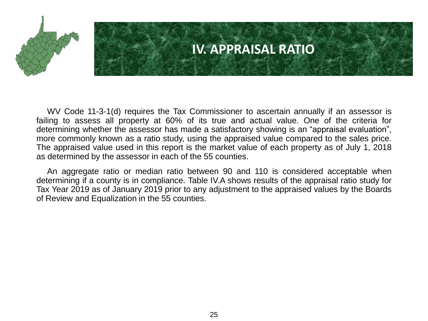

### **IV. APPRAISAL RATIO**

WV Code 11-3-1(d) requires the Tax Commissioner to ascertain annually if an assessor is failing to assess all property at 60% of its true and actual value. One of the criteria for determining whether the assessor has made a satisfactory showing is an "appraisal evaluation", more commonly known as a ratio study, using the appraised value compared to the sales price. The appraised value used in this report is the market value of each property as of July 1, 2018 as determined by the assessor in each of the 55 counties.

An aggregate ratio or median ratio between 90 and 110 is considered acceptable when determining if a county is in compliance. Table IV.A shows results of the appraisal ratio study for Tax Year 2019 as of January 2019 prior to any adjustment to the appraised values by the Boards of Review and Equalization in the 55 counties.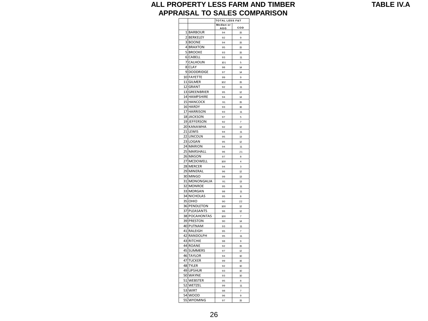#### **ALL PROPERTY LESS FARM AND TIMBER APPRAISAL TO SALES COMPARISON**

|    |                       | <b>TOTAL LESS F&amp;T</b> |                |
|----|-----------------------|---------------------------|----------------|
|    |                       | Median or<br>AGG          | COD            |
|    | 1 BARBOUR             | 94                        | 15             |
| 2  | <b>BERKELEY</b>       | 92                        | 9              |
|    | 3 BOONE               | 94                        | 15             |
|    | 4 BRAXTON             | 95                        | 15             |
| 5  | <b>BROOKE</b>         | 93                        | 15             |
|    | 6 CABELL              |                           |                |
| 7  | CALHOUN               | 93<br>101                 | 11<br>5        |
|    | 8 CLAY                | 98                        | 14             |
|    |                       |                           |                |
|    | 9 DODDRIDGE           | 97                        | 14             |
| 10 | <b>FAYETTE</b>        | 99                        | 9              |
|    | 11 GILMER             | 102                       | 15             |
|    | 12 GRANT              | 92                        | 11             |
|    | 13 GREENBRIER         | 95                        | 12             |
|    | 14 HAMPSHIRE          | 94                        | 14             |
|    | 15 HANCOCK            | 91                        | 15             |
|    | 16 HARDY              | 93                        | 16             |
| 17 | <b>HARRISON</b>       | 93                        | 11             |
|    | 18 JACKSON            | 97                        | 5              |
|    | 19 JEFFERSON          | 92                        | $\overline{7}$ |
|    | 20 KANAWHA            | 92                        | 12             |
|    | 21 LEWIS              | 94                        | 11             |
|    | 22 LINCOLN            | 95                        | 13             |
|    | 23 LOGAN              | 95                        | 12             |
|    | 24 MARION             | 94                        | 11             |
| 25 | MARSHALL              | 96                        | 21             |
|    | 26 MASON              | 97                        | 8              |
| 27 | <b>MCDOWELL</b>       | 100                       | 4              |
|    | 28 MERCER             | 94                        | 3              |
|    | 29 MINERAL            | 96                        | 12             |
| 30 | <b>MINGO</b>          | 99                        | 13             |
|    | 31 MONONGALIA         | 91                        | 13             |
|    | 32 MONROE             | 95                        | 11             |
|    | 33 MORGAN             | 98                        | 11             |
|    | <b>34 NICHOLAS</b>    | 95                        | 8              |
|    | 35 OHIO               | 90                        | 22             |
|    | <b>36 PENDLETON</b>   | 100                       | 12             |
| 37 | PLEASANTS             | 96                        | 12             |
|    | 38 POCAHONTAS         | 100                       | $\overline{7}$ |
|    | <b>39 PRESTON</b>     | 90                        | 14             |
|    | 40 PUTNAM             | 93                        | 11             |
| 41 | <b>RALEIGH</b>        | 95                        | 7              |
|    | 42 RANDOLPH           | 95                        | 11             |
|    | 43 RITCHIE            | 98                        | 9              |
|    | 44 ROANE              | 92                        | 15             |
| 45 | <b>SUMMERS</b>        | 97                        | 12             |
|    | <b>46 TAYLOR</b>      | 94                        | 10             |
| 47 | <b>TUCKER</b>         | 99                        | 16             |
|    | 48 TYLER              |                           |                |
|    |                       | 92                        | 10             |
|    | 49 UPSHUR<br>50 WAYNE | 93                        | 10             |
|    |                       | 93                        | 10             |
| 51 | WEBSTER               | 95                        | 8              |
|    | 52 WETZEL             | 99                        | 11             |
|    | 53 WIRT               | 98                        | $\overline{7}$ |
|    | 54 WOOD               | 96                        | 9              |
|    | 55 WYOMING            | 97                        | 15             |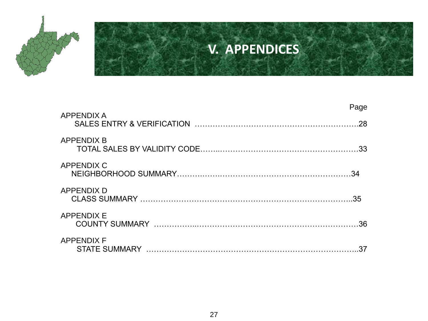

## **V. APPENDICES**

| <b>APPENDIX A</b> | Page |
|-------------------|------|
|                   | .28  |
| <b>APPENDIX B</b> |      |
| <b>APPENDIX C</b> |      |
| <b>APPENDIX D</b> | .35  |
| <b>APPENDIX E</b> |      |
| <b>APPENDIX F</b> | 37   |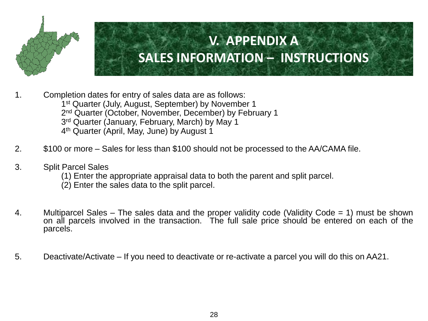

1. Completion dates for entry of sales data are as follows: 1<sup>st</sup> Quarter (July, August, September) by November 1 2<sup>nd</sup> Quarter (October, November, December) by February 1 3<sup>rd</sup> Quarter (January, February, March) by May 1 4 th Quarter (April, May, June) by August 1

- 2. \$100 or more Sales for less than \$100 should not be processed to the AA/CAMA file.
- 3. Split Parcel Sales
	- (1) Enter the appropriate appraisal data to both the parent and split parcel.
	- (2) Enter the sales data to the split parcel.
- 4. Multiparcel Sales The sales data and the proper validity code (Validity Code = 1) must be shown on all parcels involved in the transaction. The full sale price should be entered on each of the parcels.
- 5. Deactivate/Activate If you need to deactivate or re-activate a parcel you will do this on AA21.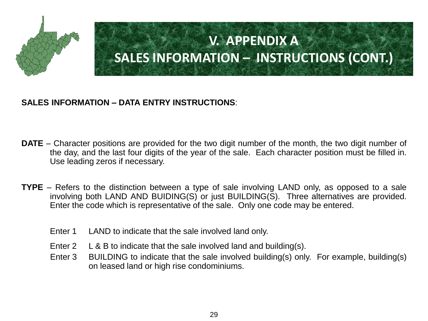

#### **SALES INFORMATION – DATA ENTRY INSTRUCTIONS**:

- **DATE** Character positions are provided for the two digit number of the month, the two digit number of the day, and the last four digits of the year of the sale. Each character position must be filled in. Use leading zeros if necessary.
- **TYPE** Refers to the distinction between a type of sale involving LAND only, as opposed to a sale involving both LAND AND BUIDING(S) or just BUILDING(S). Three alternatives are provided. Enter the code which is representative of the sale. Only one code may be entered.
	- Enter 1 LAND to indicate that the sale involved land only.
	- Enter 2 L & B to indicate that the sale involved land and building(s).
	- Enter 3 BUILDING to indicate that the sale involved building(s) only. For example, building(s) on leased land or high rise condominiums.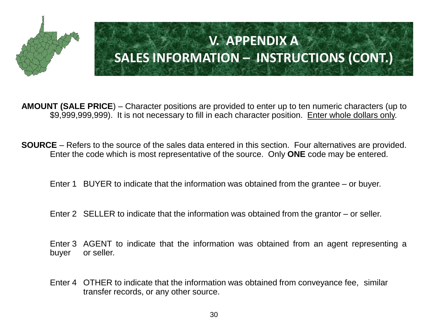

**AMOUNT (SALE PRICE**) – Character positions are provided to enter up to ten numeric characters (up to \$9,999,999,999). It is not necessary to fill in each character position. Enter whole dollars only.

**SOURCE** – Refers to the source of the sales data entered in this section. Four alternatives are provided. Enter the code which is most representative of the source. Only **ONE** code may be entered.

Enter 1 BUYER to indicate that the information was obtained from the grantee – or buyer.

Enter 2 SELLER to indicate that the information was obtained from the grantor – or seller.

Enter 3 AGENT to indicate that the information was obtained from an agent representing a buyer or seller.

Enter 4 OTHER to indicate that the information was obtained from conveyance fee, similar transfer records, or any other source.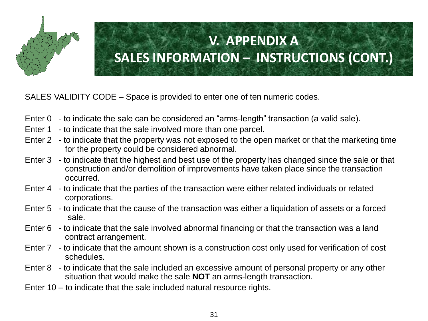

SALES VALIDITY CODE – Space is provided to enter one of ten numeric codes.

- Enter 0 to indicate the sale can be considered an "arms-length" transaction (a valid sale).
- Enter 1 to indicate that the sale involved more than one parcel.
- Enter 2 to indicate that the property was not exposed to the open market or that the marketing time for the property could be considered abnormal.
- Enter 3 to indicate that the highest and best use of the property has changed since the sale or that construction and/or demolition of improvements have taken place since the transaction occurred.
- Enter 4 to indicate that the parties of the transaction were either related individuals or related corporations.
- Enter 5 to indicate that the cause of the transaction was either a liquidation of assets or a forced sale.
- Enter 6 to indicate that the sale involved abnormal financing or that the transaction was a land contract arrangement.
- Enter 7 to indicate that the amount shown is a construction cost only used for verification of cost schedules.
- Enter 8 to indicate that the sale included an excessive amount of personal property or any other situation that would make the sale **NOT** an arms-length transaction.
- Enter 10 to indicate that the sale included natural resource rights.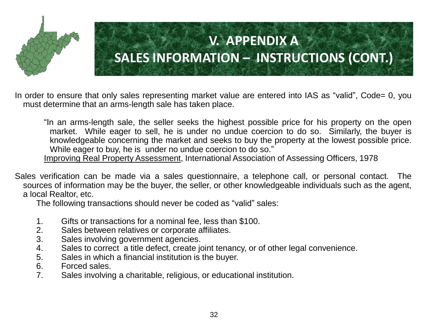

In order to ensure that only sales representing market value are entered into IAS as "valid", Code= 0, you must determine that an arms-length sale has taken place.

"In an arms-length sale, the seller seeks the highest possible price for his property on the open market. While eager to sell, he is under no undue coercion to do so. Similarly, the buyer is knowledgeable concerning the market and seeks to buy the property at the lowest possible price. While eager to buy, he is under no undue coercion to do so."

Improving Real Property Assessment, International Association of Assessing Officers, 1978

Sales verification can be made via a sales questionnaire, a telephone call, or personal contact. The sources of information may be the buyer, the seller, or other knowledgeable individuals such as the agent, a local Realtor, etc.

The following transactions should never be coded as "valid" sales:

- 1. Gifts or transactions for a nominal fee, less than \$100.
- 2. Sales between relatives or corporate affiliates.
- 3. Sales involving government agencies.
- 4. Sales to correct a title defect, create joint tenancy, or of other legal convenience.
- 5. Sales in which a financial institution is the buyer.
- 6. Forced sales.
- 7. Sales involving a charitable, religious, or educational institution.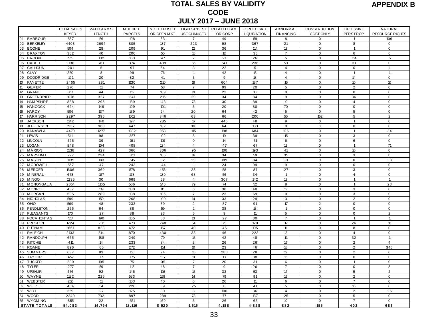#### **TOTAL SALES BY VALIDITY CODE JULY 2017 – JUNE 2018** ES BT V<br>CODE<br>PRELATED FAM<br>OR CORP

|  | <b>APPENDIX B</b> |  |
|--|-------------------|--|
|--|-------------------|--|

| <u>IUIAL JALEJ DI VALIVII I</u><br>APPENDIA E<br><b>CODE</b> |                    |                   |                |             |                              |                    |                    |                  |                            |                                  |                                |
|--------------------------------------------------------------|--------------------|-------------------|----------------|-------------|------------------------------|--------------------|--------------------|------------------|----------------------------|----------------------------------|--------------------------------|
|                                                              |                    |                   |                |             |                              |                    |                    |                  |                            |                                  |                                |
|                                                              |                    |                   |                |             | <b>JULY 2017 - JUNE 2018</b> |                    |                    |                  |                            |                                  |                                |
|                                                              | <b>TOTAL SALES</b> | <b>VALID ARMS</b> | M ULTIPLE      | NOT EXPOSED | <b>HIGHEST/BEST</b>          | <b>RELATED FAM</b> | FORCED SALE        | <b>ABNORMAL</b>  | CONSTRUCTION               | <b>EXCESSIVE</b>                 | NATURAL                        |
|                                                              | <b>KEYED</b>       | LENGTH            | <b>PARCELS</b> | OR OPEN MKT | USE CHANGED                  | OR CORP            | <b>LIQUIDATION</b> | <b>FINANCING</b> | <b>COST ONLY</b>           | PERS PROP                        | <b>RESOURCE RIGHTS</b>         |
| 01 BARBOUR<br>02 BERKELEY                                    | 567<br>4403        | 56<br>2694        | 198            | 83          | 7<br>223                     | 49                 | 59                 | 8                | 0                          | 1<br>8                           | 106<br>$\mathbf 0$             |
| 03<br><b>BOONE</b>                                           | 504                | 28                | 805<br>209     | 187<br>91   | 12                           | 98<br>36           | 367<br>114         | 21<br>13         | $\mathbf 0$<br>$\mathbf 0$ | $\overline{1}$                   | $\mathbf 0$                    |
| 04 BRAXTON                                                   | 382                | 40                | 206            | 55          | 15                           | 12                 | 35                 | $\overline{7}$   | $\mathbf 0$                | 6                                | 6                              |
| 05 BROOKE                                                    | 515                | 132               | 163            | 47          | $\overline{2}$               | 21                 | 26                 | 5                | $\mathbf 0$                | 114                              | 5                              |
| 06 CABELL                                                    | 2138               | 761               | 374            | 489         | 56                           | 141                | 236                | 50               | $\mathbf 0$                | 31                               | $\mathsf 0$                    |
| 07<br>CALHOUN                                                | 201                | $5\phantom{.0}$   | 97             | 64          | 3                            | $\overline{22}$    | 5                  | $\overline{4}$   | $\mathbf 0$                | $\mathbf 0$                      | $\mathbf{1}$                   |
| 08<br>CLAY                                                   | 250                | 8                 | 99             | 76          | $\overline{1}$               | 42                 | 18                 | $\overline{4}$   | $\mathsf 0$                | $\overline{1}$                   | $\mathbf{1}$                   |
| 09<br><b>DODDRIDGE</b>                                       | 191                | 20                | 82             | 41          | 3                            | 9                  | 18                 | $\overline{4}$   | $\mathsf 0$                | 14                               | $\mathsf 0$                    |
| 10 <sup>°</sup><br><b>FAYETTE</b>                            | 2465               | 281               | 1130           | 210         | 18                           | 604                | 187                | 15               | $\mathbf 0$                | 10 <sup>10</sup>                 | 10                             |
| 11<br><b>GILM ER</b>                                         | 276                | 11                | 74             | 58          | $\overline{7}$               | 99                 | 20                 | 5                | $\mathbf 0$                | $\overline{2}$                   | $\mathbf 0$                    |
| 12<br><b>GRANT</b>                                           | 317                | 44                | 112            | 109         | 19                           | 23                 | 10 <sup>10</sup>   | 0                | $\mathsf 0$                | $\mathbf 0$                      | $\mathbf 0$                    |
| 13<br><b>GREENBRIER</b>                                      | 1076               | 327               | 341            | 216         | 29                           | 34                 | 84                 | 9                | $\mathsf 0$                | 36                               | $\mathbf 0$                    |
| 14<br><b>HAM PSHIRE</b><br>15                                | 838                | 295               | 189            | 143         | 78                           | 30                 | 89                 | 10               | $\mathbf 0$                | $\overline{4}$                   | 0                              |
| <b>HANCOCK</b><br>16<br><b>HARDY</b>                         | 624<br>506         | 149<br>137        | 199<br>139     | 101<br>94   | 5<br>20                      | 20<br>64           | 80<br>42           | 70<br>5          | $\mathbf 0$<br>$\mathbf 0$ | $\mathbf 0$<br>5                 | $\mathbf 0$<br>$\mathbf 0$     |
| 17<br><b>HARRISON</b>                                        | 2297               | 396               | 1012           | 346         | 63                           | 66                 | 200                | 55               | 152                        | 5                                | $\overline{2}$                 |
| 18<br><b>JACKSON</b>                                         | 1142               | 140               | 197            | 285         | 17                           | 445                | 48                 | 9                | $\mathsf 0$                | $\mathbf{1}$                     | $\mathbf 0$                    |
| 19<br><b>JEFFERSON</b>                                       | 1937               | 960               | 447            | 182         | 100                          | 64                 | 183                | 0                | $\mathbf{1}$               | $\mathsf 0$                      | 0                              |
| 20<br><b>KANAWHA</b>                                         | 4470               | 1277              | 1082           | 953         | 115                          | 198                | 684                | 126              | $\mathbf 0$                | $\overline{1}$                   | 34                             |
| 21<br>LEWIS                                                  | 541                | 98                | 257            | 102         | 8                            | 19                 | 39                 | 15               | $\mathbf 0$                | 3                                | $\mathbf 0$                    |
| 22<br><b>LINCOLN</b>                                         | 426                | 39                | 191            | 119         | $\mathbf{0}$                 | 14                 | 51                 | 6                | $\mathbf 0$                | 6                                | $\mathbf 0$                    |
| 23<br><b>LOGAN</b>                                           | 848                | 104               | 408            | 134         | $\overline{4}$               | 47                 | 67                 | 12               | $\mathbf 0$                | $\overline{1}$                   | 71                             |
| 24<br><b>MARION</b>                                          | 1538               | 427               | 366            | 306         | 95                           | 100                | 193                | 41               | $\mathsf 0$                | 10 <sup>10</sup>                 | $\mathbf 0$                    |
| 25<br>MARSHALI                                               | 797                | 234               | 311            | 105         | 16                           | 34                 | 59                 | 35               | $\mathbf 0$                | 3                                | 0                              |
| 26<br><b>MASON</b>                                           | 1135               | 183               | 515            | 82          | 29                           | 189                | 84                 | 30               | $\mathsf 0$                | $\mathbf 0$                      | 23                             |
| 27 MCDOWELL                                                  | 567                | 47                | 243            | 144         | $\mathbf{1}$                 | 24                 | 99                 | 9                | $\mathbf 0$                | $\mathbf 0$                      | 0                              |
| 28 MERCER                                                    | 1606               | 369               | 578            | 456         | 28                           | 58                 | 87                 | 27               | $\mathbf 0$                | 3                                | $\mathbf 0$                    |
| 29 MINERAL                                                   | 678                | 157<br>30         | 178            | 180         | 68<br>$\overline{4}$         | 56                 | 34<br>142          | $\mathbf{1}$     | $\mathsf 0$<br>$\mathsf 0$ | $\overline{4}$<br>$\overline{1}$ | $\mathsf 0$                    |
| 30 MINGO<br>31 MONONGALIA                                    | 1235<br>2054       | 1165              | 669<br>506     | 68<br>146   | 79                           | 307<br>74          | 52                 | 13<br>8          | $\mathbf 0$                | $\mathbf{1}$                     | $\mathbf{1}$<br>23             |
| 32<br><b>MONROE</b>                                          | 437                | 119               | 130            | 81          | 6                            | 38                 | 48                 | 12               | $\mathbf 0$                | 3                                | $\mathbf 0$                    |
| 33 MORGAN                                                    | 635                | 289               | 138            | 106         | 7                            | 23                 | 69                 | $\mathbf{0}$     | $\mathbf 0$                | 3                                | 0                              |
| 34 NICHOLAS                                                  | 599                | 150               | 268            | 100         | 14                           | 33                 | 29                 | 3                | $\mathbf 0$                | $\overline{2}$                   | $\mathbf 0$                    |
| 35<br>OHIO                                                   | 569                | 48                | 233            | 89          | $\overline{2}$               | 87                 | 91                 | 17               | $\overline{2}$             | $\mathbf 0$                      | $\mathbf 0$                    |
| 36 PENDLETON                                                 | 265                | 64                | 88             | 59          | $\overline{2}$               | 38                 | 13                 | $\overline{1}$   | $\mathsf 0$                | $\mathbf 0$                      | 0                              |
| 37 PLEASANTS                                                 | 170                | 27                | 88             | 23          | 5                            | 9                  | 11                 | 5                | $\mathbf 0$                | $\mathsf 0$                      | $\overline{2}$                 |
| 38 POCAHONTAS                                                | 517                | 190               | 165            | 83          | 13                           | 27                 | 30                 | $\overline{7}$   | $\mathbf 0$                | $\mathbf{1}$                     | $\mathbf{1}$                   |
| 39 PRESTON                                                   | 1224               | 201               | 473            | 248         | 54                           | 75                 | 120                | 17               | $\mathbf 0$                | 26                               | 10 <sup>°</sup>                |
| 40 PUTNAM                                                    | 1661               | 823               | 472            | 157         | 40                           | 45                 | 105                | 11               | $\mathsf 0$                | 8                                | $\mathsf 0$                    |
| 41 RALEIGH                                                   | 2133               | 514               | 870            | 430         | 33                           | 46                 | 223                | 13               | $\mathsf 0$                | $\overline{4}$                   | $\mathbf 0$                    |
| 42<br>RANDOLPH<br>43<br><b>RITCHIE</b>                       | 665<br>411         | 188<br>14         | 249<br>233     | 79<br>84    | 15<br>3                      | 42<br>26           | 48<br>26           | 11<br>19         | $\mathbf 0$<br>$\mathsf 0$ | 32<br>$\overline{2}$             | $\mathbf{1}$<br>$\overline{4}$ |
| 44<br><b>ROANE</b>                                           | 896                | 65                | 272            | 114         | 10 <sup>°</sup>              | 23                 | 46                 | 18               | $\mathbf 0$                | $\overline{2}$                   | 346                            |
| 45 SUMMERS                                                   | 637                | 83                | 116            | 94          | 15                           | 280                | 28                 | 19               | $\mathbf 0$                | $\overline{2}$                   | $\mathbf 0$                    |
| 46 TAYLOR                                                    | 457                | $\overline{77}$   | 175            | 127         | 11                           | 13                 | 38                 | 16               | $\mathbf 0$                | $\mathsf 0$                      | $\mathsf 0$                    |
| 47 TUCKER                                                    | 280                | 105               | 75             | 35          | $\overline{7}$               | 20                 | 31                 | 6                | $\mathbf 0$                | 1                                | $\mathbf 0$                    |
| 48 TYLER                                                     | 277                | 59                | 113            | 48          | $\overline{7}$               | 9                  | 26                 | $\overline{7}$   | $\mathbf 0$                | $\mathbf 0$                      | 8                              |
| 49<br><b>UPSHUR</b>                                          | 476                | 92                | 146            | 116         | 15                           | 33                 | 53                 | 14               | $\mathbf 0$                | $\overline{5}$                   | $\overline{2}$                 |
| $50\,$<br>WAYNE                                              | 1122               | 226               | 533            | 158         | 14                           | 79                 | 91                 | 19               | $\mathsf 0$                | $\overline{2}$                   | 0                              |
| 51<br>WEBSTER                                                | 210                | 11                | 103            | 40          | 6                            | 26                 | 11                 | 6                | $\mathbf 0$                | $\overline{7}$                   | $\mathbf 0$                    |
| 52<br>WETZEL                                                 | 464                | 54                | 226            | 89          | 25                           | 8                  | 41                 | 5                | $\mathsf 0$                | 16                               | $\mathsf 0$                    |
| 53<br>WIRT                                                   | 359                | 27                | 125            | 30          | 3                            | 106                | 36                 | $\overline{4}$   | $\mathsf 0$                | $\overline{2}$                   | 26                             |
| 54<br><b>WOOD</b>                                            | 2240               | 732               | 897            | 289         | 78                           | 77                 | 137                | 25               | $\mathsf 0$                | 5                                | $\mathsf 0$                    |
| 55<br><b>WYOM ING</b>                                        | 855                | 22                | 551            | 169         | 5                            | 26                 | 65                 | 10               | $\mathbf 0$                | $\overline{7}$                   | $\mathbf 0$                    |
| <b>STATE TOTALS</b>                                          | 54,083             | 14,794            | 18,116         | 8,520       | 1,515                        | 4,188              | 4,828              | 882              | 155                        | 402                              | 683                            |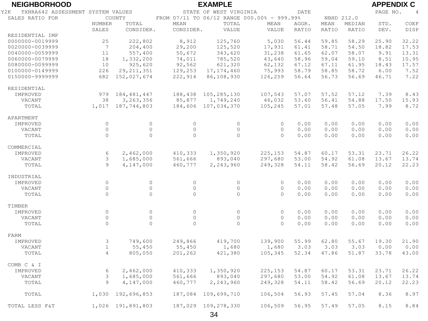| <b>NEIGHBORHOOD</b>                      |                    |                     |             | <b>EXAMPLE</b>         |                                             |              |              |              | <b>APPENDIX C</b> |                |
|------------------------------------------|--------------------|---------------------|-------------|------------------------|---------------------------------------------|--------------|--------------|--------------|-------------------|----------------|
| TXNRA642 ASSESSMENT SYSTEM VALUES<br>Y2K |                    |                     |             | STATE OF WEST VIRGINIA |                                             | <b>DATE</b>  |              |              | PAGE NO.          | $\overline{4}$ |
| SALES RATIO FOR                          |                    | COUNTY              |             |                        | FROM 07/11 TO 06/12 RANGE 000.00% - 999.99% |              | NBHD 212.0   |              |                   |                |
|                                          | NUMBER             | TOTAL               | <b>MEAN</b> | TOTAL                  | MEAN                                        | AGGR.        | MEAN         | MEDIAN       | STD.              | COEF           |
|                                          | SALES              | CONSIDER.           | CONSIDER.   | VALUE                  | VALUE                                       | <b>RATIO</b> | RATIO        | RATIO        | DEV.              | DISP           |
| RESIDENTIAL IMP                          |                    |                     |             |                        |                                             |              |              |              |                   |                |
| 0000000-0019999                          | 25                 | 222,802             | 8,912       | 125,760                | 5,030                                       | 56.44        | 59.85        | 58.29        | 25.90             | 32.22          |
| 0020000-0039999                          | 7                  | 204,400             | 29,200      | 125,520                | 17,931                                      | 61.41        | 58.71        | 54.50        | 18.82             | 17.53          |
| 0040000-0059999                          | 11                 | 557,400             | 50,672      | 343,620                | 31,238                                      | 61.65        | 62.07        | 58.07        | 9.91              | 13.31          |
| 0060000-0079999                          | 18                 | 1,332,200           | 74,011      | 785,520                | 43,640                                      | 58.96        | 59.04        | 59.10        | 8.51              | 10.95          |
| 0080000-0099999                          | 10                 | 925,620             | 92,562      | 621,320                | 62,132                                      | 67.12        | 67.11        | 61.95        | 18.43             | 17.57          |
| 0100000-0149999                          | 226                | 29, 211, 351        | 129,253     | 17, 174, 460           | 75,993                                      | 58.79        | 58.85        | 58.72        | 6.00              | 7.52           |
| 0150000-9999999                          | 682                | 152,027,674         | 222,914     | 86,108,930             | 126,259                                     | 56.64        | 56.73        | 56.69        | 46.71             | 7.22           |
| RESIDENTIAL                              |                    |                     |             |                        |                                             |              |              |              |                   |                |
| IMPROVED                                 | 979                | 184,481,447         | 188,438     | 105,285,130            | 107,543                                     | 57.07        | 57.52        | 57.12        | 7.39              | 8.43           |
| VACANT                                   | 38                 | 3,263,356           | 85,877      | 1,749,240              | 46,032                                      | 53.60        | 56.41        | 54.88        | 17.50             | 15.93          |
| TOTAL                                    |                    | 1,017 187,744,803   | 184,606     | 107,034,370            | 105,245                                     | 57.01        | 57.48        | 57.05        | 7.99              | 8.72           |
|                                          |                    |                     |             |                        |                                             |              |              |              |                   |                |
| APARTMENT                                | $\circ$            | $\circ$             | $\circ$     |                        | $\circ$                                     |              |              | 0.00         |                   |                |
| IMPROVED<br>VACANT                       | $\circ$            | $\mathsf{O}\xspace$ | $\circ$     | $\circ$<br>$\circ$     | $\circ$                                     | 0.00<br>0.00 | 0.00<br>0.00 | 0.00         | 0.00<br>0.00      | 0.00<br>0.00   |
| TOTAL                                    | $\Omega$           | $\Omega$            | $\circ$     | $\Omega$               | $\Omega$                                    | 0.00         | 0.00         | 0.00         | 0.00              | 0.00           |
|                                          |                    |                     |             |                        |                                             |              |              |              |                   |                |
| COMMERCIAL                               |                    |                     |             |                        |                                             |              |              |              |                   |                |
| IMPROVED                                 | 6                  | 2,462,000           | 410,333     | 1,350,920              | 225,153                                     | 54.87        | 60.17        | 53.31        | 23.71             | 26.22          |
| VACANT                                   | 3                  | 1,685,000           | 561,666     | 893,040                | 297,680                                     | 53.00        | 54.92        | 61.08        | 13.67             | 13.74          |
| TOTAL                                    | $\mathcal{Q}$      | 4,147,000           | 460,777     | 2,243,960              | 249,328                                     | 54.11        | 58.42        | 56.69        | 20.12             | 22.23          |
| INDUSTRIAL                               |                    |                     |             |                        |                                             |              |              |              |                   |                |
| IMPROVED                                 | $\circ$            | $\circ$             | $\circ$     | $\circ$                | $\circ$                                     | 0.00         | 0.00         | 0.00         | 0.00              | 0.00           |
| VACANT                                   | $\circ$            | $\mathsf{O}\xspace$ | $\circ$     | $\circ$                | $\circ$                                     | 0.00         | 0.00         | 0.00         | 0.00              | 0.00           |
| TOTAL                                    | $\Omega$           | $\Omega$            | $\Omega$    | $\Omega$               | $\Omega$                                    | 0.00         | 0.00         | 0.00         | 0.00              | 0.00           |
|                                          |                    |                     |             |                        |                                             |              |              |              |                   |                |
| TIMBER                                   |                    | $\circ$             | $\circ$     | $\circ$                | $\circ$                                     |              |              |              |                   |                |
| IMPROVED                                 | $\circ$<br>$\circ$ | $\circ$             | $\circ$     | $\circ$                | $\circ$                                     | 0.00<br>0.00 | 0.00         | 0.00         | 0.00              | 0.00           |
| VACANT                                   | $\Omega$           | $\Omega$            | $\Omega$    | $\Omega$               | $\Omega$                                    | 0.00         | 0.00<br>0.00 | 0.00<br>0.00 | 0.00<br>0.00      | 0.00<br>0.00   |
| TOTAL                                    |                    |                     |             |                        |                                             |              |              |              |                   |                |
| FARM                                     |                    |                     |             |                        |                                             |              |              |              |                   |                |
| IMPROVED                                 | 3                  | 749,600             | 249,866     | 419,700                | 139,900                                     | 55.99        | 62.80        | 55.67        | 19.30             | 21.90          |
| VACANT                                   | $\mathbf{1}$       | 55,450              | 55,450      | 1,680                  | 1,680                                       | 3.03         | 3.03         | 3.03         | 0.00              | 0.00           |
| TOTAL                                    | $\overline{4}$     | 805,050             | 201,262     | 421,380                | 105,345                                     | 52.34        | 47.86        | 51.87        | 33.78             | 43.00          |
| COMB C & I                               |                    |                     |             |                        |                                             |              |              |              |                   |                |
| IMPROVED                                 | 6                  | 2,462,000           | 410,333     | 1,350,920              | 225,153                                     | 54.87        | 60.17        | 53.31        | 23.71             | 26.22          |
| VACANT                                   | 3                  | 1,685,000           | 561,666     | 893,040                | 297,680                                     | 53.00        | 54.92        | 61.08        | 13.67             | 13.74          |
| TOTAL                                    | 9                  | 4,147,000           | 460,777     | 2,243,960              | 249,328                                     | 54.11        | 58.42        | 56.69        | 20.12             | 22.23          |
|                                          |                    |                     |             |                        |                                             |              |              |              |                   |                |
| TOTAL                                    | 1,030              | 192,696,853         | 187,084     | 109,699,710            | 106,504                                     | 56.93        | 57.45        | 57.04        | 8.36              | 8.97           |
| TOTAL LESS F&T                           |                    | 1,026 191,891,803   | 187,029     | 109,278,330            | 106,509                                     | 56.95        | 57.49        | 57.05        | 8.15              | 8.84           |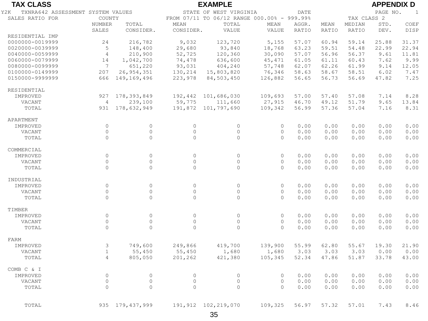| <b>TAX CLASS</b>                         |                 |                   |           | <b>EXAMPLE</b>                              |          |              |              |             | <b>APPENDIX D</b> |       |
|------------------------------------------|-----------------|-------------------|-----------|---------------------------------------------|----------|--------------|--------------|-------------|-------------------|-------|
| TXNRA642 ASSESSMENT SYSTEM VALUES<br>Y2K |                 |                   |           | STATE OF WEST VIRGINIA                      |          | DATE         |              |             | PAGE NO.          | 1     |
| SALES RATIO FOR                          | COUNTY          |                   |           | FROM 07/11 TO 06/12 RANGE 000.00% - 999.99% |          |              |              | TAX CLASS 2 |                   |       |
|                                          | NUMBER          | TOTAL             | MEAN      | TOTAL                                       | MEAN     | AGGR.        | MEAN         | MEDIAN      | STD.              | COEF  |
|                                          | SALES           | CONSIDER.         | CONSIDER. | VALUE                                       | VALUE    | <b>RATIO</b> | <b>RATIO</b> | RATIO       | DEV.              | DISP  |
| RESIDENTIAL IMP                          |                 |                   |           |                                             |          |              |              |             |                   |       |
| 0000000-0019999                          | 24              | 216,782           | 9,032     | 123,720                                     | 5,155    | 57.07        | 60.94        | 59.14       | 25.88             | 31.37 |
| 0020000-0039999                          | 5               | 148,400           | 29,680    | 93,840                                      | 18,768   | 63.23        | 59.51        | 54.48       | 22.99             | 22.94 |
| 0040000-0059999                          | $\overline{4}$  | 210,900           | 52,725    | 120,360                                     | 30,090   | 57.07        | 56.96        | 56.37       | 9.61              | 11.81 |
| 0060000-0079999                          | 14              | 1,042,700         | 74,478    | 636,600                                     | 45,471   | 61.05        | 61.11        | 60.43       | 7.62              | 9.99  |
| 0080000-0099999                          | $7\overline{ }$ | 651,220           | 93,031    | 404,240                                     | 57,748   | 62.07        | 62.26        | 61.99       | 9.14              | 12.05 |
| 0100000-0149999                          | 207             | 26, 954, 351      | 130,214   | 15,803,820                                  | 76,346   | 58.63        | 58.67        | 58.51       | 6.02              | 7.47  |
| 0150000-9999999                          | 666             | 149,169,496       | 223,978   | 84,503,450                                  | 126,882  | 56.65        | 56.73        | 56.69       | 47.82             | 7.25  |
| RESIDENTIAL                              |                 |                   |           |                                             |          |              |              |             |                   |       |
| IMPROVED                                 | 927             | 178,393,849       |           | 192,442 101,686,030                         | 109,693  | 57.00        | 57.40        | 57.08       | 7.14              | 8.28  |
| VACANT                                   | 4               | 239,100           | 59,775    | 111,660                                     | 27,915   | 46.70        | 49.12        | 51.79       | 9.65              | 13.84 |
| TOTAL                                    | 931             | 178,632,949       |           | 191,872 101,797,690                         | 109,342  | 56.99        | 57.36        | 57.04       | 7.16              | 8.31  |
| APARTMENT                                |                 |                   |           |                                             |          |              |              |             |                   |       |
| IMPROVED                                 | $\circ$         | $\circ$           | $\circ$   | $\circ$                                     | $\circ$  | 0.00         | 0.00         | 0.00        | 0.00              | 0.00  |
| VACANT                                   | $\circ$         | $\circ$           | $\circ$   | $\circ$                                     | $\circ$  | 0.00         | 0.00         | 0.00        | 0.00              | 0.00  |
| TOTAL                                    | $\Omega$        | $\circ$           | $\Omega$  | $\mathbf{0}$                                | $\Omega$ | 0.00         | 0.00         | 0.00        | 0.00              | 0.00  |
| COMMERCIAL                               |                 |                   |           |                                             |          |              |              |             |                   |       |
| IMPROVED                                 | $\circ$         | $\circ$           | $\circ$   | $\circ$                                     | $\circ$  | 0.00         | 0.00         | 0.00        | 0.00              | 0.00  |
| VACANT                                   | $\circ$         | $\circ$           | $\circ$   | $\circ$                                     | $\circ$  | 0.00         | 0.00         | 0.00        | 0.00              | 0.00  |
| TOTAL                                    | $\Omega$        | $\Omega$          | $\Omega$  | $\circ$                                     | $\Omega$ | 0.00         | 0.00         | 0.00        | 0.00              | 0.00  |
| INDUSTRIAL                               |                 |                   |           |                                             |          |              |              |             |                   |       |
| IMPROVED                                 | $\circ$         | $\circ$           | $\circ$   | $\circ$                                     | $\circ$  | 0.00         | 0.00         | 0.00        | 0.00              | 0.00  |
| VACANT                                   | $\circ$         | $\circ$           | $\circ$   | $\mathbf{0}$                                | $\circ$  | 0.00         | 0.00         | 0.00        | 0.00              | 0.00  |
| TOTAL                                    | $\Omega$        | $\circ$           | $\Omega$  | $\mathbf{0}$                                | $\Omega$ | 0.00         | 0.00         | 0.00        | 0.00              | 0.00  |
| TIMBER                                   |                 |                   |           |                                             |          |              |              |             |                   |       |
| IMPROVED                                 | $\circ$         | $\circ$           | $\circ$   | $\circ$                                     | $\circ$  | 0.00         | 0.00         | 0.00        | 0.00              | 0.00  |
| VACANT                                   | $\circ$         | $\circ$           | $\circ$   | $\circ$                                     | $\circ$  | 0.00         | 0.00         | 0.00        | 0.00              | 0.00  |
| TOTAL                                    | $\Omega$        | $\Omega$          | $\Omega$  | $\mathbf{0}$                                | $\Omega$ | 0.00         | 0.00         | 0.00        | 0.00              | 0.00  |
| FARM                                     |                 |                   |           |                                             |          |              |              |             |                   |       |
| IMPROVED                                 | 3               | 749,600           | 249,866   | 419,700                                     | 139,900  | 55.99        | 62.80        | 55.67       | 19.30             | 21.90 |
| VACANT                                   | $\mathbf{1}$    | 55,450            | 55,450    | 1,680                                       | 1,680    | 3.03         | 3.03         | 3.03        | 0.00              | 0.00  |
| TOTAL                                    | 4               | 805,050           | 201,262   | 421,380                                     | 105,345  | 52.34        | 47.86        | 51.87       | 33.78             | 43.00 |
| COMB C & I                               |                 |                   |           |                                             |          |              |              |             |                   |       |
| IMPROVED                                 | $\circ$         | 0                 | $\circ$   | 0                                           | 0        | 0.00         | 0.00         | 0.00        | 0.00              | 0.00  |
| VACANT                                   | $\mathbb O$     | $\circ$           | $\circ$   | $\circ$                                     | $\circ$  | 0.00         | 0.00         | 0.00        | 0.00              | 0.00  |
| TOTAL                                    | $\circ$         | $\circ$           | $\circ$   | $\circ$                                     | $\Omega$ | 0.00         | 0.00         | 0.00        | 0.00              | 0.00  |
| TOTAL                                    |                 | 935 179, 437, 999 |           | 191,912 102,219,070                         | 109,325  | 56.97        | 57.32        | 57.01       | 7.43              | 8.46  |
|                                          |                 |                   |           | 35                                          |          |              |              |             |                   |       |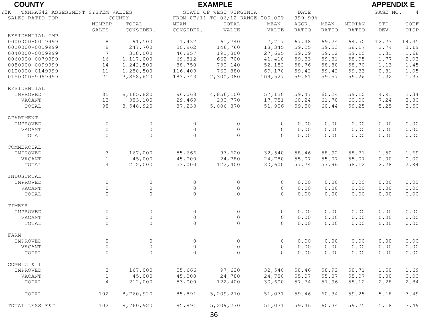| <b>COUNTY</b>                            | <b>EXAMPLE</b>  |                     |                        |                                     |             |              |                            |        |       | <b>APPENDIX E</b> |  |  |
|------------------------------------------|-----------------|---------------------|------------------------|-------------------------------------|-------------|--------------|----------------------------|--------|-------|-------------------|--|--|
| TXNRA642 ASSESSMENT SYSTEM VALUES<br>Y2K |                 |                     | STATE OF WEST VIRGINIA | <b>DATE</b>                         |             |              | PAGE NO.<br>$\overline{4}$ |        |       |                   |  |  |
| SALES RATIO FOR                          |                 | COUNTY              |                        | FROM 07/11 TO 06/12 RANGE 000.00% - |             | 999.99%      |                            |        |       |                   |  |  |
|                                          | NUMBER          | TOTAL               | <b>MEAN</b>            | TOTAL                               | <b>MEAN</b> | AGGR.        | MEAN                       | MEDIAN | STD.  | COEF              |  |  |
|                                          | SALES           | CONSIDER.           | CONSIDER.              | VALUE                               | VALUE       | <b>RATIO</b> | RATIO                      | RATIO  | DEV.  | <b>DISP</b>       |  |  |
| RESIDENTIAL IMP                          |                 |                     |                        |                                     |             |              |                            |        |       |                   |  |  |
| 0000000-0019999                          | 8               | 91,500              | 11,437                 | 61,740                              | 7,717       | 67.48        | 69.24                      | 64.50  | 12.73 | 14.35             |  |  |
| 0020000-0039999                          | 8               | 247,700             | 30,962                 | 146,760                             | 18,345      | 59.25        | 59.53                      | 58.17  | 2.74  | 3.19              |  |  |
| 0040000-0059999                          | $7\phantom{.0}$ | 328,000             | 46,857                 | 193,800                             | 27,685      | 59.09        | 59.12                      | 59.10  | 1.31  | 1.68              |  |  |
| 0060000-0079999                          | 16              | 1,117,000           | 69,812                 | 662,700                             | 41,418      | 59.33        | 59.31                      | 58.95  | 1.77  | 2.03              |  |  |
| 0080000-0099999                          | 14              | 1,242,500           | 88,750                 | 730,140                             | 52,152      | 58.76        | 58.80                      | 58.70  | 1.13  | 1.45              |  |  |
| 0100000-0149999                          | 11              | 1,280,500           | 116,409                | 760,880                             | 69,170      | 59.42        | 59.42                      | 59.33  | 0.81  | 1.05              |  |  |
| 0150000-9999999                          | 21              | 3,858,620           | 183,743                | 2,300,080                           | 109,527     | 59.61        | 59.57                      | 59.26  | 1.32  | 1.37              |  |  |
| RESIDENTIAL                              |                 |                     |                        |                                     |             |              |                            |        |       |                   |  |  |
| IMPROVED                                 | 85              | 8,165,820           | 96,068                 | 4,856,100                           | 57,130      | 59.47        | 60.24                      | 59.10  | 4.91  | 3.34              |  |  |
| VACANT                                   | 13              | 383,100             | 29,469                 | 230,770                             | 17,751      | 60.24        | 61.70                      | 60.00  | 7.24  | 3.80              |  |  |
| TOTAL                                    | 98              |                     |                        |                                     | 51,906      | 59.50        | 60.44                      | 59.25  | 5.25  | 3.50              |  |  |
|                                          |                 | 8,548,920           | 87,233                 | 5,086,870                           |             |              |                            |        |       |                   |  |  |
| APARTMENT                                |                 |                     |                        |                                     |             |              |                            |        |       |                   |  |  |
| IMPROVED                                 | $\circ$         | $\circ$             | $\circ$                | $\circ$                             | $\circ$     | 0.00         | 0.00                       | 0.00   | 0.00  | 0.00              |  |  |
| VACANT                                   | $\circ$         | $\circ$             | $\circ$                | $\circ$                             | $\circ$     | 0.00         | 0.00                       | 0.00   | 0.00  | 0.00              |  |  |
| TOTAL                                    | $\Omega$        | $\Omega$            | $\Omega$               | $\Omega$                            | $\Omega$    | 0.00         | 0.00                       | 0.00   | 0.00  | 0.00              |  |  |
| COMMERCIAL                               |                 |                     |                        |                                     |             |              |                            |        |       |                   |  |  |
| IMPROVED                                 | $\mathfrak{Z}$  | 167,000             | 55,666                 | 97,620                              | 32,540      | 58.46        | 58.92                      | 58.71  | 1.50  | 1.69              |  |  |
| VACANT                                   | $\mathbf{1}$    | 45,000              | 45,000                 | 24,780                              | 24,780      | 55.07        | 55.07                      | 55.07  | 0.00  | 0.00              |  |  |
| TOTAL                                    | 4               | 212,000             | 53,000                 | 122,400                             | 30,600      | 57.74        | 57.96                      | 58.12  | 2.28  | 2.84              |  |  |
| INDUSTRIAL                               |                 |                     |                        |                                     |             |              |                            |        |       |                   |  |  |
| IMPROVED                                 | $\circ$         | $\circ$             | $\circ$                | $\circ$                             | $\circ$     | 0.00         | 0.00                       | 0.00   | 0.00  | 0.00              |  |  |
| VACANT                                   | $\Omega$        | $\mathsf{O}\xspace$ | $\Omega$               | $\Omega$                            | $\Omega$    | 0.00         | 0.00                       | 0.00   | 0.00  | 0.00              |  |  |
| TOTAL                                    | $\Omega$        | $\Omega$            | $\Omega$               | $\Omega$                            | $\Omega$    | 0.00         | 0.00                       | 0.00   | 0.00  | 0.00              |  |  |
|                                          |                 |                     |                        |                                     |             |              |                            |        |       |                   |  |  |
| TIMBER                                   |                 |                     |                        |                                     |             |              |                            |        |       |                   |  |  |
| IMPROVED                                 | $\circ$         | $\circ$             | $\circ$                | $\circ$                             | $\circ$     | 0.00         | 0.00                       | 0.00   | 0.00  | 0.00              |  |  |
| VACANT                                   | $\circ$         | $\overline{0}$      | $\circ$                | $\circ$                             | $\circ$     | 0.00         | 0.00                       | 0.00   | 0.00  | 0.00              |  |  |
| TOTAL                                    | $\circ$         | $\circ$             | $\circ$                | $\circ$                             | $\circ$     | 0.00         | 0.00                       | 0.00   | 0.00  | 0.00              |  |  |
| FARM                                     |                 |                     |                        |                                     |             |              |                            |        |       |                   |  |  |
| IMPROVED                                 | $\circ$         | $\circ$             | $\circ$                | $\circ$                             | $\circ$     | 0.00         | 0.00                       | 0.00   | 0.00  | 0.00              |  |  |
| VACANT                                   | $\circ$         | $\circ$             | $\circ$                | $\circ$                             | $\circ$     | 0.00         | 0.00                       | 0.00   | 0.00  | 0.00              |  |  |
| TOTAL                                    | $\Omega$        | $\Omega$            | $\Omega$               | $\Omega$                            | $\Omega$    | 0.00         | 0.00                       | 0.00   | 0.00  | 0.00              |  |  |
| COMB C & I                               |                 |                     |                        |                                     |             |              |                            |        |       |                   |  |  |
| IMPROVED                                 | 3               | 167,000             | 55,666                 | 97,620                              | 32,540      | 58.46        | 58.92                      | 58.71  | 1.50  | 1.69              |  |  |
| VACANT                                   | $\mathbf{1}$    | 45,000              | 45,000                 | 24,780                              | 24,780      | 55.07        | 55.07                      | 55.07  | 0.00  | 0.00              |  |  |
| TOTAL                                    | $\overline{4}$  | 212,000             | 53,000                 | 122,400                             | 30,600      | 57.74        | 57.96                      | 58.12  | 2.28  | 2.84              |  |  |
| TOTAL                                    | 102             | 8,760,920           | 85,891                 | 5,209,270                           | 51,071      | 59.46        | 60.34                      | 59.25  | 5.18  | 3.49              |  |  |
| TOTAL LESS F&T                           | 102             | 8,760,920           | 85,891                 | 5,209,270                           | 51,071      | 59.46        | 60.34                      | 59.25  | 5.18  | 3.49              |  |  |